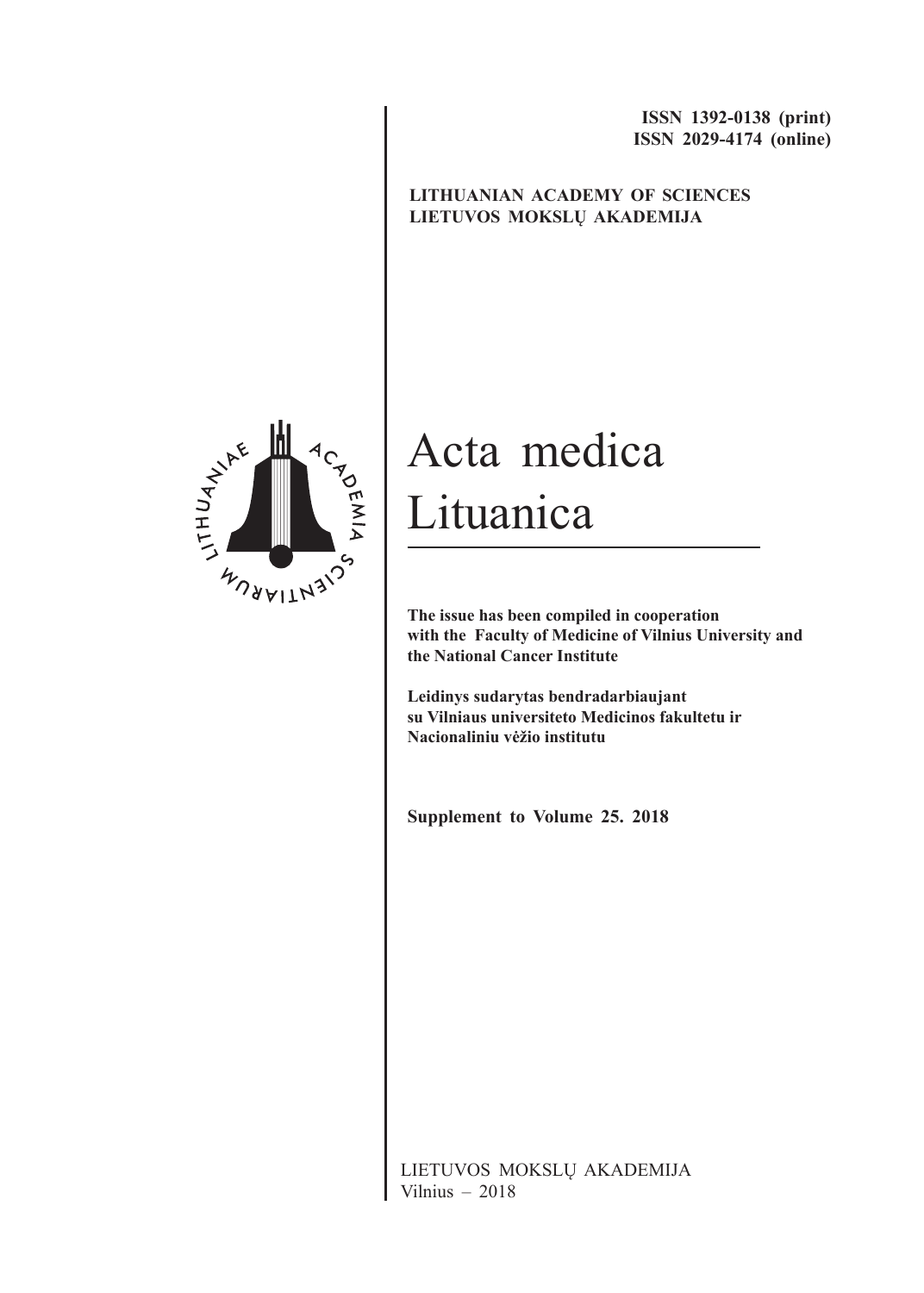**ISSN 1392-0138 (print) ISSN 2029-4174 (online)**

### **LITHUANIAN ACADEMY OF SCIENCES LIETUVOS MOKSLŲ AKADEMIJA**



# Acta medica Lituanica

**The issue has been compiled in cooperation with the Faculty of Medicine of Vilnius University and the National Cancer Institute**

**Leidinys sudarytas bendradarbiaujant su Vilniaus universiteto Medicinos fakultetu ir Nacionaliniu vėžio institutu**

**Supplement to Volume 25. 2018**

LIETUVOS MOKSLŲ AKADEMIJA Vilnius – 2018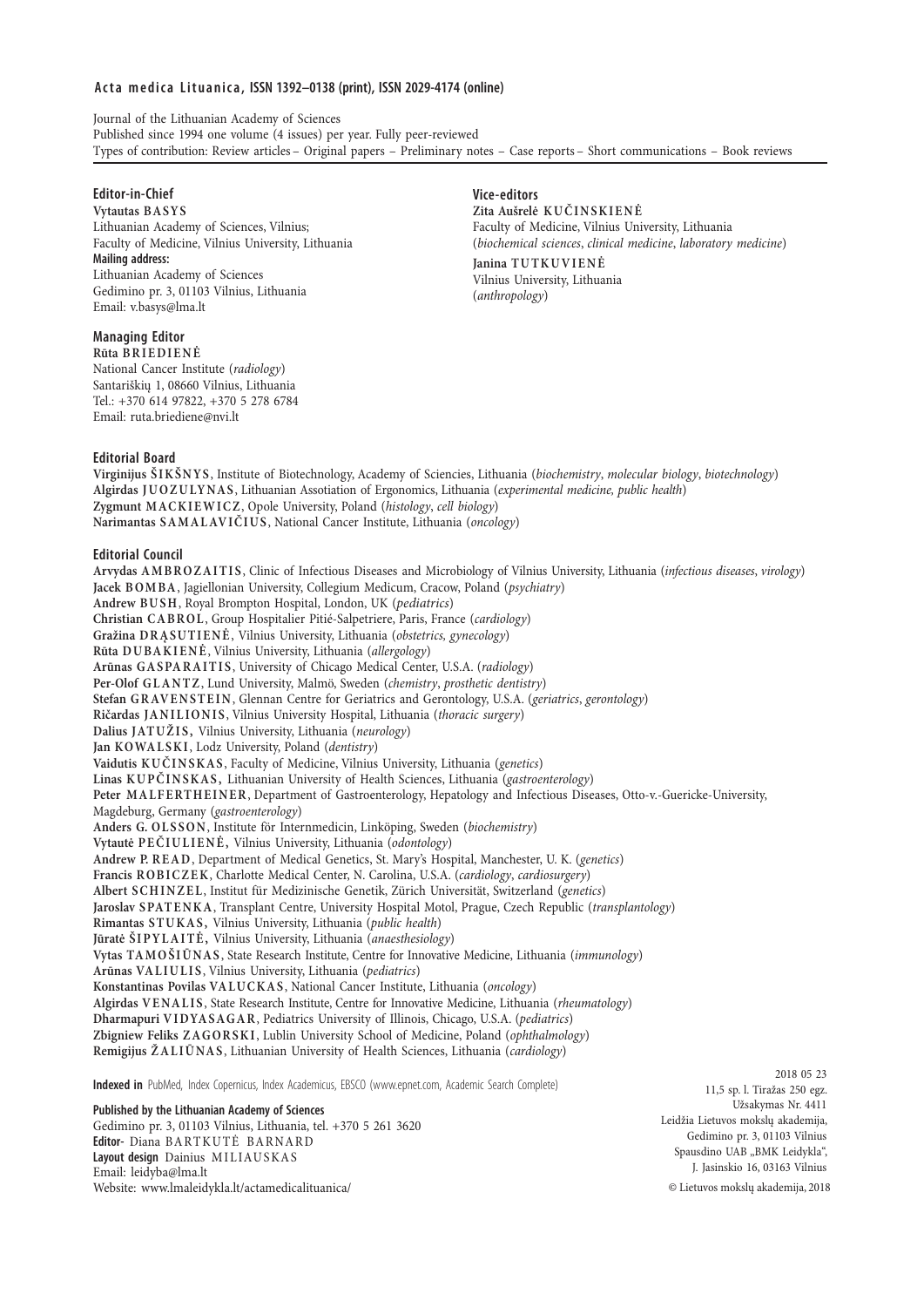#### **A c t a m e d i c a L i t u a n i c a , ISSN 1392–0138 (print), ISSN 2029-4174 (online)**

Journal of the Lithuanian Academy of Sciences Published since 1994 one volume (4 issues) per year. Fully peer-reviewed Types of contribution: Review articles– Original papers – Preliminary notes – Case reports– Short communications – Book reviews

#### **Editor-in-Chief**

**Vytautas BASYS** Lithuanian Academy of Sciences, Vilnius; Faculty of Medicine, Vilnius University, Lithuania **Mailing address:** Lithuanian Academy of Sciences Gedimino pr. 3, 01103 Vilnius, Lithuania Email: v.basys@lma.lt

#### **Managing Editor**

**Rūta BRIEDIENĖ** National Cancer Institute (*radiology*) Santariškių 1, 08660 Vilnius, Lithuania Tel.: +370 614 97822, +370 5 278 6784 Email: ruta.briediene@nvi.lt

#### **Vice-editors**

**Zita Aušrelė KUČINSKIENĖ** Faculty of Medicine, Vilnius University, Lithuania (*biochemical sciences*, *clinical medicine*, *laboratory medicine*) **Janina TUTKUVIENĖ** Vilnius University, Lithuania (*anthropology*)

#### **Editorial Board**

**Virginijus ŠIKŠNYS**, Institute of Biotechnology, Academy of Sciencies, Lithuania (*biochemistry*, *molecular biology*, *biotechnology*) **Algirdas JUOZULYNAS**, Lithuanian Assotiation of Ergonomics, Lithuania (*experimental medicine, public health*) **Zygmunt MACKIEWICZ**, Opole University, Poland (*histology*, *cell biology*) **Narimantas S A M A L AV IČ I U S**, National Cancer Institute, Lithuania (*oncology*)

#### **Editorial Council**

**Arvydas AMBROZAITIS**, Clinic of Infectious Diseases and Microbiology of Vilnius University, Lithuania (*infectious diseases*, *virology*) **Jacek BOMBA**, Jagiellonian University, Collegium Medicum, Cracow, Poland (*psychiatry*) **Andrew BUSH**, Royal Brompton Hospital, London, UK (*pediatrics*) **Christian CABROL**, Group Hospitalier Pitié-Salpetriere, Paris, France (*cardiology*) **Gražina DR ĄSU T I E N Ė**, Vilnius University, Lithuania (*obstetrics, gynecology*) **Rūta DUBAKIENĖ**, Vilnius University, Lithuania (*allergology*) **Arūnas GASPARAITIS**, University of Chicago Medical Center, U.S.A. (*radiology*) **Per-Olof GLANTZ**, Lund University, Malmö, Sweden (*chemistry*, *prosthetic dentistry*) **Stefan GRAVENSTEIN**, Glennan Centre for Geriatrics and Gerontology, U.S.A. (*geriatrics*, *gerontology*) **Ričardas JANILIONIS**, Vilnius University Hospital, Lithuania (*thoracic surgery*) **Dalius JATUŽIS,** Vilnius University, Lithuania (*neurology*) **Jan KOWA L SK I**, Lodz University, Poland (*dentistry*) **Vaidutis KUČINSKAS**, Faculty of Medicine, Vilnius University, Lithuania (*genetics*) **Linas KUPČINSKAS,** Lithuanian University of Health Sciences, Lithuania (*gastroenterology*) Peter MALFERTHEINER, Department of Gastroenterology, Hepatology and Infectious Diseases, Otto-v.-Guericke-University, Magdeburg, Germany (*gastroenterology*) **Anders G. OLSSON**, Institute för Internmedicin, Linköping, Sweden (*biochemistry*) **Vytautė PEČIULIENĖ,** Vilnius University, Lithuania (*odontology*) **Andrew P. READ**, Department of Medical Genetics, St. Mary's Hospital, Manchester, U. K. (*genetics*) **Francis ROBICZEK**, Charlotte Medical Center, N. Carolina, U.S.A. (*cardiology*, *cardiosurgery*) **Albert SCHINZEL**, Institut für Medizinische Genetik, Zürich Universität, Switzerland (*genetics*) **Jaroslav SPATENKA**, Transplant Centre, University Hospital Motol, Prague, Czech Republic (*transplantology*) **Rimantas STUKAS,** Vilnius University, Lithuania (*public health*) **Jūratė ŠIPYLAITĖ,** Vilnius University, Lithuania (*anaesthesiology*) **Vytas TAMOŠIŪNAS**, State Research Institute, Centre for Innovative Medicine, Lithuania (*immunology*) **Arūnas VA L I U L I S**, Vilnius University, Lithuania (*pediatrics*) **Konstantinas Povilas VA LU C K A S**, National Cancer Institute, Lithuania (*oncology*) **Algirdas VENALIS**, State Research Institute, Centre for Innovative Medicine, Lithuania (*rheumatology*) **Dharmapuri VIDYASAGAR**, Pediatrics University of Illinois, Chicago, U.S.A. (*pediatrics*) **Zbigniew Feliks ZAGORSKI**, Lublin University School of Medicine, Poland (*ophthalmology*) **Remigijus ŽALIŪNAS**, Lithuanian University of Health Sciences, Lithuania (*cardiology*)

**Indexed in** PubMed, Index Copernicus, Index Academicus, EBSCO (www.epnet.com, Academic Search Complete)

**Published by the Lithuanian Academy of Sciences**

Gedimino pr. 3, 01103 Vilnius, Lithuania, tel. +370 5 261 3620 **Editor-** Diana BARTKUTĖ BARNARD **Layout design** Dainius MILIAUSKAS Email: leidyba@lma.lt Website: www.lmaleidykla.lt/actamedicalituanica/ © Lietuvos mokslų akademija, 2018

2018 05 23 11,5 sp. l. Tiražas 250 egz. Užsakymas Nr. 4411 Leidžia Lietuvos mokslų akademija, Gedimino pr. 3, 01103 Vilnius Spausdino UAB "BMK Leidykla", J. Jasinskio 16, 03163 Vilnius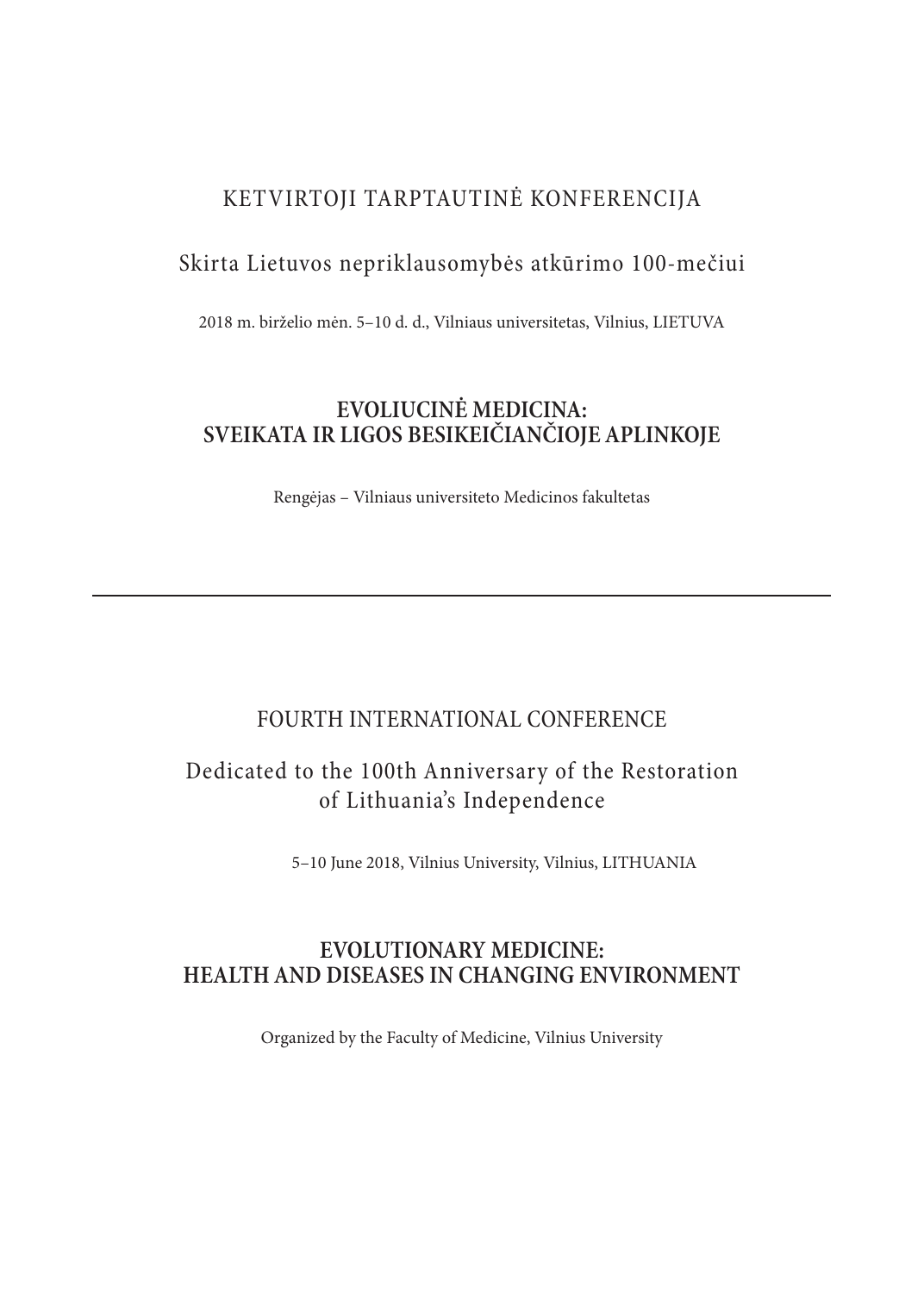### KETVIRTOJI TARPTAUTINĖ KONFERENCIJA

## Skirta Lietuvos nepriklausomybės atkūrimo 100-mečiui

2018 m. birželio mėn. 5–10 d. d., Vilniaus universitetas, Vilnius, LIETUVA

### **EVOLIUCINĖ MEDICINA: SVEIKATA IR LIGOS BESIKEIČIANČIOJE APLINKOJE**

Rengėjas – Vilniaus universiteto Medicinos fakultetas

### FOURTH INTERNATIONAL CONFERENCE

### Dedicated to the 100th Anniversary of the Restoration of Lithuania's Independence

5–10 June 2018, Vilnius University, Vilnius, LITHUANIA

### **EVOLUTIONARY MEDICINE: HEALTH AND DISEASES IN CHANGING ENVIRONMENT**

Organized by the Faculty of Medicine, Vilnius University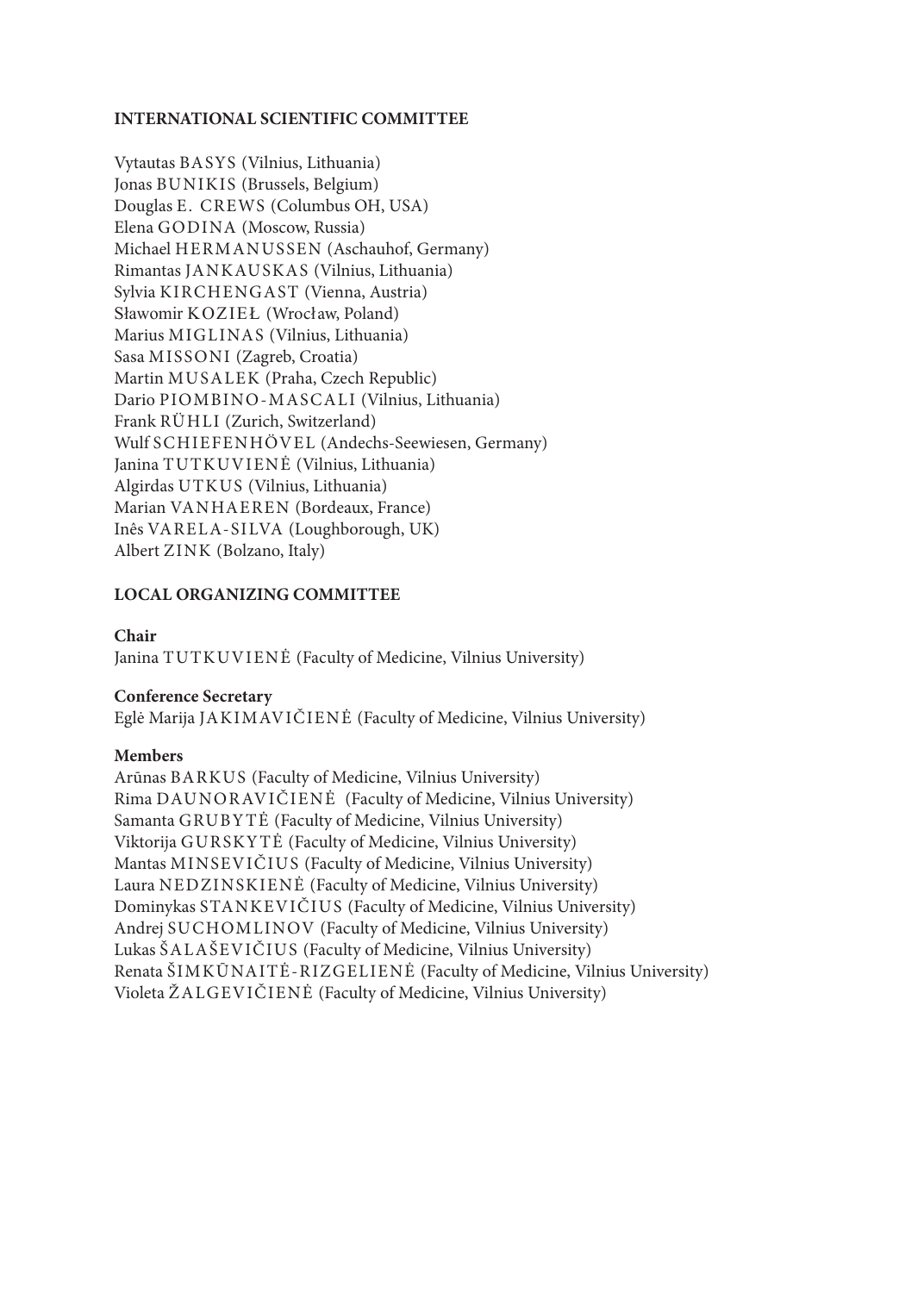### **INTERNATIONAL SCIENTIFIC COMMITTEE**

Vytautas BASYS (Vilnius, Lithuania) Jonas BUNIKIS (Brussels, Belgium) Douglas E. CREWS (Columbus OH, USA) Elena GODINA (Moscow, Russia) Michael HERMANUSSEN (Aschauhof, Germany) Rimantas JANKAUSKAS (Vilnius, Lithuania) Sylvia KIRCHENGAST (Vienna, Austria) Sławomir KOZIEŁ (Wrocław, Poland) Marius MIGLINAS (Vilnius, Lithuania) Sasa MISSONI (Zagreb, Croatia) Martin MUSALEK (Praha, Czech Republic) Dario PIOMBINO-MASCALI (Vilnius, Lithuania) Frank RÜHLI (Zurich, Switzerland) Wulf SCHIEFENHÖVEL (Andechs-Seewiesen, Germany) Janina TUTKUVIENĖ (Vilnius, Lithuania) Algirdas UTKUS (Vilnius, Lithuania) Marian VANHAEREN (Bordeaux, France) Inês VARELA-SILVA (Loughborough, UK) Albert ZINK (Bolzano, Italy)

### **LOCAL ORGANIZING COMMITTEE**

#### **Chair**

Janina TUTKUVIENĖ (Faculty of Medicine, Vilnius University)

#### **Conference Secretary**

Eglė Marija JAKIMAVIČIENĖ (Faculty of Medicine, Vilnius University)

#### **Members**

Arūnas BARKUS (Faculty of Medicine, Vilnius University) Rima DAUNORAVIČIENĖ (Faculty of Medicine, Vilnius University) Samanta GRUBY TĖ (Faculty of Medicine, Vilnius University) Viktorija GURSKY TĖ (Faculty of Medicine, Vilnius University) Mantas MINSEVIČIUS (Faculty of Medicine, Vilnius University) Laura NEDZINSKIENĖ (Faculty of Medicine, Vilnius University) Dominykas STANKEVIČIUS (Faculty of Medicine, Vilnius University) Andrej SUCHOMLINOV (Faculty of Medicine, Vilnius University) Lukas ŠALAŠEVIČIUS (Faculty of Medicine, Vilnius University) Renata ŠIMKŪNAITĖ-RIZGELIENĖ (Faculty of Medicine, Vilnius University) Violeta ŽALGEVIČIENĖ (Faculty of Medicine, Vilnius University)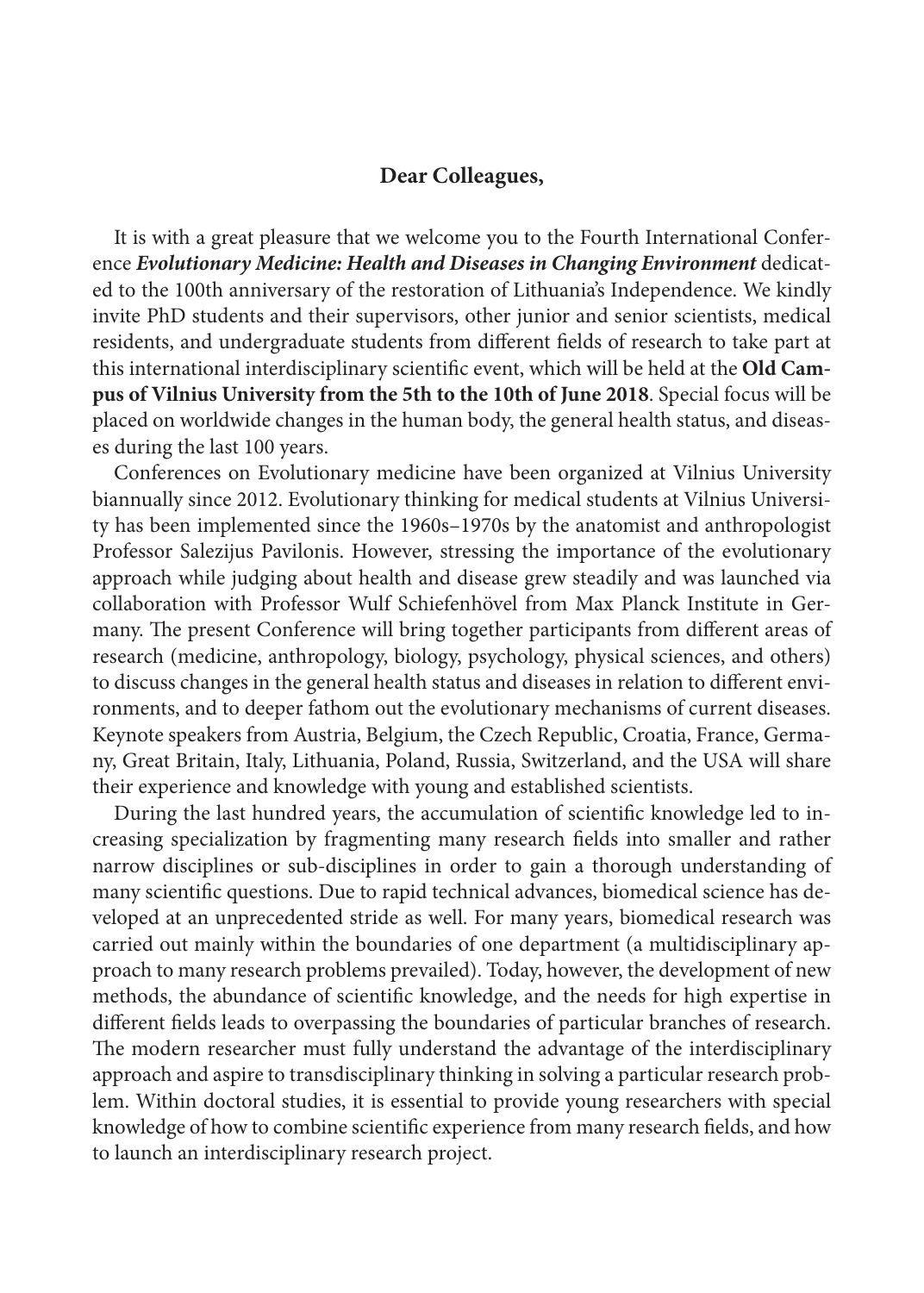### **Dear Colleagues,**

It is with a great pleasure that we welcome you to the Fourth International Conference *Evolutionary Medicine: Health and Diseases in Changing Environment* dedicated to the 100th anniversary of the restoration of Lithuania's Independence. We kindly invite PhD students and their supervisors, other junior and senior scientists, medical residents, and undergraduate students from different fields of research to take part at this international interdisciplinary scientific event, which will be held at the **Old Campus of Vilnius University from the 5th to the 10th of June 2018**. Special focus will be placed on worldwide changes in the human body, the general health status, and diseases during the last 100 years.

Conferences on Evolutionary medicine have been organized at Vilnius University biannually since 2012. Evolutionary thinking for medical students at Vilnius University has been implemented since the 1960s–1970s by the anatomist and anthropologist Professor Salezijus Pavilonis. However, stressing the importance of the evolutionary approach while judging about health and disease grew steadily and was launched via collaboration with Professor Wulf Schiefenhövel from Max Planck Institute in Germany. The present Conference will bring together participants from different areas of research (medicine, anthropology, biology, psychology, physical sciences, and others) to discuss changes in the general health status and diseases in relation to different environments, and to deeper fathom out the evolutionary mechanisms of current diseases. Keynote speakers from Austria, Belgium, the Czech Republic, Croatia, France, Germany, Great Britain, Italy, Lithuania, Poland, Russia, Switzerland, and the USA will share their experience and knowledge with young and established scientists.

During the last hundred years, the accumulation of scientific knowledge led to increasing specialization by fragmenting many research fields into smaller and rather narrow disciplines or sub-disciplines in order to gain a thorough understanding of many scientific questions. Due to rapid technical advances, biomedical science has developed at an unprecedented stride as well. For many years, biomedical research was carried out mainly within the boundaries of one department (a multidisciplinary approach to many research problems prevailed). Today, however, the development of new methods, the abundance of scientific knowledge, and the needs for high expertise in different fields leads to overpassing the boundaries of particular branches of research. The modern researcher must fully understand the advantage of the interdisciplinary approach and aspire to transdisciplinary thinking in solving a particular research problem. Within doctoral studies, it is essential to provide young researchers with special knowledge of how to combine scientific experience from many research fields, and how to launch an interdisciplinary research project.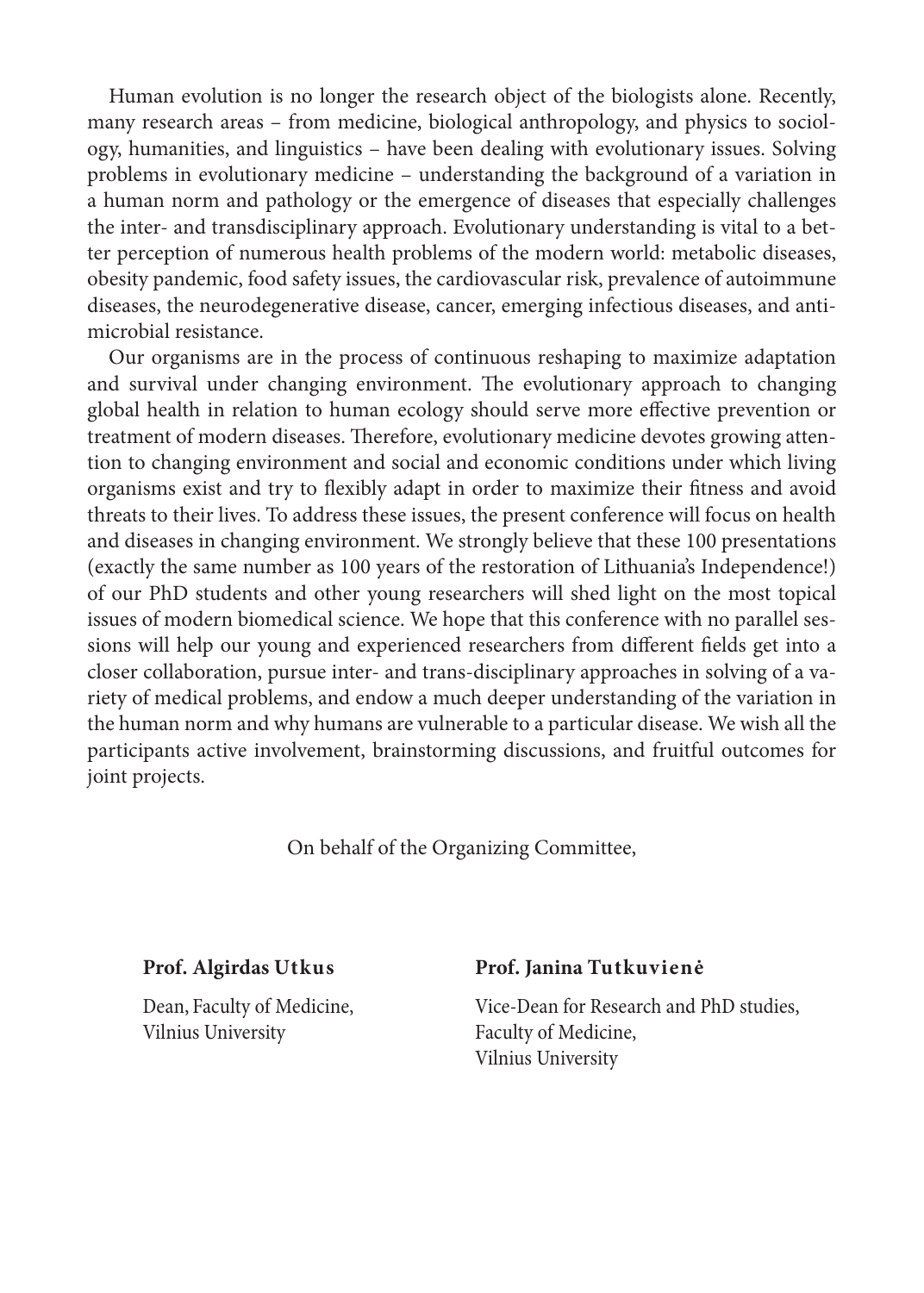Human evolution is no longer the research object of the biologists alone. Recently, many research areas – from medicine, biological anthropology, and physics to sociology, humanities, and linguistics – have been dealing with evolutionary issues. Solving problems in evolutionary medicine – understanding the background of a variation in a human norm and pathology or the emergence of diseases that especially challenges the inter- and transdisciplinary approach. Evolutionary understanding is vital to a better perception of numerous health problems of the modern world: metabolic diseases, obesity pandemic, food safety issues, the cardiovascular risk, prevalence of autoimmune diseases, the neurodegenerative disease, cancer, emerging infectious diseases, and antimicrobial resistance.

Our organisms are in the process of continuous reshaping to maximize adaptation and survival under changing environment. The evolutionary approach to changing global health in relation to human ecology should serve more effective prevention or treatment of modern diseases. Therefore, evolutionary medicine devotes growing attention to changing environment and social and economic conditions under which living organisms exist and try to flexibly adapt in order to maximize their fitness and avoid threats to their lives. To address these issues, the present conference will focus on health and diseases in changing environment. We strongly believe that these 100 presentations (exactly the same number as 100 years of the restoration of Lithuania's Independence!) of our PhD students and other young researchers will shed light on the most topical issues of modern biomedical science. We hope that this conference with no parallel sessions will help our young and experienced researchers from different fields get into a closer collaboration, pursue inter- and trans-disciplinary approaches in solving of a variety of medical problems, and endow a much deeper understanding of the variation in the human norm and why humans are vulnerable to a particular disease. We wish all the participants active involvement, brainstorming discussions, and fruitful outcomes for joint projects.

On behalf of the Organizing Committee,

Vilnius University **Faculty of Medicine**,

### **Prof. Algirdas Utkus Prof. Janina Tutkuvienė**

Dean, Faculty of Medicine, Vice-Dean for Research and PhD studies, Vilnius University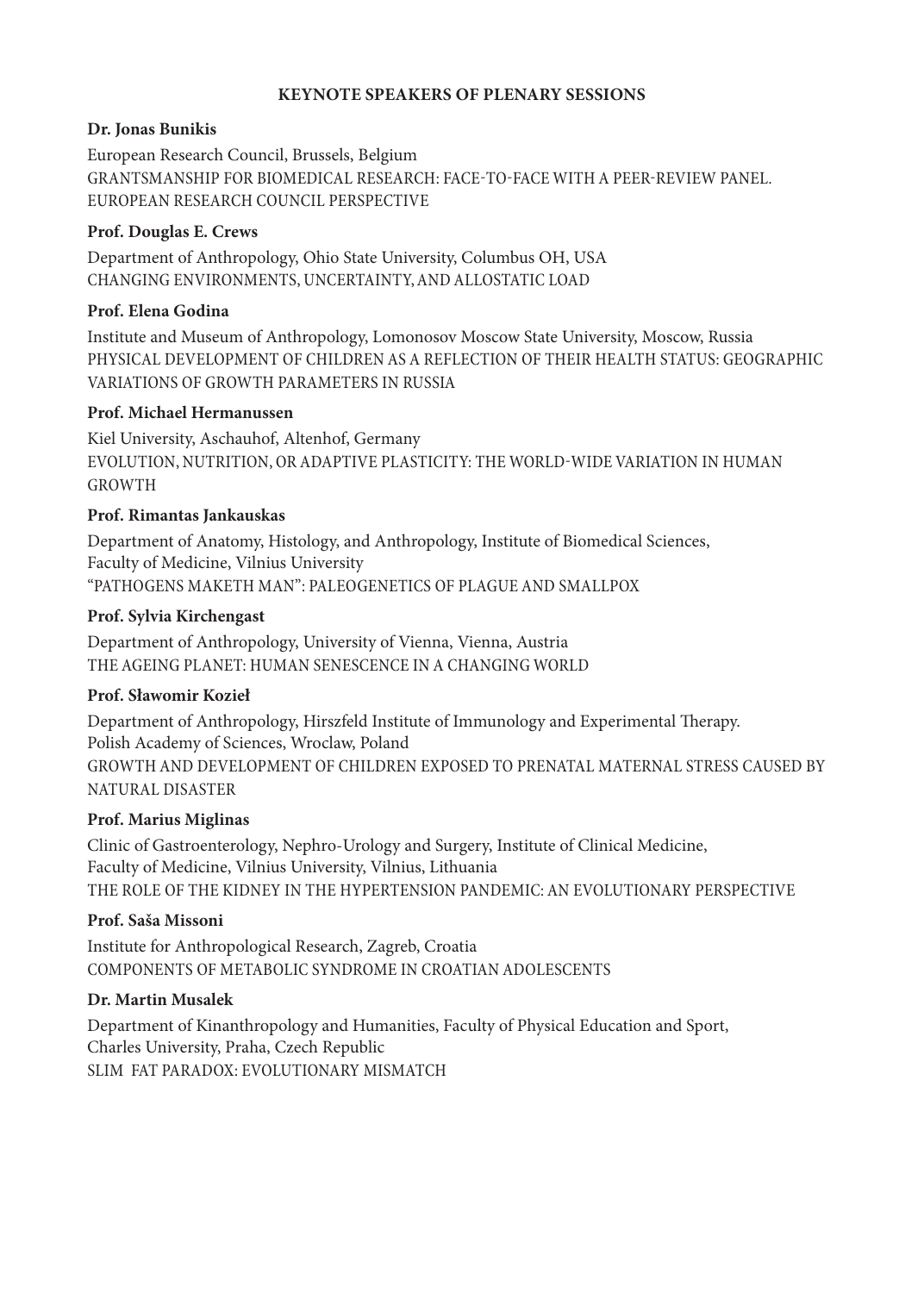#### **KEYNOTE SPEAKERS OF PLENARY SESSIONS**

### **Dr. Jonas Bunikis**

European Research Council, Brussels, Belgium GRANTSMANSHIP FOR BIOMEDICAL RESEARCH: FACE-TO-FACE WITH A PEER-REVIEW PANEL. EUROPEAN RESEARCH COUNCIL PERSPECTIVE

### **Prof. Douglas E. Crews**

Department of Anthropology, Ohio State University, Columbus OH, USA CHANGING ENVIRONMENTS, UNCERTAINTY, AND ALLOSTATIC LOAD

### **Prof. Elena Godina**

Institute and Museum of Anthropology, Lomonosov Moscow State University, Moscow, Russia PHYSICAL DEVELOPMENT OF CHILDREN AS A REFLECTION OF THEIR HEALTH STATUS: GEOGRAPHIC VARIATIONS OF GROWTH PARAMETERS IN RUSSIA

### **Prof. Michael Hermanussen**

Kiel University, Aschauhof, Altenhof, Germany EVOLUTION, NUTRITION, OR ADAPTIVE PLASTICITY: THE WORLD-WIDE VARIATION IN HUMAN GROWTH

### **Prof. Rimantas Jankauskas**

Department of Anatomy, Histology, and Anthropology, Institute of Biomedical Sciences, Faculty of Medicine, Vilnius University "PATHOGENS MAKETH MAN": PALEOGENETICS OF PLAGUE AND SMALLPOX

### **Prof. Sylvia Kirchengast**

Department of Anthropology, University of Vienna, Vienna, Austria THE AGEING PLANET: HUMAN SENESCENCE IN A CHANGING WORLD

### **Prof. Sławomir Kozieł**

Department of Anthropology, Hirszfeld Institute of Immunology and Experimental Therapy. Polish Academy of Sciences, Wroclaw, Poland GROWTH AND DEVELOPMENT OF CHILDREN EXPOSED TO PRENATAL MATERNAL STRESS CAUSED BY NATURAL DISASTER

### **Prof. Marius Miglinas**

Clinic of Gastroenterology, Nephro-Urology and Surgery, Institute of Clinical Medicine, Faculty of Medicine, Vilnius University, Vilnius, Lithuania THE ROLE OF THE KIDNEY IN THE HYPERTENSION PANDEMIC: AN EVOLUTIONARY PERSPECTIVE

#### **Prof. Saša Missoni**

Institute for Anthropological Research, Zagreb, Croatia COMPONENTS OF METABOLIC SYNDROME IN CROATIAN ADOLESCENTS

### **Dr. Martin Musalek**

Department of Kinanthropology and Humanities, Faculty of Physical Education and Sport, Charles University, Praha, Czech Republic SLIM FAT PARADOX: EVOLUTIONARY MISMATCH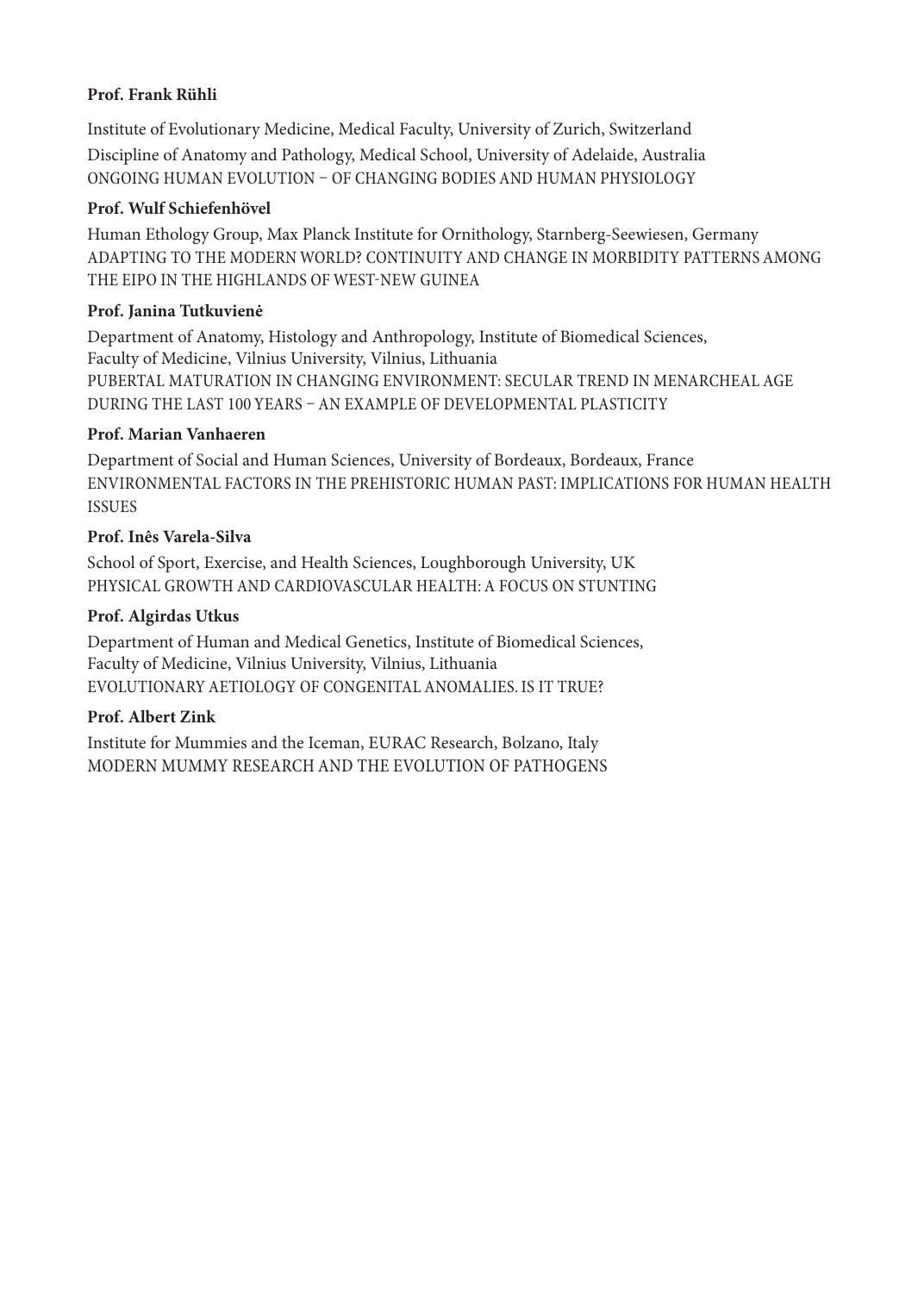### **Prof. Frank Rühli**

Institute of Evolutionary Medicine, Medical Faculty, University of Zurich, Switzerland Discipline of Anatomy and Pathology, Medical School, University of Adelaide, Australia ONGOING HUMAN EVOLUTION – OF CHANGING BODIES AND HUMAN PHYSIOLOGY

### **Prof. Wulf Schiefenhövel**

Human Ethology Group, Max Planck Institute for Ornithology, Starnberg-Seewiesen, Germany ADAPTING TO THE MODERN WORLD? CONTINUITY AND CHANGE IN MORBIDITY PATTERNS AMONG THE EIPO IN THE HIGHLANDS OF WEST-NEW GUINEA

### **Prof. Janina Tutkuvienė**

Department of Anatomy, Histology and Anthropology, Institute of Biomedical Sciences, Faculty of Medicine, Vilnius University, Vilnius, Lithuania PUBERTAL MATURATION IN CHANGING ENVIRONMENT: SECULAR TREND IN MENARCHEAL AGE DURING THE LAST 100 YEARS – AN EXAMPLE OF DEVELOPMENTAL PLASTICITY

### **Prof. Marian Vanhaeren**

Department of Social and Human Sciences, University of Bordeaux, Bordeaux, France ENVIRONMENTAL FACTORS IN THE PREHISTORIC HUMAN PAST: IMPLICATIONS FOR HUMAN HEALTH ISSUES

### **Prof. Inês Varela-Silva**

School of Sport, Exercise, and Health Sciences, Loughborough University, UK PHYSICAL GROWTH AND CARDIOVASCULAR HEALTH: A FOCUS ON STUNTING

### **Prof. Algirdas Utkus**

Department of Human and Medical Genetics, Institute of Biomedical Sciences, Faculty of Medicine, Vilnius University, Vilnius, Lithuania EVOLUTIONARY AETIOLOGY OF CONGENITAL ANOMALIES. IS IT TRUE?

### **Prof. Albert Zink**

Institute for Mummies and the Iceman, EURAC Research, Bolzano, Italy MODERN MUMMY RESEARCH AND THE EVOLUTION OF PATHOGENS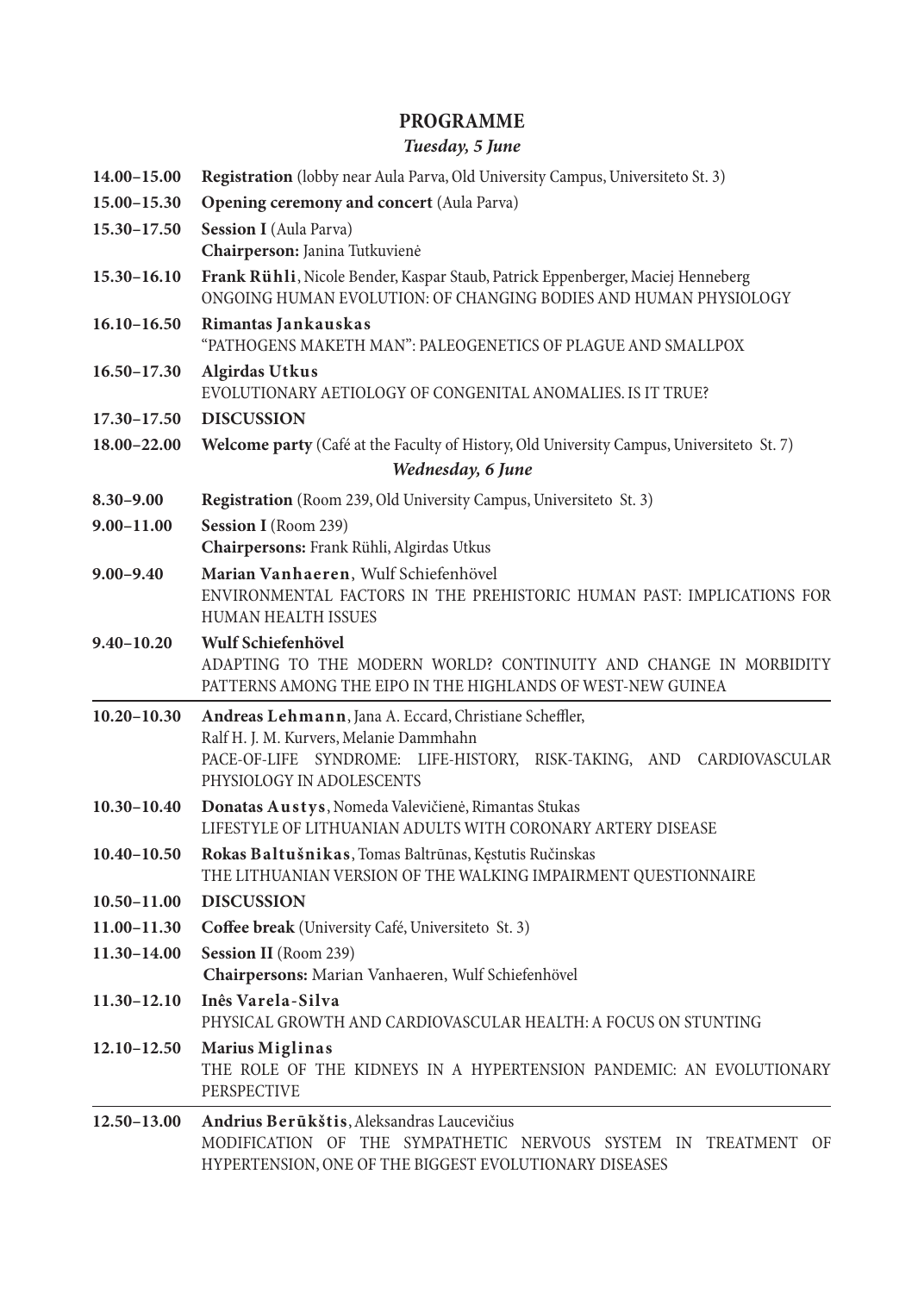### **PROGRAMME**

### *Tuesday, 5 June*

| 14.00-15.00     | <b>Registration</b> (lobby near Aula Parva, Old University Campus, Universiteto St. 3)                                                                                                                 |
|-----------------|--------------------------------------------------------------------------------------------------------------------------------------------------------------------------------------------------------|
| 15.00-15.30     | <b>Opening ceremony and concert (Aula Parva)</b>                                                                                                                                                       |
| 15.30-17.50     | Session I (Aula Parva)                                                                                                                                                                                 |
|                 | Chairperson: Janina Tutkuvienė                                                                                                                                                                         |
| $15.30 - 16.10$ | Frank Rühli, Nicole Bender, Kaspar Staub, Patrick Eppenberger, Maciej Henneberg<br>ONGOING HUMAN EVOLUTION: OF CHANGING BODIES AND HUMAN PHYSIOLOGY                                                    |
| $16.10 - 16.50$ | Rimantas Jankauskas<br>"PATHOGENS MAKETH MAN": PALEOGENETICS OF PLAGUE AND SMALLPOX                                                                                                                    |
| $16.50 - 17.30$ | <b>Algirdas Utkus</b><br>EVOLUTIONARY AETIOLOGY OF CONGENITAL ANOMALIES. IS IT TRUE?                                                                                                                   |
| $17.30 - 17.50$ | <b>DISCUSSION</b>                                                                                                                                                                                      |
| 18.00-22.00     | Welcome party (Café at the Faculty of History, Old University Campus, Universiteto St. 7)                                                                                                              |
|                 | Wednesday, 6 June                                                                                                                                                                                      |
| $8.30 - 9.00$   | <b>Registration</b> (Room 239, Old University Campus, Universiteto St. 3)                                                                                                                              |
| $9.00 - 11.00$  | Session I (Room 239)<br>Chairpersons: Frank Rühli, Algirdas Utkus                                                                                                                                      |
| $9.00 - 9.40$   | Marian Vanhaeren, Wulf Schiefenhövel<br>ENVIRONMENTAL FACTORS IN THE PREHISTORIC HUMAN PAST: IMPLICATIONS FOR<br><b>HUMAN HEALTH ISSUES</b>                                                            |
| $9.40 - 10.20$  | Wulf Schiefenhövel<br>ADAPTING TO THE MODERN WORLD? CONTINUITY AND CHANGE IN MORBIDITY<br>PATTERNS AMONG THE EIPO IN THE HIGHLANDS OF WEST-NEW GUINEA                                                  |
| $10.20 - 10.30$ | Andreas Lehmann, Jana A. Eccard, Christiane Scheffler,<br>Ralf H. J. M. Kurvers, Melanie Dammhahn<br>PACE-OF-LIFE SYNDROME: LIFE-HISTORY, RISK-TAKING, AND CARDIOVASCULAR<br>PHYSIOLOGY IN ADOLESCENTS |
| $10.30 - 10.40$ | Donatas Austys, Nomeda Valevičienė, Rimantas Stukas<br>LIFESTYLE OF LITHUANIAN ADULTS WITH CORONARY ARTERY DISEASE                                                                                     |
|                 | 10.40-10.50 Rokas Baltušnikas, Tomas Baltrūnas, Kęstutis Ručinskas<br>THE LITHUANIAN VERSION OF THE WALKING IMPAIRMENT QUESTIONNAIRE                                                                   |
| $10.50 - 11.00$ | <b>DISCUSSION</b>                                                                                                                                                                                      |
| $11.00 - 11.30$ | Coffee break (University Café, Universiteto St. 3)                                                                                                                                                     |
| 11.30-14.00     | <b>Session II</b> (Room 239)<br>Chairpersons: Marian Vanhaeren, Wulf Schiefenhövel                                                                                                                     |
| $11.30 - 12.10$ | Inês Varela-Silva<br>PHYSICAL GROWTH AND CARDIOVASCULAR HEALTH: A FOCUS ON STUNTING                                                                                                                    |
| $12.10 - 12.50$ | Marius Miglinas<br>THE ROLE OF THE KIDNEYS IN A HYPERTENSION PANDEMIC: AN EVOLUTIONARY<br><b>PERSPECTIVE</b>                                                                                           |
| $12.50 - 13.00$ | Andrius Berūkštis, Aleksandras Laucevičius<br>MODIFICATION OF THE SYMPATHETIC NERVOUS SYSTEM IN TREATMENT OF<br>HYPERTENSION, ONE OF THE BIGGEST EVOLUTIONARY DISEASES                                 |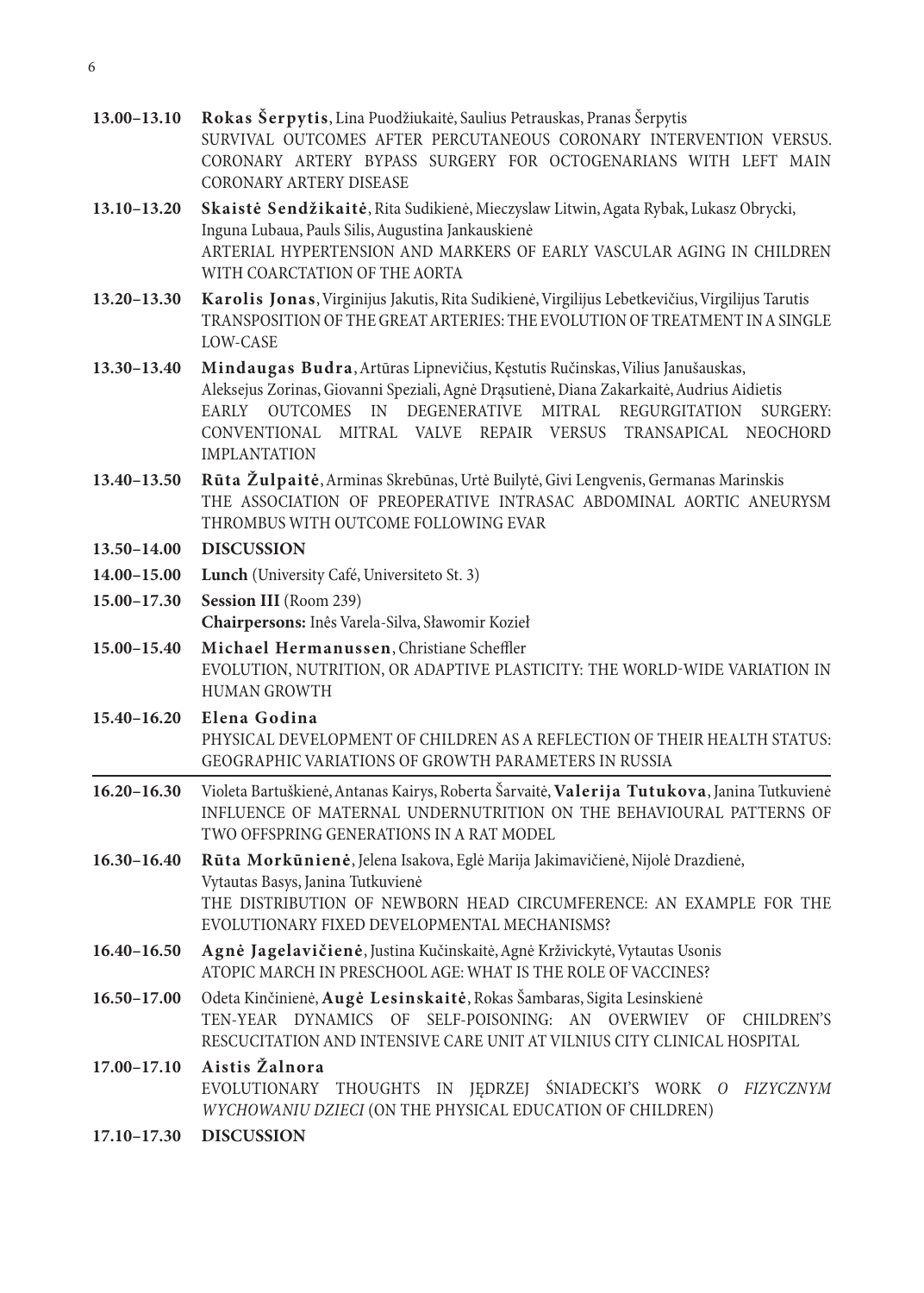- **13.00–13.10 Rokas Šerpytis**, Lina Puodžiukaitė, Saulius Petrauskas, Pranas Šerpytis SURVIVAL OUTCOMES AFTER PERCUTANEOUS CORONARY INTERVENTION VERSUS. CORONARY ARTERY BYPASS SURGERY FOR OCTOGENARIANS WITH LEFT MAIN CORONARY ARTERY DISEASE
- **13.10–13.20 Skaistė Sendžikaitė**, Rita Sudikienė, Mieczyslaw Litwin, Agata Rybak, Lukasz Obrycki, Inguna Lubaua, Pauls Silis, Augustina Jankauskienė ARTERIAL HYPERTENSION AND MARKERS OF EARLY VASCULAR AGING IN CHILDREN WITH COARCTATION OF THE AORTA
- **13.20–13.30 Karolis Jonas**, Virginijus Jakutis, Rita Sudikienė, Virgilijus Lebetkevičius, Virgilijus Tarutis TRANSPOSITION OF THE GREAT ARTERIES: THE EVOLUTION OF TREATMENT IN A SINGLE LOW-CASE
- **13.30–13.40 Mindaugas Budra**, Artūras Lipnevičius, Kęstutis Ručinskas, Vilius Janušauskas, Aleksejus Zorinas, Giovanni Speziali, Agnė Drąsutienė, Diana Zakarkaitė, Audrius Aidietis EARLY OUTCOMES IN DEGENERATIVE MITRAL REGURGITATION SURGERY: CONVENTIONAL MITRAL VALVE REPAIR VERSUS TRANSAPICAL NEOCHORD IMPLANTATION
- **13.40–13.50 Rūta Žulpaitė**, Arminas Skrebūnas, Urtė Builytė, Givi Lengvenis, Germanas Marinskis THE ASSOCIATION OF PREOPERATIVE INTRASAC ABDOMINAL AORTIC ANEURYSM THROMBUS WITH OUTCOME FOLLOWING EVAR
- **13.50–14.00 DISCUSSION**
- **14.00–15.00 Lunch** (University Café, Universiteto St. 3)
- **15.00–17.30 Session III** (Room 239) **Chairpersons:** Inês Varela-Silva, Sławomir Kozieł
- **15.00–15.40 Michael Hermanussen**, Christiane Scheffler EVOLUTION, NUTRITION, OR ADAPTIVE PLASTICITY: THE WORLD-WIDE VARIATION IN HUMAN GROWTH
- **15.40–16.20 Elena Godina** PHYSICAL DEVELOPMENT OF CHILDREN AS A REFLECTION OF THEIR HEALTH STATUS: GEOGRAPHIC VARIATIONS OF GROWTH PARAMETERS IN RUSSIA
- **16.20–16.30** Violeta Bartuškienė, Antanas Kairys, Roberta Šarvaitė, **Valerija Tutukova**, Janina Tutkuvienė INFLUENCE OF MATERNAL UNDERNUTRITION ON THE BEHAVIOURAL PATTERNS OF TWO OFFSPRING GENERATIONS IN A RAT MODEL
- **16.30–16.40 Rūta Morkūnienė**, Jelena Isakova, Eglė Marija Jakimavičienė, Nijolė Drazdienė, Vytautas Basys, Janina Tutkuvienė THE DISTRIBUTION OF NEWBORN HEAD CIRCUMFERENCE: AN EXAMPLE FOR THE EVOLUTIONARY FIXED DEVELOPMENTAL MECHANISMS?
- **16.40–16.50 Agnė Jagelavičienė**, Justina Kučinskaitė, Agnė Krživickytė, Vytautas Usonis ATOPIC MARCH IN PRESCHOOL AGE: WHAT IS THE ROLE OF VACCINES?
- **16.50–17.00** Odeta Kinčinienė, **Augė Lesinskaitė**, Rokas Šambaras, Sigita Lesinskienė TEN-YEAR DYNAMICS OF SELF-POISONING: AN OVERWIEV OF CHILDREN'S RESCUCITATION AND INTENSIVE CARE UNIT AT VILNIUS CITY CLINICAL HOSPITAL

### **17.00–17.10 Aistis Žalnora** EVOLUTIONARY THOUGHTS IN JĘDRZEJ ŚNIADECKI'S WORK *O FIZYCZNYM WYCHOWANIU DZIECI* (ON THE PHYSICAL EDUCATION OF CHILDREN)

**17.10–17.30 DISCUSSION**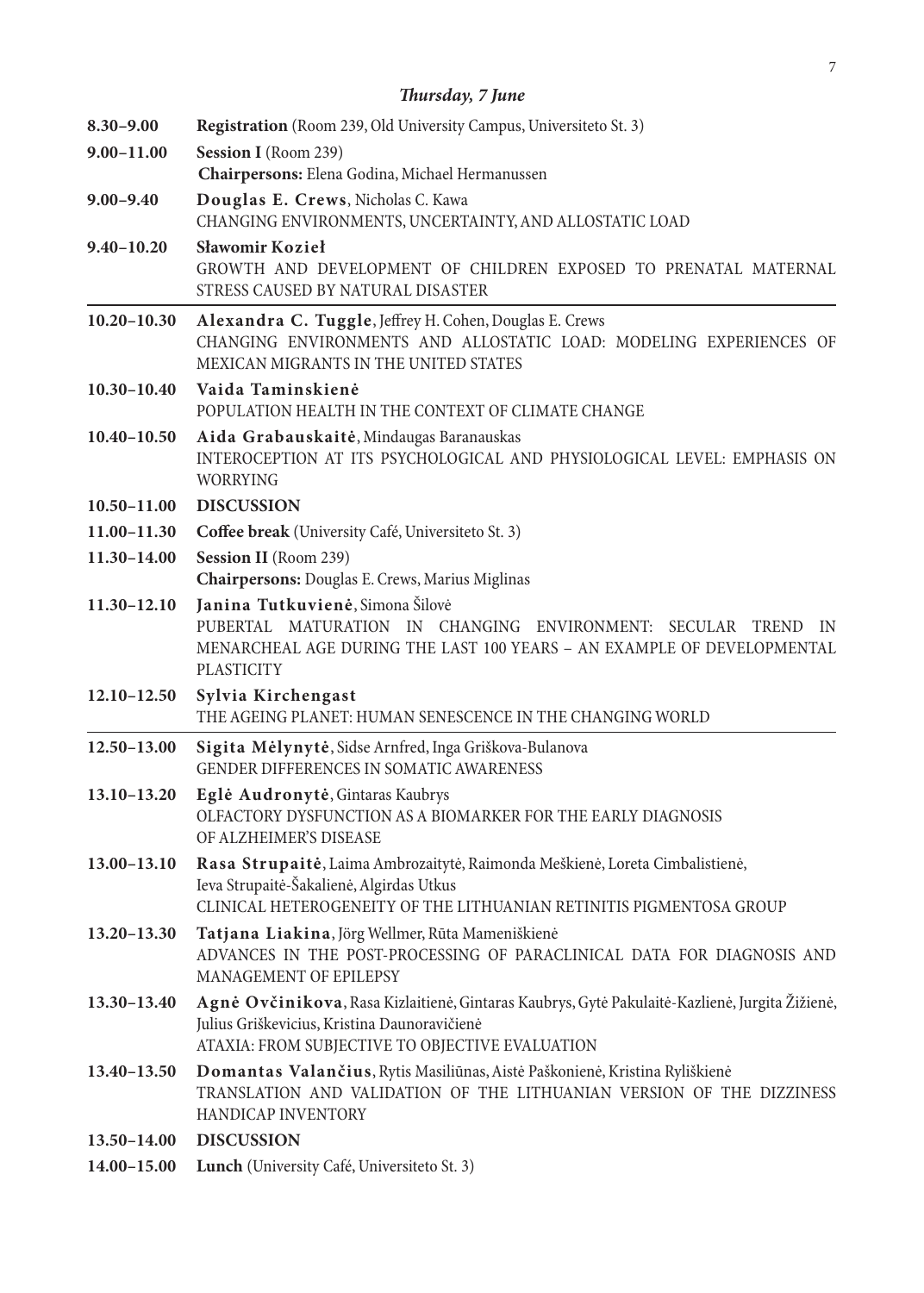| $8.30 - 9.00$   | Registration (Room 239, Old University Campus, Universiteto St. 3)                                                                                                                                  |
|-----------------|-----------------------------------------------------------------------------------------------------------------------------------------------------------------------------------------------------|
| $9.00 - 11.00$  | Session I (Room 239)                                                                                                                                                                                |
|                 | Chairpersons: Elena Godina, Michael Hermanussen                                                                                                                                                     |
| $9.00 - 9.40$   | Douglas E. Crews, Nicholas C. Kawa<br>CHANGING ENVIRONMENTS, UNCERTAINTY, AND ALLOSTATIC LOAD                                                                                                       |
| $9.40 - 10.20$  | Sławomir Kozieł<br>GROWTH AND DEVELOPMENT OF CHILDREN EXPOSED TO PRENATAL MATERNAL<br>STRESS CAUSED BY NATURAL DISASTER                                                                             |
| $10.20 - 10.30$ | Alexandra C. Tuggle, Jeffrey H. Cohen, Douglas E. Crews<br>CHANGING ENVIRONMENTS AND ALLOSTATIC LOAD: MODELING EXPERIENCES OF<br>MEXICAN MIGRANTS IN THE UNITED STATES                              |
| $10.30 - 10.40$ | Vaida Taminskienė<br>POPULATION HEALTH IN THE CONTEXT OF CLIMATE CHANGE                                                                                                                             |
| $10.40 - 10.50$ | Aida Grabauskaitė, Mindaugas Baranauskas<br>INTEROCEPTION AT ITS PSYCHOLOGICAL AND PHYSIOLOGICAL LEVEL: EMPHASIS ON<br><b>WORRYING</b>                                                              |
| $10.50 - 11.00$ | <b>DISCUSSION</b>                                                                                                                                                                                   |
| $11.00 - 11.30$ | Coffee break (University Café, Universiteto St. 3)                                                                                                                                                  |
| 11.30-14.00     | Session II (Room 239)<br>Chairpersons: Douglas E. Crews, Marius Miglinas                                                                                                                            |
| $11.30 - 12.10$ | Janina Tutkuvienė, Simona Šilovė<br>PUBERTAL MATURATION IN CHANGING ENVIRONMENT: SECULAR TREND<br>IN<br>MENARCHEAL AGE DURING THE LAST 100 YEARS - AN EXAMPLE OF DEVELOPMENTAL<br><b>PLASTICITY</b> |
| $12.10 - 12.50$ | Sylvia Kirchengast<br>THE AGEING PLANET: HUMAN SENESCENCE IN THE CHANGING WORLD                                                                                                                     |
| $12.50 - 13.00$ | Sigita Mėlynytė, Sidse Arnfred, Inga Griškova-Bulanova<br><b>GENDER DIFFERENCES IN SOMATIC AWARENESS</b>                                                                                            |
| 13.10-13.20     | Eglė Audronytė, Gintaras Kaubrys<br>OLFACTORY DYSFUNCTION AS A BIOMARKER FOR THE EARLY DIAGNOSIS<br>OF ALZHEIMER'S DISEASE                                                                          |
| $13.00 - 13.10$ | Rasa Strupaitė, Laima Ambrozaitytė, Raimonda Meškienė, Loreta Cimbalistienė,<br>Ieva Strupaitė-Šakalienė, Algirdas Utkus<br>CLINICAL HETEROGENEITY OF THE LITHUANIAN RETINITIS PIGMENTOSA GROUP     |
| $13.20 - 13.30$ | Tatjana Liakina, Jörg Wellmer, Rūta Mameniškienė<br>ADVANCES IN THE POST-PROCESSING OF PARACLINICAL DATA FOR DIAGNOSIS AND<br>MANAGEMENT OF EPILEPSY                                                |
| $13.30 - 13.40$ | Agnė Ovčinikova, Rasa Kizlaitienė, Gintaras Kaubrys, Gytė Pakulaitė-Kazlienė, Jurgita Žižienė,<br>Julius Griškevicius, Kristina Daunoravičienė<br>ATAXIA: FROM SUBJECTIVE TO OBJECTIVE EVALUATION   |
| $13.40 - 13.50$ | Domantas Valančius, Rytis Masiliūnas, Aistė Paškonienė, Kristina Ryliškienė<br>TRANSLATION AND VALIDATION OF THE LITHUANIAN VERSION OF THE DIZZINESS<br>HANDICAP INVENTORY                          |
| 13.50-14.00     | <b>DISCUSSION</b>                                                                                                                                                                                   |
| 14.00-15.00     | Lunch (University Café, Universiteto St. 3)                                                                                                                                                         |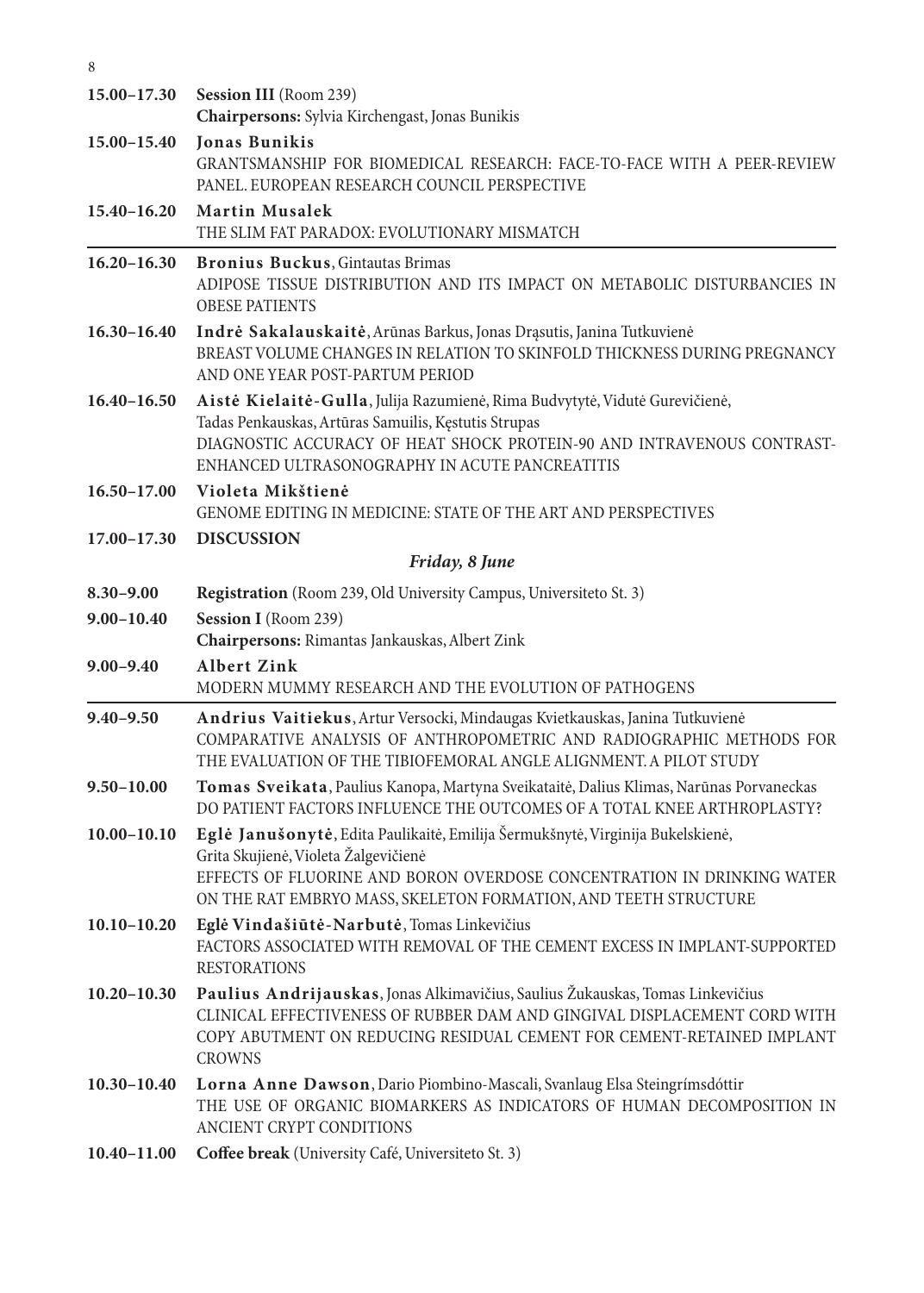| $15.00 - 17.30$ | Session III (Room 239)<br>Chairpersons: Sylvia Kirchengast, Jonas Bunikis                                                                                                                                                                                           |
|-----------------|---------------------------------------------------------------------------------------------------------------------------------------------------------------------------------------------------------------------------------------------------------------------|
| 15.00-15.40     | <b>Jonas Bunikis</b><br>GRANTSMANSHIP FOR BIOMEDICAL RESEARCH: FACE-TO-FACE WITH A PEER-REVIEW<br>PANEL. EUROPEAN RESEARCH COUNCIL PERSPECTIVE                                                                                                                      |
| $15.40 - 16.20$ | <b>Martin Musalek</b><br>THE SLIM FAT PARADOX: EVOLUTIONARY MISMATCH                                                                                                                                                                                                |
| $16.20 - 16.30$ | Bronius Buckus, Gintautas Brimas<br>ADIPOSE TISSUE DISTRIBUTION AND ITS IMPACT ON METABOLIC DISTURBANCIES IN<br><b>OBESE PATIENTS</b>                                                                                                                               |
| $16.30 - 16.40$ | Indrė Sakalauskaitė, Arūnas Barkus, Jonas Drąsutis, Janina Tutkuvienė<br>BREAST VOLUME CHANGES IN RELATION TO SKINFOLD THICKNESS DURING PREGNANCY<br>AND ONE YEAR POST-PARTUM PERIOD                                                                                |
| $16.40 - 16.50$ | Aistė Kielaitė-Gulla, Julija Razumienė, Rima Budvytytė, Vidutė Gurevičienė,<br>Tadas Penkauskas, Artūras Samuilis, Kęstutis Strupas<br>DIAGNOSTIC ACCURACY OF HEAT SHOCK PROTEIN-90 AND INTRAVENOUS CONTRAST-<br>ENHANCED ULTRASONOGRAPHY IN ACUTE PANCREATITIS     |
| $16.50 - 17.00$ | Violeta Mikštienė<br>GENOME EDITING IN MEDICINE: STATE OF THE ART AND PERSPECTIVES                                                                                                                                                                                  |
| $17.00 - 17.30$ | <b>DISCUSSION</b>                                                                                                                                                                                                                                                   |
|                 | Friday, 8 June                                                                                                                                                                                                                                                      |
| $8.30 - 9.00$   | <b>Registration</b> (Room 239, Old University Campus, Universiteto St. 3)                                                                                                                                                                                           |
| $9.00 - 10.40$  | Session I (Room 239)<br>Chairpersons: Rimantas Jankauskas, Albert Zink                                                                                                                                                                                              |
| $9.00 - 9.40$   | <b>Albert Zink</b><br>MODERN MUMMY RESEARCH AND THE EVOLUTION OF PATHOGENS                                                                                                                                                                                          |
| $9.40 - 9.50$   | Andrius Vaitiekus, Artur Versocki, Mindaugas Kvietkauskas, Janina Tutkuvienė<br>COMPARATIVE ANALYSIS OF ANTHROPOMETRIC AND RADIOGRAPHIC METHODS FOR<br>THE EVALUATION OF THE TIBIOFEMORAL ANGLE ALIGNMENT. A PILOT STUDY                                            |
| $9.50 - 10.00$  | Tomas Sveikata, Paulius Kanopa, Martyna Sveikataitė, Dalius Klimas, Narūnas Porvaneckas<br>DO PATIENT FACTORS INFLUENCE THE OUTCOMES OF A TOTAL KNEE ARTHROPLASTY?                                                                                                  |
| $10.00 - 10.10$ | Eglė Janušonytė, Edita Paulikaitė, Emilija Šermukšnytė, Virginija Bukelskienė,<br>Grita Skujienė, Violeta Žalgevičienė<br>EFFECTS OF FLUORINE AND BORON OVERDOSE CONCENTRATION IN DRINKING WATER<br>ON THE RAT EMBRYO MASS, SKELETON FORMATION, AND TEETH STRUCTURE |
| $10.10 - 10.20$ | Eglė Vindašiūtė-Narbutė, Tomas Linkevičius<br>FACTORS ASSOCIATED WITH REMOVAL OF THE CEMENT EXCESS IN IMPLANT-SUPPORTED<br><b>RESTORATIONS</b>                                                                                                                      |
| $10.20 - 10.30$ | Paulius Andrijauskas, Jonas Alkimavičius, Saulius Žukauskas, Tomas Linkevičius<br>CLINICAL EFFECTIVENESS OF RUBBER DAM AND GINGIVAL DISPLACEMENT CORD WITH<br>COPY ABUTMENT ON REDUCING RESIDUAL CEMENT FOR CEMENT-RETAINED IMPLANT<br><b>CROWNS</b>                |
| $10.30 - 10.40$ | Lorna Anne Dawson, Dario Piombino-Mascali, Svanlaug Elsa Steingrímsdóttir<br>THE USE OF ORGANIC BIOMARKERS AS INDICATORS OF HUMAN DECOMPOSITION IN<br>ANCIENT CRYPT CONDITIONS                                                                                      |
| $10.40 - 11.00$ | Coffee break (University Café, Universiteto St. 3)                                                                                                                                                                                                                  |

8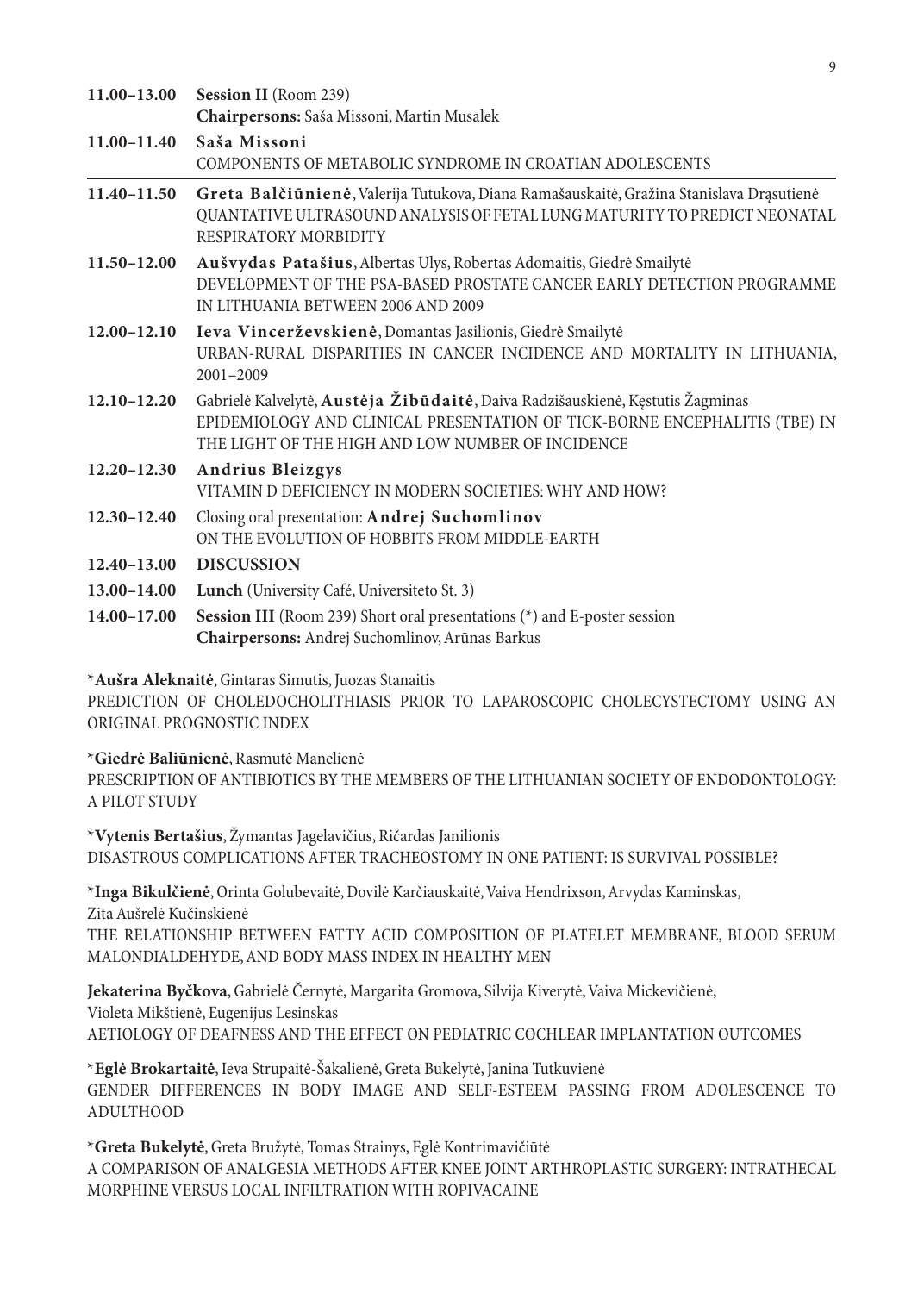| 11.00-13.00     | <b>Session II</b> (Room 239)                                                                                                                                                                                      |
|-----------------|-------------------------------------------------------------------------------------------------------------------------------------------------------------------------------------------------------------------|
|                 | Chairpersons: Saša Missoni, Martin Musalek                                                                                                                                                                        |
| 11.00-11.40     | Saša Missoni<br>COMPONENTS OF METABOLIC SYNDROME IN CROATIAN ADOLESCENTS                                                                                                                                          |
| 11.40-11.50     | Greta Balčiūnienė, Valerija Tutukova, Diana Ramašauskaitė, Gražina Stanislava Drąsutienė<br>QUANTATIVE ULTRASOUND ANALYSIS OF FETAL LUNG MATURITY TO PREDICT NEONATAL<br>RESPIRATORY MORBIDITY                    |
| 11.50-12.00     | Aušvydas Patašius, Albertas Ulys, Robertas Adomaitis, Giedrė Smailytė<br>DEVELOPMENT OF THE PSA-BASED PROSTATE CANCER EARLY DETECTION PROGRAMME<br>IN LITHUANIA BETWEEN 2006 AND 2009                             |
| $12.00 - 12.10$ | Ieva Vincerževskienė, Domantas Jasilionis, Giedrė Smailytė<br>URBAN-RURAL DISPARITIES IN CANCER INCIDENCE AND MORTALITY IN LITHUANIA,<br>$2001 - 2009$                                                            |
| $12.10 - 12.20$ | Gabrielė Kalvelytė, Austėja Žibūdaitė, Daiva Radzišauskienė, Kęstutis Žagminas<br>EPIDEMIOLOGY AND CLINICAL PRESENTATION OF TICK-BORNE ENCEPHALITIS (TBE) IN<br>THE LIGHT OF THE HIGH AND LOW NUMBER OF INCIDENCE |
| $12.20 - 12.30$ | Andrius Bleizgys<br>VITAMIN D DEFICIENCY IN MODERN SOCIETIES: WHY AND HOW?                                                                                                                                        |
| $12.30 - 12.40$ | Closing oral presentation: Andrej Suchomlinov<br>ON THE EVOLUTION OF HOBBITS FROM MIDDLE-EARTH                                                                                                                    |
| $12.40 - 13.00$ | <b>DISCUSSION</b>                                                                                                                                                                                                 |
| 13.00-14.00     | Lunch (University Café, Universite to St. 3)                                                                                                                                                                      |
| 14.00-17.00     | <b>Session III</b> (Room 239) Short oral presentations $(*)$ and E-poster session<br>Chairpersons: Andrej Suchomlinov, Arūnas Barkus                                                                              |

**\*Aušra Aleknaitė**, Gintaras Simutis, Juozas Stanaitis

PREDICTION OF CHOLEDOCHOLITHIASIS PRIOR TO LAPAROSCOPIC CHOLECYSTECTOMY USING AN ORIGINAL PROGNOSTIC INDEX

**\*Giedrė Baliūnienė**, Rasmutė Manelienė

PRESCRIPTION OF ANTIBIOTICS BY THE MEMBERS OF THE LITHUANIAN SOCIETY OF ENDODONTOLOGY: A PILOT STUDY

**\*Vytenis Bertašius**, Žymantas Jagelavičius, Ričardas Janilionis DISASTROUS COMPLICATIONS AFTER TRACHEOSTOMY IN ONE PATIENT: IS SURVIVAL POSSIBLE?

**\*Inga Bikulčienė**, Orinta Golubevaitė, Dovilė Karčiauskaitė, Vaiva Hendrixson, Arvydas Kaminskas, Zita Aušrelė Kučinskienė

THE RELATIONSHIP BETWEEN FATTY ACID COMPOSITION OF PLATELET MEMBRANE, BLOOD SERUM MALONDIALDEHYDE, AND BODY MASS INDEX IN HEALTHY MEN

**Jekaterina Byčkova**, Gabrielė Černytė, Margarita Gromova, Silvija Kiverytė, Vaiva Mickevičienė, Violeta Mikštienė, Eugenijus Lesinskas AETIOLOGY OF DEAFNESS AND THE EFFECT ON PEDIATRIC COCHLEAR IMPLANTATION OUTCOMES

**\*Eglė Brokartaitė**, Ieva Strupaitė-Šakalienė, Greta Bukelytė, Janina Tutkuvienė GENDER DIFFERENCES IN BODY IMAGE AND SELF-ESTEEM PASSING FROM ADOLESCENCE TO ADULTHOOD

**\*Greta Bukelytė**, Greta Bružytė, Tomas Strainys, Eglė Kontrimavičiūtė A COMPARISON OF ANALGESIA METHODS AFTER KNEE JOINT ARTHROPLASTIC SURGERY: INTRATHECAL MORPHINE VERSUS LOCAL INFILTRATION WITH ROPIVACAINE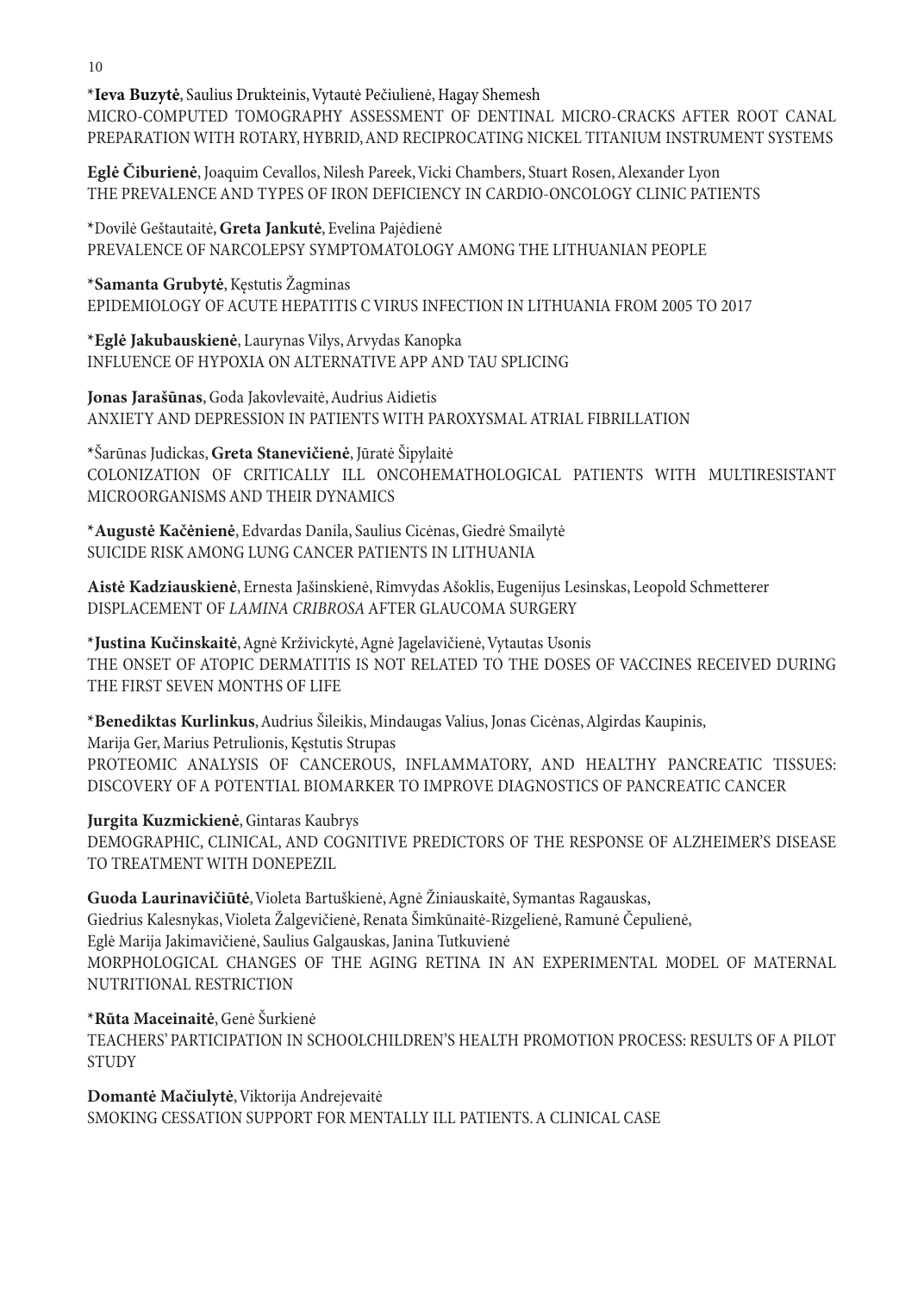**\*Ieva Buzytė**, Saulius Drukteinis, Vytautė Pečiulienė, Hagay Shemesh MICRO-COMPUTED TOMOGRAPHY ASSESSMENT OF DENTINAL MICRO-CRACKS AFTER ROOT CANAL PREPARATION WITH ROTARY, HYBRID, AND RECIPROCATING NICKEL TITANIUM INSTRUMENT SYSTEMS

**Eglė Čiburienė**, Joaquim Cevallos, Nilesh Pareek, Vicki Chambers, Stuart Rosen, Alexander Lyon THE PREVALENCE AND TYPES OF IRON DEFICIENCY IN CARDIO-ONCOLOGY CLINIC PATIENTS

**\***Dovilė Geštautaitė, **Greta Jankutė**, Evelina Pajėdienė PREVALENCE OF NARCOLEPSY SYMPTOMATOLOGY AMONG THE LITHUANIAN PEOPLE

**\*Samanta Grubytė**, Kęstutis Žagminas EPIDEMIOLOGY OF ACUTE HEPATITIS C VIRUS INFECTION IN LITHUANIA FROM 2005 TO 2017

**\*Eglė Jakubauskienė**, Laurynas Vilys, Arvydas Kanopka INFLUENCE OF HYPOXIA ON ALTERNATIVE APP AND TAU SPLICING

**Jonas Jarašūnas**, Goda Jakovlevaitė, Audrius Aidietis ANXIETY AND DEPRESSION IN PATIENTS WITH PAROXYSMAL ATRIAL FIBRILLATION

**\***Šarūnas Judickas, **Greta Stanevičienė**, Jūratė Šipylaitė COLONIZATION OF CRITICALLY ILL ONCOHEMATHOLOGICAL PATIENTS WITH MULTIRESISTANT MICROORGANISMS AND THEIR DYNAMICS

**\*Augustė Kačėnienė**, Edvardas Danila, Saulius Cicėnas, Giedrė Smailytė SUICIDE RISK AMONG LUNG CANCER PATIENTS IN LITHUANIA

**Aistė Kadziauskienė**, Ernesta Jašinskienė, Rimvydas Ašoklis, Eugenijus Lesinskas, Leopold Schmetterer DISPLACEMENT OF *LAMINA CRIBROSA* AFTER GLAUCOMA SURGERY

**\*Justina Kučinskaitė**, Agnė Krživickytė, Agnė Jagelavičienė, Vytautas Usonis THE ONSET OF ATOPIC DERMATITIS IS NOT RELATED TO THE DOSES OF VACCINES RECEIVED DURING THE FIRST SEVEN MONTHS OF LIFE

**\*Benediktas Kurlinkus**, Audrius Šileikis, Mindaugas Valius, Jonas Cicėnas, Algirdas Kaupinis, Marija Ger, Marius Petrulionis, Kęstutis Strupas PROTEOMIC ANALYSIS OF CANCEROUS, INFLAMMATORY, AND HEALTHY PANCREATIC TISSUES: DISCOVERY OF A POTENTIAL BIOMARKER TO IMPROVE DIAGNOSTICS OF PANCREATIC CANCER

**Jurgita Kuzmickienė**, Gintaras Kaubrys

DEMOGRAPHIC, CLINICAL, AND COGNITIVE PREDICTORS OF THE RESPONSE OF ALZHEIMER'S DISEASE TO TREATMENT WITH DONEPEZIL

**Guoda Laurinavičiūtė**, Violeta Bartuškienė, Agnė Žiniauskaitė, Symantas Ragauskas, Giedrius Kalesnykas, Violeta Žalgevičienė, Renata Šimkūnaitė-Rizgelienė, Ramunė Čepulienė, Eglė Marija Jakimavičienė, Saulius Galgauskas, Janina Tutkuvienė MORPHOLOGICAL CHANGES OF THE AGING RETINA IN AN EXPERIMENTAL MODEL OF MATERNAL NUTRITIONAL RESTRICTION

**\*Rūta Maceinaitė**, Genė Šurkienė TEACHERS' PARTICIPATION IN SCHOOLCHILDREN'S HEALTH PROMOTION PROCESS: RESULTS OF A PILOT **STUDY** 

**Domantė Mačiulytė**, Viktorija Andrejevaitė SMOKING CESSATION SUPPORT FOR MENTALLY ILL PATIENTS. A CLINICAL CASE

10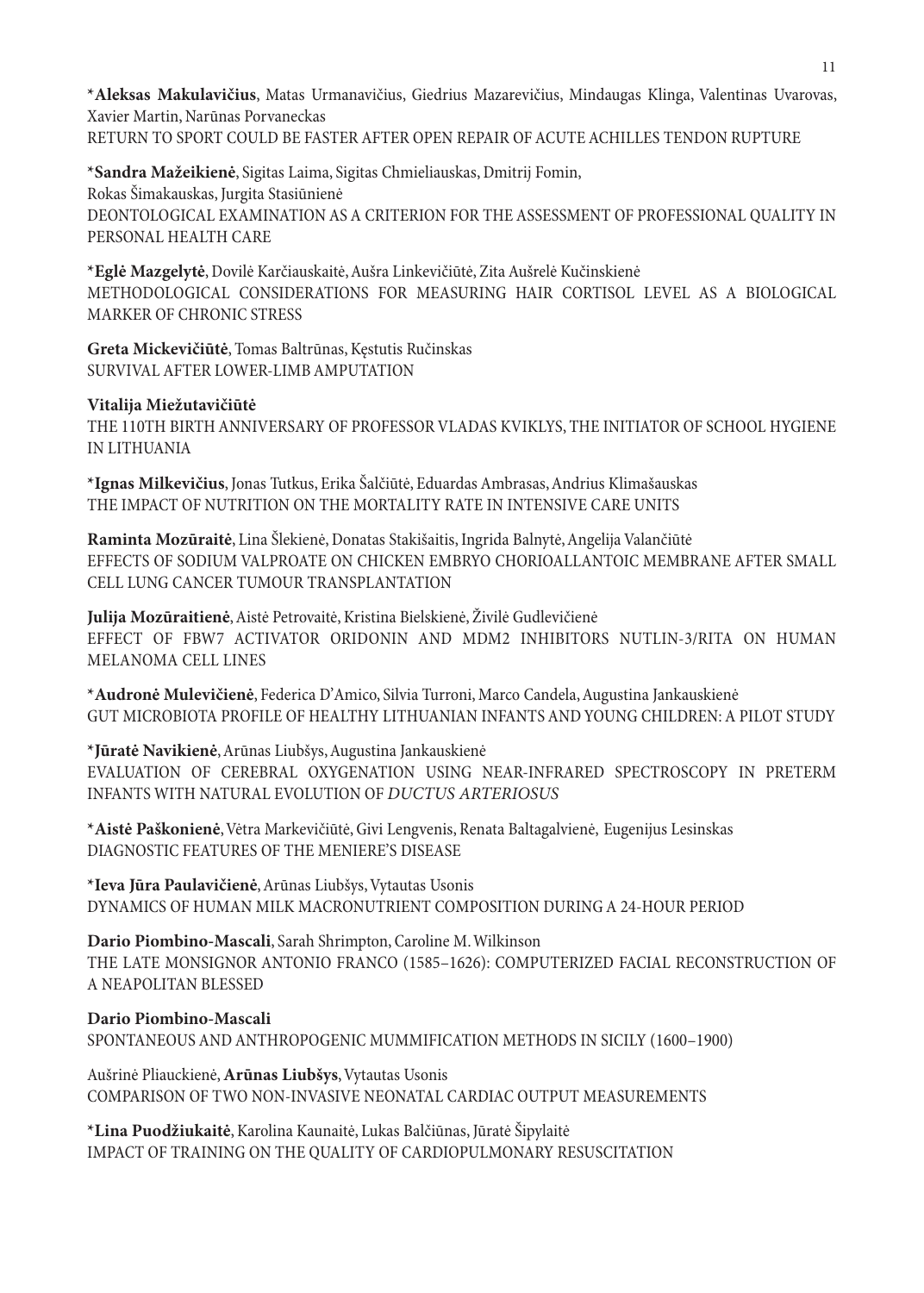**\*Aleksas Makulavičius**, Matas Urmanavičius, Giedrius Mazarevičius, Mindaugas Klinga, Valentinas Uvarovas, Xavier Martin, Narūnas Porvaneckas RETURN TO SPORT COULD BE FASTER AFTER OPEN REPAIR OF ACUTE ACHILLES TENDON RUPTURE

**\*Sandra Mažeikienė**, Sigitas Laima, Sigitas Chmieliauskas, Dmitrij Fomin, Rokas Šimakauskas, Jurgita Stasiūnienė DEONTOLOGICAL EXAMINATION AS A CRITERION FOR THE ASSESSMENT OF PROFESSIONAL QUALITY IN PERSONAL HEALTH CARE

**\*Eglė Mazgelytė**, Dovilė Karčiauskaitė, Aušra Linkevičiūtė, Zita Aušrelė Kučinskienė METHODOLOGICAL CONSIDERATIONS FOR MEASURING HAIR CORTISOL LEVEL AS A BIOLOGICAL MARKER OF CHRONIC STRESS

**Greta Mickevičiūtė**, Tomas Baltrūnas, Kęstutis Ručinskas SURVIVAL AFTER LOWER-LIMB AMPUTATION

#### **Vitalija Miežutavičiūtė**

THE 110TH BIRTH ANNIVERSARY OF PROFESSOR VLADAS KVIKLYS, THE INITIATOR OF SCHOOL HYGIENE IN LITHUANIA

**\*Ignas Milkevičius**, Jonas Tutkus, Erika Šalčiūtė, Eduardas Ambrasas, Andrius Klimašauskas THE IMPACT OF NUTRITION ON THE MORTALITY RATE IN INTENSIVE CARE UNITS

**Raminta Mozūraitė**, Lina Šlekienė, Donatas Stakišaitis, Ingrida Balnytė, Angelija Valančiūtė EFFECTS OF SODIUM VALPROATE ON CHICKEN EMBRYO CHORIOALLANTOIC MEMBRANE AFTER SMALL CELL LUNG CANCER TUMOUR TRANSPLANTATION

Julija Mozūraitienė, Aistė Petrovaitė, Kristina Bielskienė, Živilė Gudlevičienė EFFECT OF FBW7 ACTIVATOR ORIDONIN AND MDM2 INHIBITORS NUTLIN-3/RITA ON HUMAN MELANOMA CELL LINES

**\*Audronė Mulevičienė**, Federica D'Amico, Silvia Turroni, Marco Candela, Augustina Jankauskienė GUT MICROBIOTA PROFILE OF HEALTHY LITHUANIAN INFANTS AND YOUNG CHILDREN: A PILOT STUDY

**\*Jūratė Navikienė**, Arūnas Liubšys, Augustina Jankauskienė EVALUATION OF CEREBRAL OXYGENATION USING NEAR-INFRARED SPECTROSCOPY IN PRETERM INFANTS WITH NATURAL EVOLUTION OF *DUCTUS ARTERIOSUS*

**\*Aistė Paškonienė**, Vėtra Markevičiūtė, Givi Lengvenis, Renata Baltagalvienė, Eugenijus Lesinskas DIAGNOSTIC FEATURES OF THE MENIERE'S DISEASE

**\*Ieva Jūra Paulavičienė**, Arūnas Liubšys, Vytautas Usonis DYNAMICS OF HUMAN MILK MACRONUTRIENT COMPOSITION DURING A 24-HOUR PERIOD

**Dario Piombino-Mascali**, Sarah Shrimpton, Caroline M. Wilkinson THE LATE MONSIGNOR ANTONIO FRANCO (1585–1626): COMPUTERIZED FACIAL RECONSTRUCTION OF A NEAPOLITAN BLESSED

**Dario Piombino-Mascali** SPONTANEOUS AND ANTHROPOGENIC MUMMIFICATION METHODS IN SICILY (1600–1900)

Aušrinė Pliauckienė, **Arūnas Liubšys**, Vytautas Usonis COMPARISON OF TWO NON-INVASIVE NEONATAL CARDIAC OUTPUT MEASUREMENTS

**\*Lina Puodžiukaitė**, Karolina Kaunaitė, Lukas Balčiūnas, Jūratė Šipylaitė IMPACT OF TRAINING ON THE QUALITY OF CARDIOPULMONARY RESUSCITATION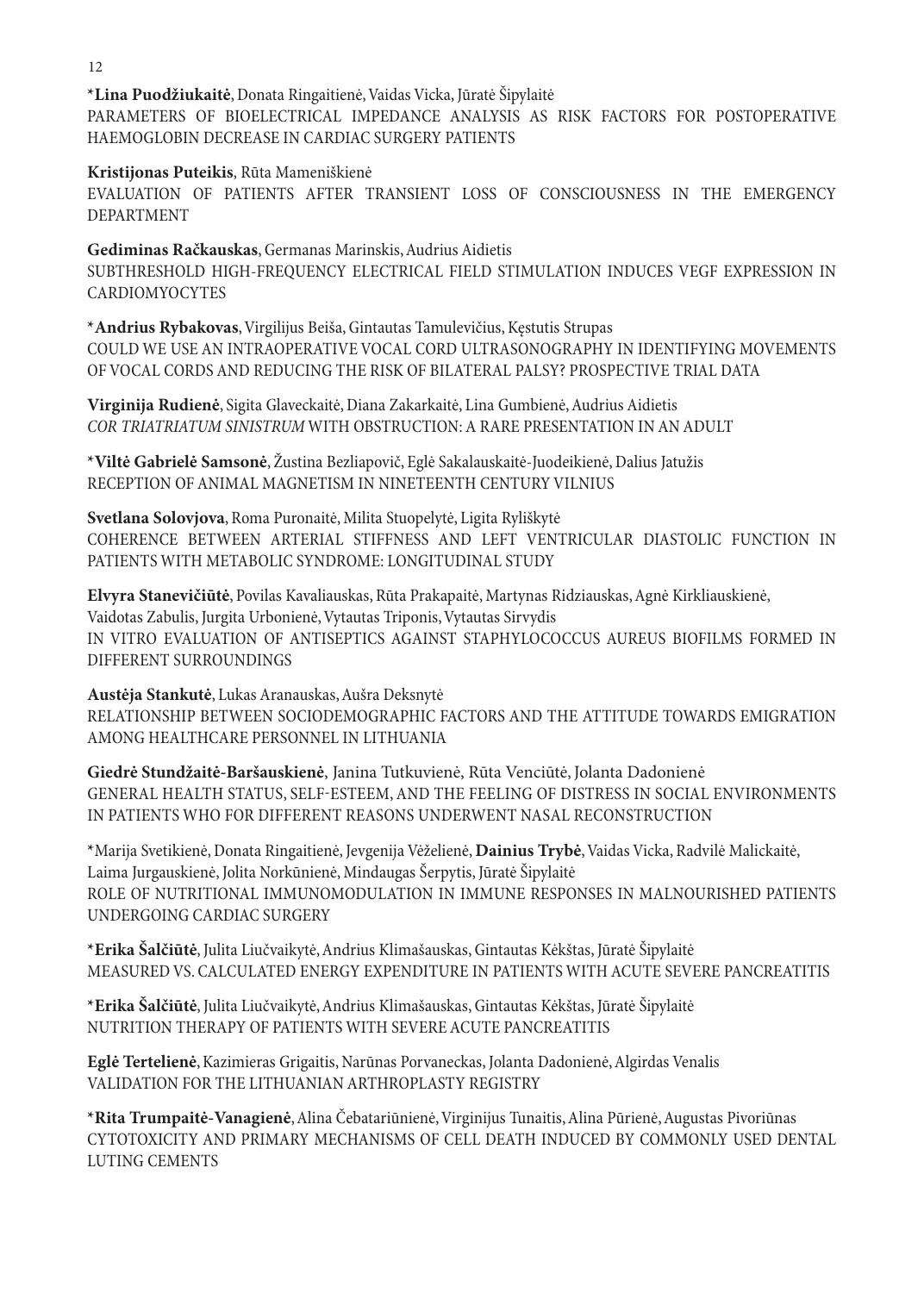**\*Lina Puodžiukaitė**, Donata Ringaitienė, Vaidas Vicka, Jūratė Šipylaitė PARAMETERS OF BIOELECTRICAL IMPEDANCE ANALYSIS AS RISK FACTORS FOR POSTOPERATIVE HAEMOGLOBIN DECREASE IN CARDIAC SURGERY PATIENTS

#### **Kristijonas Puteikis**, Rūta Mameniškienė

EVALUATION OF PATIENTS AFTER TRANSIENT LOSS OF CONSCIOUSNESS IN THE EMERGENCY DEPARTMENT

**Gediminas Račkauskas**, Germanas Marinskis, Audrius Aidietis SUBTHRESHOLD HIGH-FREQUENCY ELECTRICAL FIELD STIMULATION INDUCES VEGF EXPRESSION IN CARDIOMYOCYTES

**\*Andrius Rybakovas**, Virgilijus Beiša, Gintautas Tamulevičius, Kęstutis Strupas COULD WE USE AN INTRAOPERATIVE VOCAL CORD ULTRASONOGRAPHY IN IDENTIFYING MOVEMENTS OF VOCAL CORDS AND REDUCING THE RISK OF BILATERAL PALSY? PROSPECTIVE TRIAL DATA

**Virginija Rudienė**, Sigita Glaveckaitė, Diana Zakarkaitė, Lina Gumbienė, Audrius Aidietis *COR TRIATRIATUM SINISTRUM* WITH OBSTRUCTION: A RARE PRESENTATION IN AN ADULT

**\*Viltė Gabrielė Samsonė**, Žustina Bezliapovič, Eglė Sakalauskaitė-Juodeikienė, Dalius Jatužis RECEPTION OF ANIMAL MAGNETISM IN NINETEENTH CENTURY VILNIUS

**Svetlana Solovjova**, Roma Puronaitė, Milita Stuopelytė, Ligita Ryliškytė COHERENCE BETWEEN ARTERIAL STIFFNESS AND LEFT VENTRICULAR DIASTOLIC FUNCTION IN PATIENTS WITH METABOLIC SYNDROME: LONGITUDINAL STUDY

**Elvyra Stanevičiūtė**, Povilas Kavaliauskas, Rūta Prakapaitė, Martynas Ridziauskas, Agnė Kirkliauskienė, Vaidotas Zabulis, Jurgita Urbonienė, Vytautas Triponis, Vytautas Sirvydis IN VITRO EVALUATION OF ANTISEPTICS AGAINST STAPHYLOCOCCUS AUREUS BIOFILMS FORMED IN DIFFERENT SURROUNDINGS

**Austėja Stankutė**, Lukas Aranauskas, Aušra Deksnytė RELATIONSHIP BETWEEN SOCIODEMOGRAPHIC FACTORS AND THE ATTITUDE TOWARDS EMIGRATION AMONG HEALTHCARE PERSONNEL IN LITHUANIA

**Giedrė Stundžaitė-Baršauskienė**, Janina Tutkuvienė, Rūta Venciūtė, Jolanta Dadonienė GENERAL HEALTH STATUS, SELF-ESTEEM, AND THE FEELING OF DISTRESS IN SOCIAL ENVIRONMENTS IN PATIENTS WHO FOR DIFFERENT REASONS UNDERWENT NASAL RECONSTRUCTION

**\***Marija Svetikienė, Donata Ringaitienė, Jevgenija Vėželienė, **Dainius Trybė**, Vaidas Vicka, Radvilė Malickaitė, Laima Jurgauskienė, Jolita Norkūnienė, Mindaugas Šerpytis, Jūratė Šipylaitė ROLE OF NUTRITIONAL IMMUNOMODULATION IN IMMUNE RESPONSES IN MALNOURISHED PATIENTS UNDERGOING CARDIAC SURGERY

**\*Erika Šalčiūtė**, Julita Liučvaikytė, Andrius Klimašauskas, Gintautas Kėkštas, Jūratė Šipylaitė MEASURED VS. CALCULATED ENERGY EXPENDITURE IN PATIENTS WITH ACUTE SEVERE PANCREATITIS

**\*Erika Šalčiūtė**, Julita Liučvaikytė, Andrius Klimašauskas, Gintautas Kėkštas, Jūratė Šipylaitė NUTRITION THERAPY OF PATIENTS WITH SEVERE ACUTE PANCREATITIS

**Eglė Tertelienė**,Kazimieras Grigaitis, Narūnas Porvaneckas, Jolanta Dadonienė, Algirdas Venalis VALIDATION FOR THE LITHUANIAN ARTHROPLASTY REGISTRY

**\*Rita Trumpaitė-Vanagienė**, Alina Čebatariūnienė, Virginijus Tunaitis, Alina Pūrienė, Augustas Pivoriūnas CYTOTOXICITY AND PRIMARY MECHANISMS OF CELL DEATH INDUCED BY COMMONLY USED DENTAL LUTING CEMENTS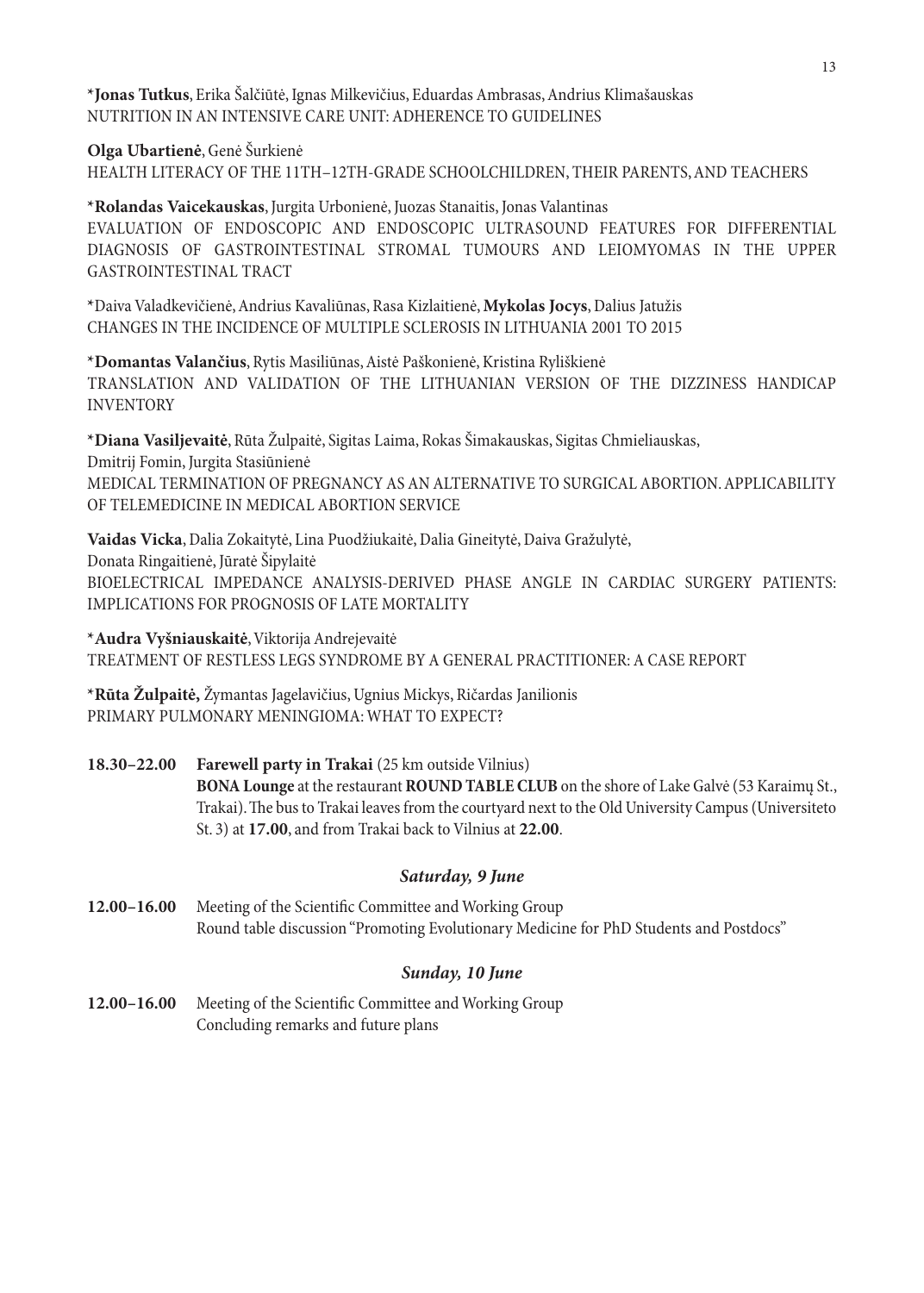**\*Jonas Tutkus**, Erika Šalčiūtė, Ignas Milkevičius, Eduardas Ambrasas, Andrius Klimašauskas NUTRITION IN AN INTENSIVE CARE UNIT: ADHERENCE TO GUIDELINES

**Olga Ubartienė**, Genė Šurkienė

HEALTH LITERACY OF THE 11TH–12TH-GRADE SCHOOLCHILDREN, THEIR PARENTS, AND TEACHERS

**\*Rolandas Vaicekauskas**, Jurgita Urbonienė, Juozas Stanaitis, Jonas Valantinas EVALUATION OF ENDOSCOPIC AND ENDOSCOPIC ULTRASOUND FEATURES FOR DIFFERENTIAL DIAGNOSIS OF GASTROINTESTINAL STROMAL TUMOURS AND LEIOMYOMAS IN THE UPPER GASTROINTESTINAL TRACT

**\***Daiva Valadkevičienė, Andrius Kavaliūnas, Rasa Kizlaitienė, **Mykolas Jocys**, Dalius Jatužis CHANGES IN THE INCIDENCE OF MULTIPLE SCLEROSIS IN LITHUANIA 2001 TO 2015

**\*Domantas Valančius**, Rytis Masiliūnas, Aistė Paškonienė, Kristina Ryliškienė TRANSLATION AND VALIDATION OF THE LITHUANIAN VERSION OF THE DIZZINESS HANDICAP INVENTORY

**\*Diana Vasiljevaitė**, Rūta Žulpaitė, Sigitas Laima, Rokas Šimakauskas, Sigitas Chmieliauskas, Dmitrij Fomin, Jurgita Stasiūnienė MEDICAL TERMINATION OF PREGNANCY AS AN ALTERNATIVE TO SURGICAL ABORTION. APPLICABILITY OF TELEMEDICINE IN MEDICAL ABORTION SERVICE

**Vaidas Vicka**, Dalia Zokaitytė, Lina Puodžiukaitė, Dalia Gineitytė, Daiva Gražulytė, Donata Ringaitienė, Jūratė Šipylaitė BIOELECTRICAL IMPEDANCE ANALYSIS-DERIVED PHASE ANGLE IN CARDIAC SURGERY PATIENTS: IMPLICATIONS FOR PROGNOSIS OF LATE MORTALITY

**\*Audra Vyšniauskaitė**, Viktorija Andrejevaitė TREATMENT OF RESTLESS LEGS SYNDROME BY A GENERAL PRACTITIONER: A CASE REPORT

**\*Rūta Žulpaitė,** Žymantas Jagelavičius, Ugnius Mickys, Ričardas Janilionis PRIMARY PULMONARY MENINGIOMA: WHAT TO EXPECT?

**18.30–22.00 Farewell party in Trakai** (25 km outside Vilnius) **BONA Lounge** at the restaurant **ROUND TABLE CLUB** on the shore of Lake Galvė (53 Karaimų St., Trakai). The bus to Trakai leaves from the courtyard next to the Old University Campus (Universiteto St. 3) at **17.00**, and from Trakai back to Vilnius at **22.00**.

#### *Saturday, 9 June*

**12.00–16.00** Meeting of the Scientific Committee and Working Group Round table discussion "Promoting Evolutionary Medicine for PhD Students and Postdocs"

### *Sunday, 10 June*

**12.00–16.00** Meeting of the Scientific Committee and Working Group Concluding remarks and future plans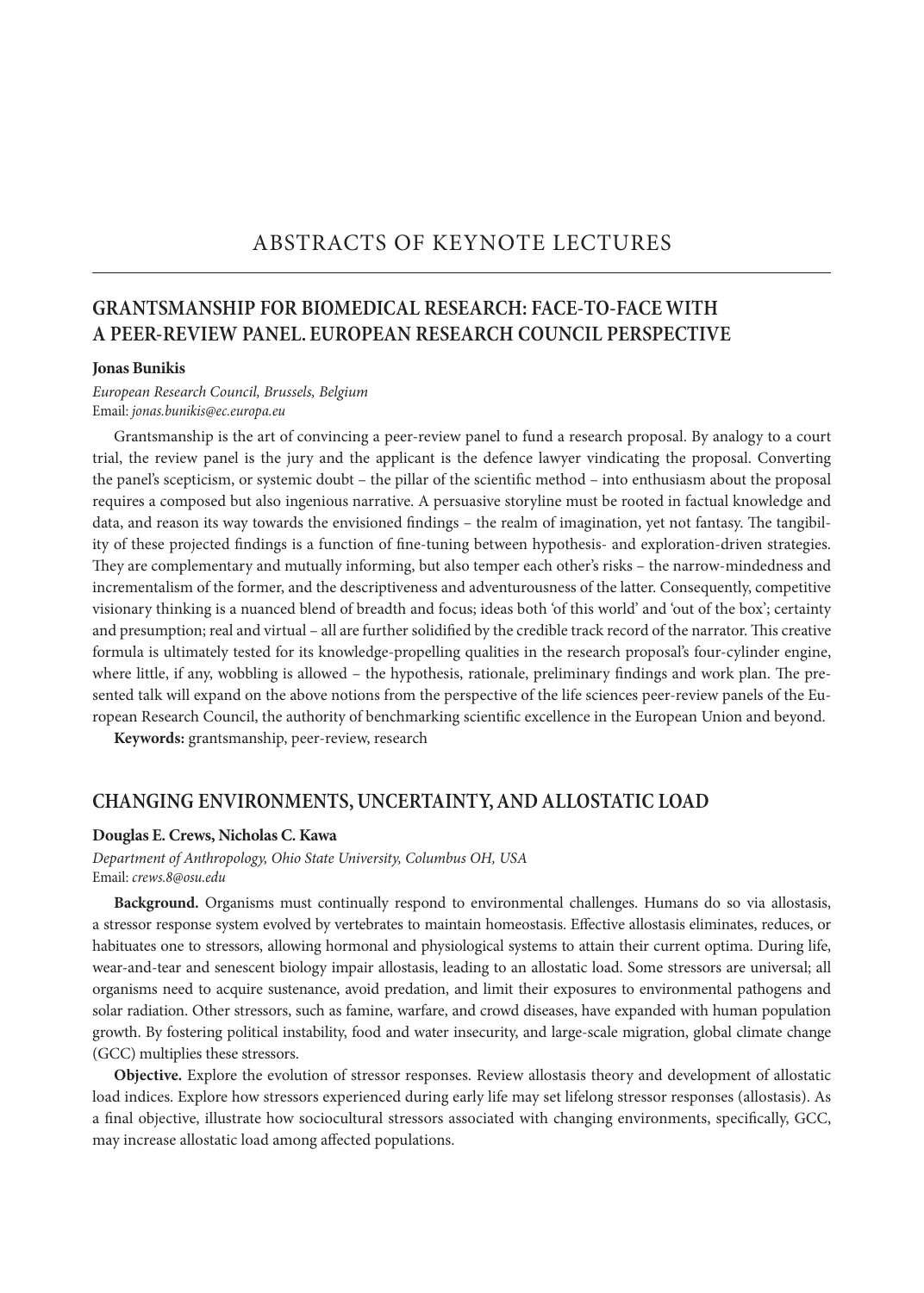### **GRANTSMANSHIP FOR BIOMEDICAL RESEARCH: FACE-TO-FACE WITH A PEER-REVIEW PANEL. EUROPEAN RESEARCH COUNCIL PERSPECTIVE**

#### **Jonas Bunikis**

#### *European Research Council, Brussels, Belgium* Email: *jonas.bunikis@ec.europa.eu*

Grantsmanship is the art of convincing a peer-review panel to fund a research proposal. By analogy to a court trial, the review panel is the jury and the applicant is the defence lawyer vindicating the proposal. Converting the panel's scepticism, or systemic doubt – the pillar of the scientific method – into enthusiasm about the proposal requires a composed but also ingenious narrative. A persuasive storyline must be rooted in factual knowledge and data, and reason its way towards the envisioned findings – the realm of imagination, yet not fantasy. The tangibility of these projected findings is a function of fine-tuning between hypothesis- and exploration-driven strategies. They are complementary and mutually informing, but also temper each other's risks – the narrow-mindedness and incrementalism of the former, and the descriptiveness and adventurousness of the latter. Consequently, competitive visionary thinking is a nuanced blend of breadth and focus; ideas both 'of this world' and 'out of the box'; certainty and presumption; real and virtual – all are further solidified by the credible track record of the narrator. This creative formula is ultimately tested for its knowledge-propelling qualities in the research proposal's four-cylinder engine, where little, if any, wobbling is allowed – the hypothesis, rationale, preliminary findings and work plan. The presented talk will expand on the above notions from the perspective of the life sciences peer-review panels of the European Research Council, the authority of benchmarking scientific excellence in the European Union and beyond.

**Keywords:** grantsmanship, peer-review, research

#### **CHANGING ENVIRONMENTS, UNCERTAINTY, AND ALLOSTATIC LOAD**

#### **Douglas E. Crews, Nicholas C. Kawa**

*Department of Anthropology, Ohio State University, Columbus OH, USA* Email: *crews.8@osu.edu*

**Background.** Organisms must continually respond to environmental challenges. Humans do so via allostasis, a stressor response system evolved by vertebrates to maintain homeostasis. Effective allostasis eliminates, reduces, or habituates one to stressors, allowing hormonal and physiological systems to attain their current optima. During life, wear-and-tear and senescent biology impair allostasis, leading to an allostatic load. Some stressors are universal; all organisms need to acquire sustenance, avoid predation, and limit their exposures to environmental pathogens and solar radiation. Other stressors, such as famine, warfare, and crowd diseases, have expanded with human population growth. By fostering political instability, food and water insecurity, and large-scale migration, global climate change (GCC) multiplies these stressors.

**Objective.** Explore the evolution of stressor responses. Review allostasis theory and development of allostatic load indices. Explore how stressors experienced during early life may set lifelong stressor responses (allostasis). As a final objective, illustrate how sociocultural stressors associated with changing environments, specifically, GCC, may increase allostatic load among affected populations.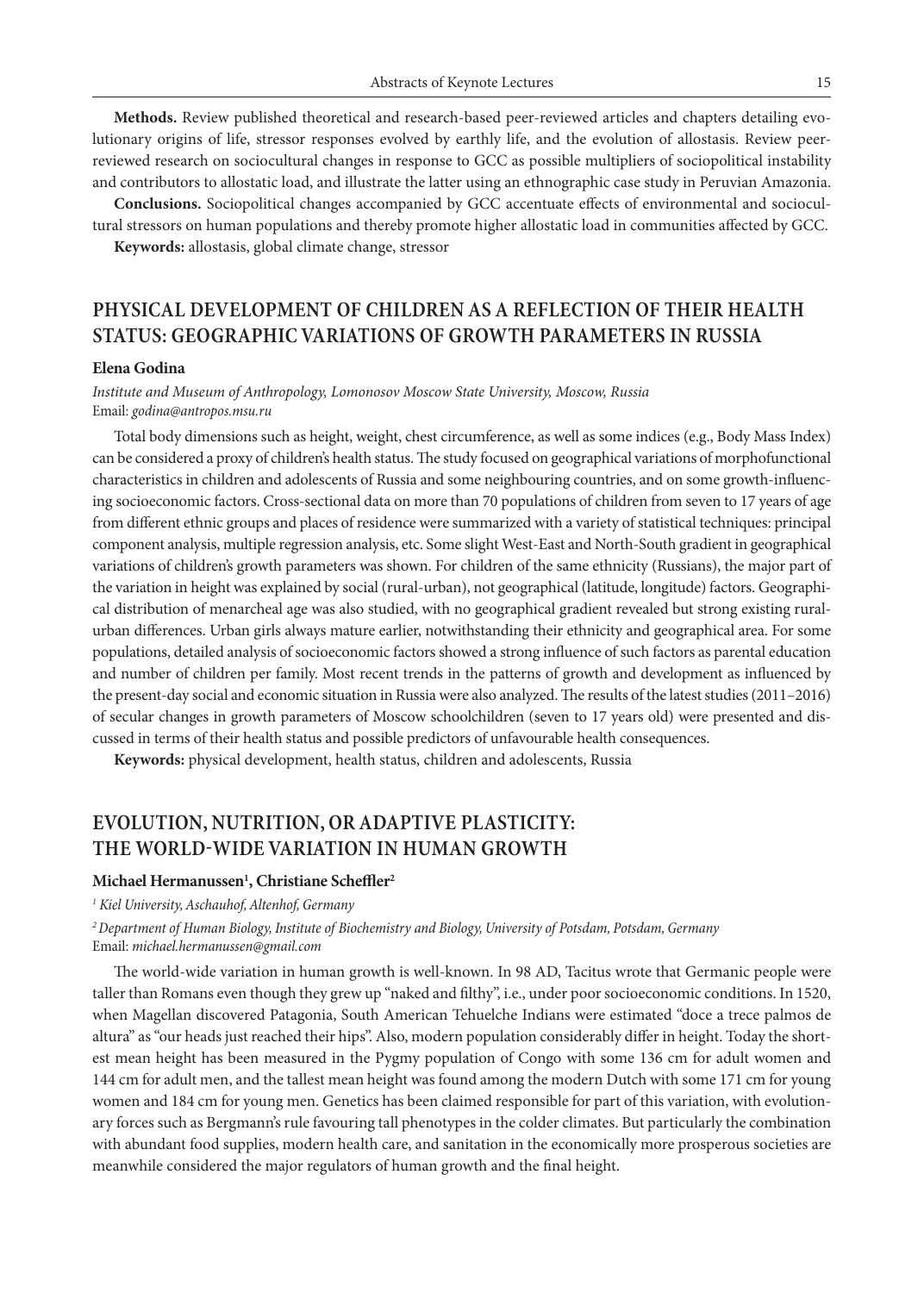**Methods.** Review published theoretical and research-based peer-reviewed articles and chapters detailing evolutionary origins of life, stressor responses evolved by earthly life, and the evolution of allostasis. Review peerreviewed research on sociocultural changes in response to GCC as possible multipliers of sociopolitical instability and contributors to allostatic load, and illustrate the latter using an ethnographic case study in Peruvian Amazonia.

**Conclusions.** Sociopolitical changes accompanied by GCC accentuate effects of environmental and sociocultural stressors on human populations and thereby promote higher allostatic load in communities affected by GCC.

**Keywords:** allostasis, global climate change, stressor

### **PHYSICAL DEVELOPMENT OF CHILDREN AS A REFLECTION OF THEIR HEALTH STATUS: GEOGRAPHIC VARIATIONS OF GROWTH PARAMETERS IN RUSSIA**

#### **Elena Godina**

*Institute and Museum of Anthropology, Lomonosov Moscow State University, Moscow, Russia* Email: *godina@antropos.msu.ru*

Total body dimensions such as height, weight, chest circumference, as well as some indices (e.g., Body Mass Index) can be considered a proxy of children's health status. The study focused on geographical variations of morphofunctional characteristics in children and adolescents of Russia and some neighbouring countries, and on some growth-influencing socioeconomic factors. Cross-sectional data on more than 70 populations of children from seven to 17 years of age from different ethnic groups and places of residence were summarized with a variety of statistical techniques: principal component analysis, multiple regression analysis, etc. Some slight West-East and North-South gradient in geographical variations of children's growth parameters was shown. For children of the same ethnicity (Russians), the major part of the variation in height was explained by social (rural-urban), not geographical (latitude, longitude) factors. Geographical distribution of menarcheal age was also studied, with no geographical gradient revealed but strong existing ruralurban differences. Urban girls always mature earlier, notwithstanding their ethnicity and geographical area. For some populations, detailed analysis of socioeconomic factors showed a strong influence of such factors as parental education and number of children per family. Most recent trends in the patterns of growth and development as influenced by the present-day social and economic situation in Russia were also analyzed. The results of the latest studies (2011–2016) of secular changes in growth parameters of Moscow schoolchildren (seven to 17 years old) were presented and discussed in terms of their health status and possible predictors of unfavourable health consequences.

**Keywords:** physical development, health status, children and adolescents, Russia

### **EVOLUTION, NUTRITION, OR ADAPTIVE PLASTICITY: THE WORLD-WIDE VARIATION IN HUMAN GROWTH**

#### **Michael Hermanussen1 , Christiane Scheffler2**

*1 Kiel University, Aschauhof, Altenhof, Germany*

*<sup>2</sup>Department of Human Biology, Institute of Biochemistry and Biology, University of Potsdam, Potsdam, Germany* Email: *michael.hermanussen@gmail.com*

The world-wide variation in human growth is well-known. In 98 AD, Tacitus wrote that Germanic people were taller than Romans even though they grew up "naked and filthy", i.e., under poor socioeconomic conditions. In 1520, when Magellan discovered Patagonia, South American Tehuelche Indians were estimated "doce a trece palmos de altura" as "our heads just reached their hips". Also, modern population considerably differ in height. Today the shortest mean height has been measured in the Pygmy population of Congo with some 136 cm for adult women and 144 cm for adult men, and the tallest mean height was found among the modern Dutch with some 171 cm for young women and 184 cm for young men. Genetics has been claimed responsible for part of this variation, with evolutionary forces such as Bergmann's rule favouring tall phenotypes in the colder climates. But particularly the combination with abundant food supplies, modern health care, and sanitation in the economically more prosperous societies are meanwhile considered the major regulators of human growth and the final height.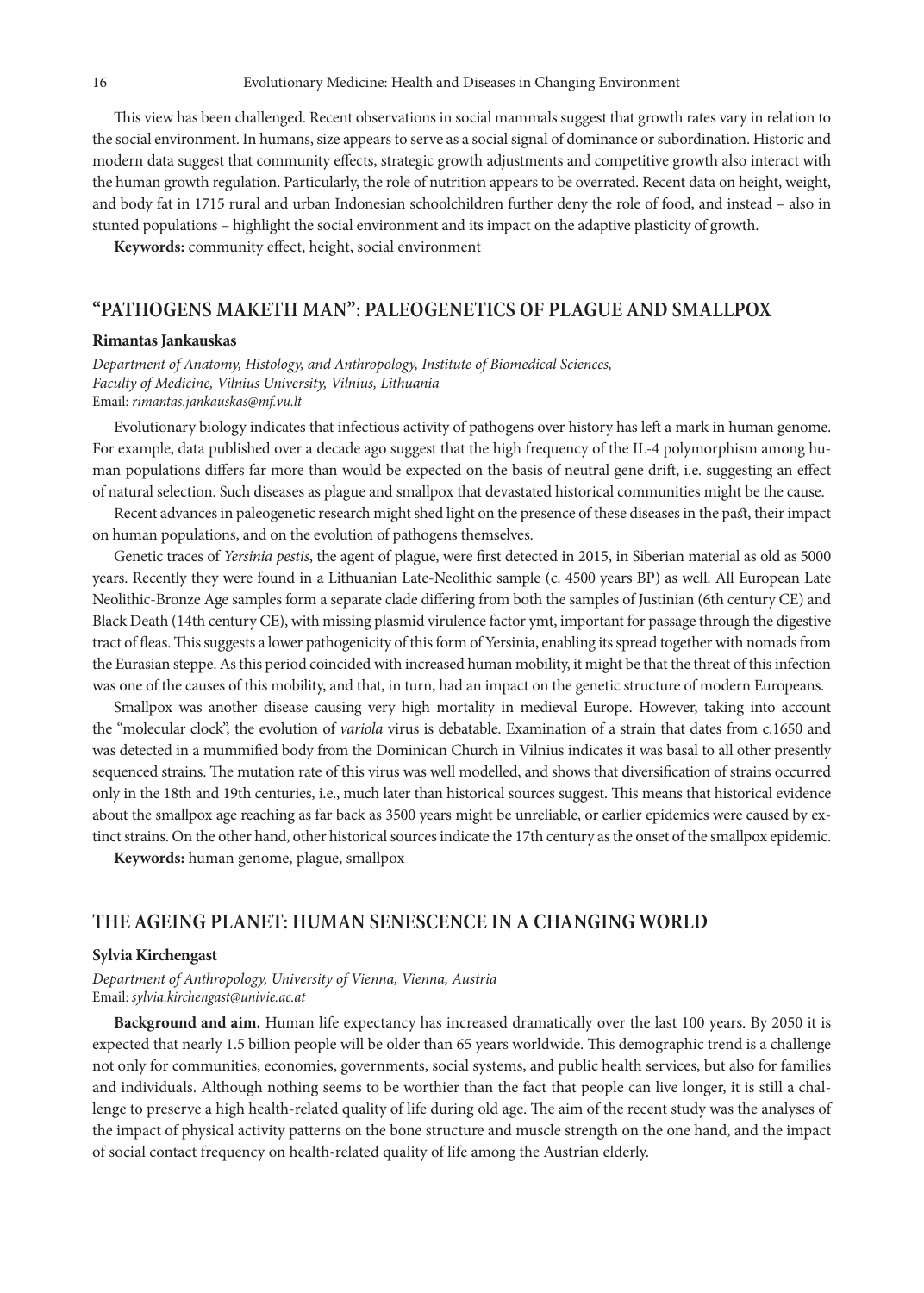This view has been challenged. Recent observations in social mammals suggest that growth rates vary in relation to the social environment. In humans, size appears to serve as a social signal of dominance or subordination. Historic and modern data suggest that community effects, strategic growth adjustments and competitive growth also interact with the human growth regulation. Particularly, the role of nutrition appears to be overrated. Recent data on height, weight, and body fat in 1715 rural and urban Indonesian schoolchildren further deny the role of food, and instead – also in stunted populations – highlight the social environment and its impact on the adaptive plasticity of growth.

**Keywords:** community effect, height, social environment

### **"PATHOGENS MAKETH MAN": PALEOGENETICS OF PLAGUE AND SMALLPOX**

#### **Rimantas Jankauskas**

*Department of Anatomy, Histology, and Anthropology, Institute of Biomedical Sciences, Faculty of Medicine, Vilnius University, Vilnius, Lithuania* Email: *rimantas.jankauskas@mf.vu.lt* 

Evolutionary biology indicates that infectious activity of pathogens over history has left a mark in human genome. For example, data published over a decade ago suggest that the high frequency of the IL-4 polymorphism among human populations differs far more than would be expected on the basis of neutral gene drift, i.e. suggesting an effect of natural selection. Such diseases as plague and smallpox that devastated historical communities might be the cause.

Recent advances in paleogenetic research might shed light on the presence of these diseases in the past, their impact on human populations, and on the evolution of pathogens themselves.

Genetic traces of *Yersinia pestis*, the agent of plague, were first detected in 2015, in Siberian material as old as 5000 years. Recently they were found in a Lithuanian Late-Neolithic sample (c. 4500 years BP) as well. All European Late Neolithic-Bronze Age samples form a separate clade differing from both the samples of Justinian (6th century CE) and Black Death (14th century CE), with missing plasmid virulence factor ymt, important for passage through the digestive tract of fleas. This suggests a lower pathogenicity of this form of Yersinia, enabling its spread together with nomads from the Eurasian steppe. As this period coincided with increased human mobility, it might be that the threat of this infection was one of the causes of this mobility, and that, in turn, had an impact on the genetic structure of modern Europeans.

Smallpox was another disease causing very high mortality in medieval Europe. However, taking into account the "molecular clock", the evolution of *variola* virus is debatable. Examination of a strain that dates from c.1650 and was detected in a mummified body from the Dominican Church in Vilnius indicates it was basal to all other presently sequenced strains. The mutation rate of this virus was well modelled, and shows that diversification of strains occurred only in the 18th and 19th centuries, i.e., much later than historical sources suggest. This means that historical evidence about the smallpox age reaching as far back as 3500 years might be unreliable, or earlier epidemics were caused by extinct strains. On the other hand, other historical sources indicate the 17th century as the onset of the smallpox epidemic.

**Keywords:** human genome, plague, smallpox

#### **THE AGEING PLANET: HUMAN SENESCENCE IN A CHANGING WORLD**

#### **Sylvia Kirchengast**

*Department of Anthropology, University of Vienna, Vienna, Austria* Email: *sylvia.kirchengast@univie.ac.at*

**Background and aim.** Human life expectancy has increased dramatically over the last 100 years. By 2050 it is expected that nearly 1.5 billion people will be older than 65 years worldwide. This demographic trend is a challenge not only for communities, economies, governments, social systems, and public health services, but also for families and individuals. Although nothing seems to be worthier than the fact that people can live longer, it is still a challenge to preserve a high health-related quality of life during old age. The aim of the recent study was the analyses of the impact of physical activity patterns on the bone structure and muscle strength on the one hand, and the impact of social contact frequency on health-related quality of life among the Austrian elderly.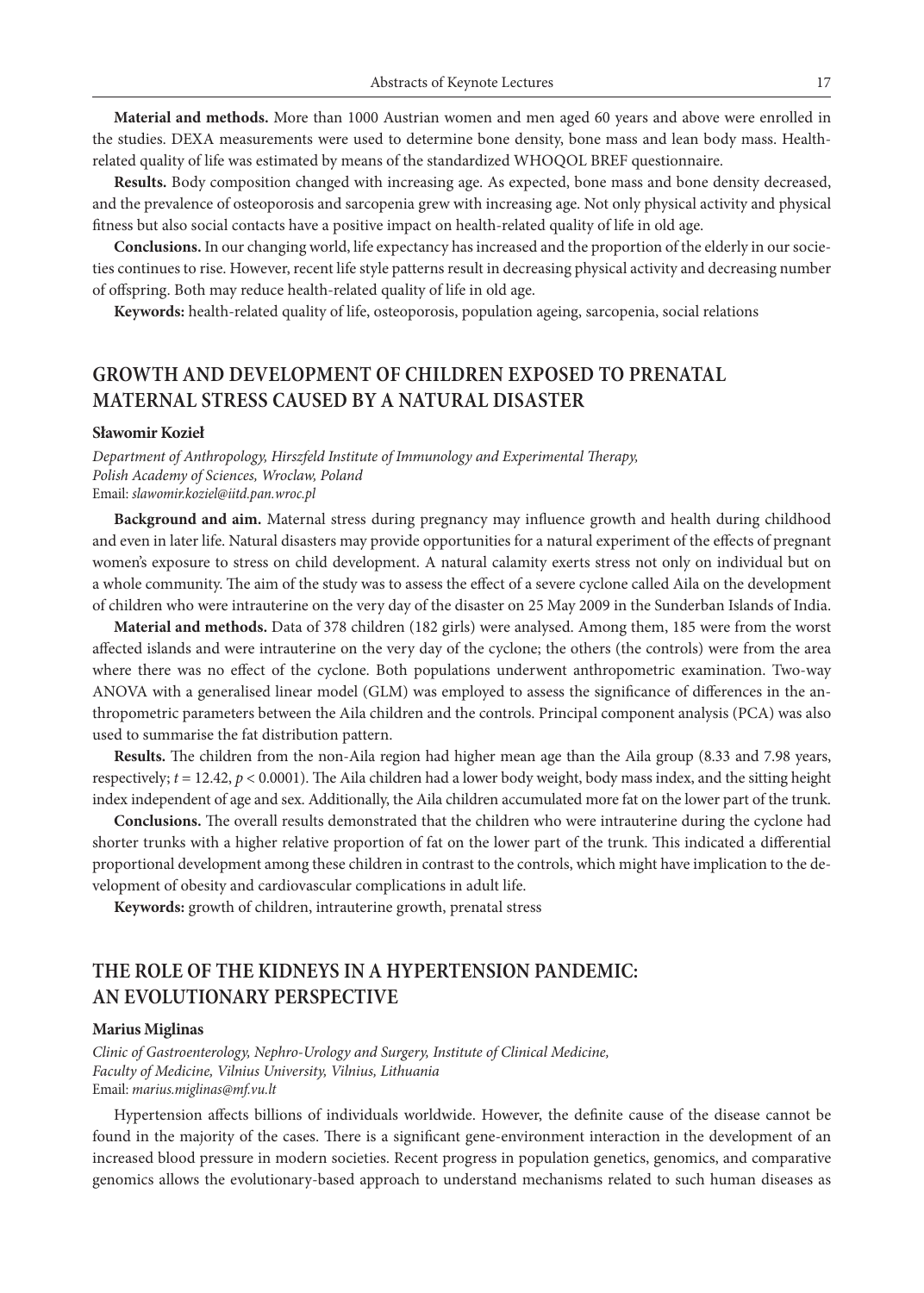**Material and methods.** More than 1000 Austrian women and men aged 60 years and above were enrolled in the studies. DEXA measurements were used to determine bone density, bone mass and lean body mass. Healthrelated quality of life was estimated by means of the standardized WHOQOL BREF questionnaire.

**Results.** Body composition changed with increasing age. As expected, bone mass and bone density decreased, and the prevalence of osteoporosis and sarcopenia grew with increasing age. Not only physical activity and physical fitness but also social contacts have a positive impact on health-related quality of life in old age.

**Conclusions.** In our changing world, life expectancy has increased and the proportion of the elderly in our societies continues to rise. However, recent life style patterns result in decreasing physical activity and decreasing number of offspring. Both may reduce health-related quality of life in old age.

**Keywords:** health-related quality of life, osteoporosis, population ageing, sarcopenia, social relations

### **GROWTH AND DEVELOPMENT OF CHILDREN EXPOSED TO PRENATAL MATERNAL STRESS CAUSED BY A NATURAL DISASTER**

#### **Sławomir Kozieł**

*Department of Anthropology, Hirszfeld Institute of Immunology and Experimental Therapy, Polish Academy of Sciences, Wroclaw, Poland* Email: *slawomir.koziel@iitd.pan.wroc.pl*

**Background and aim.** Maternal stress during pregnancy may influence growth and health during childhood and even in later life. Natural disasters may provide opportunities for a natural experiment of the effects of pregnant women's exposure to stress on child development. A natural calamity exerts stress not only on individual but on a whole community. The aim of the study was to assess the effect of a severe cyclone called Aila on the development of children who were intrauterine on the very day of the disaster on 25 May 2009 in the Sunderban Islands of India.

**Material and methods.** Data of 378 children (182 girls) were analysed. Among them, 185 were from the worst affected islands and were intrauterine on the very day of the cyclone; the others (the controls) were from the area where there was no effect of the cyclone. Both populations underwent anthropometric examination. Two-way ANOVA with a generalised linear model (GLM) was employed to assess the significance of differences in the anthropometric parameters between the Aila children and the controls. Principal component analysis (PCA) was also used to summarise the fat distribution pattern.

**Results.** The children from the non-Aila region had higher mean age than the Aila group (8.33 and 7.98 years, respectively; *t* = 12.42, *p* < 0.0001). The Aila children had a lower body weight, body mass index, and the sitting height index independent of age and sex. Additionally, the Aila children accumulated more fat on the lower part of the trunk.

**Conclusions.** The overall results demonstrated that the children who were intrauterine during the cyclone had shorter trunks with a higher relative proportion of fat on the lower part of the trunk. This indicated a differential proportional development among these children in contrast to the controls, which might have implication to the development of obesity and cardiovascular complications in adult life.

**Keywords:** growth of children, intrauterine growth, prenatal stress

### **THE ROLE OF THE KIDNEYS IN A HYPERTENSION PANDEMIC: AN EVOLUTIONARY PERSPECTIVE**

#### **Marius Miglinas**

*Clinic of Gastroenterology, Nephro-Urology and Surgery, Institute of Clinical Medicine, Faculty of Medicine, Vilnius University, Vilnius, Lithuania* Email: *marius.miglinas@mf.vu.lt*

Hypertension affects billions of individuals worldwide. However, the definite cause of the disease cannot be found in the majority of the cases. There is a significant gene-environment interaction in the development of an increased blood pressure in modern societies. Recent progress in population genetics, genomics, and comparative genomics allows the evolutionary-based approach to understand mechanisms related to such human diseases as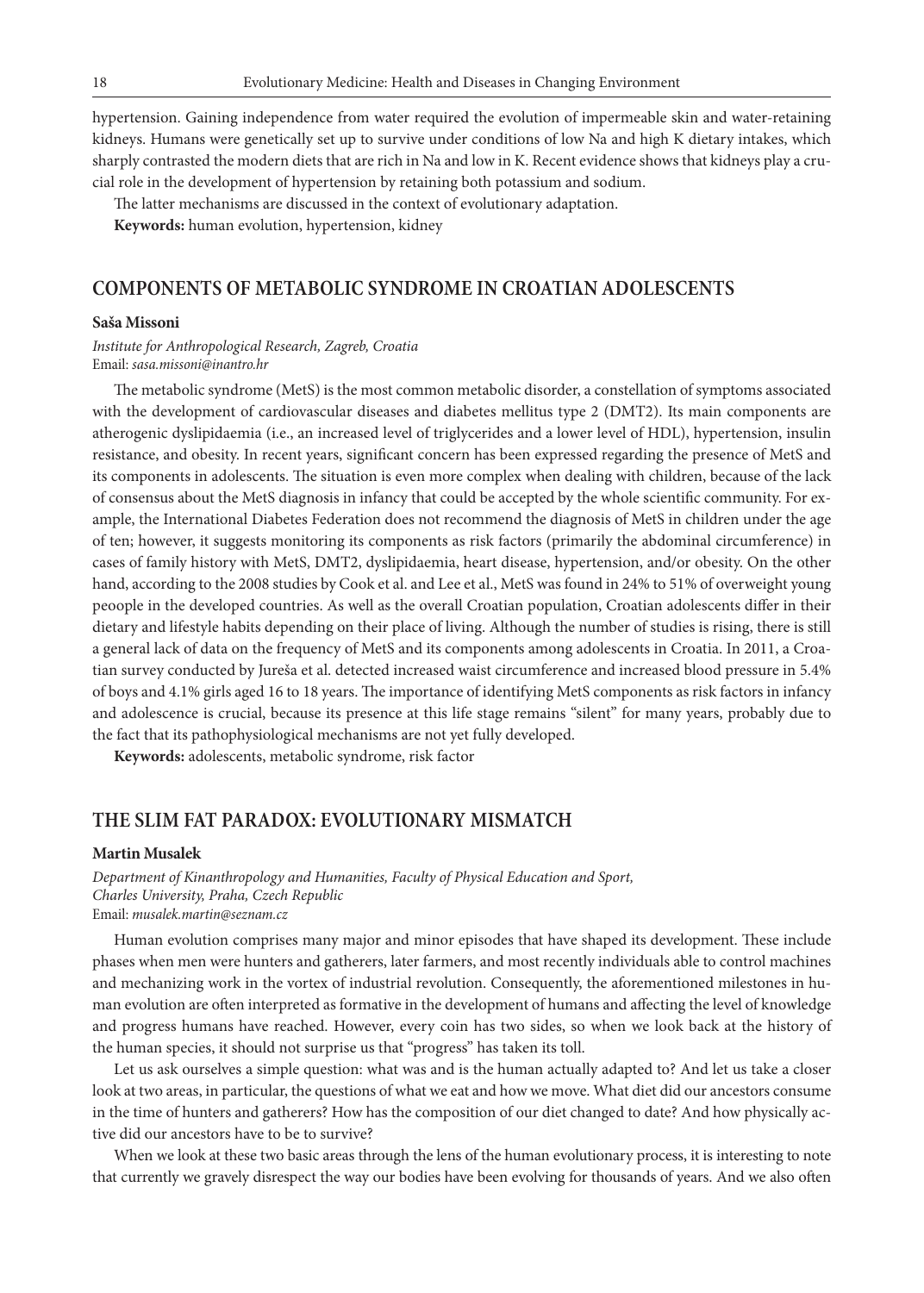hypertension. Gaining independence from water required the evolution of impermeable skin and water-retaining kidneys. Humans were genetically set up to survive under conditions of low Na and high K dietary intakes, which sharply contrasted the modern diets that are rich in Na and low in K. Recent evidence shows that kidneys play a crucial role in the development of hypertension by retaining both potassium and sodium.

The latter mechanisms are discussed in the context of evolutionary adaptation.

**Keywords:** human evolution, hypertension, kidney

#### **COMPONENTS OF METABOLIC SYNDROME IN CROATIAN ADOLESCENTS**

#### **Saša Missoni**

*Institute for Anthropological Research, Zagreb, Croatia* Email: *sasa.missoni@inantro.hr*

The metabolic syndrome (MetS) is the most common metabolic disorder, a constellation of symptoms associated with the development of cardiovascular diseases and diabetes mellitus type 2 (DMT2). Its main components are atherogenic dyslipidaemia (i.e., an increased level of triglycerides and a lower level of HDL), hypertension, insulin resistance, and obesity. In recent years, significant concern has been expressed regarding the presence of MetS and its components in adolescents. The situation is even more complex when dealing with children, because of the lack of consensus about the MetS diagnosis in infancy that could be accepted by the whole scientific community. For example, the International Diabetes Federation does not recommend the diagnosis of MetS in children under the age of ten; however, it suggests monitoring its components as risk factors (primarily the abdominal circumference) in cases of family history with MetS, DMT2, dyslipidaemia, heart disease, hypertension, and/or obesity. On the other hand, according to the 2008 studies by Cook et al. and Lee et al., MetS was found in 24% to 51% of overweight young peoople in the developed countries. As well as the overall Croatian population, Croatian adolescents differ in their dietary and lifestyle habits depending on their place of living. Although the number of studies is rising, there is still a general lack of data on the frequency of MetS and its components among adolescents in Croatia. In 2011, a Croatian survey conducted by Jureša et al. detected increased waist circumference and increased blood pressure in 5.4% of boys and 4.1% girls aged 16 to 18 years. The importance of identifying MetS components as risk factors in infancy and adolescence is crucial, because its presence at this life stage remains "silent" for many years, probably due to the fact that its pathophysiological mechanisms are not yet fully developed.

**Keywords:** adolescents, metabolic syndrome, risk factor

#### **THE SLIM FAT PARADOX: EVOLUTIONARY MISMATCH**

#### **Martin Musalek**

*Department of Kinanthropology and Humanities, Faculty of Physical Education and Sport, Charles University, Praha, Czech Republic* Email: *musalek.martin@seznam.cz*

Human evolution comprises many major and minor episodes that have shaped its development. These include phases when men were hunters and gatherers, later farmers, and most recently individuals able to control machines and mechanizing work in the vortex of industrial revolution. Consequently, the aforementioned milestones in human evolution are often interpreted as formative in the development of humans and affecting the level of knowledge and progress humans have reached. However, every coin has two sides, so when we look back at the history of the human species, it should not surprise us that "progress" has taken its toll.

Let us ask ourselves a simple question: what was and is the human actually adapted to? And let us take a closer look at two areas, in particular, the questions of what we eat and how we move. What diet did our ancestors consume in the time of hunters and gatherers? How has the composition of our diet changed to date? And how physically active did our ancestors have to be to survive?

When we look at these two basic areas through the lens of the human evolutionary process, it is interesting to note that currently we gravely disrespect the way our bodies have been evolving for thousands of years. And we also often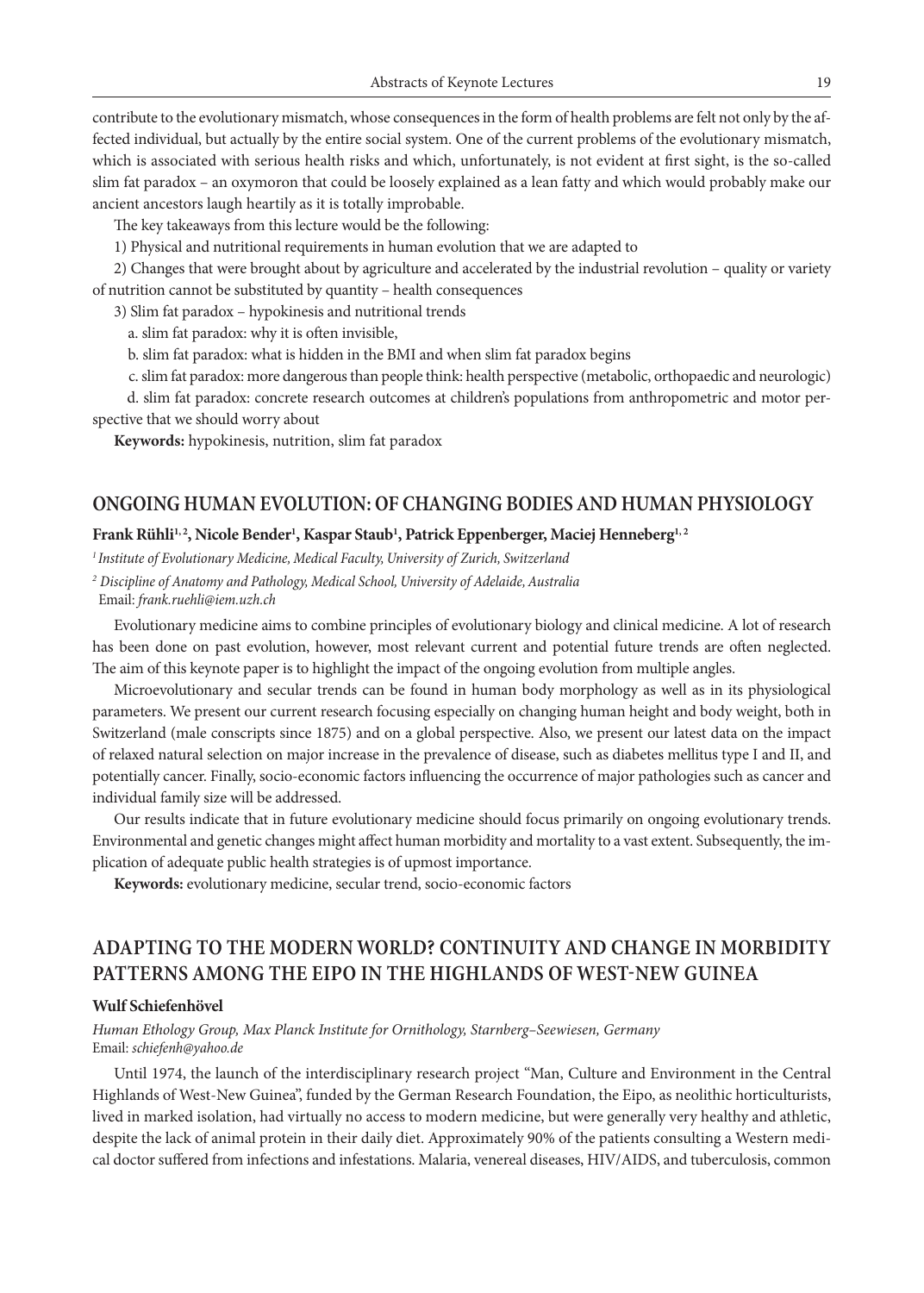contribute to the evolutionary mismatch, whose consequences in the form of health problems are felt not only by the affected individual, but actually by the entire social system. One of the current problems of the evolutionary mismatch, which is associated with serious health risks and which, unfortunately, is not evident at first sight, is the so-called slim fat paradox – an oxymoron that could be loosely explained as a lean fatty and which would probably make our ancient ancestors laugh heartily as it is totally improbable.

The key takeaways from this lecture would be the following:

1) Physical and nutritional requirements in human evolution that we are adapted to

2) Changes that were brought about by agriculture and accelerated by the industrial revolution – quality or variety of nutrition cannot be substituted by quantity – health consequences

3) Slim fat paradox – hypokinesis and nutritional trends

a. slim fat paradox: why it is often invisible,

b. slim fat paradox: what is hidden in the BMI and when slim fat paradox begins

c. slim fat paradox: more dangerous than people think: health perspective (metabolic, orthopaedic and neurologic)

 d. slim fat paradox: concrete research outcomes at children's populations from anthropometric and motor perspective that we should worry about

**Keywords:** hypokinesis, nutrition, slim fat paradox

#### **ONGOING HUMAN EVOLUTION: OF CHANGING BODIES AND HUMAN PHYSIOLOGY**

#### Frank Rühli<sup>1,2</sup>, Nicole Bender<sup>1</sup>, Kaspar Staub<sup>1</sup>, Patrick Eppenberger, Maciej Henneberg<sup>1,2</sup>

*1 Institute of Evolutionary Medicine, Medical Faculty, University of Zurich, Switzerland*

*<sup>2</sup> Discipline of Anatomy and Pathology, Medical School, University of Adelaide, Australia*

Email: *frank.ruehli@iem.uzh.ch*

Evolutionary medicine aims to combine principles of evolutionary biology and clinical medicine. A lot of research has been done on past evolution, however, most relevant current and potential future trends are often neglected. The aim of this keynote paper is to highlight the impact of the ongoing evolution from multiple angles.

Microevolutionary and secular trends can be found in human body morphology as well as in its physiological parameters. We present our current research focusing especially on changing human height and body weight, both in Switzerland (male conscripts since 1875) and on a global perspective. Also, we present our latest data on the impact of relaxed natural selection on major increase in the prevalence of disease, such as diabetes mellitus type I and II, and potentially cancer. Finally, socio-economic factors influencing the occurrence of major pathologies such as cancer and individual family size will be addressed.

Our results indicate that in future evolutionary medicine should focus primarily on ongoing evolutionary trends. Environmental and genetic changes might affect human morbidity and mortality to a vast extent. Subsequently, the implication of adequate public health strategies is of upmost importance.

**Keywords:** evolutionary medicine, secular trend, socio-economic factors

### **ADAPTING TO THE MODERN WORLD? CONTINUITY AND CHANGE IN MORBIDITY PATTERNS AMONG THE EIPO IN THE HIGHLANDS OF WEST-NEW GUINEA**

#### **Wulf Schiefenhövel**

*Human Ethology Group, Max Planck Institute for Ornithology, Starnberg–Seewiesen, Germany* Email: *schiefenh@yahoo.de*

Until 1974, the launch of the interdisciplinary research project "Man, Culture and Environment in the Central Highlands of West-New Guinea", funded by the German Research Foundation, the Eipo, as neolithic horticulturists, lived in marked isolation, had virtually no access to modern medicine, but were generally very healthy and athletic, despite the lack of animal protein in their daily diet. Approximately 90% of the patients consulting a Western medical doctor suffered from infections and infestations. Malaria, venereal diseases, HIV/AIDS, and tuberculosis, common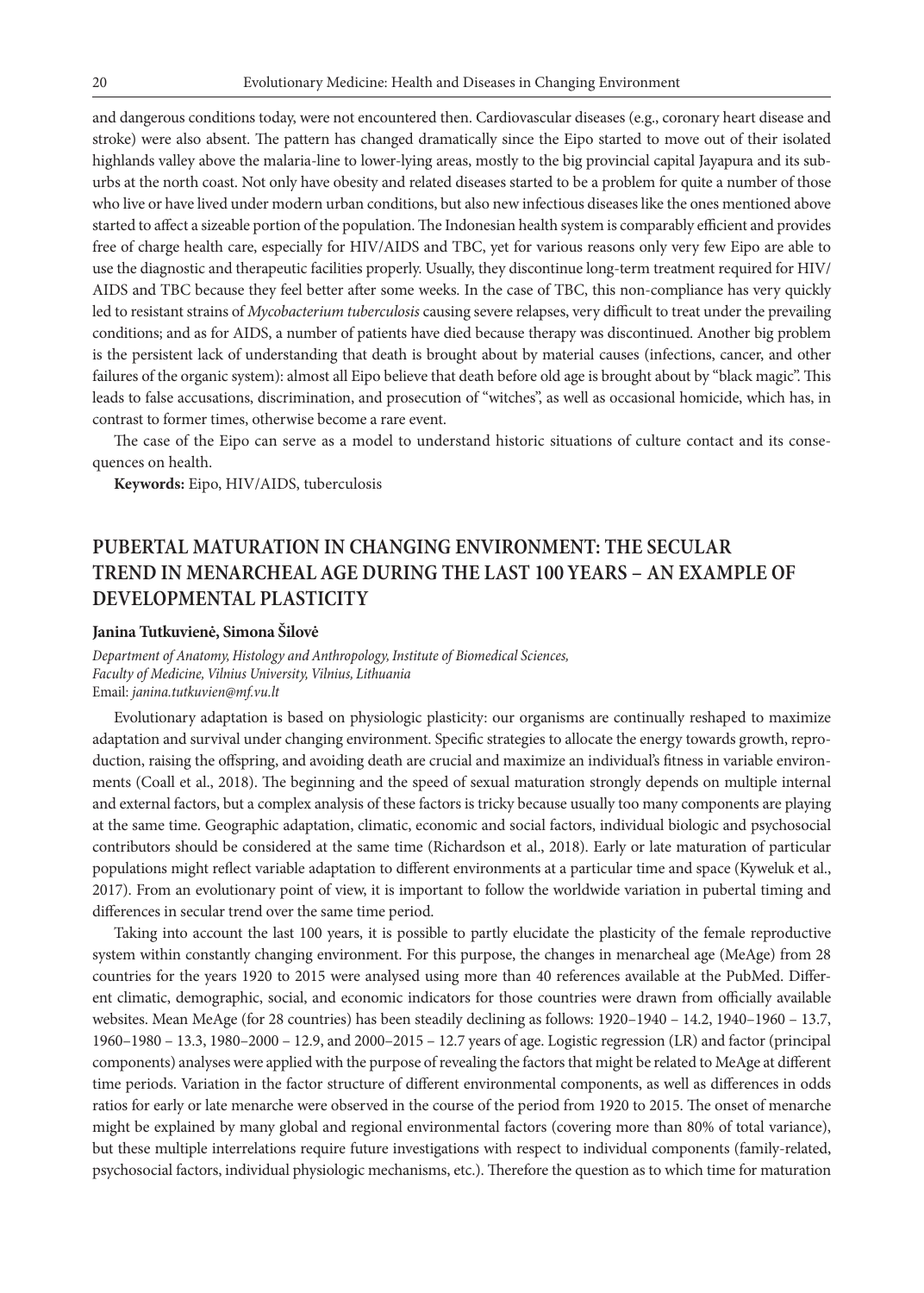and dangerous conditions today, were not encountered then. Cardiovascular diseases (e.g., coronary heart disease and stroke) were also absent. The pattern has changed dramatically since the Eipo started to move out of their isolated highlands valley above the malaria-line to lower-lying areas, mostly to the big provincial capital Jayapura and its suburbs at the north coast. Not only have obesity and related diseases started to be a problem for quite a number of those who live or have lived under modern urban conditions, but also new infectious diseases like the ones mentioned above started to affect a sizeable portion of the population. The Indonesian health system is comparably efficient and provides free of charge health care, especially for HIV/AIDS and TBC, yet for various reasons only very few Eipo are able to use the diagnostic and therapeutic facilities properly. Usually, they discontinue long-term treatment required for HIV/ AIDS and TBC because they feel better after some weeks. In the case of TBC, this non-compliance has very quickly led to resistant strains of *Mycobacterium tuberculosis* causing severe relapses, very difficult to treat under the prevailing conditions; and as for AIDS, a number of patients have died because therapy was discontinued. Another big problem is the persistent lack of understanding that death is brought about by material causes (infections, cancer, and other failures of the organic system): almost all Eipo believe that death before old age is brought about by "black magic". This leads to false accusations, discrimination, and prosecution of "witches", as well as occasional homicide, which has, in contrast to former times, otherwise become a rare event.

The case of the Eipo can serve as a model to understand historic situations of culture contact and its consequences on health.

**Keywords:** Eipo, HIV/AIDS, tuberculosis

### **PUBERTAL MATURATION IN CHANGING ENVIRONMENT: THE SECULAR TREND IN MENARCHEAL AGE DURING THE LAST 100 YEARS – AN EXAMPLE OF DEVELOPMENTAL PLASTICITY**

#### **Janina Tutkuvienė, Simona Šilovė**

*Department of Anatomy, Histology and Anthropology, Institute of Biomedical Sciences, Faculty of Medicine, Vilnius University, Vilnius, Lithuania* Email: *janina.tutkuvien@mf.vu.lt* 

Evolutionary adaptation is based on physiologic plasticity: our organisms are continually reshaped to maximize adaptation and survival under changing environment. Specific strategies to allocate the energy towards growth, reproduction, raising the offspring, and avoiding death are crucial and maximize an individual's fitness in variable environments (Coall et al., 2018). The beginning and the speed of sexual maturation strongly depends on multiple internal and external factors, but a complex analysis of these factors is tricky because usually too many components are playing at the same time. Geographic adaptation, climatic, economic and social factors, individual biologic and psychosocial contributors should be considered at the same time (Richardson et al., 2018). Early or late maturation of particular populations might reflect variable adaptation to different environments at a particular time and space (Kyweluk et al., 2017). From an evolutionary point of view, it is important to follow the worldwide variation in pubertal timing and differences in secular trend over the same time period.

Taking into account the last 100 years, it is possible to partly elucidate the plasticity of the female reproductive system within constantly changing environment. For this purpose, the changes in menarcheal age (MeAge) from 28 countries for the years 1920 to 2015 were analysed using more than 40 references available at the PubMed. Different climatic, demographic, social, and economic indicators for those countries were drawn from officially available websites. Mean MeAge (for 28 countries) has been steadily declining as follows: 1920–1940 – 14.2, 1940–1960 – 13.7, 1960–1980 – 13.3, 1980–2000 – 12.9, and 2000–2015 – 12.7 years of age. Logistic regression (LR) and factor (principal components) analyses were applied with the purpose of revealing the factors that might be related to MeAge at different time periods. Variation in the factor structure of different environmental components, as well as differences in odds ratios for early or late menarche were observed in the course of the period from 1920 to 2015. The onset of menarche might be explained by many global and regional environmental factors (covering more than 80% of total variance), but these multiple interrelations require future investigations with respect to individual components (family-related, psychosocial factors, individual physiologic mechanisms, etc.). Therefore the question as to which time for maturation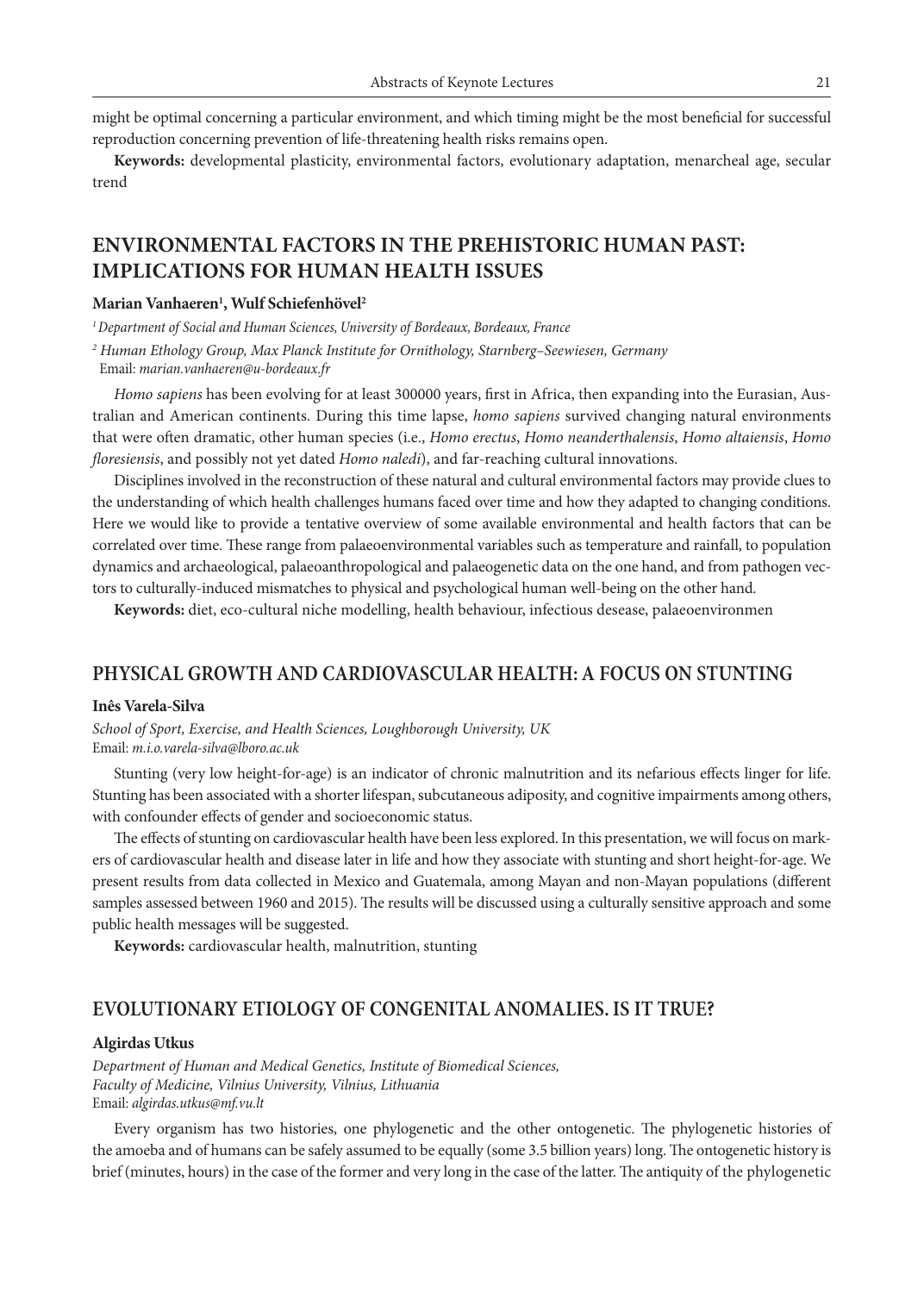might be optimal concerning a particular environment, and which timing might be the most beneficial for successful reproduction concerning prevention of life-threatening health risks remains open.

**Keywords:** developmental plasticity, environmental factors, evolutionary adaptation, menarcheal age, secular trend

### **ENVIRONMENTAL FACTORS IN THE PREHISTORIC HUMAN PAST: IMPLICATIONS FOR HUMAN HEALTH ISSUES**

#### **Marian Vanhaeren1 , Wulf Schiefenhövel2**

*1 Department of Social and Human Sciences, University of Bordeaux, Bordeaux, France*

*2 Human Ethology Group, Max Planck Institute for Ornithology, Starnberg–Seewiesen, Germany* Email: *marian.vanhaeren@u-bordeaux.fr*

*Homo sapiens* has been evolving for at least 300000 years, first in Africa, then expanding into the Eurasian, Australian and American continents. During this time lapse, *homo sapiens* survived changing natural environments that were often dramatic, other human species (i.e., *Homo erectus*, *Homo neanderthalensis*, *Homo altaiensis*, *Homo floresiensis*, and possibly not yet dated *Homo naledi*), and far-reaching cultural innovations.

Disciplines involved in the reconstruction of these natural and cultural environmental factors may provide clues to the understanding of which health challenges humans faced over time and how they adapted to changing conditions. Here we would like to provide a tentative overview of some available environmental and health factors that can be correlated over time. These range from palaeoenvironmental variables such as temperature and rainfall, to population dynamics and archaeological, palaeoanthropological and palaeogenetic data on the one hand, and from pathogen vectors to culturally-induced mismatches to physical and psychological human well-being on the other hand.

**Keywords:** diet, eco-cultural niche modelling, health behaviour, infectious desease, palaeoenvironmen

### **PHYSICAL GROWTH AND CARDIOVASCULAR HEALTH: A FOCUS ON STUNTING**

#### **Inês Varela-Silva**

*School of Sport, Exercise, and Health Sciences, Loughborough University, UK* Email: *m.i.o.varela-silva@lboro.ac.uk*

Stunting (very low height-for-age) is an indicator of chronic malnutrition and its nefarious effects linger for life. Stunting has been associated with a shorter lifespan, subcutaneous adiposity, and cognitive impairments among others, with confounder effects of gender and socioeconomic status.

The effects of stunting on cardiovascular health have been less explored. In this presentation, we will focus on markers of cardiovascular health and disease later in life and how they associate with stunting and short height-for-age. We present results from data collected in Mexico and Guatemala, among Mayan and non-Mayan populations (different samples assessed between 1960 and 2015). The results will be discussed using a culturally sensitive approach and some public health messages will be suggested.

**Keywords:** cardiovascular health, malnutrition, stunting

#### **EVOLUTIONARY ETIOLOGY OF CONGENITAL ANOMALIES. IS IT TRUE?**

#### **Algirdas Utkus**

*Department of Human and Medical Genetics, Institute of Biomedical Sciences, Faculty of Medicine, Vilnius University, Vilnius, Lithuania* Email: *algirdas.utkus@mf.vu.lt*

Every organism has two histories, one phylogenetic and the other ontogenetic. The phylogenetic histories of the amoeba and of humans can be safely assumed to be equally (some 3.5 billion years) long. The ontogenetic history is brief (minutes, hours) in the case of the former and very long in the case of the latter. The antiquity of the phylogenetic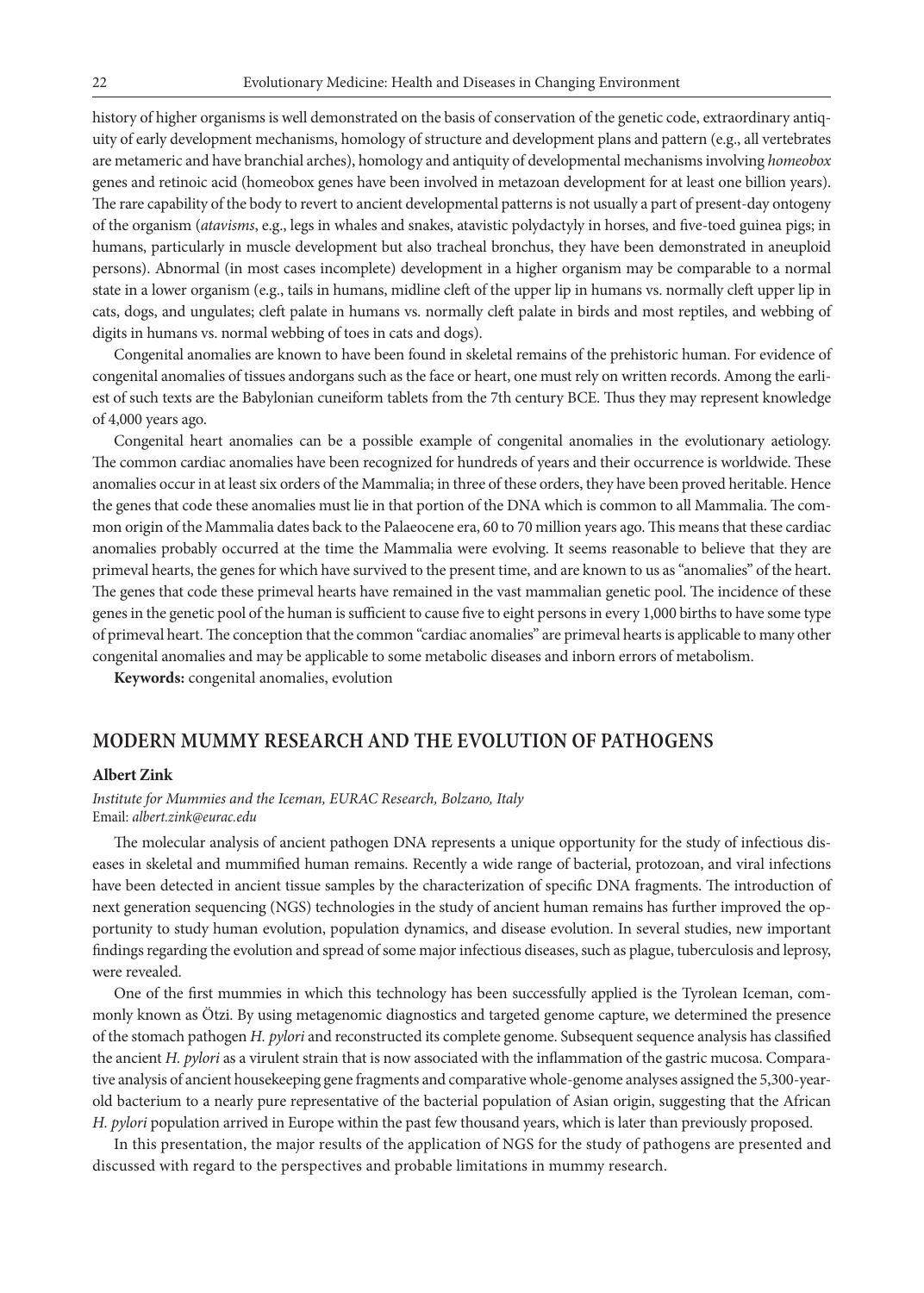history of higher organisms is well demonstrated on the basis of conservation of the genetic code, extraordinary antiquity of early development mechanisms, homology of structure and development plans and pattern (e.g., all vertebrates are metameric and have branchial arches), homology and antiquity of developmental mechanisms involving *homeobox*  genes and retinoic acid (homeobox genes have been involved in metazoan development for at least one billion years). The rare capability of the body to revert to ancient developmental patterns is not usually a part of present-day ontogeny of the organism (*atavisms*, e.g., legs in whales and snakes, atavistic polydactyly in horses, and five-toed guinea pigs; in humans, particularly in muscle development but also tracheal bronchus, they have been demonstrated in aneuploid persons). Abnormal (in most cases incomplete) development in a higher organism may be comparable to a normal state in a lower organism (e.g., tails in humans, midline cleft of the upper lip in humans vs. normally cleft upper lip in cats, dogs, and ungulates; cleft palate in humans vs. normally cleft palate in birds and most reptiles, and webbing of digits in humans vs. normal webbing of toes in cats and dogs).

Congenital anomalies are known to have been found in skeletal remains of the prehistoric human. For evidence of congenital anomalies of tissues andorgans such as the face or heart, one must rely on written records. Among the earliest of such texts are the Babylonian cuneiform tablets from the 7th century BCE. Thus they may represent knowledge of 4,000 years ago.

Congenital heart anomalies can be a possible example of congenital anomalies in the evolutionary aetiology. The common cardiac anomalies have been recognized for hundreds of years and their occurrence is worldwide. These anomalies occur in at least six orders of the Mammalia; in three of these orders, they have been proved heritable. Hence the genes that code these anomalies must lie in that portion of the DNA which is common to all Mammalia. The common origin of the Mammalia dates back to the Palaeocene era, 60 to 70 million years ago. This means that these cardiac anomalies probably occurred at the time the Mammalia were evolving. It seems reasonable to believe that they are primeval hearts, the genes for which have survived to the present time, and are known to us as "anomalies" of the heart. The genes that code these primeval hearts have remained in the vast mammalian genetic pool. The incidence of these genes in the genetic pool of the human is sufficient to cause five to eight persons in every 1,000 births to have some type of primeval heart. The conception that the common "cardiac anomalies" are primeval hearts is applicable to many other congenital anomalies and may be applicable to some metabolic diseases and inborn errors of metabolism.

**Keywords:** congenital anomalies, evolution

#### **MODERN MUMMY RESEARCH AND THE EVOLUTION OF PATHOGENS**

#### **Albert Zink**

*Institute for Mummies and the Iceman, EURAC Research, Bolzano, Italy* Email: *albert.zink@eurac.edu*

The molecular analysis of ancient pathogen DNA represents a unique opportunity for the study of infectious diseases in skeletal and mummified human remains. Recently a wide range of bacterial, protozoan, and viral infections have been detected in ancient tissue samples by the characterization of specific DNA fragments. The introduction of next generation sequencing (NGS) technologies in the study of ancient human remains has further improved the opportunity to study human evolution, population dynamics, and disease evolution. In several studies, new important findings regarding the evolution and spread of some major infectious diseases, such as plague, tuberculosis and leprosy, were revealed.

One of the first mummies in which this technology has been successfully applied is the Tyrolean Iceman, commonly known as Ötzi. By using metagenomic diagnostics and targeted genome capture, we determined the presence of the stomach pathogen *H. pylori* and reconstructed its complete genome. Subsequent sequence analysis has classified the ancient *H. pylori* as a virulent strain that is now associated with the inflammation of the gastric mucosa. Comparative analysis of ancient housekeeping gene fragments and comparative whole-genome analyses assigned the 5,300-yearold bacterium to a nearly pure representative of the bacterial population of Asian origin, suggesting that the African *H. pylori* population arrived in Europe within the past few thousand years, which is later than previously proposed.

In this presentation, the major results of the application of NGS for the study of pathogens are presented and discussed with regard to the perspectives and probable limitations in mummy research.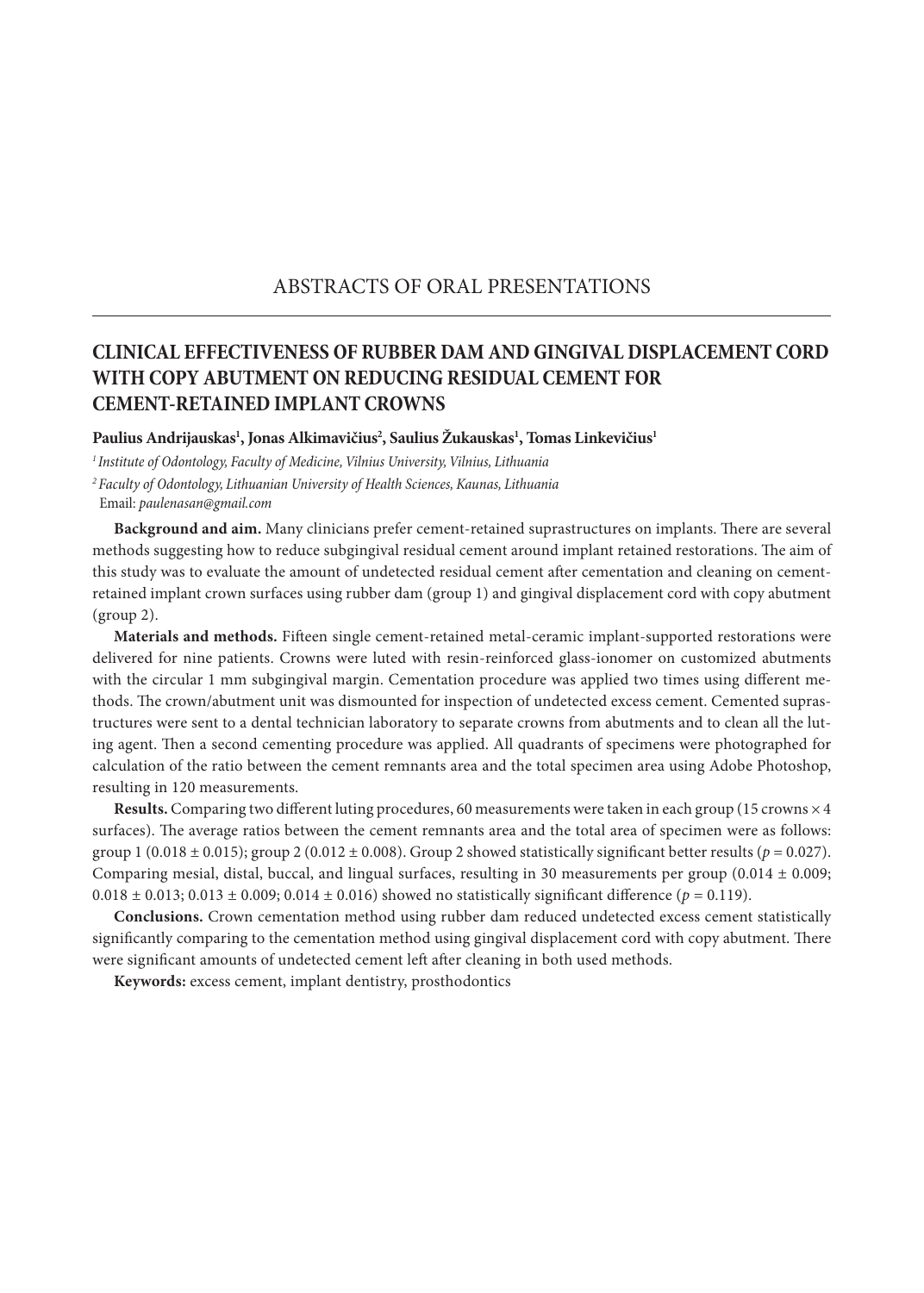### ABSTRACTS OF ORAL PRESENTATIONS

### **CLINICAL EFFECTIVENESS OF RUBBER DAM AND GINGIVAL DISPLACEMENT CORD WITH COPY ABUTMENT ON REDUCING RESIDUAL CEMENT FOR CEMENT-RETAINED IMPLANT CROWNS**

Paulius Andrijauskas<sup>ı</sup>, Jonas Alkimavičius<sup>2</sup>, Saulius Žukauskas<sup>ı</sup>, Tomas Linkevičius<sup>ı</sup>

*1 Institute of Odontology, Faculty of Medicine, Vilnius University, Vilnius, Lithuania <sup>2</sup>Faculty of Odontology, Lithuanian University of Health Sciences, Kaunas, Lithuania* Email: *paulenasan@gmail.com*

**Background and aim.** Many clinicians prefer cement-retained suprastructures on implants. There are several methods suggesting how to reduce subgingival residual cement around implant retained restorations. The aim of this study was to evaluate the amount of undetected residual cement after cementation and cleaning on cementretained implant crown surfaces using rubber dam (group 1) and gingival displacement cord with copy abutment (group 2).

**Materials and methods.** Fifteen single cement-retained metal-ceramic implant-supported restorations were delivered for nine patients. Crowns were luted with resin-reinforced glass-ionomer on customized abutments with the circular 1 mm subgingival margin. Cementation procedure was applied two times using different methods. The crown/abutment unit was dismounted for inspection of undetected excess cement. Cemented suprastructures were sent to a dental technician laboratory to separate crowns from abutments and to clean all the luting agent. Then a second cementing procedure was applied. All quadrants of specimens were photographed for calculation of the ratio between the cement remnants area and the total specimen area using Adobe Photoshop, resulting in 120 measurements.

**Results.** Comparing two different luting procedures, 60 measurements were taken in each group (15 crowns × 4 surfaces). The average ratios between the cement remnants area and the total area of specimen were as follows: group 1 (0.018  $\pm$  0.015); group 2 (0.012  $\pm$  0.008). Group 2 showed statistically significant better results ( $p = 0.027$ ). Comparing mesial, distal, buccal, and lingual surfaces, resulting in 30 measurements per group (0.014  $\pm$  0.009;  $0.018 \pm 0.013$ ;  $0.013 \pm 0.009$ ;  $0.014 \pm 0.016$ ) showed no statistically significant difference ( $p = 0.119$ ).

**Conclusions.** Crown cementation method using rubber dam reduced undetected excess cement statistically significantly comparing to the cementation method using gingival displacement cord with copy abutment. There were significant amounts of undetected cement left after cleaning in both used methods.

**Keywords:** excess cement, implant dentistry, prosthodontics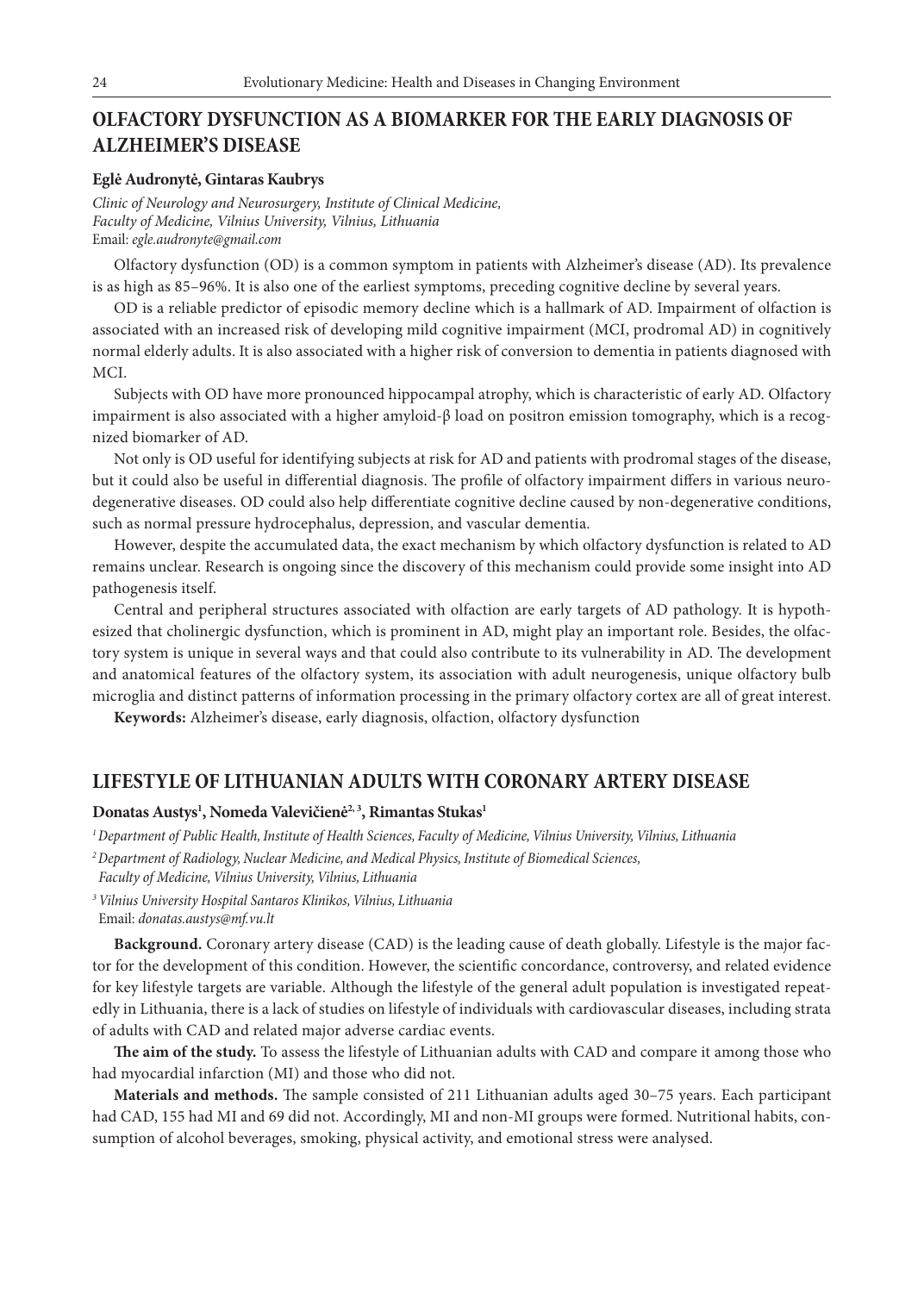### **OLFACTORY DYSFUNCTION AS A BIOMARKER FOR THE EARLY DIAGNOSIS OF ALZHEIMER'S DISEASE**

#### **Eglė Audronytė, Gintaras Kaubrys**

*Clinic of Neurology and Neurosurgery, Institute of Clinical Medicine, Faculty of Medicine, Vilnius University, Vilnius, Lithuania* Email: *egle.audronyte@gmail.com*

Olfactory dysfunction (OD) is a common symptom in patients with Alzheimer's disease (AD). Its prevalence is as high as 85–96%. It is also one of the earliest symptoms, preceding cognitive decline by several years.

OD is a reliable predictor of episodic memory decline which is a hallmark of AD. Impairment of olfaction is associated with an increased risk of developing mild cognitive impairment (MCI, prodromal AD) in cognitively normal elderly adults. It is also associated with a higher risk of conversion to dementia in patients diagnosed with MCI.

Subjects with OD have more pronounced hippocampal atrophy, which is characteristic of early AD. Olfactory impairment is also associated with a higher amyloid-β load on positron emission tomography, which is a recognized biomarker of AD.

Not only is OD useful for identifying subjects at risk for AD and patients with prodromal stages of the disease, but it could also be useful in differential diagnosis. The profile of olfactory impairment differs in various neurodegenerative diseases. OD could also help differentiate cognitive decline caused by non-degenerative conditions, such as normal pressure hydrocephalus, depression, and vascular dementia.

However, despite the accumulated data, the exact mechanism by which olfactory dysfunction is related to AD remains unclear. Research is ongoing since the discovery of this mechanism could provide some insight into AD pathogenesis itself.

Central and peripheral structures associated with olfaction are early targets of AD pathology. It is hypothesized that cholinergic dysfunction, which is prominent in AD, might play an important role. Besides, the olfactory system is unique in several ways and that could also contribute to its vulnerability in AD. The development and anatomical features of the olfactory system, its association with adult neurogenesis, unique olfactory bulb microglia and distinct patterns of information processing in the primary olfactory cortex are all of great interest.

**Keywords:** Alzheimer's disease, early diagnosis, olfaction, olfactory dysfunction

#### **LIFESTYLE OF LITHUANIAN ADULTS WITH CORONARY ARTERY DISEASE**

#### **Donatas Austys1 , Nomeda Valevičienė2, 3, Rimantas Stukas1**

*1 Department of Public Health, Institute of Health Sciences, Faculty of Medicine, Vilnius University, Vilnius, Lithuania*

- *2 Department of Radiology, Nuclear Medicine, and Medical Physics, Institute of Biomedical Sciences,*
- *Faculty of Medicine, Vilnius University, Vilnius, Lithuania*

*<sup>3</sup>Vilnius University Hospital Santaros Klinikos, Vilnius, Lithuania* Email: *donatas.austys@mf.vu.lt*

**Background.** Coronary artery disease (CAD) is the leading cause of death globally. Lifestyle is the major factor for the development of this condition. However, the scientific concordance, controversy, and related evidence for key lifestyle targets are variable. Although the lifestyle of the general adult population is investigated repeatedly in Lithuania, there is a lack of studies on lifestyle of individuals with cardiovascular diseases, including strata of adults with CAD and related major adverse cardiac events.

**The aim of the study.** To assess the lifestyle of Lithuanian adults with CAD and compare it among those who had myocardial infarction (MI) and those who did not.

**Materials and methods.** The sample consisted of 211 Lithuanian adults aged 30–75 years. Each participant had CAD, 155 had MI and 69 did not. Accordingly, MI and non-MI groups were formed. Nutritional habits, consumption of alcohol beverages, smoking, physical activity, and emotional stress were analysed.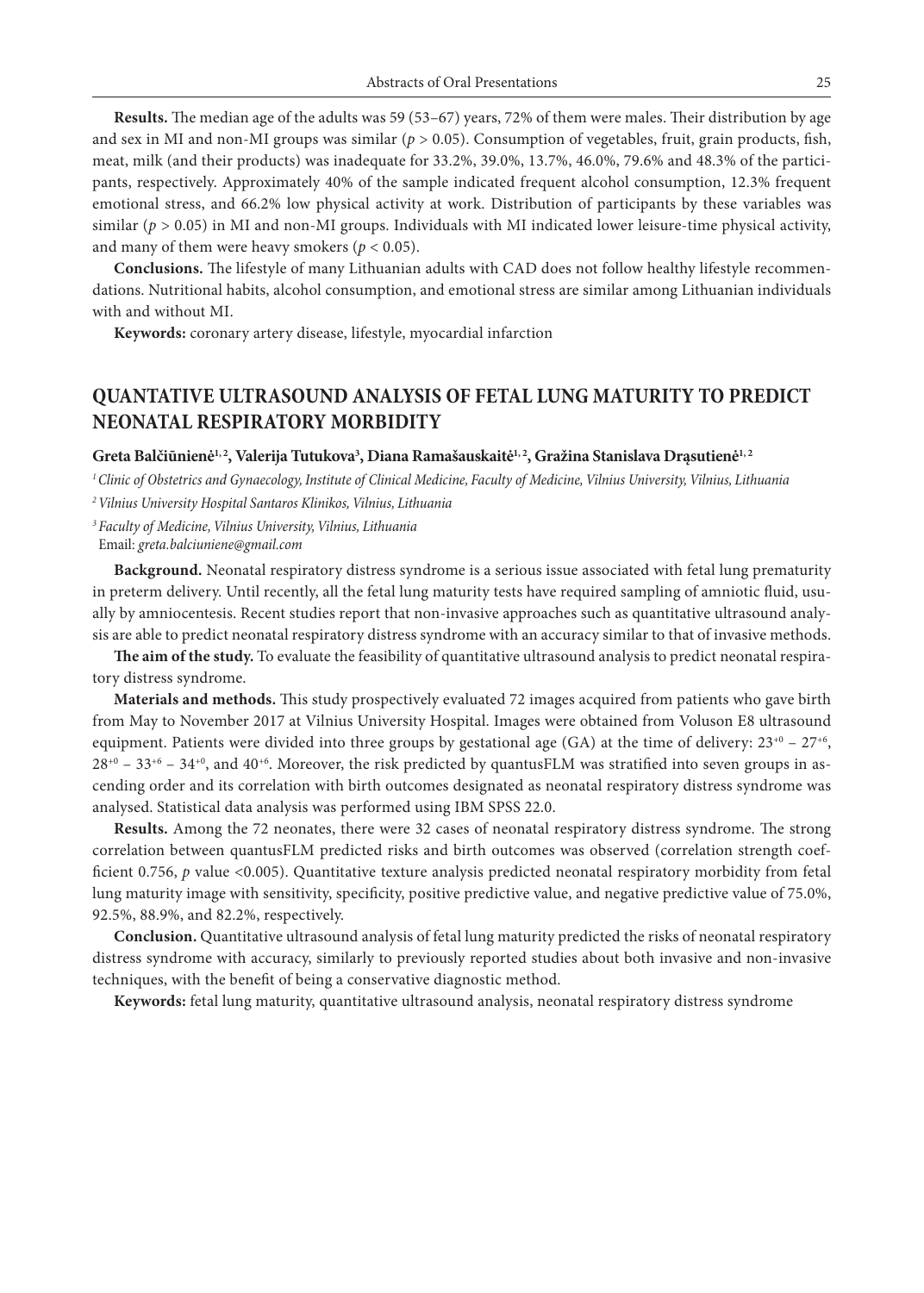**Results.** The median age of the adults was 59 (53–67) years, 72% of them were males. Their distribution by age and sex in MI and non-MI groups was similar (*p* > 0.05). Consumption of vegetables, fruit, grain products, fish, meat, milk (and their products) was inadequate for 33.2%, 39.0%, 13.7%, 46.0%, 79.6% and 48.3% of the participants, respectively. Approximately 40% of the sample indicated frequent alcohol consumption, 12.3% frequent emotional stress, and 66.2% low physical activity at work. Distribution of participants by these variables was similar ( $p > 0.05$ ) in MI and non-MI groups. Individuals with MI indicated lower leisure-time physical activity, and many of them were heavy smokers ( $p < 0.05$ ).

**Conclusions.** The lifestyle of many Lithuanian adults with CAD does not follow healthy lifestyle recommendations. Nutritional habits, alcohol consumption, and emotional stress are similar among Lithuanian individuals with and without MI.

**Keywords:** coronary artery disease, lifestyle, myocardial infarction

### **QUANTATIVE ULTRASOUND ANALYSIS OF FETAL LUNG MATURITY TO PREDICT NEONATAL RESPIRATORY MORBIDITY**

 $\bf{G}$ reta Balčiūnienė $^{1,2}$ , Valerija Tutukova $^3$ , Diana Ramašauskaitė $^{1,2}$ , Gražina Stanislava Drąsutienė $^{1,2}$ 

*1 Clinic of Obstetrics and Gynaecology, Institute of Clinical Medicine, Faculty of Medicine, Vilnius University, Vilnius, Lithuania*

*2 Vilnius University Hospital Santaros Klinikos, Vilnius, Lithuania*

*<sup>3</sup>Faculty of Medicine, Vilnius University, Vilnius, Lithuania* Email: *greta.balciuniene@gmail.com*

**Background.** Neonatal respiratory distress syndrome is a serious issue associated with fetal lung prematurity in preterm delivery. Until recently, all the fetal lung maturity tests have required sampling of amniotic fluid, usually by amniocentesis. Recent studies report that non-invasive approaches such as quantitative ultrasound analysis are able to predict neonatal respiratory distress syndrome with an accuracy similar to that of invasive methods.

**The aim of the study.** To evaluate the feasibility of quantitative ultrasound analysis to predict neonatal respiratory distress syndrome.

**Materials and methods.** This study prospectively evaluated 72 images acquired from patients who gave birth from May to November 2017 at Vilnius University Hospital. Images were obtained from Voluson E8 ultrasound equipment. Patients were divided into three groups by gestational age (GA) at the time of delivery:  $23^{+0}$  –  $27^{+6}$ ,  $28^{+0}$  – 33<sup>+6</sup> – 34<sup>+0</sup>, and 40<sup>+6</sup>. Moreover, the risk predicted by quantusFLM was stratified into seven groups in ascending order and its correlation with birth outcomes designated as neonatal respiratory distress syndrome was analysed. Statistical data analysis was performed using IBM SPSS 22.0.

**Results.** Among the 72 neonates, there were 32 cases of neonatal respiratory distress syndrome. The strong correlation between quantusFLM predicted risks and birth outcomes was observed (correlation strength coefficient 0.756, *p* value <0.005). Quantitative texture analysis predicted neonatal respiratory morbidity from fetal lung maturity image with sensitivity, specificity, positive predictive value, and negative predictive value of 75.0%, 92.5%, 88.9%, and 82.2%, respectively.

**Conclusion.** Quantitative ultrasound analysis of fetal lung maturity predicted the risks of neonatal respiratory distress syndrome with accuracy, similarly to previously reported studies about both invasive and non-invasive techniques, with the benefit of being a conservative diagnostic method.

**Keywords:** fetal lung maturity, quantitative ultrasound analysis, neonatal respiratory distress syndrome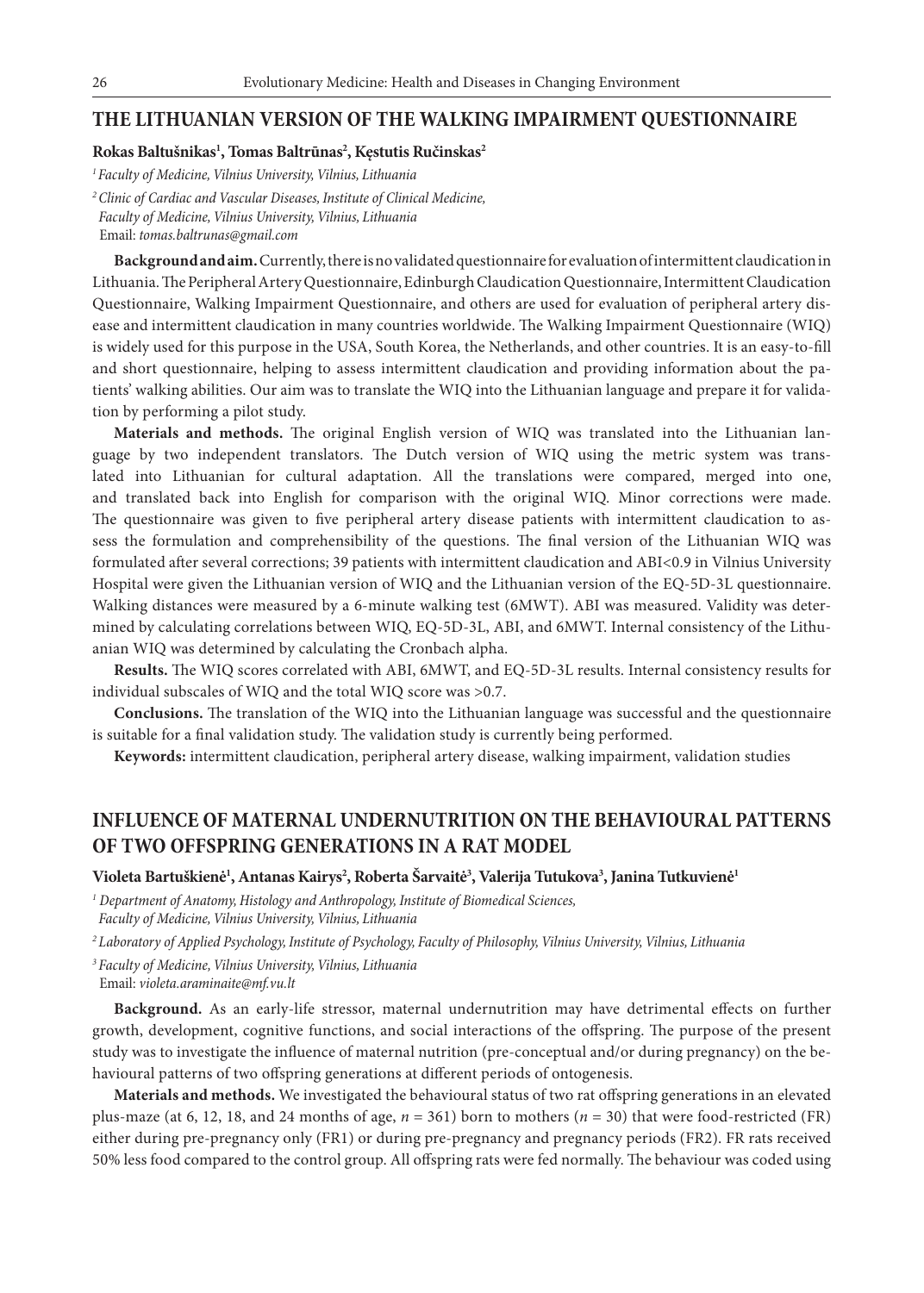#### **THE LITHUANIAN VERSION OF THE WALKING IMPAIRMENT QUESTIONNAIRE**

#### **Rokas Baltušnikas1 , Tomas Baltrūnas2 , Kęstutis Ručinskas2**

*1 Faculty of Medicine, Vilnius University, Vilnius, Lithuania*

*<sup>2</sup>Clinic of Cardiac and Vascular Diseases, Institute of Clinical Medicine, Faculty of Medicine, Vilnius University, Vilnius, Lithuania* Email: *tomas.baltrunas@gmail.com*

**Background and aim.** Currently, there is no validated questionnaire for evaluation of intermittent claudication in Lithuania. The Peripheral Artery Questionnaire, Edinburgh Claudication Questionnaire, Intermittent Claudication Questionnaire, Walking Impairment Questionnaire, and others are used for evaluation of peripheral artery disease and intermittent claudication in many countries worldwide. The Walking Impairment Questionnaire (WIQ) is widely used for this purpose in the USA, South Korea, the Netherlands, and other countries. It is an easy-to-fill and short questionnaire, helping to assess intermittent claudication and providing information about the patients' walking abilities. Our aim was to translate the WIQ into the Lithuanian language and prepare it for validation by performing a pilot study.

**Materials and methods.** The original English version of WIQ was translated into the Lithuanian language by two independent translators. The Dutch version of WIQ using the metric system was translated into Lithuanian for cultural adaptation. All the translations were compared, merged into one, and translated back into English for comparison with the original WIQ. Minor corrections were made. The questionnaire was given to five peripheral artery disease patients with intermittent claudication to assess the formulation and comprehensibility of the questions. The final version of the Lithuanian WIQ was formulated after several corrections; 39 patients with intermittent claudication and ABI<0.9 in Vilnius University Hospital were given the Lithuanian version of WIQ and the Lithuanian version of the EQ-5D-3L questionnaire. Walking distances were measured by a 6-minute walking test (6MWT). ABI was measured. Validity was determined by calculating correlations between WIQ, EQ-5D-3L, ABI, and 6MWT. Internal consistency of the Lithuanian WIQ was determined by calculating the Cronbach alpha.

**Results.** The WIQ scores correlated with ABI, 6MWT, and EQ-5D-3L results. Internal consistency results for individual subscales of WIQ and the total WIQ score was >0.7.

**Conclusions.** The translation of the WIQ into the Lithuanian language was successful and the questionnaire is suitable for a final validation study. The validation study is currently being performed.

**Keywords:** intermittent claudication, peripheral artery disease, walking impairment, validation studies

### **INFLUENCE OF MATERNAL UNDERNUTRITION ON THE BEHAVIOURAL PATTERNS OF TWO OFFSPRING GENERATIONS IN A RAT MODEL**

#### **Violeta Bartuškienė1 , Antanas Kairys2 , Roberta Šarvaitė3 , Valerija Tutukova3 , Janina Tutkuvienė1**

*1 Department of Anatomy, Histology and Anthropology, Institute of Biomedical Sciences, Faculty of Medicine, Vilnius University, Vilnius, Lithuania*

*<sup>2</sup>Laboratory of Applied Psychology, Institute of Psychology, Faculty of Philosophy, Vilnius University, Vilnius, Lithuania*

*<sup>3</sup>Faculty of Medicine, Vilnius University, Vilnius, Lithuania*

Email: *violeta.araminaite@mf.vu.lt*

**Background.** As an early-life stressor, maternal undernutrition may have detrimental effects on further growth, development, cognitive functions, and social interactions of the offspring. The purpose of the present study was to investigate the influence of maternal nutrition (pre-conceptual and/or during pregnancy) on the behavioural patterns of two offspring generations at different periods of ontogenesis.

**Materials and methods.** We investigated the behavioural status of two rat offspring generations in an elevated plus-maze (at 6, 12, 18, and 24 months of age,  $n = 361$ ) born to mothers ( $n = 30$ ) that were food-restricted (FR) either during pre-pregnancy only (FR1) or during pre-pregnancy and pregnancy periods (FR2). FR rats received 50% less food compared to the control group. All offspring rats were fed normally. The behaviour was coded using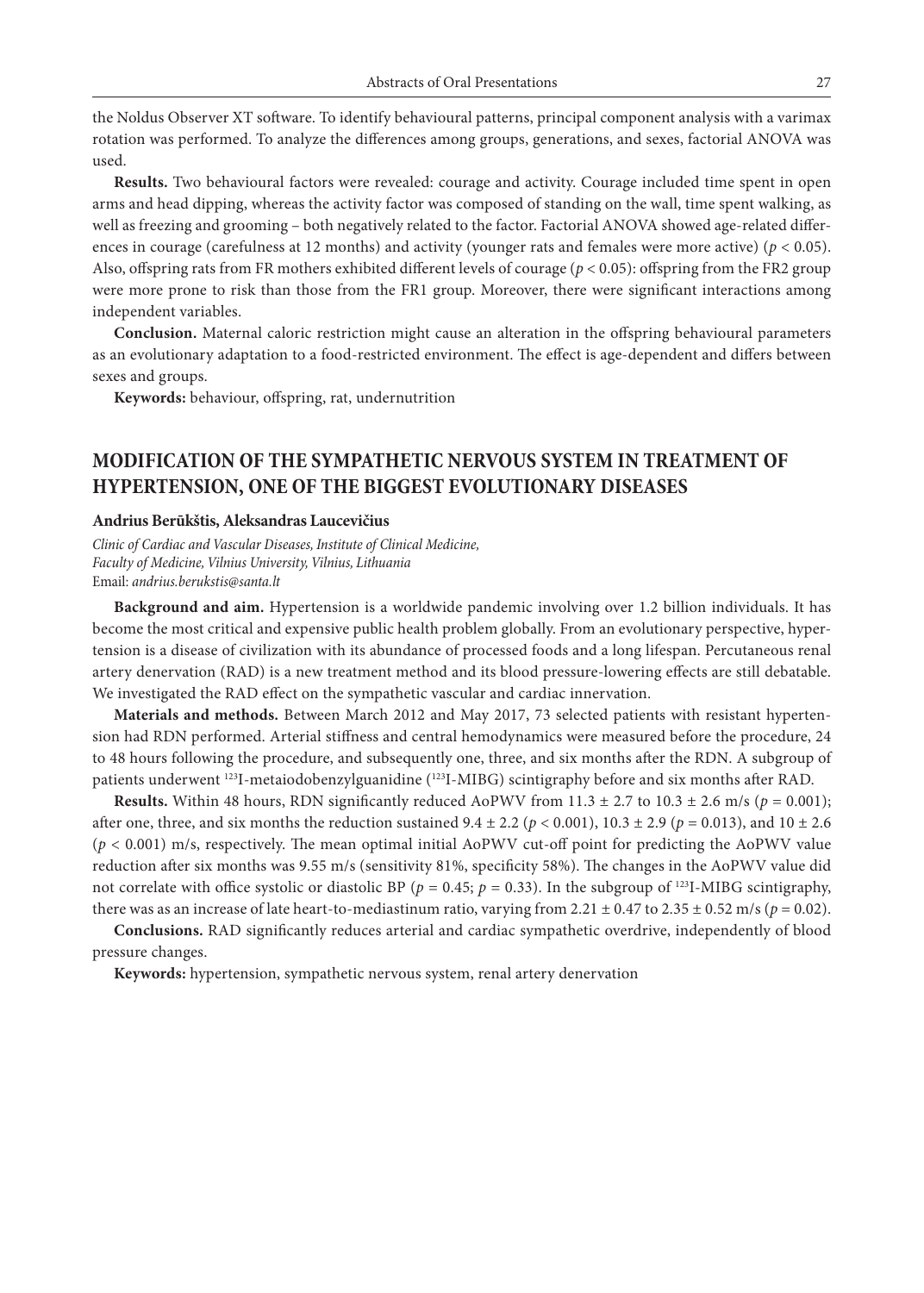the Noldus Observer XT software. To identify behavioural patterns, principal component analysis with a varimax rotation was performed. To analyze the differences among groups, generations, and sexes, factorial ANOVA was used.

**Results.** Two behavioural factors were revealed: courage and activity. Courage included time spent in open arms and head dipping, whereas the activity factor was composed of standing on the wall, time spent walking, as well as freezing and grooming – both negatively related to the factor. Factorial ANOVA showed age-related differences in courage (carefulness at 12 months) and activity (younger rats and females were more active) ( $p < 0.05$ ). Also, offspring rats from FR mothers exhibited different levels of courage (*p* < 0.05): offspring from the FR2 group were more prone to risk than those from the FR1 group. Moreover, there were significant interactions among independent variables.

**Conclusion.** Maternal caloric restriction might cause an alteration in the offspring behavioural parameters as an evolutionary adaptation to a food-restricted environment. The effect is age-dependent and differs between sexes and groups.

**Keywords:** behaviour, offspring, rat, undernutrition

### **MODIFICATION OF THE SYMPATHETIC NERVOUS SYSTEM IN TREATMENT OF HYPERTENSION, ONE OF THE BIGGEST EVOLUTIONARY DISEASES**

#### **Andrius Berūkštis, Aleksandras Laucevičius**

*Clinic of Cardiac and Vascular Diseases, Institute of Clinical Medicine, Faculty of Medicine, Vilnius University, Vilnius, Lithuania* Email: *andrius.berukstis@santa.lt*

**Background and aim.** Hypertension is a worldwide pandemic involving over 1.2 billion individuals. It has become the most critical and expensive public health problem globally. From an evolutionary perspective, hypertension is a disease of civilization with its abundance of processed foods and a long lifespan. Percutaneous renal artery denervation (RAD) is a new treatment method and its blood pressure-lowering effects are still debatable. We investigated the RAD effect on the sympathetic vascular and cardiac innervation.

**Materials and methods.** Between March 2012 and May 2017, 73 selected patients with resistant hypertension had RDN performed. Arterial stiffness and central hemodynamics were measured before the procedure, 24 to 48 hours following the procedure, and subsequently one, three, and six months after the RDN. A subgroup of patients underwent 123I-metaiodobenzylguanidine (123I-MIBG) scintigraphy before and six months after RAD.

**Results.** Within 48 hours, RDN significantly reduced AoPWV from  $11.3 \pm 2.7$  to  $10.3 \pm 2.6$  m/s ( $p = 0.001$ ); after one, three, and six months the reduction sustained  $9.4 \pm 2.2$  ( $p < 0.001$ ),  $10.3 \pm 2.9$  ( $p = 0.013$ ), and  $10 \pm 2.6$ (*p* < 0.001) m/s, respectively. The mean optimal initial AoPWV cut-off point for predicting the AoPWV value reduction after six months was 9.55 m/s (sensitivity 81%, specificity 58%). The changes in the AoPWV value did not correlate with office systolic or diastolic BP ( $p = 0.45$ ;  $p = 0.33$ ). In the subgroup of <sup>123</sup>I-MIBG scintigraphy, there was as an increase of late heart-to-mediastinum ratio, varying from 2.21  $\pm$  0.47 to 2.35  $\pm$  0.52 m/s ( $p = 0.02$ ).

**Conclusions.** RAD significantly reduces arterial and cardiac sympathetic overdrive, independently of blood pressure changes.

**Keywords:** hypertension, sympathetic nervous system, renal artery denervation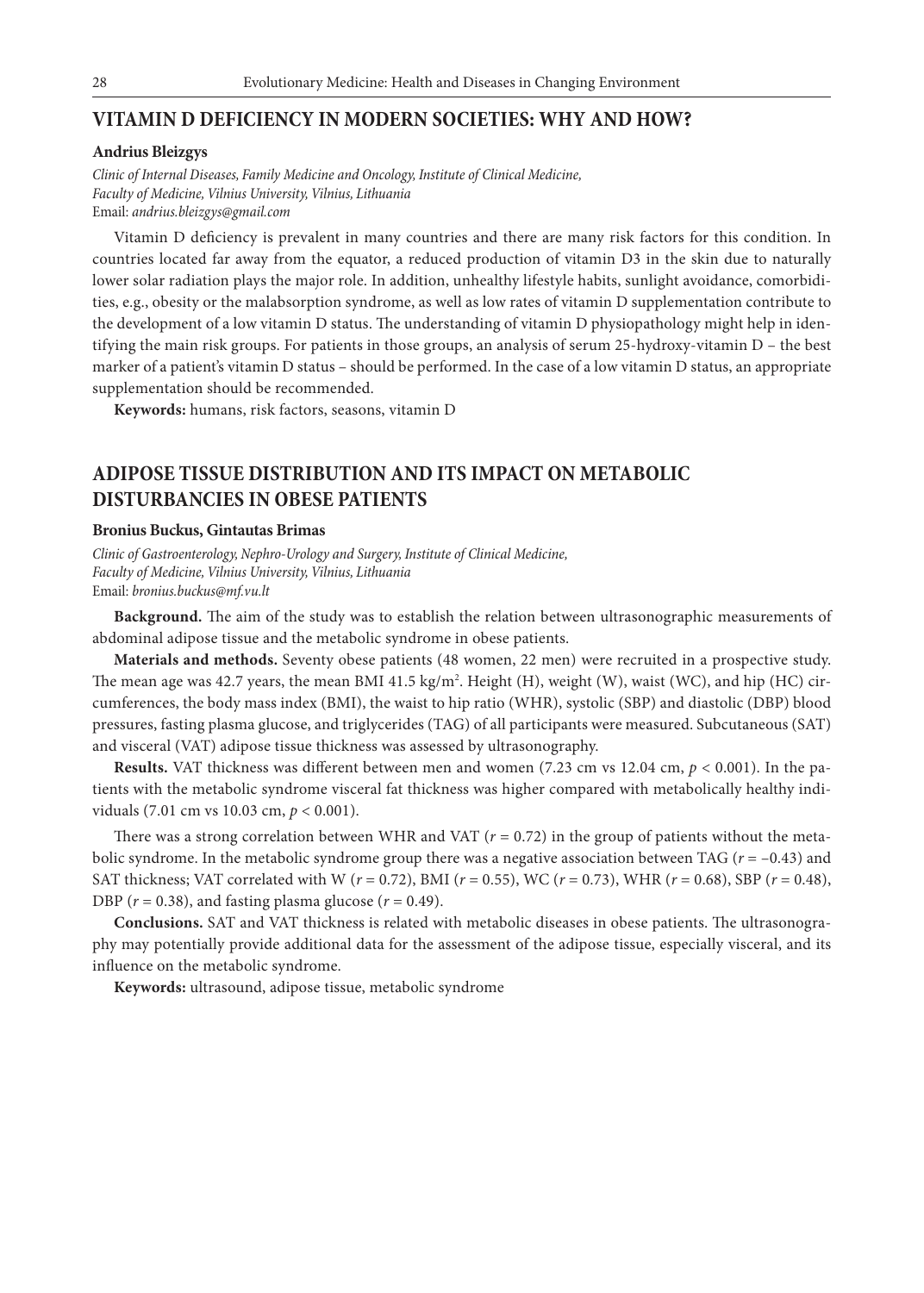#### **VITAMIN D DEFICIENCY IN MODERN SOCIETIES: WHY AND HOW?**

#### **Andrius Bleizgys**

*Clinic of Internal Diseases, Family Medicine and Oncology, Institute of Clinical Medicine, Faculty of Medicine, Vilnius University, Vilnius, Lithuania* Email: *andrius.bleizgys@gmail.com*

Vitamin D deficiency is prevalent in many countries and there are many risk factors for this condition. In countries located far away from the equator, a reduced production of vitamin D3 in the skin due to naturally lower solar radiation plays the major role. In addition, unhealthy lifestyle habits, sunlight avoidance, comorbidities, e.g., obesity or the malabsorption syndrome, as well as low rates of vitamin D supplementation contribute to the development of a low vitamin D status. The understanding of vitamin D physiopathology might help in identifying the main risk groups. For patients in those groups, an analysis of serum 25-hydroxy-vitamin D – the best marker of a patient's vitamin D status – should be performed. In the case of a low vitamin D status, an appropriate supplementation should be recommended.

**Keywords:** humans, risk factors, seasons, vitamin D

### **ADIPOSE TISSUE DISTRIBUTION AND ITS IMPACT ON METABOLIC DISTURBANCIES IN OBESE PATIENTS**

#### **Bronius Buckus, Gintautas Brimas**

*Clinic of Gastroenterology, Nephro-Urology and Surgery, Institute of Clinical Medicine, Faculty of Medicine, Vilnius University, Vilnius, Lithuania* Email: *bronius.buckus@mf.vu.lt*

**Background.** The aim of the study was to establish the relation between ultrasonographic measurements of abdominal adipose tissue and the metabolic syndrome in obese patients.

**Materials and methods.** Seventy obese patients (48 women, 22 men) were recruited in a prospective study. The mean age was 42.7 years, the mean BMI 41.5 kg/m². Height (H), weight (W), waist (WC), and hip (HC) circumferences, the body mass index (BMI), the waist to hip ratio (WHR), systolic (SBP) and diastolic (DBP) blood pressures, fasting plasma glucose, and triglycerides (TAG) of all participants were measured. Subcutaneous (SAT) and visceral (VAT) adipose tissue thickness was assessed by ultrasonography.

**Results.** VAT thickness was different between men and women (7.23 cm vs 12.04 cm, *p* < 0.001). In the patients with the metabolic syndrome visceral fat thickness was higher compared with metabolically healthy individuals (7.01 cm vs 10.03 cm, *p* < 0.001).

There was a strong correlation between WHR and VAT  $(r = 0.72)$  in the group of patients without the metabolic syndrome. In the metabolic syndrome group there was a negative association between TAG (*r* = –0.43) and SAT thickness; VAT correlated with W (*r* = 0.72), BMI (*r* = 0.55), WC (*r* = 0.73), WHR (*r* = 0.68), SBP (*r* = 0.48), DBP  $(r = 0.38)$ , and fasting plasma glucose  $(r = 0.49)$ .

**Conclusions.** SAT and VAT thickness is related with metabolic diseases in obese patients. The ultrasonography may potentially provide additional data for the assessment of the adipose tissue, especially visceral, and its influence on the metabolic syndrome.

**Keywords:** ultrasound, adipose tissue, metabolic syndrome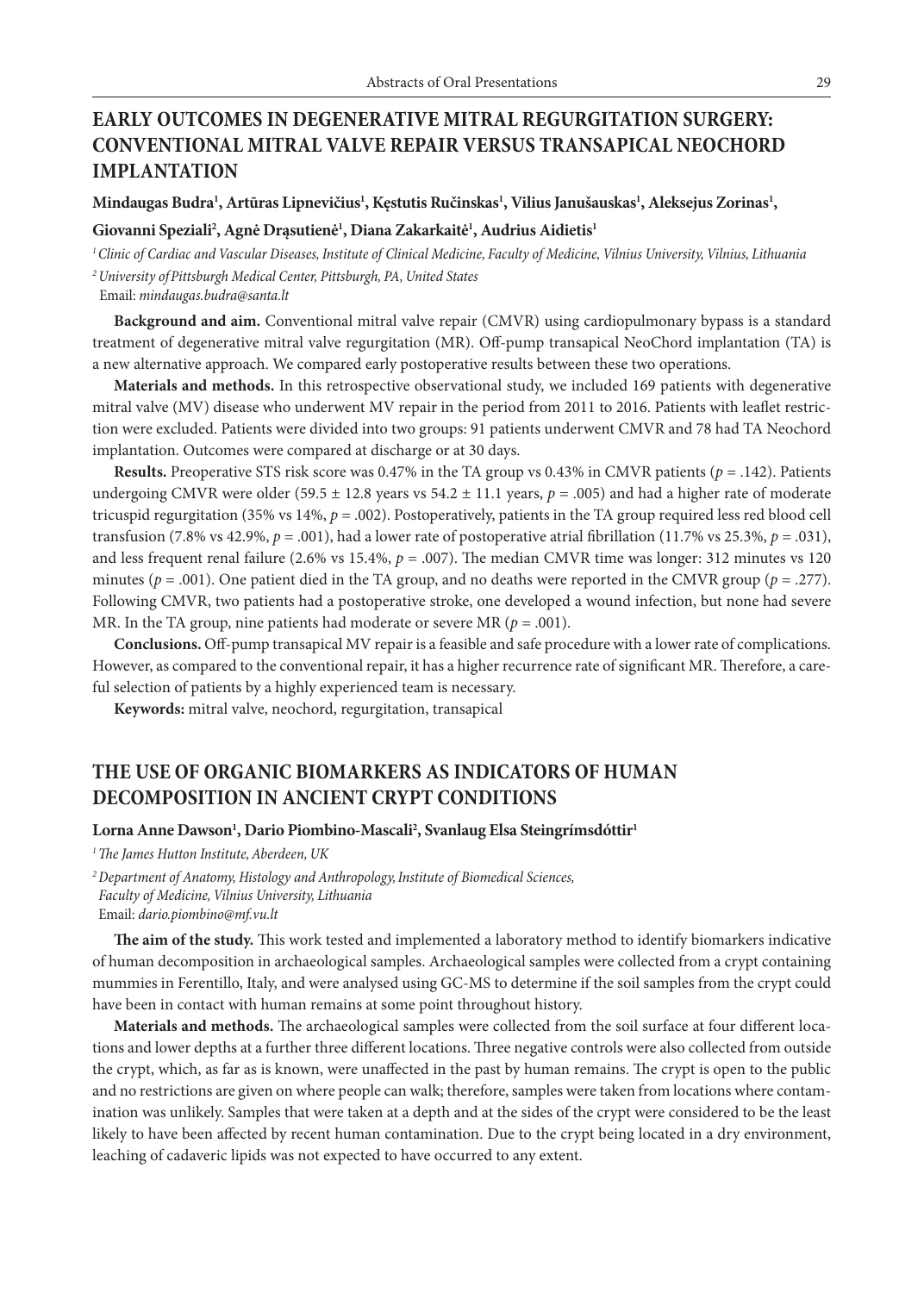### **EARLY OUTCOMES IN DEGENERATIVE MITRAL REGURGITATION SURGERY: CONVENTIONAL MITRAL VALVE REPAIR VERSUS TRANSAPICAL NEOCHORD IMPLANTATION**

Mindaugas Budra<sup>ı</sup>, Artūras Lipnevičius<sup>ı</sup>, Kęstutis Ručinskas<sup>ı</sup>, Vilius Janušauskas<sup>ı</sup>, Aleksejus Zorinas<sup>ı</sup>,

#### **Giovanni Speziali2 , Agnė Drąsutienė1 , Diana Zakarkaitė1 , Audrius Aidietis1**

*1Clinic of Cardiac and Vascular Diseases, Institute of Clinical Medicine, Faculty of Medicine, Vilnius University, Vilnius, Lithuania <sup>2</sup>University ofPittsburgh Medical Center, Pittsburgh, PA, United States*

Email: *mindaugas.budra@santa.lt*

**Background and aim.** Conventional mitral valve repair (CMVR) using cardiopulmonary bypass is a standard treatment of degenerative mitral valve regurgitation (MR). Off-pump transapical NeoChord implantation (TA) is a new alternative approach. We compared early postoperative results between these two operations.

**Materials and methods.** In this retrospective observational study, we included 169 patients with degenerative mitral valve (MV) disease who underwent MV repair in the period from 2011 to 2016. Patients with leaflet restriction were excluded. Patients were divided into two groups: 91 patients underwent CMVR and 78 had TA Neochord implantation. Outcomes were compared at discharge or at 30 days.

**Results.** Preoperative STS risk score was 0.47% in the TA group vs 0.43% in CMVR patients (*p* = .142). Patients undergoing CMVR were older (59.5  $\pm$  12.8 years vs 54.2  $\pm$  11.1 years,  $p = .005$ ) and had a higher rate of moderate tricuspid regurgitation (35% vs  $14\%, p = .002$ ). Postoperatively, patients in the TA group required less red blood cell transfusion (7.8% vs 42.9%,  $p = .001$ ), had a lower rate of postoperative atrial fibrillation (11.7% vs 25.3%,  $p = .031$ ), and less frequent renal failure (2.6% vs 15.4%, *p* = .007). The median CMVR time was longer: 312 minutes vs 120 minutes ( $p = .001$ ). One patient died in the TA group, and no deaths were reported in the CMVR group ( $p = .277$ ). Following CMVR, two patients had a postoperative stroke, one developed a wound infection, but none had severe MR. In the TA group, nine patients had moderate or severe MR ( $p = .001$ ).

**Conclusions.** Off-pump transapical MV repair is a feasible and safe procedure with a lower rate of complications. However, as compared to the conventional repair, it has a higher recurrence rate of significant MR. Therefore, a careful selection of patients by a highly experienced team is necessary.

**Keywords:** mitral valve, neochord, regurgitation, transapical

### **THE USE OF ORGANIC BIOMARKERS AS INDICATORS OF HUMAN DECOMPOSITION IN ANCIENT CRYPT CONDITIONS**

#### $\bf{Lorna}$  Anne  $\bf{Dawson}^1$ ,  $\bf{Dario Piombino-Mascal}^2$ ,  $\bf{Swanlaug}$  Elsa  $\bf{Steingr}$ íms $\bf{dóttir}^1$

*1The James Hutton Institute, Aberdeen, UK*

*<sup>2</sup>Department of Anatomy, Histology and Anthropology,Institute of Biomedical Sciences, Faculty of Medicine, Vilnius University, Lithuania* Email: *dario.piombino@mf.vu.lt*

**The aim of the study.** This work tested and implemented a laboratory method to identify biomarkers indicative of human decomposition in archaeological samples. Archaeological samples were collected from a crypt containing mummies in Ferentillo, Italy, and were analysed using GC-MS to determine if the soil samples from the crypt could have been in contact with human remains at some point throughout history.

**Materials and methods.** The archaeological samples were collected from the soil surface at four different locations and lower depths at a further three different locations. Three negative controls were also collected from outside the crypt, which, as far as is known, were unaffected in the past by human remains. The crypt is open to the public and no restrictions are given on where people can walk; therefore, samples were taken from locations where contamination was unlikely. Samples that were taken at a depth and at the sides of the crypt were considered to be the least likely to have been affected by recent human contamination. Due to the crypt being located in a dry environment, leaching of cadaveric lipids was not expected to have occurred to any extent.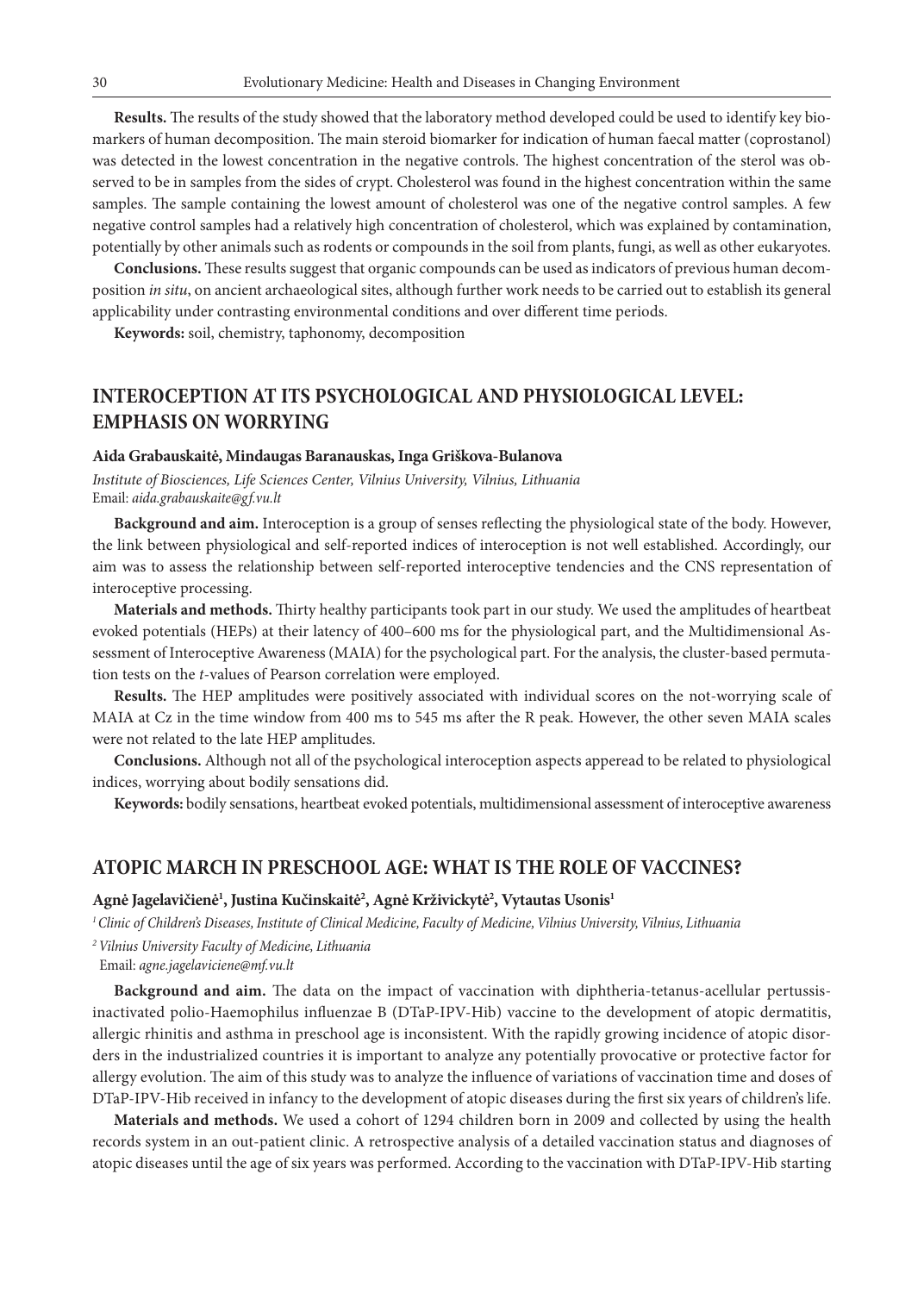**Results.** The results of the study showed that the laboratory method developed could be used to identify key biomarkers of human decomposition. The main steroid biomarker for indication of human faecal matter (coprostanol) was detected in the lowest concentration in the negative controls. The highest concentration of the sterol was observed to be in samples from the sides of crypt. Cholesterol was found in the highest concentration within the same samples. The sample containing the lowest amount of cholesterol was one of the negative control samples. A few negative control samples had a relatively high concentration of cholesterol, which was explained by contamination, potentially by other animals such as rodents or compounds in the soil from plants, fungi, as well as other eukaryotes.

**Conclusions.** These results suggest that organic compounds can be used as indicators of previous human decomposition *in situ*, on ancient archaeological sites, although further work needs to be carried out to establish its general applicability under contrasting environmental conditions and over different time periods.

**Keywords:** soil, chemistry, taphonomy, decomposition

### **INTEROCEPTION AT ITS PSYCHOLOGICAL AND PHYSIOLOGICAL LEVEL: EMPHASIS ON WORRYING**

#### **Aida Grabauskaitė, Mindaugas Baranauskas, Inga Griškova-Bulanova**

*Institute of Biosciences, Life Sciences Center, Vilnius University, Vilnius, Lithuania* Email: *aida.grabauskaite@gf.vu.lt*

**Background and aim.** Interoception is a group of senses reflecting the physiological state of the body. However, the link between physiological and self-reported indices of interoception is not well established. Accordingly, our aim was to assess the relationship between self-reported interoceptive tendencies and the CNS representation of interoceptive processing.

**Materials and methods.** Thirty healthy participants took part in our study. We used the amplitudes of heartbeat evoked potentials (HEPs) at their latency of 400–600 ms for the physiological part, and the Multidimensional Assessment of Interoceptive Awareness (MAIA) for the psychological part. For the analysis, the cluster-based permutation tests on the *t*-values of Pearson correlation were employed.

**Results.** The HEP amplitudes were positively associated with individual scores on the not-worrying scale of MAIA at Cz in the time window from 400 ms to 545 ms after the R peak. However, the other seven MAIA scales were not related to the late HEP amplitudes.

**Conclusions.** Although not all of the psychological interoception aspects apperead to be related to physiological indices, worrying about bodily sensations did.

**Keywords:** bodily sensations, heartbeat evoked potentials, multidimensional assessment of interoceptive awareness

#### **ATOPIC MARCH IN PRESCHOOL AGE: WHAT IS THE ROLE OF VACCINES?**

#### **Agnė Jagelavičienė1 , Justina Kučinskaitė2 , Agnė Krživickytė2 , Vytautas Usonis1**

*1 Clinic of Children's Diseases, Institute of Clinical Medicine, Faculty of Medicine, Vilnius University, Vilnius, Lithuania*

*<sup>2</sup>Vilnius University Faculty of Medicine, Lithuania*

Email: *agne.jagelaviciene@mf.vu.lt*

**Background and aim.** The data on the impact of vaccination with diphtheria-tetanus-acellular pertussisinactivated polio-Haemophilus influenzae B (DTaP-IPV-Hib) vaccine to the development of atopic dermatitis, allergic rhinitis and asthma in preschool age is inconsistent. With the rapidly growing incidence of atopic disorders in the industrialized countries it is important to analyze any potentially provocative or protective factor for allergy evolution. The aim of this study was to analyze the influence of variations of vaccination time and doses of DTaP-IPV-Hib received in infancy to the development of atopic diseases during the first six years of children's life.

**Materials and methods.** We used a cohort of 1294 children born in 2009 and collected by using the health records system in an out-patient clinic. A retrospective analysis of a detailed vaccination status and diagnoses of atopic diseases until the age of six years was performed. According to the vaccination with DTaP-IPV-Hib starting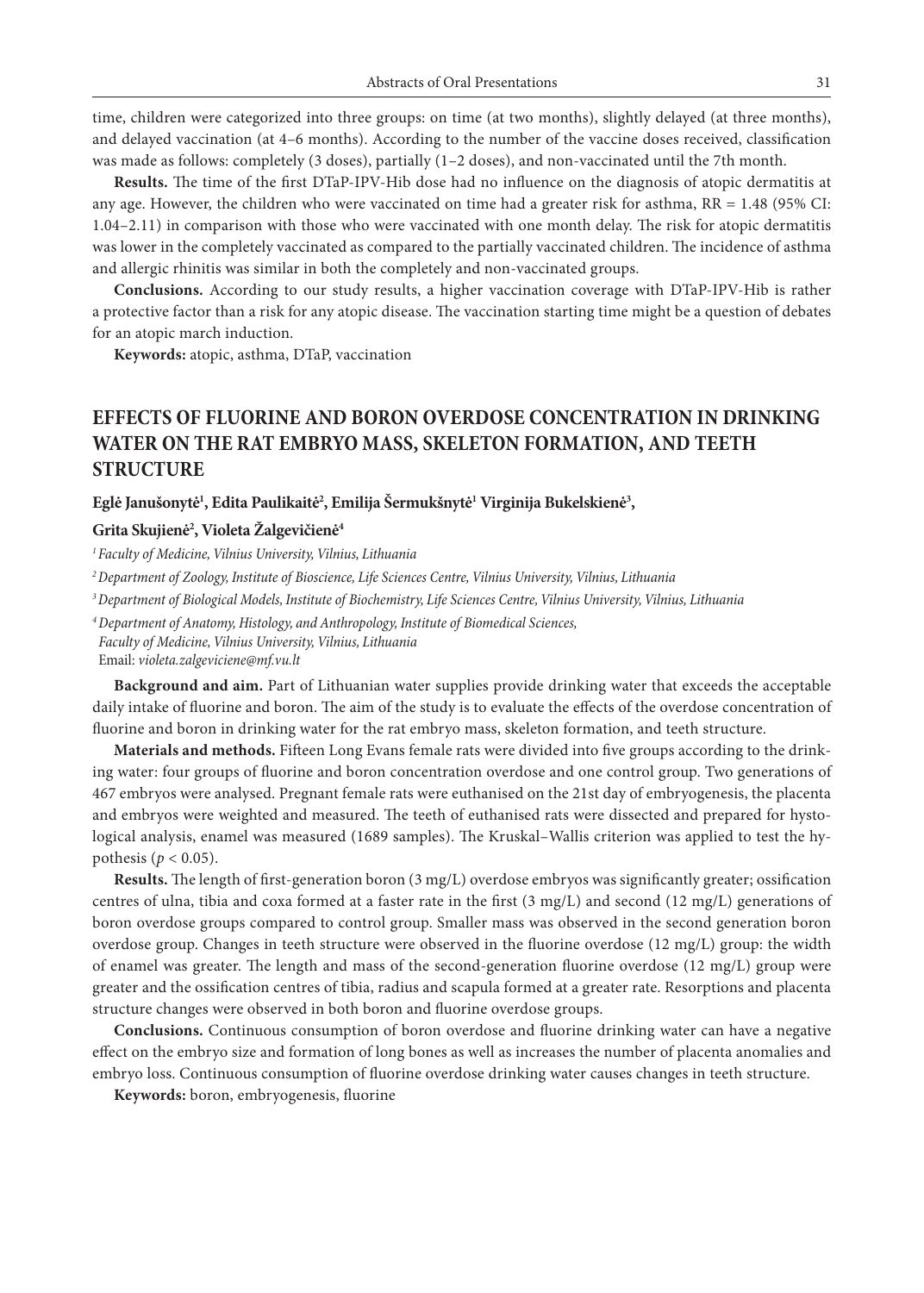time, children were categorized into three groups: on time (at two months), slightly delayed (at three months), and delayed vaccination (at 4–6 months). According to the number of the vaccine doses received, classification was made as follows: completely (3 doses), partially (1–2 doses), and non-vaccinated until the 7th month.

**Results.** The time of the first DTaP-IPV-Hib dose had no influence on the diagnosis of atopic dermatitis at any age. However, the children who were vaccinated on time had a greater risk for asthma, RR = 1.48 (95% CI: 1.04–2.11) in comparison with those who were vaccinated with one month delay. The risk for atopic dermatitis was lower in the completely vaccinated as compared to the partially vaccinated children. The incidence of asthma and allergic rhinitis was similar in both the completely and non-vaccinated groups.

**Conclusions.** According to our study results, a higher vaccination coverage with DTaP-IPV-Hib is rather a protective factor than a risk for any atopic disease. The vaccination starting time might be a question of debates for an atopic march induction.

**Keywords:** atopic, asthma, DTaP, vaccination

### **EFFECTS OF FLUORINE AND BORON OVERDOSE CONCENTRATION IN DRINKING WATER ON THE RAT EMBRYO MASS, SKELETON FORMATION, AND TEETH STRUCTURE**

#### Eglė Janušonytė<sup>1</sup>, Edita Paulikaitė<sup>2</sup>, Emilija Šermukšnytė<sup>1</sup> Virginija Bukelskienė<sup>3</sup>,

#### **Grita Skujienė2 , Violeta Žalgevičienė4**

*1 Faculty of Medicine, Vilnius University, Vilnius, Lithuania*

*2 Department of Zoology, Institute of Bioscience, Life Sciences Centre, Vilnius University, Vilnius, Lithuania*

*3 Department of Biological Models, Institute of Biochemistry, Life Sciences Centre, Vilnius University, Vilnius, Lithuania*

*<sup>4</sup>Department of Anatomy, Histology, and Anthropology, Institute of Biomedical Sciences, Faculty of Medicine, Vilnius University, Vilnius, Lithuania*

Email: *violeta.zalgeviciene@mf.vu.lt*

**Background and aim.** Part of Lithuanian water supplies provide drinking water that exceeds the acceptable daily intake of fluorine and boron. The aim of the study is to evaluate the effects of the overdose concentration of fluorine and boron in drinking water for the rat embryo mass, skeleton formation, and teeth structure.

**Materials and methods.** Fifteen Long Evans female rats were divided into five groups according to the drinking water: four groups of fluorine and boron concentration overdose and one control group. Two generations of 467 embryos were analysed. Pregnant female rats were euthanised on the 21st day of embryogenesis, the placenta and embryos were weighted and measured. The teeth of euthanised rats were dissected and prepared for hystological analysis, enamel was measured (1689 samples). The Kruskal–Wallis criterion was applied to test the hypothesis ( $p < 0.05$ ).

**Results.** The length of first-generation boron (3 mg/L) overdose embryos was significantly greater; ossification centres of ulna, tibia and coxa formed at a faster rate in the first (3 mg/L) and second (12 mg/L) generations of boron overdose groups compared to control group. Smaller mass was observed in the second generation boron overdose group. Changes in teeth structure were observed in the fluorine overdose (12 mg/L) group: the width of enamel was greater. The length and mass of the second-generation fluorine overdose (12 mg/L) group were greater and the ossification centres of tibia, radius and scapula formed at a greater rate. Resorptions and placenta structure changes were observed in both boron and fluorine overdose groups.

**Conclusions.** Continuous consumption of boron overdose and fluorine drinking water can have a negative effect on the embryo size and formation of long bones as well as increases the number of placenta anomalies and embryo loss. Continuous consumption of fluorine overdose drinking water causes changes in teeth structure.

**Keywords:** boron, embryogenesis, fluorine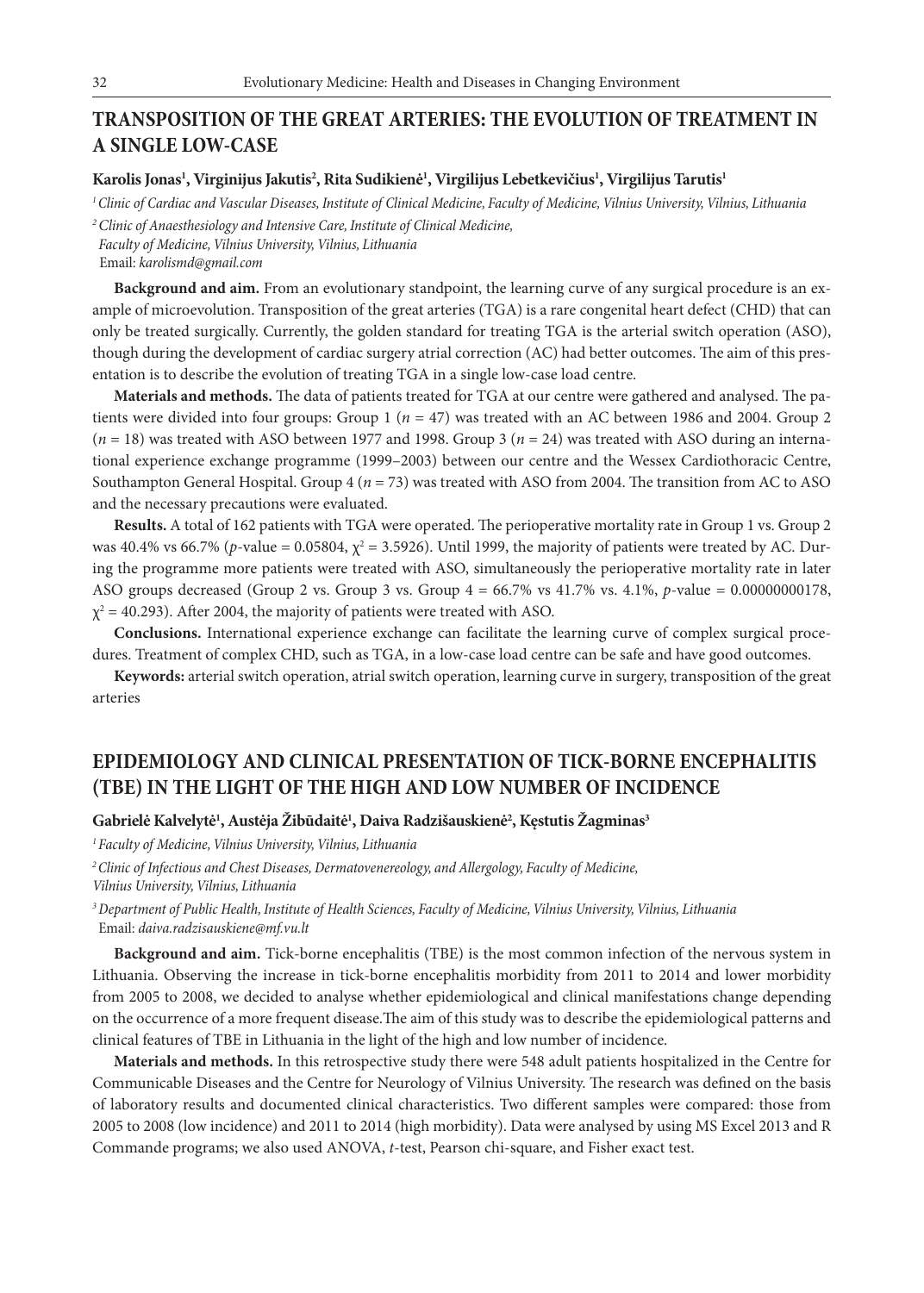### **TRANSPOSITION OF THE GREAT ARTERIES: THE EVOLUTION OF TREATMENT IN A SINGLE LOW-CASE**

#### **Karolis Jonas1 , Virginijus Jakutis2 , Rita Sudikienė1 , Virgilijus Lebetkevičius1 , Virgilijus Tarutis1**

*1 Clinic of Cardiac and Vascular Diseases, Institute of Clinical Medicine, Faculty of Medicine, Vilnius University, Vilnius, Lithuania*

*2 Clinic of Anaesthesiology and Intensive Care, Institute of Clinical Medicine, Faculty of Medicine, Vilnius University, Vilnius, Lithuania* Email: *karolismd@gmail.com*

**Background and aim.** From an evolutionary standpoint, the learning curve of any surgical procedure is an example of microevolution. Transposition of the great arteries (TGA) is a rare congenital heart defect (CHD) that can only be treated surgically. Currently, the golden standard for treating TGA is the arterial switch operation (ASO), though during the development of cardiac surgery atrial correction (AC) had better outcomes. The aim of this presentation is to describe the evolution of treating TGA in a single low-case load centre.

**Materials and methods.** The data of patients treated for TGA at our centre were gathered and analysed. The patients were divided into four groups: Group 1 (*n* = 47) was treated with an AC between 1986 and 2004. Group 2 (*n* = 18) was treated with ASO between 1977 and 1998. Group 3 (*n* = 24) was treated with ASO during an international experience exchange programme (1999–2003) between our centre and the Wessex Cardiothoracic Centre, Southampton General Hospital. Group 4 ( $n = 73$ ) was treated with ASO from 2004. The transition from AC to ASO and the necessary precautions were evaluated.

**Results.** A total of 162 patients with TGA were operated. The perioperative mortality rate in Group 1 vs. Group 2 was 40.4% vs 66.7% (*p*-value = 0.05804,  $\chi^2$  = 3.5926). Until 1999, the majority of patients were treated by AC. During the programme more patients were treated with ASO, simultaneously the perioperative mortality rate in later ASO groups decreased (Group 2 vs. Group 3 vs. Group 4 = 66.7% vs 41.7% vs. 4.1%, *p*-value = 0.00000000178,  $\chi^2$  = 40.293). After 2004, the majority of patients were treated with ASO.

**Conclusions.** International experience exchange can facilitate the learning curve of complex surgical procedures. Treatment of complex CHD, such as TGA, in a low-case load centre can be safe and have good outcomes.

**Keywords:** arterial switch operation, atrial switch operation, learning curve in surgery, transposition of the great arteries

### **EPIDEMIOLOGY AND CLINICAL PRESENTATION OF TICK-BORNE ENCEPHALITIS (TBE) IN THE LIGHT OF THE HIGH AND LOW NUMBER OF INCIDENCE**

#### $\,$ Gabrielė Kalvelytė<sup>1</sup>, Austėja Žibūdaitė<sup>1</sup>, Daiva Radzišauskienė<sup>2</sup>, Kęstutis Žagminas $^3$

*<sup>1</sup>Faculty of Medicine, Vilnius University, Vilnius, Lithuania*

*2Clinic of Infectious and Chest Diseases, Dermatovenereology, and Allergology, Faculty of Medicine, Vilnius University, Vilnius, Lithuania*

*<sup>3</sup>Department of Public Health, Institute of Health Sciences, Faculty of Medicine, Vilnius University, Vilnius, Lithuania* Email: *daiva.radzisauskiene@mf.vu.lt*

**Background and aim.** Tick-borne encephalitis (TBE) is the most common infection of the nervous system in Lithuania. Observing the increase in tick-borne encephalitis morbidity from 2011 to 2014 and lower morbidity from 2005 to 2008, we decided to analyse whether epidemiological and clinical manifestations change depending on the occurrence of a more frequent disease.The aim of this study was to describe the epidemiological patterns and clinical features of TBE in Lithuania in the light of the high and low number of incidence.

**Materials and methods.** In this retrospective study there were 548 adult patients hospitalized in the Centre for Communicable Diseases and the Centre for Neurology of Vilnius University. The research was defined on the basis of laboratory results and documented clinical characteristics. Two different samples were compared: those from 2005 to 2008 (low incidence) and 2011 to 2014 (high morbidity). Data were analysed by using MS Excel 2013 and R Commande programs; we also used ANOVA, *t*-test, Pearson chi-square, and Fisher exact test.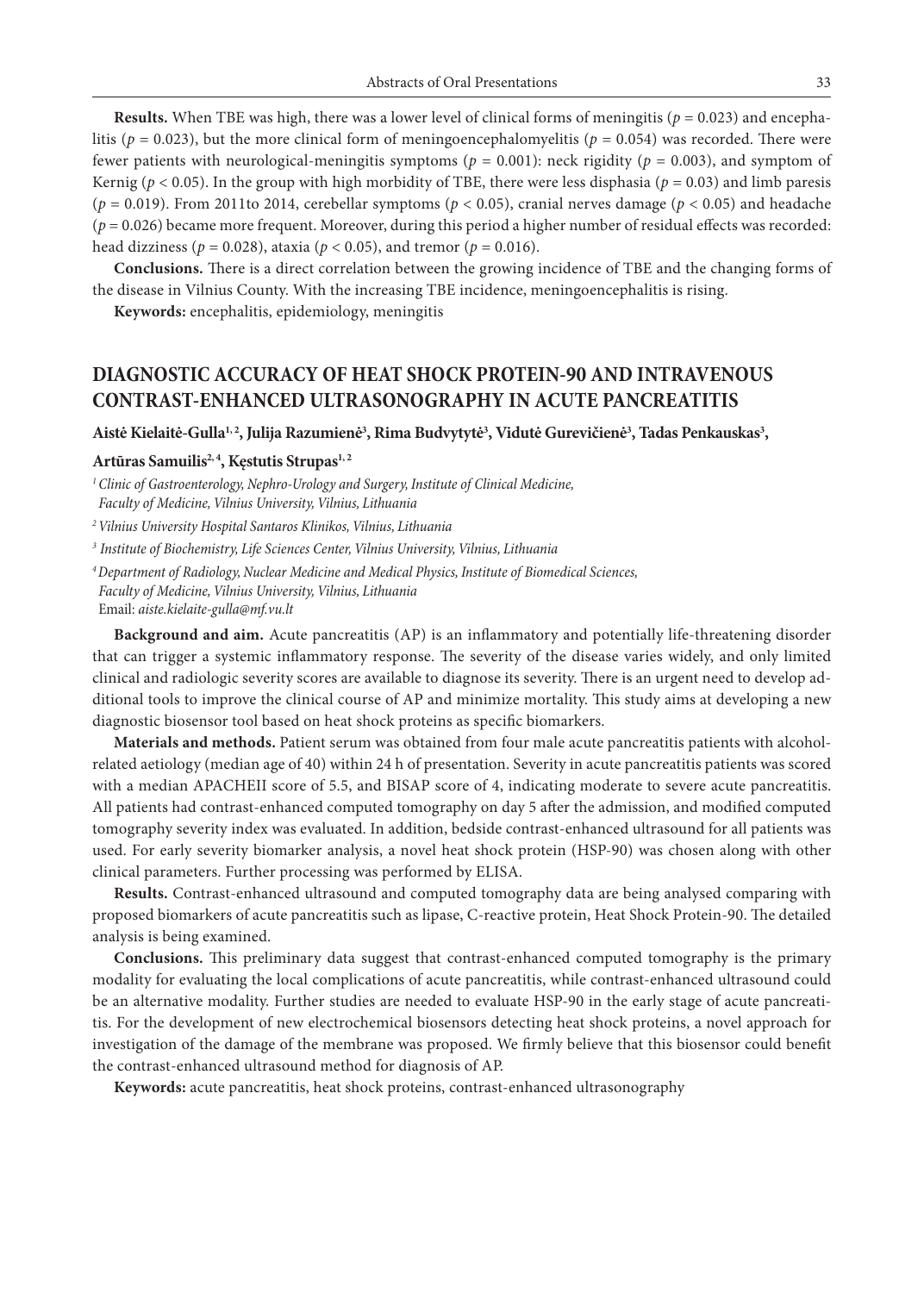**Results.** When TBE was high, there was a lower level of clinical forms of meningitis ( $p = 0.023$ ) and encephalitis ( $p = 0.023$ ), but the more clinical form of meningoencephalomyelitis ( $p = 0.054$ ) was recorded. There were fewer patients with neurological-meningitis symptoms ( $p = 0.001$ ): neck rigidity ( $p = 0.003$ ), and symptom of Kernig ( $p < 0.05$ ). In the group with high morbidity of TBE, there were less disphasia ( $p = 0.03$ ) and limb paresis ( $p = 0.019$ ). From 2011to 2014, cerebellar symptoms ( $p < 0.05$ ), cranial nerves damage ( $p < 0.05$ ) and headache (*p* = 0.026) became more frequent. Moreover, during this period a higher number of residual effects was recorded: head dizziness ( $p = 0.028$ ), ataxia ( $p < 0.05$ ), and tremor ( $p = 0.016$ ).

**Conclusions.** There is a direct correlation between the growing incidence of TBE and the changing forms of the disease in Vilnius County. With the increasing TBE incidence, meningoencephalitis is rising.

**Keywords:** encephalitis, epidemiology, meningitis

## **DIAGNOSTIC ACCURACY OF HEAT SHOCK PROTEIN-90 AND INTRAVENOUS CONTRAST-ENHANCED ULTRASONOGRAPHY IN ACUTE PANCREATITIS**

Aistė Kielaitė-Gulla<sup>1,2</sup>, Julija Razumienė<sup>3</sup>, Rima Budvytytė<sup>3</sup>, Vidutė Gurevičienė<sup>3</sup>, Tadas Penkauskas<sup>3</sup>,

#### Artūras Samuilis<sup>2, 4</sup>, Kęstutis Strupas<sup>1, 2</sup>

*<sup>1</sup>Clinic of Gastroenterology, Nephro-Urology and Surgery, Institute of Clinical Medicine, Faculty of Medicine, Vilnius University, Vilnius, Lithuania*

*2 Vilnius University Hospital Santaros Klinikos, Vilnius, Lithuania*

*<sup>3</sup> Institute of Biochemistry, Life Sciences Center, Vilnius University, Vilnius, Lithuania*

*4 Department of Radiology, Nuclear Medicine and Medical Physics, Institute of Biomedical Sciences, Faculty of Medicine, Vilnius University, Vilnius, Lithuania* Email: *aiste.kielaite-gulla@mf.vu.lt* 

**Background and aim.** Acute pancreatitis (AP) is an inflammatory and potentially life-threatening disorder that can trigger a systemic inflammatory response. The severity of the disease varies widely, and only limited clinical and radiologic severity scores are available to diagnose its severity. There is an urgent need to develop additional tools to improve the clinical course of AP and minimize mortality. This study aims at developing a new diagnostic biosensor tool based on heat shock proteins as specific biomarkers.

**Materials and methods.** Patient serum was obtained from four male acute pancreatitis patients with alcoholrelated aetiology (median age of 40) within 24 h of presentation. Severity in acute pancreatitis patients was scored with a median APACHEII score of 5.5, and BISAP score of 4, indicating moderate to severe acute pancreatitis. All patients had contrast-enhanced computed tomography on day 5 after the admission, and modified computed tomography severity index was evaluated. In addition, bedside contrast-enhanced ultrasound for all patients was used. For early severity biomarker analysis, a novel heat shock protein (HSP-90) was chosen along with other clinical parameters. Further processing was performed by ELISA.

**Results.** Contrast-enhanced ultrasound and computed tomography data are being analysed comparing with proposed biomarkers of acute pancreatitis such as lipase, C-reactive protein, Heat Shock Protein-90. The detailed analysis is being examined.

**Conclusions.** This preliminary data suggest that contrast-enhanced computed tomography is the primary modality for evaluating the local complications of acute pancreatitis, while contrast-enhanced ultrasound could be an alternative modality. Further studies are needed to evaluate HSP-90 in the early stage of acute pancreatitis. For the development of new electrochemical biosensors detecting heat shock proteins, a novel approach for investigation of the damage of the membrane was proposed. We firmly believe that this biosensor could benefit the contrast-enhanced ultrasound method for diagnosis of AP.

**Keywords:** acute pancreatitis, heat shock proteins, contrast-enhanced ultrasonography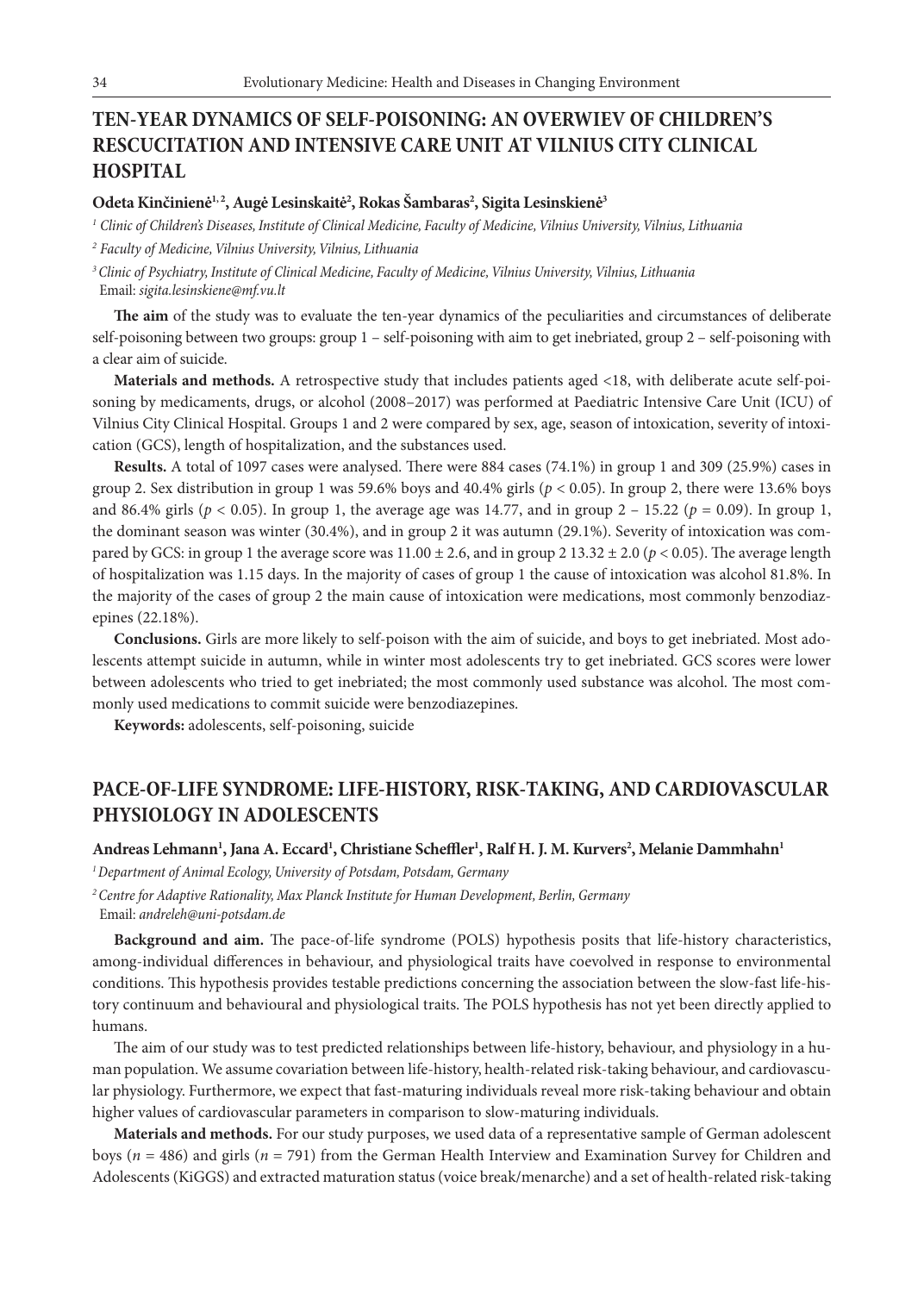# **TEN-YEAR DYNAMICS OF SELF-POISONING: AN OVERWIEV OF CHILDREN'S RESCUCITATION AND INTENSIVE CARE UNIT AT VILNIUS CITY CLINICAL HOSPITAL**

### **Odeta Kinčinienė1, 2, Augė Lesinskaitė2 , Rokas Šambaras2 , Sigita Lesinskienė3**

*<sup>1</sup> Clinic of Children's Diseases, Institute of Clinical Medicine, Faculty of Medicine, Vilnius University, Vilnius, Lithuania*

*<sup>2</sup> Faculty of Medicine, Vilnius University, Vilnius, Lithuania*

*<sup>3</sup>Clinic of Psychiatry, Institute of Clinical Medicine, Faculty of Medicine, Vilnius University, Vilnius, Lithuania* Email: *sigita.lesinskiene@mf.vu.lt*

**The aim** of the study was to evaluate the ten-year dynamics of the peculiarities and circumstances of deliberate self-poisoning between two groups: group 1 – self-poisoning with aim to get inebriated, group 2 – self-poisoning with a clear aim of suicide.

**Materials and methods.** A retrospective study that includes patients aged <18, with deliberate acute self-poisoning by medicaments, drugs, or alcohol (2008–2017) was performed at Paediatric Intensive Care Unit (ICU) of Vilnius City Clinical Hospital. Groups 1 and 2 were compared by sex, age, season of intoxication, severity of intoxication (GCS), length of hospitalization, and the substances used.

**Results.** A total of 1097 cases were analysed. There were 884 cases (74.1%) in group 1 and 309 (25.9%) cases in group 2. Sex distribution in group 1 was 59.6% boys and  $40.4\%$  girls ( $p < 0.05$ ). In group 2, there were 13.6% boys and 86.4% girls ( $p < 0.05$ ). In group 1, the average age was 14.77, and in group 2 – 15.22 ( $p = 0.09$ ). In group 1, the dominant season was winter (30.4%), and in group 2 it was autumn (29.1%). Severity of intoxication was compared by GCS: in group 1 the average score was  $11.00 \pm 2.6$ , and in group 2 13.32  $\pm 2.0$  ( $p < 0.05$ ). The average length of hospitalization was 1.15 days. In the majority of cases of group 1 the cause of intoxication was alcohol 81.8%. In the majority of the cases of group 2 the main cause of intoxication were medications, most commonly benzodiazepines (22.18%).

**Conclusions.** Girls are more likely to self-poison with the aim of suicide, and boys to get inebriated. Most adolescents attempt suicide in autumn, while in winter most adolescents try to get inebriated. GCS scores were lower between adolescents who tried to get inebriated; the most commonly used substance was alcohol. The most commonly used medications to commit suicide were benzodiazepines.

**Keywords:** adolescents, self-poisoning, suicide

### **PACE-OF-LIFE SYNDROME: LIFE-HISTORY, RISK-TAKING, AND CARDIOVASCULAR PHYSIOLOGY IN ADOLESCENTS**

### $\mathbf{And}$ reas Lehmann<sup>1</sup>, Jana A. Eccard<sup>1</sup>, Christiane Scheffler<sup>1</sup>, Ralf H. J. M. Kurvers<sup>2</sup>, Melanie Dammhahn<sup>1</sup>

*1 Department of Animal Ecology, University of Potsdam, Potsdam, Germany*

*<sup>2</sup>Centre for Adaptive Rationality, Max Planck Institute for Human Development, Berlin, Germany* Email: *andreleh@uni-potsdam.de* 

**Background and aim.** The pace-of-life syndrome (POLS) hypothesis posits that life-history characteristics, among-individual differences in behaviour, and physiological traits have coevolved in response to environmental conditions. This hypothesis provides testable predictions concerning the association between the slow-fast life-history continuum and behavioural and physiological traits. The POLS hypothesis has not yet been directly applied to humans.

The aim of our study was to test predicted relationships between life-history, behaviour, and physiology in a human population. We assume covariation between life-history, health-related risk-taking behaviour, and cardiovascular physiology. Furthermore, we expect that fast-maturing individuals reveal more risk-taking behaviour and obtain higher values of cardiovascular parameters in comparison to slow-maturing individuals.

**Materials and methods.** For our study purposes, we used data of a representative sample of German adolescent boys (*n* = 486) and girls (*n* = 791) from the German Health Interview and Examination Survey for Children and Adolescents (KiGGS) and extracted maturation status (voice break/menarche) and a set of health-related risk-taking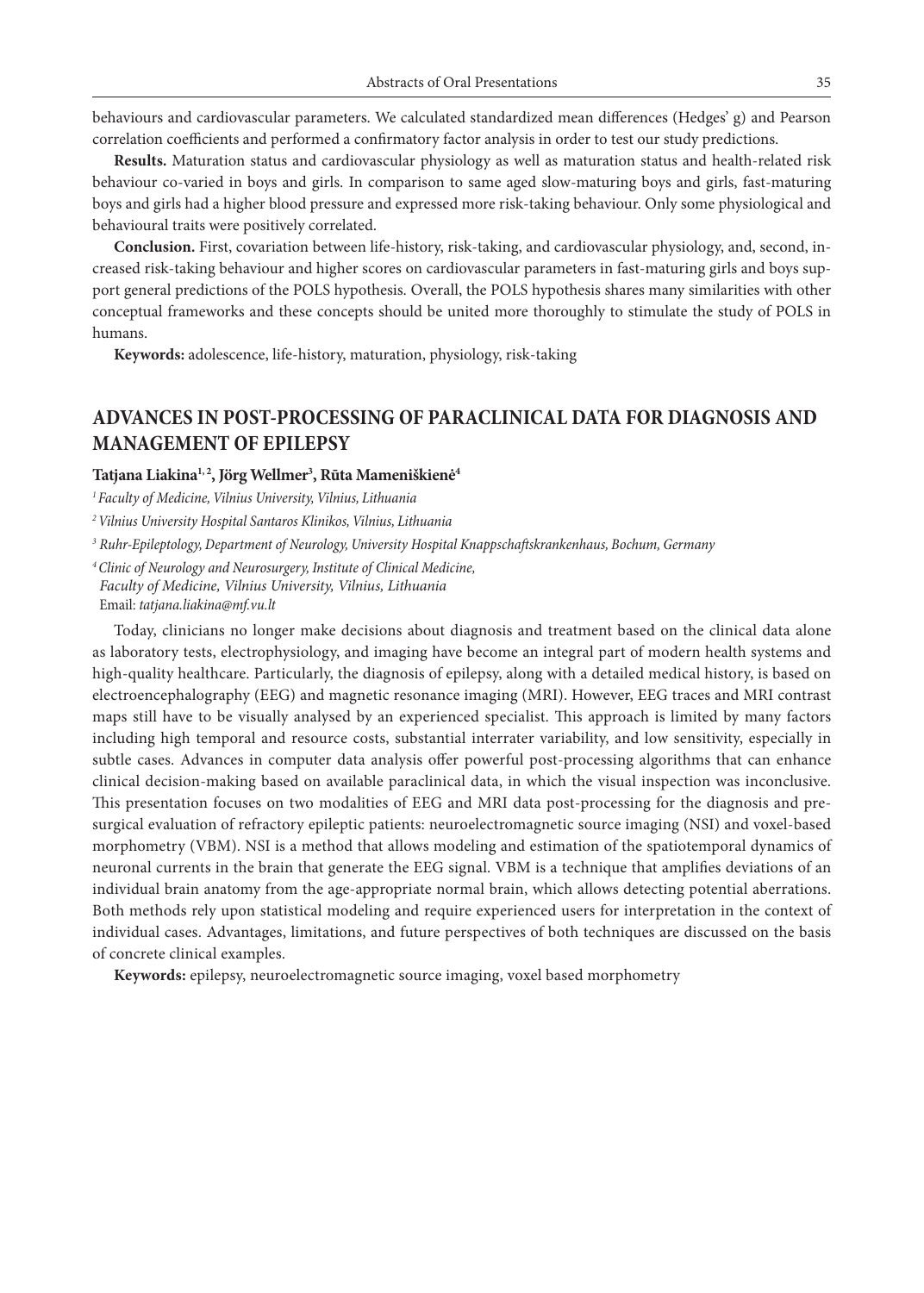behaviours and cardiovascular parameters. We calculated standardized mean differences (Hedges' g) and Pearson correlation coefficients and performed a confirmatory factor analysis in order to test our study predictions.

**Results.** Maturation status and cardiovascular physiology as well as maturation status and health-related risk behaviour co-varied in boys and girls. In comparison to same aged slow-maturing boys and girls, fast-maturing boys and girls had a higher blood pressure and expressed more risk-taking behaviour. Only some physiological and behavioural traits were positively correlated.

**Conclusion.** First, covariation between life-history, risk-taking, and cardiovascular physiology, and, second, increased risk-taking behaviour and higher scores on cardiovascular parameters in fast-maturing girls and boys support general predictions of the POLS hypothesis. Overall, the POLS hypothesis shares many similarities with other conceptual frameworks and these concepts should be united more thoroughly to stimulate the study of POLS in humans.

**Keywords:** adolescence, life-history, maturation, physiology, risk-taking

## **ADVANCES IN POST-PROCESSING OF PARACLINICAL DATA FOR DIAGNOSIS AND MANAGEMENT OF EPILEPSY**

### **Tatjana Liakina1, 2, Jörg Wellmer3 , Rūta Mameniškienė4**

*1 Faculty of Medicine, Vilnius University, Vilnius, Lithuania*

*2 Vilnius University Hospital Santaros Klinikos, Vilnius, Lithuania*

*3 Ruhr-Epileptology, Department of Neurology, University Hospital Knappschaftskrankenhaus, Bochum, Germany*

*<sup>4</sup>Clinic of Neurology and Neurosurgery, Institute of Clinical Medicine, Faculty of Medicine, Vilnius University, Vilnius, Lithuania* Email: *tatjana.liakina@mf.vu.lt*

Today, clinicians no longer make decisions about diagnosis and treatment based on the clinical data alone as laboratory tests, electrophysiology, and imaging have become an integral part of modern health systems and high-quality healthcare. Particularly, the diagnosis of epilepsy, along with a detailed medical history, is based on electroencephalography (EEG) and magnetic resonance imaging (MRI). However, EEG traces and MRI contrast maps still have to be visually analysed by an experienced specialist. This approach is limited by many factors including high temporal and resource costs, substantial interrater variability, and low sensitivity, especially in subtle cases. Advances in computer data analysis offer powerful post-processing algorithms that can enhance clinical decision-making based on available paraclinical data, in which the visual inspection was inconclusive. This presentation focuses on two modalities of EEG and MRI data post-processing for the diagnosis and presurgical evaluation of refractory epileptic patients: neuroelectromagnetic source imaging (NSI) and voxel-based morphometry (VBM). NSI is a method that allows modeling and estimation of the spatiotemporal dynamics of neuronal currents in the brain that generate the EEG signal. VBM is a technique that amplifies deviations of an individual brain anatomy from the age-appropriate normal brain, which allows detecting potential aberrations. Both methods rely upon statistical modeling and require experienced users for interpretation in the context of individual cases. Advantages, limitations, and future perspectives of both techniques are discussed on the basis of concrete clinical examples.

**Keywords:** epilepsy, neuroelectromagnetic source imaging, voxel based morphometry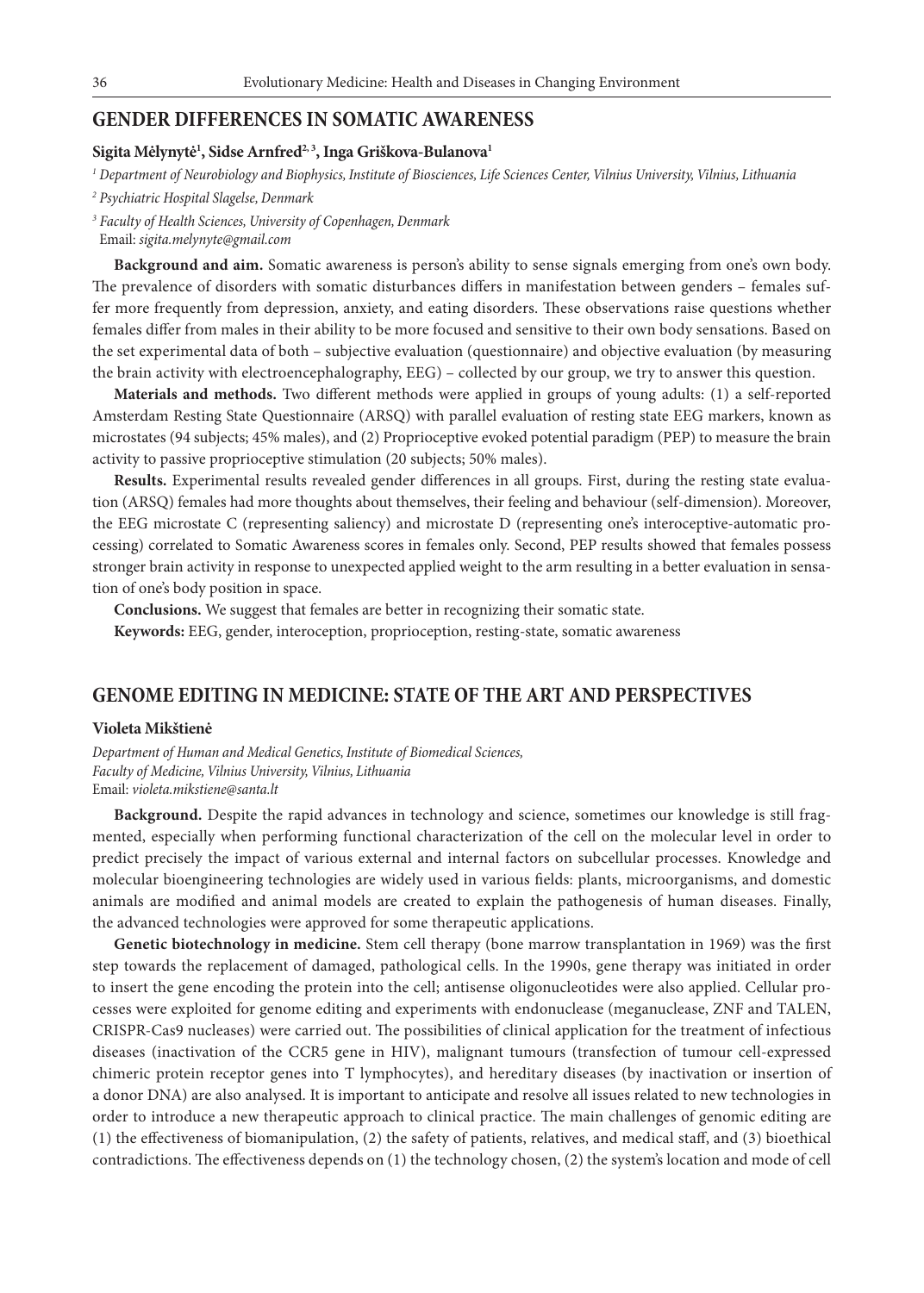### **GENDER DIFFERENCES IN SOMATIC AWARENESS**

### **Sigita Mėlynytė1 , Sidse Arnfred2, 3, Inga Griškova-Bulanova1**

*1 Department of Neurobiology and Biophysics, Institute of Biosciences, Life Sciences Center, Vilnius University, Vilnius, Lithuania*

*3 Faculty of Health Sciences, University of Copenhagen, Denmark*

Email: *sigita.melynyte@gmail.com*

**Background and aim.** Somatic awareness is person's ability to sense signals emerging from one's own body. The prevalence of disorders with somatic disturbances differs in manifestation between genders – females suffer more frequently from depression, anxiety, and eating disorders. These observations raise questions whether females differ from males in their ability to be more focused and sensitive to their own body sensations. Based on the set experimental data of both – subjective evaluation (questionnaire) and objective evaluation (by measuring the brain activity with electroencephalography, EEG) – collected by our group, we try to answer this question.

**Materials and methods.** Two different methods were applied in groups of young adults: (1) a self-reported Amsterdam Resting State Questionnaire (ARSQ) with parallel evaluation of resting state EEG markers, known as microstates (94 subjects; 45% males), and (2) Proprioceptive evoked potential paradigm (PEP) to measure the brain activity to passive proprioceptive stimulation (20 subjects; 50% males).

**Results.** Experimental results revealed gender differences in all groups. First, during the resting state evaluation (ARSQ) females had more thoughts about themselves, their feeling and behaviour (self-dimension). Moreover, the EEG microstate C (representing saliency) and microstate D (representing one's interoceptive-automatic processing) correlated to Somatic Awareness scores in females only. Second, PEP results showed that females possess stronger brain activity in response to unexpected applied weight to the arm resulting in a better evaluation in sensation of one's body position in space.

**Conclusions.** We suggest that females are better in recognizing their somatic state.

**Keywords:** EEG, gender, interoception, proprioception, resting-state, somatic awareness

### **GENOME EDITING IN MEDICINE: STATE OF THE ART AND PERSPECTIVES**

#### **Violeta Mikštienė**

*Department of Human and Medical Genetics, Institute of Biomedical Sciences, Faculty of Medicine, Vilnius University, Vilnius, Lithuania* Email: *violeta.mikstiene@santa.lt*

**Background.** Despite the rapid advances in technology and science, sometimes our knowledge is still fragmented, especially when performing functional characterization of the cell on the molecular level in order to predict precisely the impact of various external and internal factors on subcellular processes. Knowledge and molecular bioengineering technologies are widely used in various fields: plants, microorganisms, and domestic animals are modified and animal models are created to explain the pathogenesis of human diseases. Finally, the advanced technologies were approved for some therapeutic applications.

**Genetic biotechnology in medicine.** Stem cell therapy (bone marrow transplantation in 1969) was the first step towards the replacement of damaged, pathological cells. In the 1990s, gene therapy was initiated in order to insert the gene encoding the protein into the cell; antisense oligonucleotides were also applied. Cellular processes were exploited for genome editing and experiments with endonuclease (meganuclease, ZNF and TALEN, CRISPR-Cas9 nucleases) were carried out. The possibilities of clinical application for the treatment of infectious diseases (inactivation of the CCR5 gene in HIV), malignant tumours (transfection of tumour cell-expressed chimeric protein receptor genes into T lymphocytes), and hereditary diseases (by inactivation or insertion of a donor DNA) are also analysed. It is important to anticipate and resolve all issues related to new technologies in order to introduce a new therapeutic approach to clinical practice. The main challenges of genomic editing are (1) the effectiveness of biomanipulation, (2) the safety of patients, relatives, and medical staff, and (3) bioethical contradictions. The effectiveness depends on (1) the technology chosen, (2) the system's location and mode of cell

*<sup>2</sup> Psychiatric Hospital Slagelse, Denmark*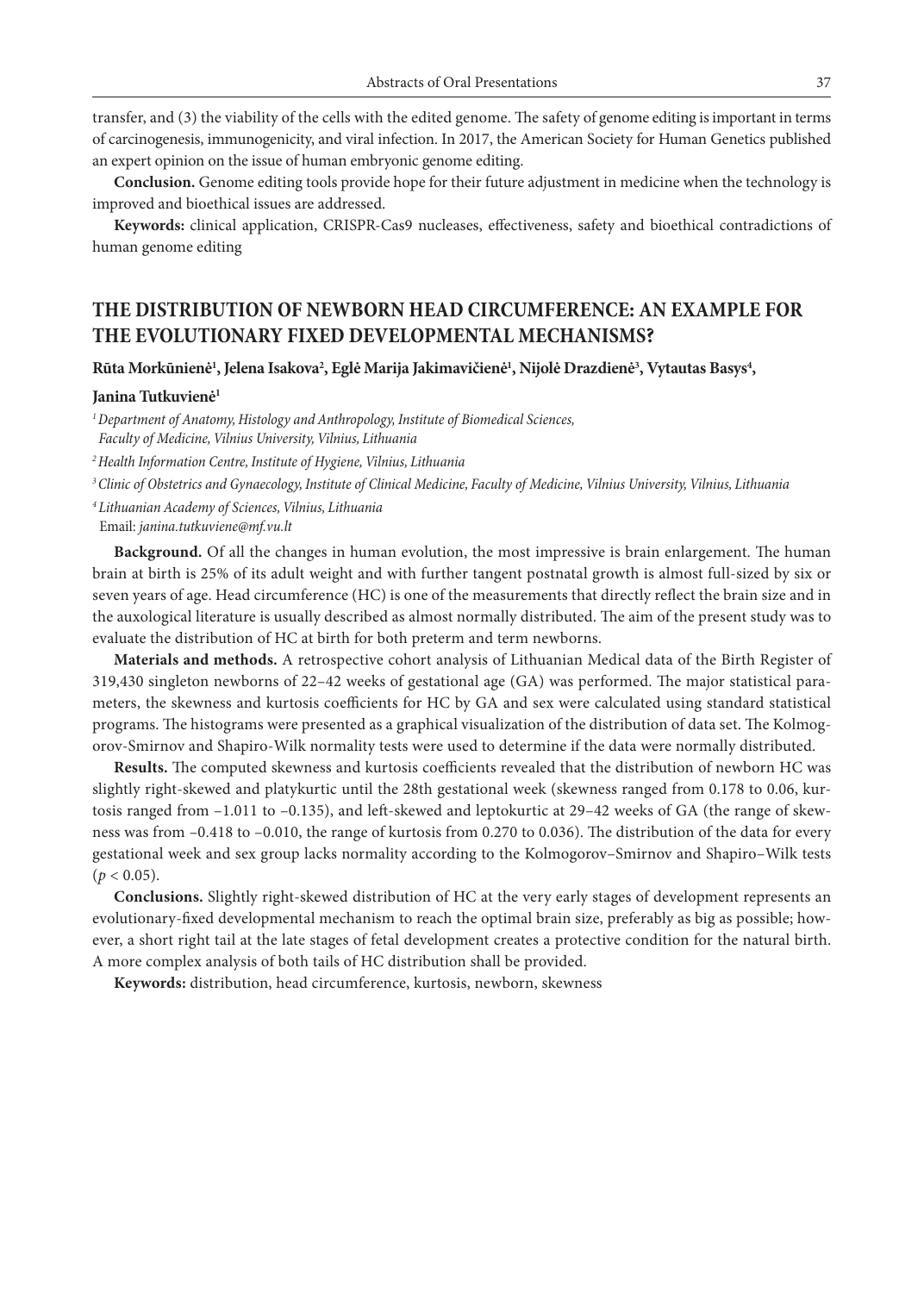transfer, and (3) the viability of the cells with the edited genome. The safety of genome editing is important in terms of carcinogenesis, immunogenicity, and viral infection. In 2017, the American Society for Human Genetics published an expert opinion on the issue of human embryonic genome editing.

**Conclusion.** Genome editing tools provide hope for their future adjustment in medicine when the technology is improved and bioethical issues are addressed.

**Keywords:** clinical application, CRISPR-Cas9 nucleases, effectiveness, safety and bioethical contradictions of human genome editing

### **THE DISTRIBUTION OF NEWBORN HEAD CIRCUMFERENCE: AN EXAMPLE FOR THE EVOLUTIONARY FIXED DEVELOPMENTAL MECHANISMS?**

Rūta Morkūnienė<sup>1</sup>, Jelena Isakova<sup>2</sup>, Eglė Marija Jakimavičienė<sup>1</sup>, Nijolė Drazdienė<sup>3</sup>, Vytautas Basys<sup>4</sup>,

#### **Janina Tutkuvienė1**

*1 Department of Anatomy, Histology and Anthropology, Institute of Biomedical Sciences, Faculty of Medicine, Vilnius University, Vilnius, Lithuania*

*2 Health Information Centre, Institute of Hygiene, Vilnius, Lithuania*

*3 Clinic of Obstetrics and Gynaecology, Institute of Clinical Medicine, Faculty of Medicine, Vilnius University, Vilnius, Lithuania*

*<sup>4</sup>Lithuanian Academy of Sciences, Vilnius, Lithuania* Email: *janina.tutkuviene@mf.vu.lt*

**Background.** Of all the changes in human evolution, the most impressive is brain enlargement. The human brain at birth is 25% of its adult weight and with further tangent postnatal growth is almost full-sized by six or seven years of age. Head circumference (HC) is one of the measurements that directly reflect the brain size and in the auxological literature is usually described as almost normally distributed. The aim of the present study was to evaluate the distribution of HC at birth for both preterm and term newborns.

**Materials and methods.** A retrospective cohort analysis of Lithuanian Medical data of the Birth Register of 319,430 singleton newborns of 22–42 weeks of gestational age (GA) was performed. The major statistical parameters, the skewness and kurtosis coefficients for HC by GA and sex were calculated using standard statistical programs. The histograms were presented as a graphical visualization of the distribution of data set. The Kolmogorov-Smirnov and Shapiro-Wilk normality tests were used to determine if the data were normally distributed.

**Results.** The computed skewness and kurtosis coefficients revealed that the distribution of newborn HC was slightly right-skewed and platykurtic until the 28th gestational week (skewness ranged from 0.178 to 0.06, kurtosis ranged from –1.011 to –0.135), and left-skewed and leptokurtic at 29–42 weeks of GA (the range of skewness was from –0.418 to –0.010, the range of kurtosis from 0.270 to 0.036). The distribution of the data for every gestational week and sex group lacks normality according to the Kolmogorov–Smirnov and Shapiro–Wilk tests  $(p < 0.05)$ .

**Conclusions.** Slightly right-skewed distribution of HC at the very early stages of development represents an evolutionary-fixed developmental mechanism to reach the optimal brain size, preferably as big as possible; however, a short right tail at the late stages of fetal development creates a protective condition for the natural birth. A more complex analysis of both tails of HC distribution shall be provided.

**Keywords:** distribution, head circumference, kurtosis, newborn, skewness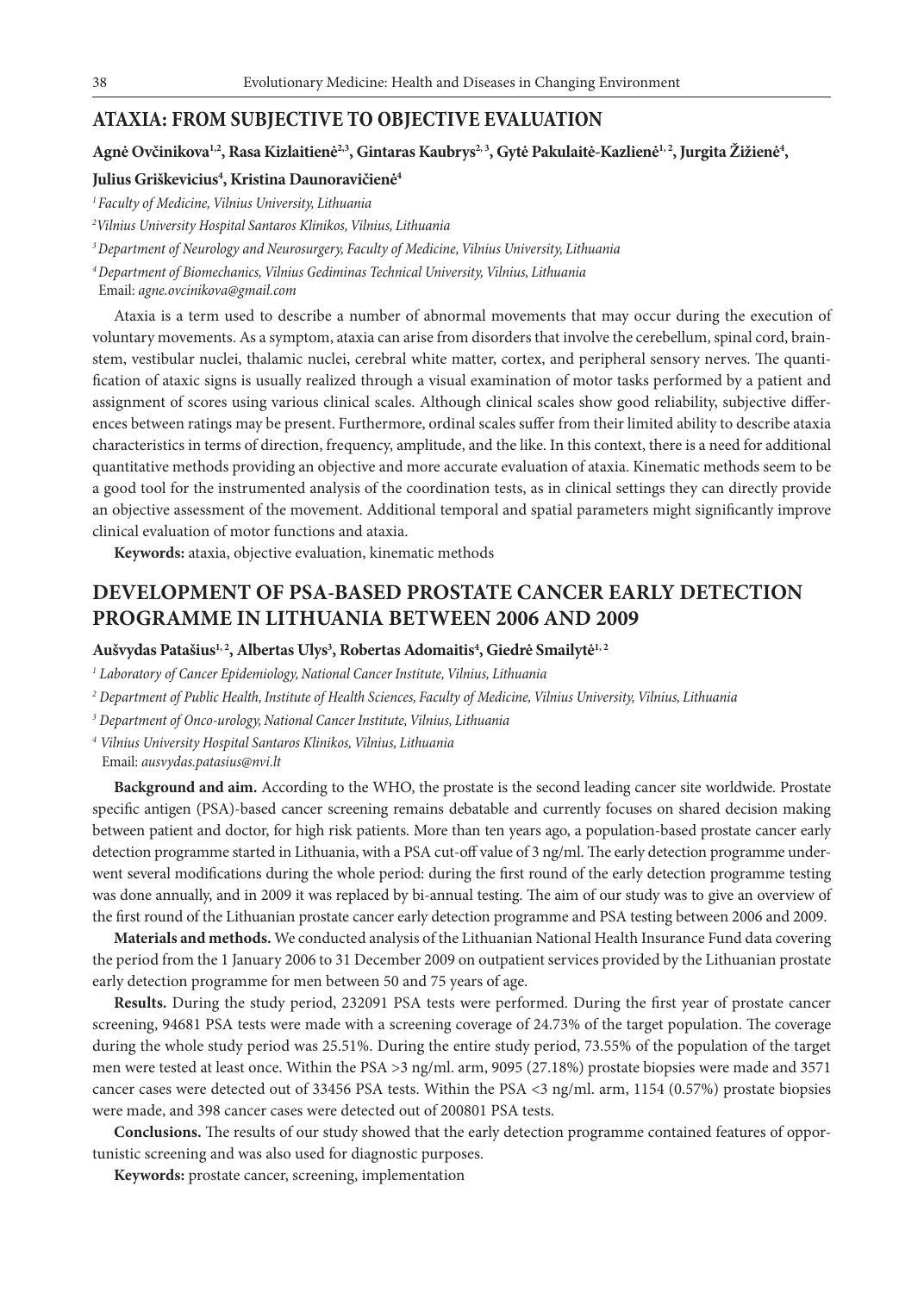### **ATAXIA: FROM SUBJECTIVE TO OBJECTIVE EVALUATION**

### Agnė Ovčinikova<sup>1,2</sup>, Rasa Kizlaitienė<sup>2,3</sup>, Gintaras Kaubrys<sup>2, 3</sup>, Gytė Pakulaitė-Kazlienė<sup>1, 2</sup>, Jurgita Žižienė<sup>4</sup>,

### Julius Griškevicius<sup>4</sup>, Kristina Daunoravičienė<sup>4</sup>

*1 Faculty of Medicine, Vilnius University, Lithuania*

*2 Vilnius University Hospital Santaros Klinikos, Vilnius, Lithuania*

*3 Department of Neurology and Neurosurgery, Faculty of Medicine, Vilnius University, Lithuania*

*<sup>4</sup>Department of Biomechanics, Vilnius Gediminas Technical University, Vilnius, Lithuania*

Email: *agne.ovcinikova@gmail.com*

Ataxia is a term used to describe a number of abnormal movements that may occur during the execution of voluntary movements. As a symptom, ataxia can arise from disorders that involve the cerebellum, spinal cord, brainstem, vestibular nuclei, thalamic nuclei, cerebral white matter, cortex, and peripheral sensory nerves. The quantification of ataxic signs is usually realized through a visual examination of motor tasks performed by a patient and assignment of scores using various clinical scales. Although clinical scales show good reliability, subjective differences between ratings may be present. Furthermore, ordinal scales suffer from their limited ability to describe ataxia characteristics in terms of direction, frequency, amplitude, and the like. In this context, there is a need for additional quantitative methods providing an objective and more accurate evaluation of ataxia. Kinematic methods seem to be a good tool for the instrumented analysis of the coordination tests, as in clinical settings they can directly provide an objective assessment of the movement. Additional temporal and spatial parameters might significantly improve clinical evaluation of motor functions and ataxia.

**Keywords:** ataxia, objective evaluation, kinematic methods

# **DEVELOPMENT OF PSA-BASED PROSTATE CANCER EARLY DETECTION PROGRAMME IN LITHUANIA BETWEEN 2006 AND 2009**

### **Aušvydas Patašius1, 2, Albertas Ulys3 , Robertas Adomaitis4 , Giedrė Smailytė1, 2**

*1 Laboratory of Cancer Epidemiology, National Cancer Institute, Vilnius, Lithuania*

*2 Department of Public Health, Institute of Health Sciences, Faculty of Medicine, Vilnius University, Vilnius, Lithuania*

*3 Department of Onco-urology, National Cancer Institute, Vilnius, Lithuania*

*<sup>4</sup> Vilnius University Hospital Santaros Klinikos, Vilnius, Lithuania*

Email: *ausvydas.patasius@nvi.lt*

**Background and aim.** According to the WHO, the prostate is the second leading cancer site worldwide. Prostate specific antigen (PSA)-based cancer screening remains debatable and currently focuses on shared decision making between patient and doctor, for high risk patients. More than ten years ago, a population-based prostate cancer early detection programme started in Lithuania, with a PSA cut-off value of 3 ng/ml. The early detection programme underwent several modifications during the whole period: during the first round of the early detection programme testing was done annually, and in 2009 it was replaced by bi-annual testing. The aim of our study was to give an overview of the first round of the Lithuanian prostate cancer early detection programme and PSA testing between 2006 and 2009.

**Materials and methods.** We conducted analysis of the Lithuanian National Health Insurance Fund data covering the period from the 1 January 2006 to 31 December 2009 on outpatient services provided by the Lithuanian prostate early detection programme for men between 50 and 75 years of age.

**Results.** During the study period, 232091 PSA tests were performed. During the first year of prostate cancer screening, 94681 PSA tests were made with a screening coverage of 24.73% of the target population. The coverage during the whole study period was 25.51%. During the entire study period, 73.55% of the population of the target men were tested at least once. Within the PSA >3 ng/ml. arm, 9095 (27.18%) prostate biopsies were made and 3571 cancer cases were detected out of 33456 PSA tests. Within the PSA <3 ng/ml. arm, 1154 (0.57%) prostate biopsies were made, and 398 cancer cases were detected out of 200801 PSA tests.

**Conclusions.** The results of our study showed that the early detection programme contained features of opportunistic screening and was also used for diagnostic purposes.

**Keywords:** prostate cancer, screening, implementation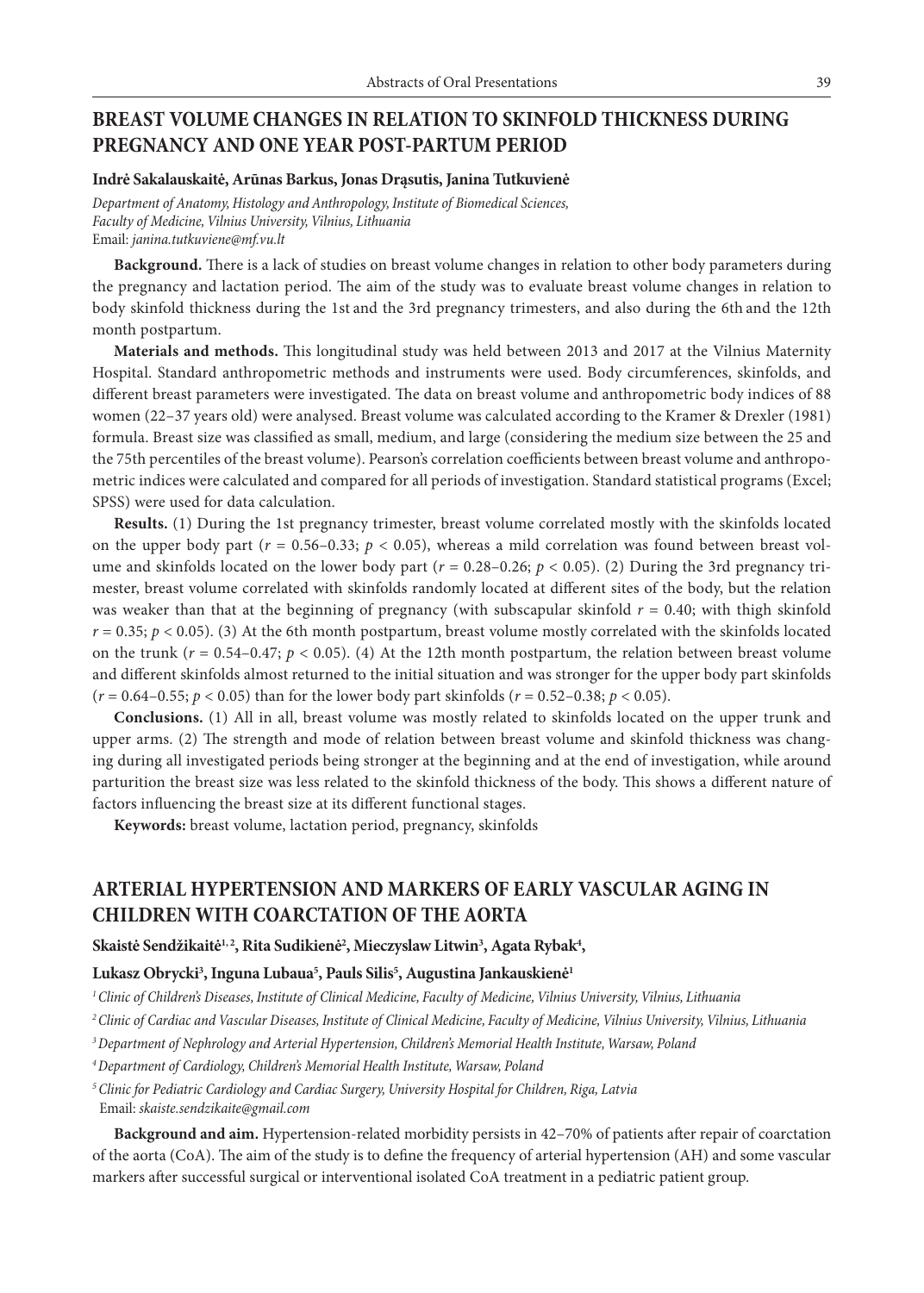## **BREAST VOLUME CHANGES IN RELATION TO SKINFOLD THICKNESS DURING PREGNANCY AND ONE YEAR POST-PARTUM PERIOD**

#### **Indrė Sakalauskaitė, Arūnas Barkus, Jonas Drąsutis, Janina Tutkuvienė**

*Department of Anatomy, Histology and Anthropology, Institute of Biomedical Sciences, Faculty of Medicine, Vilnius University, Vilnius, Lithuania* Email: *janina.tutkuviene@mf.vu.lt*

**Background.** There is a lack of studies on breast volume changes in relation to other body parameters during the pregnancy and lactation period. The aim of the study was to evaluate breast volume changes in relation to body skinfold thickness during the 1st and the 3rd pregnancy trimesters, and also during the 6th and the 12th month postpartum.

**Materials and methods.** This longitudinal study was held between 2013 and 2017 at the Vilnius Maternity Hospital. Standard anthropometric methods and instruments were used. Body circumferences, skinfolds, and different breast parameters were investigated. The data on breast volume and anthropometric body indices of 88 women (22–37 years old) were analysed. Breast volume was calculated according to the Kramer & Drexler (1981) formula. Breast size was classified as small, medium, and large (considering the medium size between the 25 and the 75th percentiles of the breast volume). Pearson's correlation coefficients between breast volume and anthropometric indices were calculated and compared for all periods of investigation. Standard statistical programs (Excel; SPSS) were used for data calculation.

**Results.** (1) During the 1st pregnancy trimester, breast volume correlated mostly with the skinfolds located on the upper body part  $(r = 0.56-0.33; p < 0.05)$ , whereas a mild correlation was found between breast volume and skinfolds located on the lower body part ( $r = 0.28-0.26$ ;  $p < 0.05$ ). (2) During the 3rd pregnancy trimester, breast volume correlated with skinfolds randomly located at different sites of the body, but the relation was weaker than that at the beginning of pregnancy (with subscapular skinfold *r* = 0.40; with thigh skinfold  $r = 0.35$ ;  $p < 0.05$ ). (3) At the 6th month postpartum, breast volume mostly correlated with the skinfolds located on the trunk ( $r = 0.54-0.47$ ;  $p < 0.05$ ). (4) At the 12th month postpartum, the relation between breast volume and different skinfolds almost returned to the initial situation and was stronger for the upper body part skinfolds  $(r = 0.64 - 0.55; p < 0.05)$  than for the lower body part skinfolds  $(r = 0.52 - 0.38; p < 0.05)$ .

**Conclusions.** (1) All in all, breast volume was mostly related to skinfolds located on the upper trunk and upper arms. (2) The strength and mode of relation between breast volume and skinfold thickness was changing during all investigated periods being stronger at the beginning and at the end of investigation, while around parturition the breast size was less related to the skinfold thickness of the body. This shows a different nature of factors influencing the breast size at its different functional stages.

**Keywords:** breast volume, lactation period, pregnancy, skinfolds

## **ARTERIAL HYPERTENSION AND MARKERS OF EARLY VASCULAR AGING IN CHILDREN WITH COARCTATION OF THE AORTA**

 $\delta$ kaistė Sendžikaitė $^{1,2}$ , Rita Sudikienė $^{2}$ , Mieczyslaw Litwin $^{3}$ , Agata Rybak $^{4}$ ,

### **Lukasz Obrycki3 , Inguna Lubaua5 , Pauls Silis5 , Augustina Jankauskienė1**

*1 Clinic of Children's Diseases, Institute of Clinical Medicine, Faculty of Medicine, Vilnius University, Vilnius, Lithuania*

- *2 Clinic of Cardiac and Vascular Diseases, Institute of Clinical Medicine, Faculty of Medicine, Vilnius University, Vilnius, Lithuania*
- *3 Department of Nephrology and Arterial Hypertension, Children's Memorial Health Institute, Warsaw, Poland*
- *4 Department of Cardiology, Children's Memorial Health Institute, Warsaw, Poland*
- *<sup>5</sup>Clinic for Pediatric Cardiology and Cardiac Surgery, University Hospital for Children, Riga, Latvia* Email: *skaiste.sendzikaite@gmail.com*

**Background and aim.** Hypertension-related morbidity persists in 42–70% of patients after repair of coarctation of the aorta (CoA). The aim of the study is to define the frequency of arterial hypertension (AH) and some vascular markers after successful surgical or interventional isolated CoA treatment in a pediatric patient group.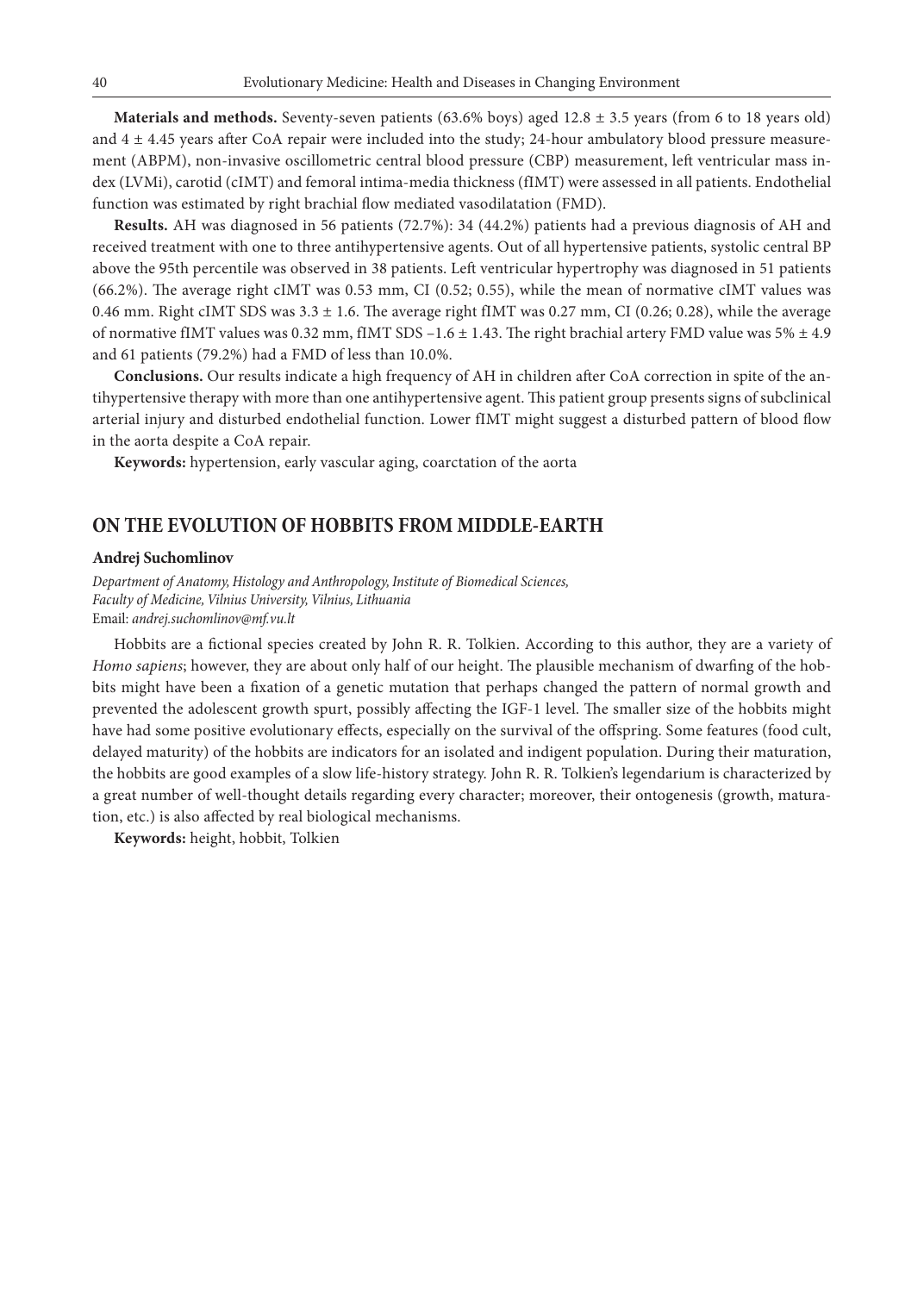**Materials and methods.** Seventy-seven patients (63.6% boys) aged 12.8 ± 3.5 years (from 6 to 18 years old) and 4 ± 4.45 years after CoA repair were included into the study; 24-hour ambulatory blood pressure measurement (ABPM), non-invasive oscillometric central blood pressure (CBP) measurement, left ventricular mass index (LVMi), carotid (cIMT) and femoral intima-media thickness (fIMT) were assessed in all patients. Endothelial function was estimated by right brachial flow mediated vasodilatation (FMD).

**Results.** AH was diagnosed in 56 patients (72.7%): 34 (44.2%) patients had a previous diagnosis of AH and received treatment with one to three antihypertensive agents. Out of all hypertensive patients, systolic central BP above the 95th percentile was observed in 38 patients. Left ventricular hypertrophy was diagnosed in 51 patients (66.2%). The average right cIMT was 0.53 mm, CI (0.52; 0.55), while the mean of normative cIMT values was 0.46 mm. Right cIMT SDS was  $3.3 \pm 1.6$ . The average right fIMT was 0.27 mm, CI (0.26; 0.28), while the average of normative fIMT values was 0.32 mm, fIMT SDS  $-1.6 \pm 1.43$ . The right brachial artery FMD value was 5%  $\pm 4.9$ and 61 patients (79.2%) had a FMD of less than 10.0%.

**Conclusions.** Our results indicate a high frequency of AH in children after CoA correction in spite of the antihypertensive therapy with more than one antihypertensive agent. This patient group presents signs of subclinical arterial injury and disturbed endothelial function. Lower fIMT might suggest a disturbed pattern of blood flow in the aorta despite a CoA repair.

**Keywords:** hypertension, early vascular aging, coarctation of the aorta

### **ON THE EVOLUTION OF HOBBITS FROM MIDDLE-EARTH**

#### **Andrej Suchomlinov**

*Department of Anatomy, Histology and Anthropology, Institute of Biomedical Sciences, Faculty of Medicine, Vilnius University, Vilnius, Lithuania* Email: *andrej.suchomlinov@mf.vu.lt*

Hobbits are a fictional species created by John R. R. Tolkien. According to this author, they are a variety of *Homo sapiens*; however, they are about only half of our height. The plausible mechanism of dwarfing of the hobbits might have been a fixation of a genetic mutation that perhaps changed the pattern of normal growth and prevented the adolescent growth spurt, possibly affecting the IGF-1 level. The smaller size of the hobbits might have had some positive evolutionary effects, especially on the survival of the offspring. Some features (food cult, delayed maturity) of the hobbits are indicators for an isolated and indigent population. During their maturation, the hobbits are good examples of a slow life-history strategy. John R. R. Tolkien's legendarium is characterized by a great number of well-thought details regarding every character; moreover, their ontogenesis (growth, maturation, etc.) is also affected by real biological mechanisms.

**Keywords:** height, hobbit, Tolkien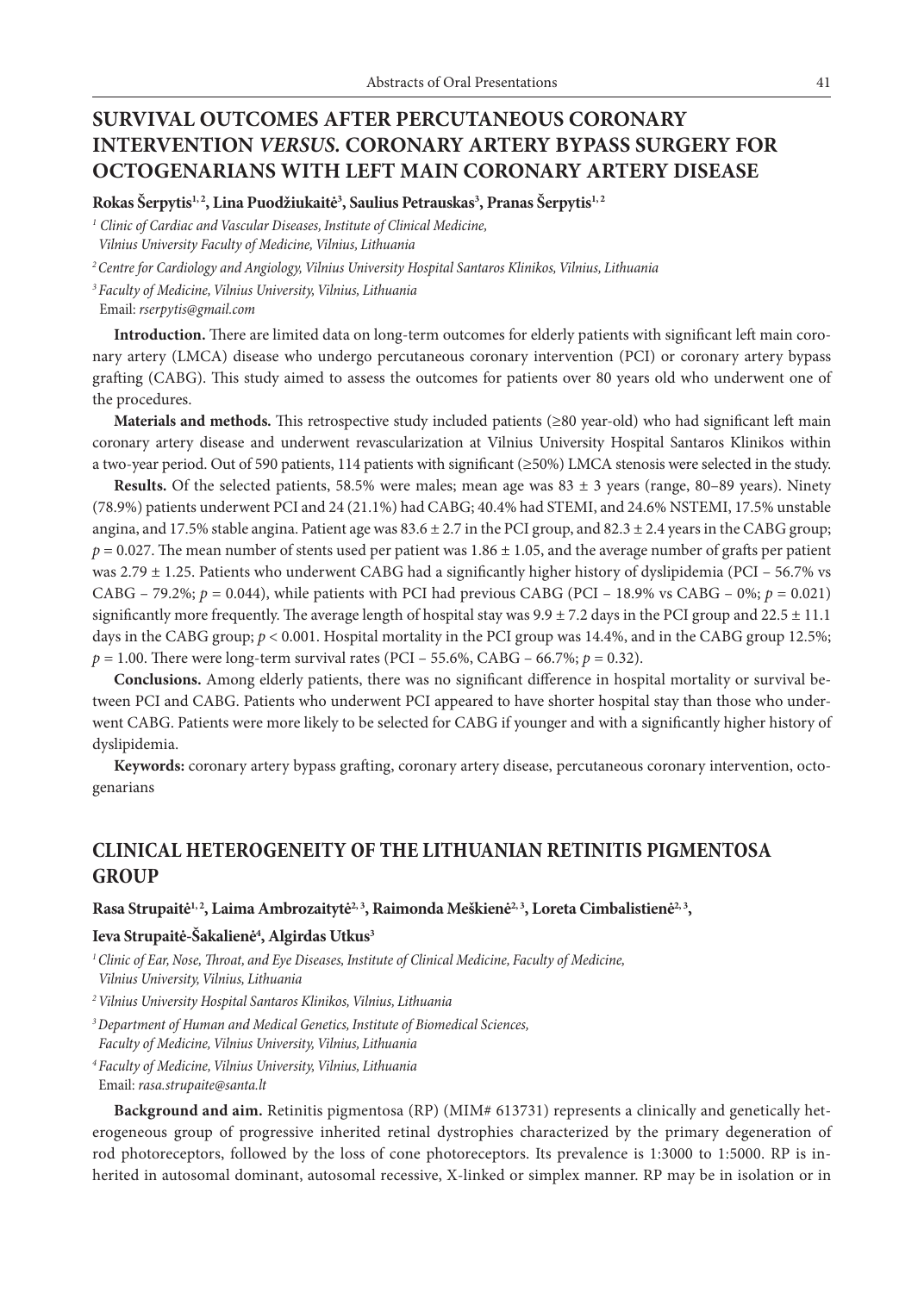# **SURVIVAL OUTCOMES AFTER PERCUTANEOUS CORONARY INTERVENTION** *VERSUS.* **CORONARY ARTERY BYPASS SURGERY FOR OCTOGENARIANS WITH LEFT MAIN CORONARY ARTERY DISEASE**

**Rokas Šerpytis1, 2, Lina Puodžiukaitė3 , Saulius Petrauskas3 , Pranas Šerpytis1, 2**

*<sup>1</sup> Clinic of Cardiac and Vascular Diseases, Institute of Clinical Medicine, Vilnius University Faculty of Medicine, Vilnius, Lithuania*

*2 Centre for Cardiology and Angiology, Vilnius University Hospital Santaros Klinikos, Vilnius, Lithuania*

*<sup>3</sup>Faculty of Medicine, Vilnius University, Vilnius, Lithuania*

Email: *rserpytis@gmail.com* 

**Introduction.** There are limited data on long-term outcomes for elderly patients with significant left main coronary artery (LMCA) disease who undergo percutaneous coronary intervention (PCI) or coronary artery bypass grafting (CABG). This study aimed to assess the outcomes for patients over 80 years old who underwent one of the procedures.

**Materials and methods.** This retrospective study included patients (≥80 year-old) who had significant left main coronary artery disease and underwent revascularization at Vilnius University Hospital Santaros Klinikos within a two-year period. Out of 590 patients, 114 patients with significant (≥50%) LMCA stenosis were selected in the study.

**Results.** Of the selected patients, 58.5% were males; mean age was  $83 \pm 3$  years (range,  $80-89$  years). Ninety (78.9%) patients underwent PCI and 24 (21.1%) had CABG; 40.4% had STEMI, and 24.6% NSTEMI, 17.5% unstable angina, and 17.5% stable angina. Patient age was  $83.6 \pm 2.7$  in the PCI group, and  $82.3 \pm 2.4$  years in the CABG group;  $p = 0.027$ . The mean number of stents used per patient was  $1.86 \pm 1.05$ , and the average number of grafts per patient was 2.79  $\pm$  1.25. Patients who underwent CABG had a significantly higher history of dyslipidemia (PCI – 56.7% vs CABG – 79.2%;  $p = 0.044$ ), while patients with PCI had previous CABG (PCI – 18.9% vs CABG – 0%;  $p = 0.021$ ) significantly more frequently. The average length of hospital stay was  $9.9 \pm 7.2$  days in the PCI group and  $22.5 \pm 11.1$ days in the CABG group;  $p < 0.001$ . Hospital mortality in the PCI group was 14.4%, and in the CABG group 12.5%;  $p = 1.00$ . There were long-term survival rates (PCI – 55.6%, CABG – 66.7%;  $p = 0.32$ ).

**Conclusions.** Among elderly patients, there was no significant difference in hospital mortality or survival between PCI and CABG. Patients who underwent PCI appeared to have shorter hospital stay than those who underwent CABG. Patients were more likely to be selected for CABG if younger and with a significantly higher history of dyslipidemia.

**Keywords:** coronary artery bypass grafting, coronary artery disease, percutaneous coronary intervention, octogenarians

### **CLINICAL HETEROGENEITY OF THE LITHUANIAN RETINITIS PIGMENTOSA GROUP**

#### Rasa Strupaitė<sup>1, 2</sup>, Laima Ambrozaitytė<sup>2, 3</sup>, Raimonda Meškienė<sup>2, 3</sup>, Loreta Cimbalistienė<sup>2, 3</sup>,

### **Ieva Strupaitė-Šakalienė4 , Algirdas Utkus3**

*1 Clinic of Ear, Nose, Throat, and Eye Diseases, Institute of Clinical Medicine, Faculty of Medicine, Vilnius University, Vilnius, Lithuania*

*2 Vilnius University Hospital Santaros Klinikos, Vilnius, Lithuania*

- *3 Department of Human and Medical Genetics, Institute of Biomedical Sciences, Faculty of Medicine, Vilnius University, Vilnius, Lithuania*
- *<sup>4</sup>Faculty of Medicine, Vilnius University, Vilnius, Lithuania* Email: *rasa.strupaite@santa.lt*

**Background and aim.** Retinitis pigmentosa (RP) (MIM# 613731) represents a clinically and genetically heterogeneous group of progressive inherited retinal dystrophies characterized by the primary degeneration of rod photoreceptors, followed by the loss of cone photoreceptors. Its prevalence is 1:3000 to 1:5000. RP is inherited in autosomal dominant, autosomal recessive, X-linked or simplex manner. RP may be in isolation or in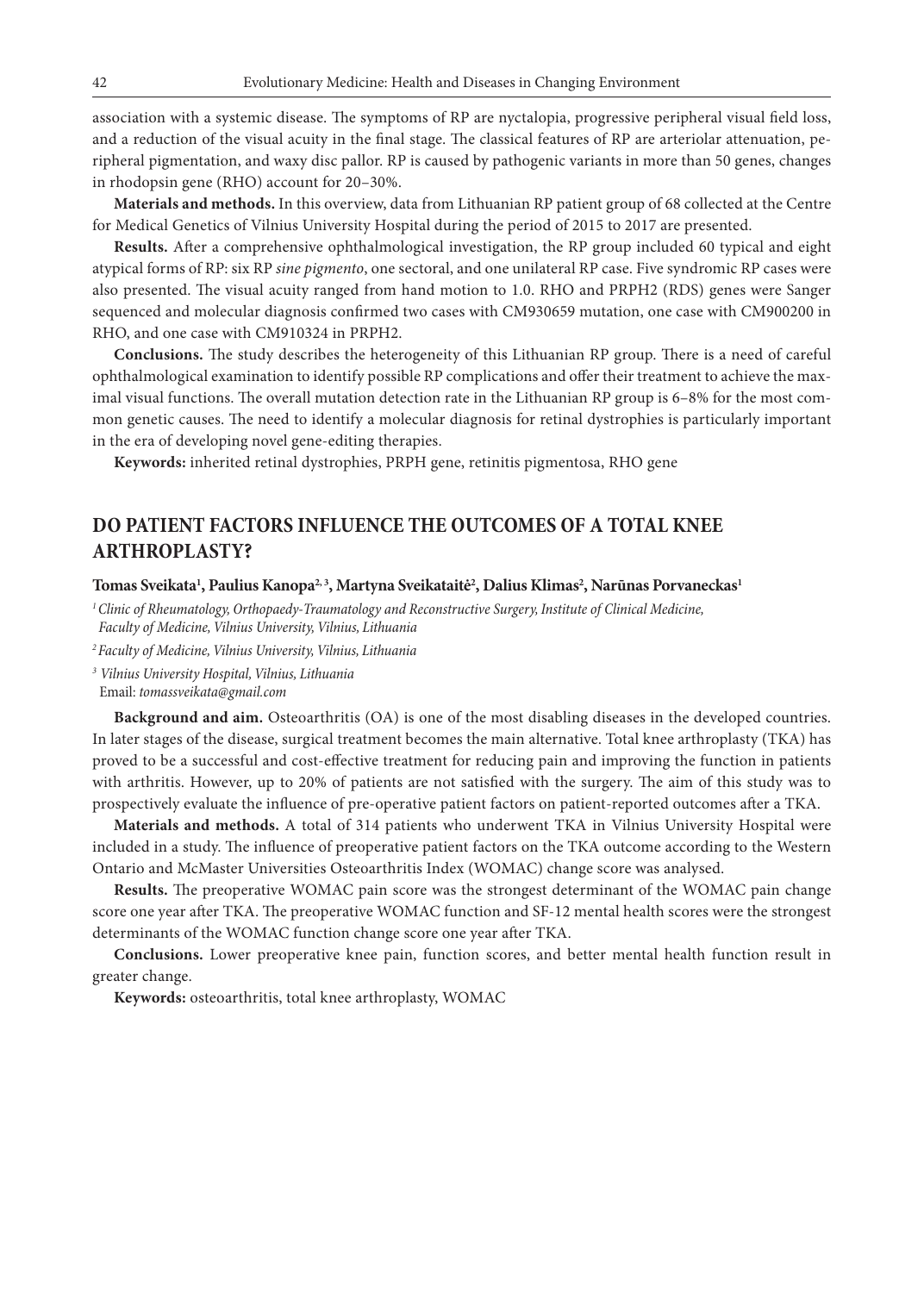association with a systemic disease. The symptoms of RP are nyctalopia, progressive peripheral visual field loss, and a reduction of the visual acuity in the final stage. The classical features of RP are arteriolar attenuation, peripheral pigmentation, and waxy disc pallor. RP is caused by pathogenic variants in more than 50 genes, changes in rhodopsin gene (RHO) account for 20–30%.

**Materials and methods.** In this overview, data from Lithuanian RP patient group of 68 collected at the Centre for Medical Genetics of Vilnius University Hospital during the period of 2015 to 2017 are presented.

**Results.** After a comprehensive ophthalmological investigation, the RP group included 60 typical and eight atypical forms of RP: six RP *sine pigmento*, one sectoral, and one unilateral RP case. Five syndromic RP cases were also presented. The visual acuity ranged from hand motion to 1.0. RHO and PRPH2 (RDS) genes were Sanger sequenced and molecular diagnosis confirmed two cases with CM930659 mutation, one case with CM900200 in RHO, and one case with CM910324 in PRPH2.

**Conclusions.** The study describes the heterogeneity of this Lithuanian RP group. There is a need of careful ophthalmological examination to identify possible RP complications and offer their treatment to achieve the maximal visual functions. The overall mutation detection rate in the Lithuanian RP group is 6–8% for the most common genetic causes. The need to identify a molecular diagnosis for retinal dystrophies is particularly important in the era of developing novel gene-editing therapies.

**Keywords:** inherited retinal dystrophies, PRPH gene, retinitis pigmentosa, RHO gene

## **DO PATIENT FACTORS INFLUENCE THE OUTCOMES OF A TOTAL KNEE ARTHROPLASTY?**

### **Tomas Sveikata1 , Paulius Kanopa2, 3, Martyna Sveikataitė2 , Dalius Klimas2 , Narūnas Porvaneckas1**

*1 Clinic of Rheumatology, Orthopaedy-Traumatology and Reconstructive Surgery, Institute of Clinical Medicine, Faculty of Medicine, Vilnius University, Vilnius, Lithuania*

*2 Faculty of Medicine, Vilnius University, Vilnius, Lithuania*

*<sup>3</sup> Vilnius University Hospital, Vilnius, Lithuania*

Email: *tomassveikata@gmail.com* 

**Background and aim.** Osteoarthritis (OA) is one of the most disabling diseases in the developed countries. In later stages of the disease, surgical treatment becomes the main alternative. Total knee arthroplasty (TKA) has proved to be a successful and cost-effective treatment for reducing pain and improving the function in patients with arthritis. However, up to 20% of patients are not satisfied with the surgery. The aim of this study was to prospectively evaluate the influence of pre-operative patient factors on patient-reported outcomes after a TKA.

**Materials and methods.** A total of 314 patients who underwent TKA in Vilnius University Hospital were included in a study. The influence of preoperative patient factors on the TKA outcome according to the Western Ontario and McMaster Universities Osteoarthritis Index (WOMAC) change score was analysed.

**Results.** The preoperative WOMAC pain score was the strongest determinant of the WOMAC pain change score one year after TKA. The preoperative WOMAC function and SF-12 mental health scores were the strongest determinants of the WOMAC function change score one year after TKA.

**Conclusions.** Lower preoperative knee pain, function scores, and better mental health function result in greater change.

**Keywords:** osteoarthritis, total knee arthroplasty, WOMAC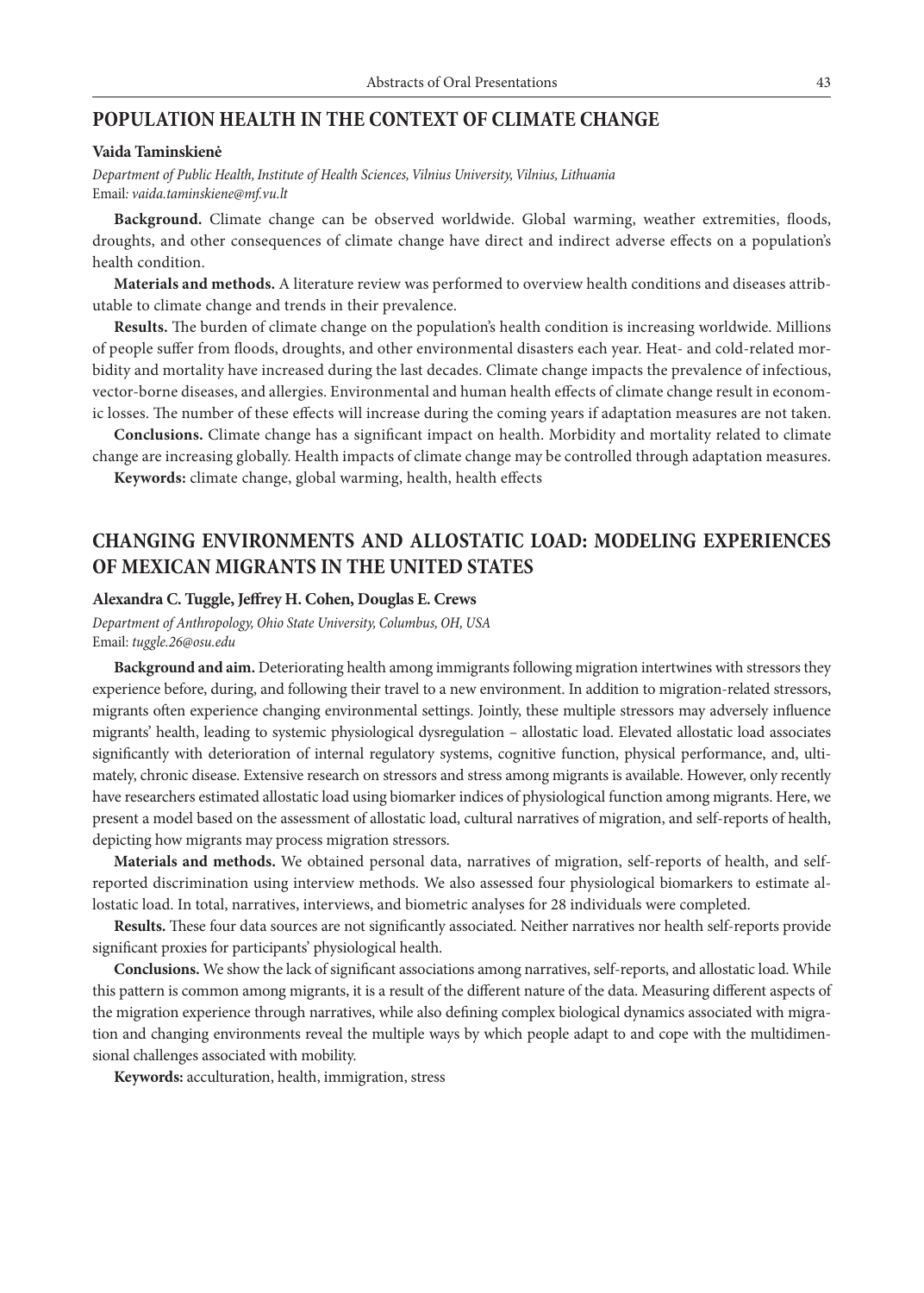### **POPULATION HEALTH IN THE CONTEXT OF CLIMATE CHANGE**

### **Vaida Taminskienė**

*Department of Public Health, Institute of Health Sciences, Vilnius University, Vilnius, Lithuania* Email*: vaida.taminskiene@mf.vu.lt*

**Background.** Climate change can be observed worldwide. Global warming, weather extremities, floods, droughts, and other consequences of climate change have direct and indirect adverse effects on a population's health condition.

**Materials and methods.** A literature review was performed to overview health conditions and diseases attributable to climate change and trends in their prevalence.

**Results.** The burden of climate change on the population's health condition is increasing worldwide. Millions of people suffer from floods, droughts, and other environmental disasters each year. Heat- and cold-related morbidity and mortality have increased during the last decades. Climate change impacts the prevalence of infectious, vector-borne diseases, and allergies. Environmental and human health effects of climate change result in economic losses. The number of these effects will increase during the coming years if adaptation measures are not taken.

**Conclusions.** Climate change has a significant impact on health. Morbidity and mortality related to climate change are increasing globally. Health impacts of climate change may be controlled through adaptation measures.

**Keywords:** climate change, global warming, health, health effects

## **CHANGING ENVIRONMENTS AND ALLOSTATIC LOAD: MODELING EXPERIENCES OF MEXICAN MIGRANTS IN THE UNITED STATES**

### **Alexandra C. Tuggle, Jeffrey H. Cohen, Douglas E. Crews**

*Department of Anthropology, Ohio State University, Columbus, OH, USA* Email: *tuggle.26@osu.edu*

**Background and aim.** Deteriorating health among immigrants following migration intertwines with stressors they experience before, during, and following their travel to a new environment. In addition to migration-related stressors, migrants often experience changing environmental settings. Jointly, these multiple stressors may adversely influence migrants' health, leading to systemic physiological dysregulation – allostatic load. Elevated allostatic load associates significantly with deterioration of internal regulatory systems, cognitive function, physical performance, and, ultimately, chronic disease. Extensive research on stressors and stress among migrants is available. However, only recently have researchers estimated allostatic load using biomarker indices of physiological function among migrants. Here, we present a model based on the assessment of allostatic load, cultural narratives of migration, and self-reports of health, depicting how migrants may process migration stressors.

**Materials and methods.** We obtained personal data, narratives of migration, self-reports of health, and selfreported discrimination using interview methods. We also assessed four physiological biomarkers to estimate allostatic load. In total, narratives, interviews, and biometric analyses for 28 individuals were completed.

**Results.** These four data sources are not significantly associated. Neither narratives nor health self-reports provide significant proxies for participants' physiological health.

**Conclusions.** We show the lack of significant associations among narratives, self-reports, and allostatic load. While this pattern is common among migrants, it is a result of the different nature of the data. Measuring different aspects of the migration experience through narratives, while also defining complex biological dynamics associated with migration and changing environments reveal the multiple ways by which people adapt to and cope with the multidimensional challenges associated with mobility.

**Keywords:** acculturation, health, immigration, stress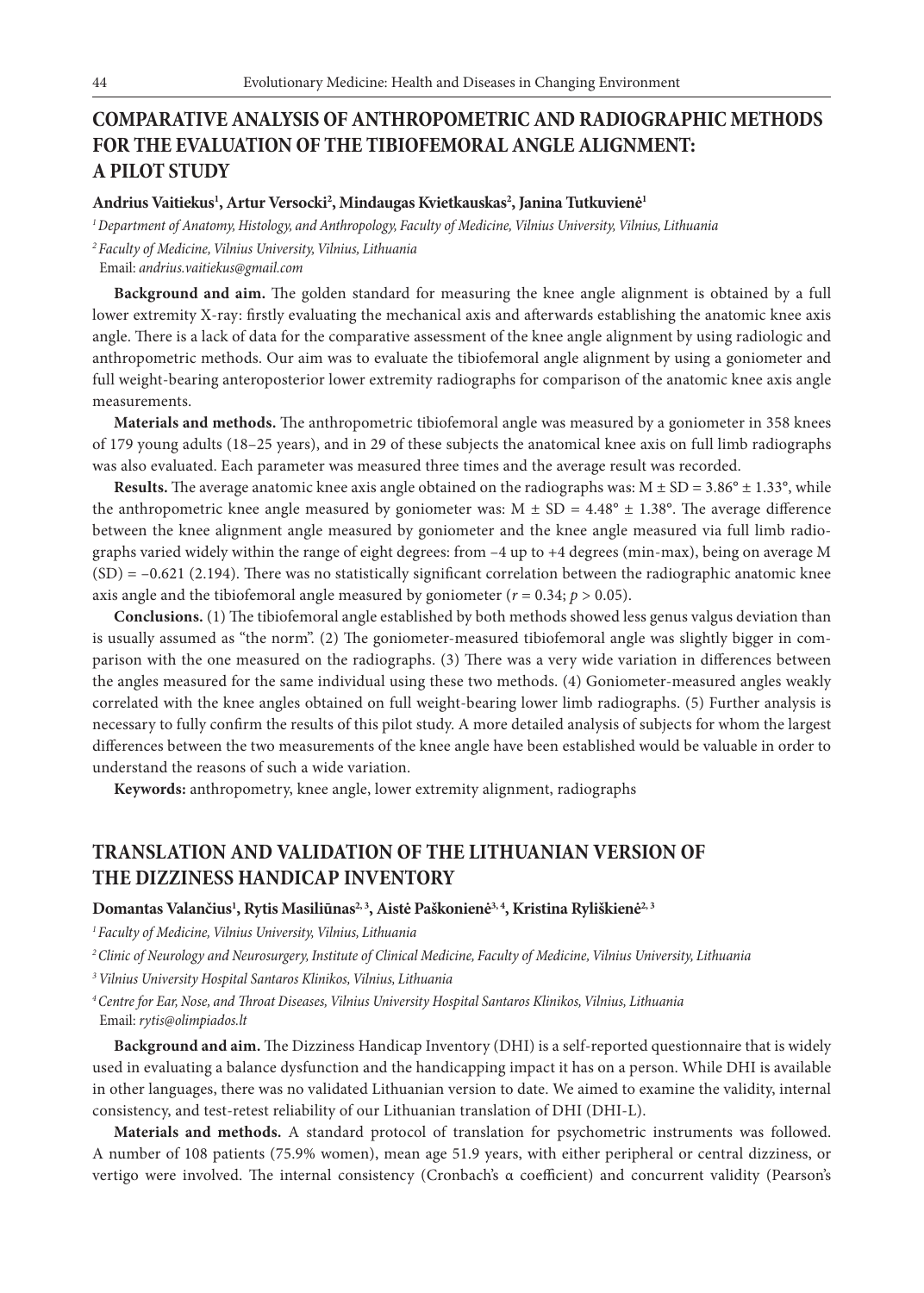# **COMPARATIVE ANALYSIS OF ANTHROPOMETRIC AND RADIOGRAPHIC METHODS FOR THE EVALUATION OF THE TIBIOFEMORAL ANGLE ALIGNMENT: A PILOT STUDY**

### **Andrius Vaitiekus1 , Artur Versocki2 , Mindaugas Kvietkauskas2 , Janina Tutkuvienė1**

*1 Department of Anatomy, Histology, and Anthropology, Faculty of Medicine, Vilnius University, Vilnius, Lithuania*

*<sup>2</sup>Faculty of Medicine, Vilnius University, Vilnius, Lithuania*

Email: *andrius.vaitiekus@gmail.com* 

**Background and aim.** The golden standard for measuring the knee angle alignment is obtained by a full lower extremity X-ray: firstly evaluating the mechanical axis and afterwards establishing the anatomic knee axis angle. There is a lack of data for the comparative assessment of the knee angle alignment by using radiologic and anthropometric methods. Our aim was to evaluate the tibiofemoral angle alignment by using a goniometer and full weight-bearing anteroposterior lower extremity radiographs for comparison of the anatomic knee axis angle measurements.

**Materials and methods.** The anthropometric tibiofemoral angle was measured by a goniometer in 358 knees of 179 young adults (18–25 years), and in 29 of these subjects the anatomical knee axis on full limb radiographs was also evaluated. Each parameter was measured three times and the average result was recorded.

**Results.** The average anatomic knee axis angle obtained on the radiographs was:  $M \pm SD = 3.86^\circ \pm 1.33^\circ$ , while the anthropometric knee angle measured by goniometer was:  $M \pm SD = 4.48^\circ \pm 1.38^\circ$ . The average difference between the knee alignment angle measured by goniometer and the knee angle measured via full limb radiographs varied widely within the range of eight degrees: from –4 up to +4 degrees (min-max), being on average M  $(SD) = -0.621$  (2.194). There was no statistically significant correlation between the radiographic anatomic knee axis angle and the tibiofemoral angle measured by goniometer ( $r = 0.34$ ;  $p > 0.05$ ).

**Conclusions.** (1) The tibiofemoral angle established by both methods showed less genus valgus deviation than is usually assumed as "the norm". (2) The goniometer-measured tibiofemoral angle was slightly bigger in comparison with the one measured on the radiographs. (3) There was a very wide variation in differences between the angles measured for the same individual using these two methods. (4) Goniometer-measured angles weakly correlated with the knee angles obtained on full weight-bearing lower limb radiographs. (5) Further analysis is necessary to fully confirm the results of this pilot study. A more detailed analysis of subjects for whom the largest differences between the two measurements of the knee angle have been established would be valuable in order to understand the reasons of such a wide variation.

**Keywords:** anthropometry, knee angle, lower extremity alignment, radiographs

## **TRANSLATION AND VALIDATION OF THE LITHUANIAN VERSION OF THE DIZZINESS HANDICAP INVENTORY**

### Domantas Valančius<sup>1</sup>, Rytis Masiliūnas<sup>2, 3</sup>, Aistė Paškonienė<sup>3, 4</sup>, Kristina Ryliškienė<sup>2, 3</sup>

*1 Faculty of Medicine, Vilnius University, Vilnius, Lithuania*

*2 Clinic of Neurology and Neurosurgery, Institute of Clinical Medicine, Faculty of Medicine, Vilnius University, Lithuania*

*<sup>3</sup>Vilnius University Hospital Santaros Klinikos, Vilnius, Lithuania*

*4 Centre for Ear, Nose, and Throat Diseases, Vilnius University Hospital Santaros Klinikos, Vilnius, Lithuania* Email: *rytis@olimpiados.lt*

**Background and aim.** The Dizziness Handicap Inventory (DHI) is a self-reported questionnaire that is widely used in evaluating a balance dysfunction and the handicapping impact it has on a person. While DHI is available in other languages, there was no validated Lithuanian version to date. We aimed to examine the validity, internal consistency, and test-retest reliability of our Lithuanian translation of DHI (DHI-L).

**Materials and methods.** A standard protocol of translation for psychometric instruments was followed. A number of 108 patients (75.9% women), mean age 51.9 years, with either peripheral or central dizziness, or vertigo were involved. The internal consistency (Cronbach's α coefficient) and concurrent validity (Pearson's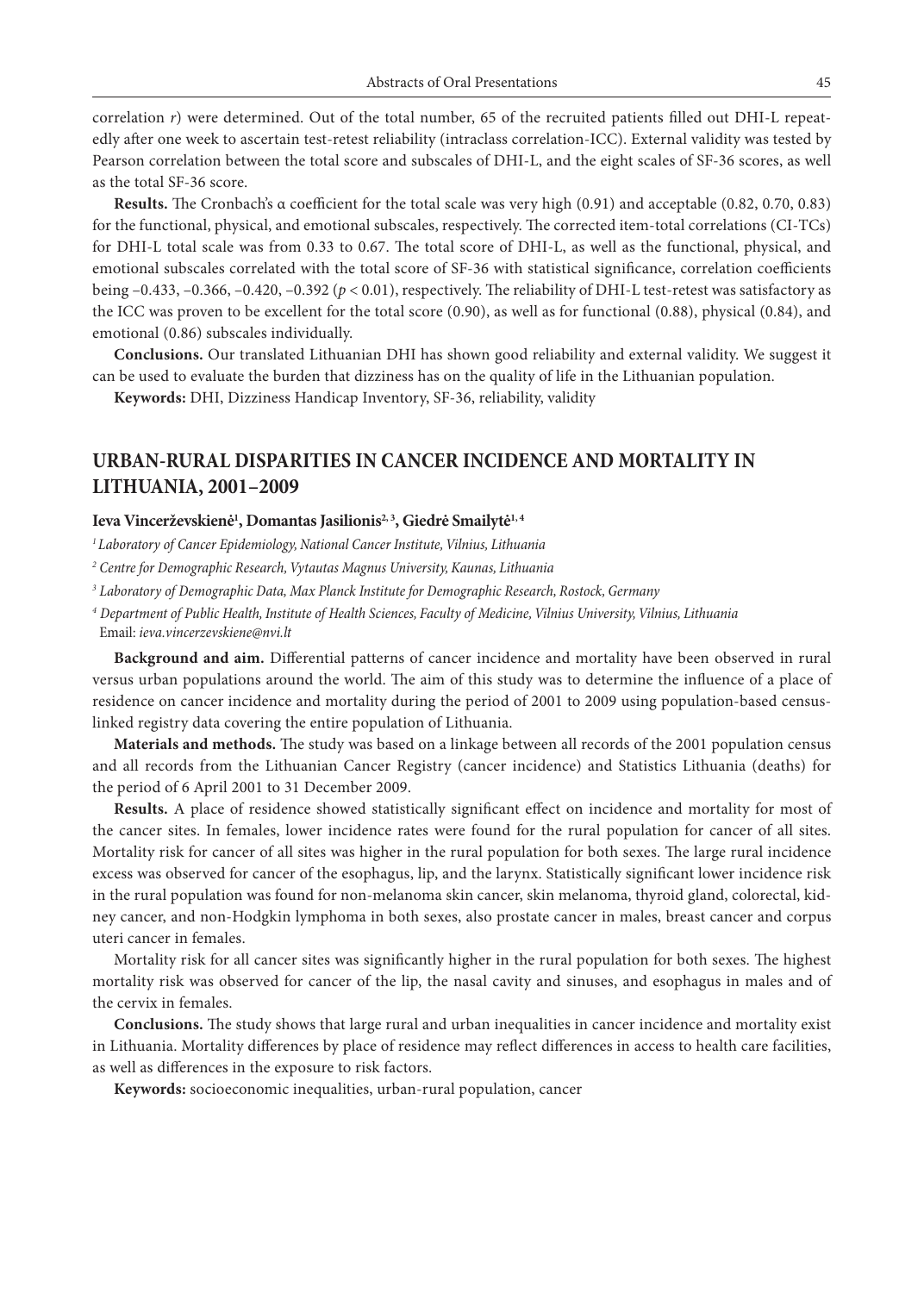correlation *r*) were determined. Out of the total number, 65 of the recruited patients filled out DHI-L repeatedly after one week to ascertain test-retest reliability (intraclass correlation-ICC). External validity was tested by Pearson correlation between the total score and subscales of DHI-L, and the eight scales of SF-36 scores, as well as the total SF-36 score.

**Results.** The Cronbach's α coefficient for the total scale was very high (0.91) and acceptable (0.82, 0.70, 0.83) for the functional, physical, and emotional subscales, respectively. The corrected item-total correlations (CI-TCs) for DHI-L total scale was from 0.33 to 0.67. The total score of DHI-L, as well as the functional, physical, and emotional subscales correlated with the total score of SF-36 with statistical significance, correlation coefficients being  $-0.433$ ,  $-0.366$ ,  $-0.420$ ,  $-0.392$  ( $p < 0.01$ ), respectively. The reliability of DHI-L test-retest was satisfactory as the ICC was proven to be excellent for the total score (0.90), as well as for functional (0.88), physical (0.84), and emotional (0.86) subscales individually.

**Conclusions.** Our translated Lithuanian DHI has shown good reliability and external validity. We suggest it can be used to evaluate the burden that dizziness has on the quality of life in the Lithuanian population.

**Keywords:** DHI, Dizziness Handicap Inventory, SF-36, reliability, validity

# **URBAN-RURAL DISPARITIES IN CANCER INCIDENCE AND MORTALITY IN LITHUANIA, 2001–2009**

### Ieva Vincerževskienė<sup>1</sup>, Domantas Jasilionis<sup>2,3</sup>, Giedrė Smailytė<sup>1,4</sup>

*1 Laboratory of Cancer Epidemiology, National Cancer Institute, Vilnius, Lithuania*

*2 Centre for Demographic Research, Vytautas Magnus University, Kaunas, Lithuania*

*3 Laboratory of Demographic Data, Max Planck Institute for Demographic Research, Rostock, Germany*

*<sup>4</sup> Department of Public Health, Institute of Health Sciences, Faculty of Medicine, Vilnius University, Vilnius, Lithuania* Email: *ieva.vincerzevskiene@nvi.lt*

**Background and aim.** Differential patterns of cancer incidence and mortality have been observed in rural versus urban populations around the world. The aim of this study was to determine the influence of a place of residence on cancer incidence and mortality during the period of 2001 to 2009 using population-based censuslinked registry data covering the entire population of Lithuania.

**Materials and methods.** The study was based on a linkage between all records of the 2001 population census and all records from the Lithuanian Cancer Registry (cancer incidence) and Statistics Lithuania (deaths) for the period of 6 April 2001 to 31 December 2009.

**Results.** A place of residence showed statistically significant effect on incidence and mortality for most of the cancer sites. In females, lower incidence rates were found for the rural population for cancer of all sites. Mortality risk for cancer of all sites was higher in the rural population for both sexes. The large rural incidence excess was observed for cancer of the esophagus, lip, and the larynx. Statistically significant lower incidence risk in the rural population was found for non-melanoma skin cancer, skin melanoma, thyroid gland, colorectal, kidney cancer, and non-Hodgkin lymphoma in both sexes, also prostate cancer in males, breast cancer and corpus uteri cancer in females.

Mortality risk for all cancer sites was significantly higher in the rural population for both sexes. The highest mortality risk was observed for cancer of the lip, the nasal cavity and sinuses, and esophagus in males and of the cervix in females.

**Conclusions.** The study shows that large rural and urban inequalities in cancer incidence and mortality exist in Lithuania. Mortality differences by place of residence may reflect differences in access to health care facilities, as well as differences in the exposure to risk factors.

**Keywords:** socioeconomic inequalities, urban-rural population, cancer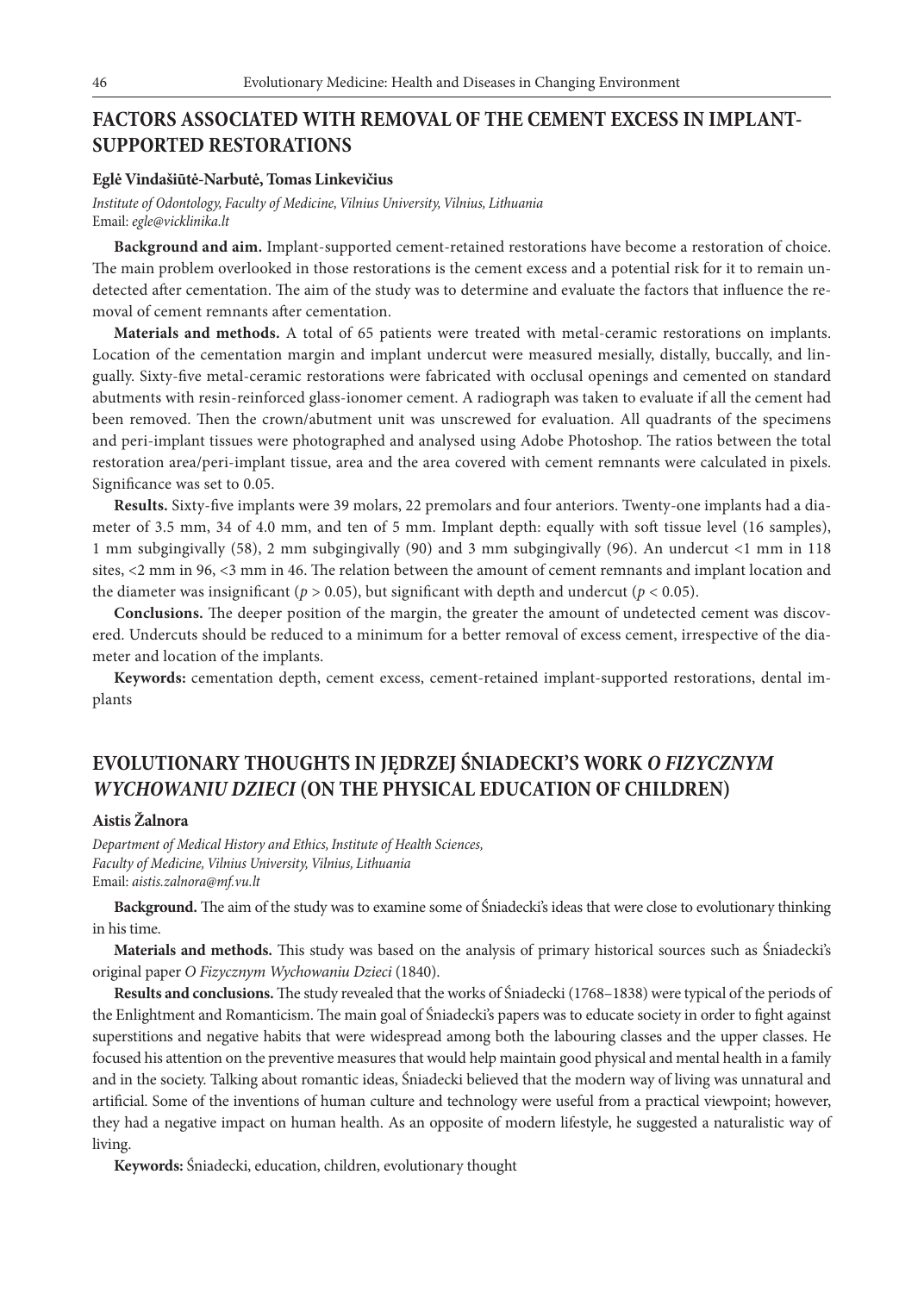## **FACTORS ASSOCIATED WITH REMOVAL OF THE CEMENT EXCESS IN IMPLANT-SUPPORTED RESTORATIONS**

#### **Eglė Vindašiūtė-Narbutė, Tomas Linkevičius**

*Institute of Odontology, Faculty of Medicine, Vilnius University, Vilnius, Lithuania* Email: *egle@vicklinika.lt*

**Background and aim.** Implant-supported cement-retained restorations have become a restoration of choice. The main problem overlooked in those restorations is the cement excess and a potential risk for it to remain undetected after cementation. The aim of the study was to determine and evaluate the factors that influence the removal of cement remnants after cementation.

**Materials and methods.** A total of 65 patients were treated with metal-ceramic restorations on implants. Location of the cementation margin and implant undercut were measured mesially, distally, buccally, and lingually. Sixty-five metal-ceramic restorations were fabricated with occlusal openings and cemented on standard abutments with resin-reinforced glass-ionomer cement. A radiograph was taken to evaluate if all the cement had been removed. Then the crown/abutment unit was unscrewed for evaluation. All quadrants of the specimens and peri-implant tissues were photographed and analysed using Adobe Photoshop. The ratios between the total restoration area/peri-implant tissue, area and the area covered with cement remnants were calculated in pixels. Significance was set to 0.05.

**Results.** Sixty-five implants were 39 molars, 22 premolars and four anteriors. Twenty-one implants had a diameter of 3.5 mm, 34 of 4.0 mm, and ten of 5 mm. Implant depth: equally with soft tissue level (16 samples), 1 mm subgingivally (58), 2 mm subgingivally (90) and 3 mm subgingivally (96). An undercut <1 mm in 118 sites, <2 mm in 96, <3 mm in 46. The relation between the amount of cement remnants and implant location and the diameter was insignificant ( $p > 0.05$ ), but significant with depth and undercut ( $p < 0.05$ ).

**Conclusions.** The deeper position of the margin, the greater the amount of undetected cement was discovered. Undercuts should be reduced to a minimum for a better removal of excess cement, irrespective of the diameter and location of the implants.

**Keywords:** cementation depth, cement excess, cement-retained implant-supported restorations, dental implants

# **EVOLUTIONARY THOUGHTS IN JĘDRZEJ ŚNIADECKI'S WORK** *O FIZYCZNYM WYCHOWANIU DZIECI* **(ON THE PHYSICAL EDUCATION OF CHILDREN)**

### **Aistis Žalnora**

*Department of Medical History and Ethics, Institute of Health Sciences, Faculty of Medicine, Vilnius University, Vilnius, Lithuania* Email: *aistis.zalnora@mf.vu.lt*

**Background.** The aim of the study was to examine some of Śniadecki's ideas that were close to evolutionary thinking in his time.

**Materials and methods.** This study was based on the analysis of primary historical sources such as Śniadecki's original paper *O Fizycznym Wychowaniu Dzieci* (1840).

**Results and conclusions.** The study revealed that the works of Śniadecki (1768–1838) were typical of the periods of the Enlightment and Romanticism. The main goal of Śniadecki's papers was to educate society in order to fight against superstitions and negative habits that were widespread among both the labouring classes and the upper classes. He focused his attention on the preventive measures that would help maintain good physical and mental health in a family and in the society. Talking about romantic ideas, Śniadecki believed that the modern way of living was unnatural and artificial. Some of the inventions of human culture and technology were useful from a practical viewpoint; however, they had a negative impact on human health. As an opposite of modern lifestyle, he suggested a naturalistic way of living.

**Keywords:** Śniadecki, education, children, evolutionary thought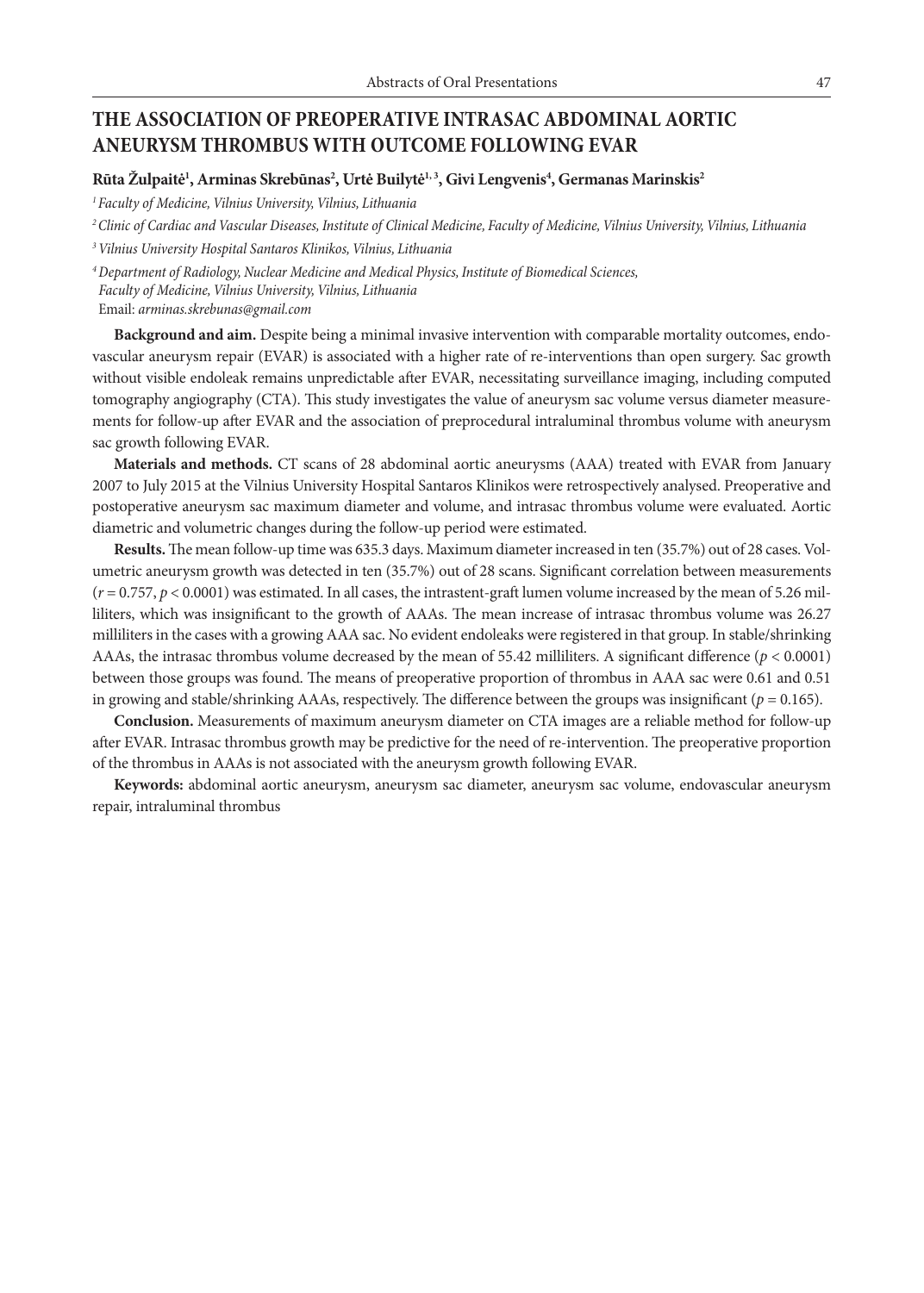## **THE ASSOCIATION OF PREOPERATIVE INTRASAC ABDOMINAL AORTIC ANEURYSM THROMBUS WITH OUTCOME FOLLOWING EVAR**

### **Rūta Žulpaitė1 , Arminas Skrebūnas2 , Urtė Builytė1, 3, Givi Lengvenis4 , Germanas Marinskis2**

*1 Faculty of Medicine, Vilnius University, Vilnius, Lithuania*

*2 Clinic of Cardiac and Vascular Diseases, Institute of Clinical Medicine, Faculty of Medicine, Vilnius University, Vilnius, Lithuania*

*3 Vilnius University Hospital Santaros Klinikos, Vilnius, Lithuania*

*<sup>4</sup>Department of Radiology, Nuclear Medicine and Medical Physics, Institute of Biomedical Sciences, Faculty of Medicine, Vilnius University, Vilnius, Lithuania* Email: *arminas.skrebunas@gmail.com*

**Background and aim.** Despite being a minimal invasive intervention with comparable mortality outcomes, endovascular aneurysm repair (EVAR) is associated with a higher rate of re-interventions than open surgery. Sac growth without visible endoleak remains unpredictable after EVAR, necessitating surveillance imaging, including computed tomography angiography (CTA). This study investigates the value of aneurysm sac volume versus diameter measurements for follow-up after EVAR and the association of preprocedural intraluminal thrombus volume with aneurysm sac growth following EVAR.

**Materials and methods.** CT scans of 28 abdominal aortic aneurysms (AAA) treated with EVAR from January 2007 to July 2015 at the Vilnius University Hospital Santaros Klinikos were retrospectively analysed. Preoperative and postoperative aneurysm sac maximum diameter and volume, and intrasac thrombus volume were evaluated. Aortic diametric and volumetric changes during the follow-up period were estimated.

**Results.** The mean follow-up time was 635.3 days. Maximum diameter increased in ten (35.7%) out of 28 cases. Volumetric aneurysm growth was detected in ten (35.7%) out of 28 scans. Significant correlation between measurements  $(r = 0.757, p < 0.0001)$  was estimated. In all cases, the intrastent-graft lumen volume increased by the mean of 5.26 milliliters, which was insignificant to the growth of AAAs. The mean increase of intrasac thrombus volume was 26.27 milliliters in the cases with a growing AAA sac. No evident endoleaks were registered in that group. In stable/shrinking AAAs, the intrasac thrombus volume decreased by the mean of 55.42 milliliters. A significant difference  $(p < 0.0001)$ between those groups was found. The means of preoperative proportion of thrombus in AAA sac were 0.61 and 0.51 in growing and stable/shrinking AAAs, respectively. The difference between the groups was insignificant ( $p = 0.165$ ).

**Conclusion.** Measurements of maximum aneurysm diameter on CTA images are a reliable method for follow-up after EVAR. Intrasac thrombus growth may be predictive for the need of re-intervention. The preoperative proportion of the thrombus in AAAs is not associated with the aneurysm growth following EVAR.

**Keywords:** abdominal aortic aneurysm, aneurysm sac diameter, aneurysm sac volume, endovascular aneurysm repair, intraluminal thrombus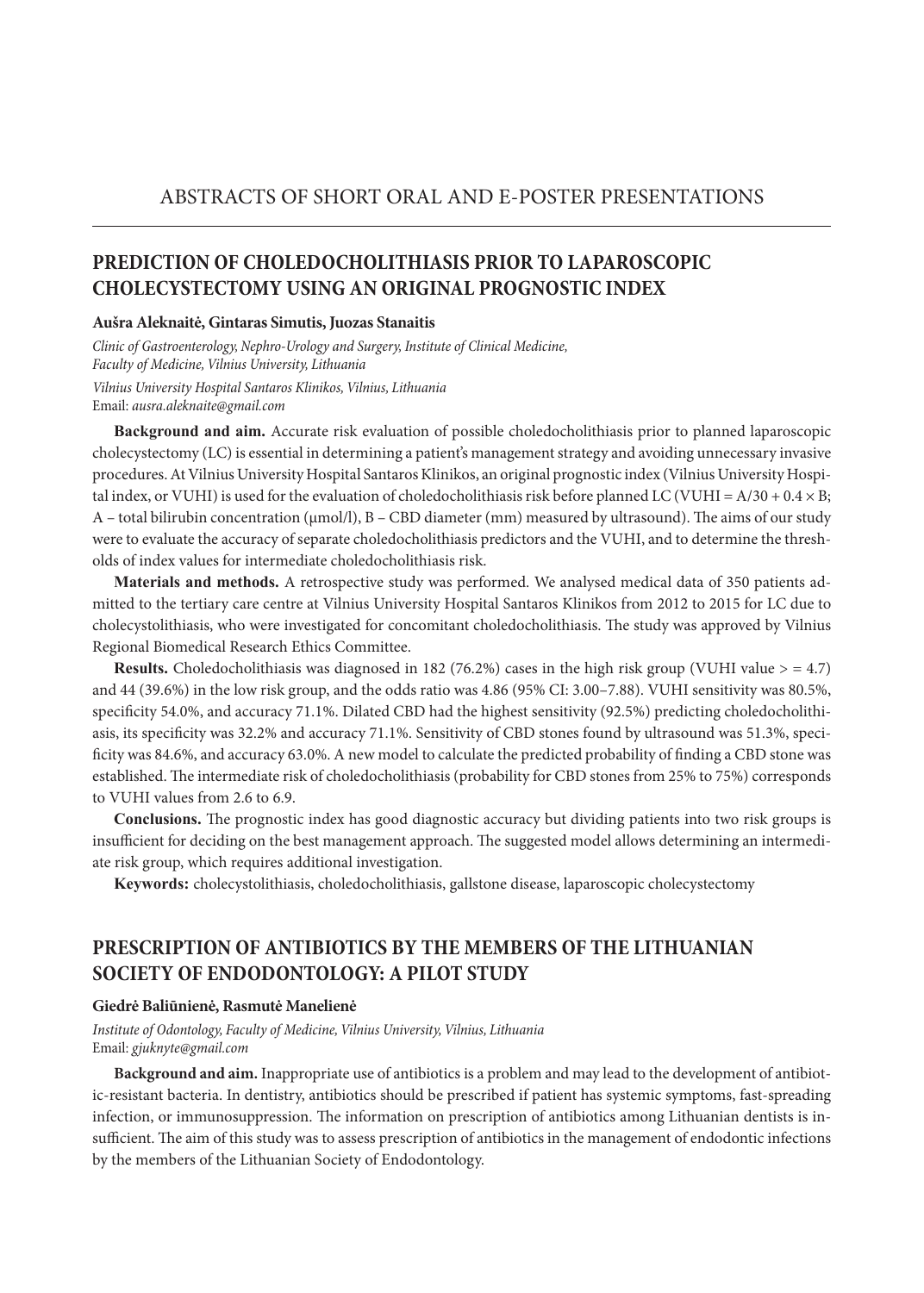# **PREDICTION OF CHOLEDOCHOLITHIASIS PRIOR TO LAPAROSCOPIC CHOLECYSTECTOMY USING AN ORIGINAL PROGNOSTIC INDEX**

#### **Aušra Aleknaitė, Gintaras Simutis, Juozas Stanaitis**

*Clinic of Gastroenterology, Nephro-Urology and Surgery, Institute of Clinical Medicine, Faculty of Medicine, Vilnius University, Lithuania Vilnius University Hospital Santaros Klinikos, Vilnius, Lithuania* Email: *ausra.aleknaite@gmail.com* 

**Background and aim.** Accurate risk evaluation of possible choledocholithiasis prior to planned laparoscopic cholecystectomy (LC) is essential in determining a patient's management strategy and avoiding unnecessary invasive procedures.At Vilnius University Hospital Santaros Klinikos, an original prognostic index (Vilnius University Hospital index, or VUHI) is used for the evaluation of choledocholithiasis risk before planned LC (VUHI =  $A/30 + 0.4 \times B$ ; A – total bilirubin concentration (µmol/l), B – CBD diameter (mm) measured by ultrasound). The aims of our study were to evaluate the accuracy of separate choledocholithiasis predictors and the VUHI, and to determine the thresholds of index values for intermediate choledocholithiasis risk.

**Materials and methods.** A retrospective study was performed. We analysed medical data of 350 patients admitted to the tertiary care centre at Vilnius University Hospital Santaros Klinikos from 2012 to 2015 for LC due to cholecystolithiasis, who were investigated for concomitant choledocholithiasis. The study was approved by Vilnius Regional Biomedical Research Ethics Committee.

**Results.** Choledocholithiasis was diagnosed in 182 (76.2%) cases in the high risk group (VUHI value > = 4.7) and 44 (39.6%) in the low risk group, and the odds ratio was 4.86 (95% CI: 3.00–7.88). VUHI sensitivity was 80.5%, specificity 54.0%, and accuracy 71.1%. Dilated CBD had the highest sensitivity (92.5%) predicting choledocholithiasis, its specificity was 32.2% and accuracy 71.1%. Sensitivity of CBD stones found by ultrasound was 51.3%, specificity was 84.6%, and accuracy 63.0%. A new model to calculate the predicted probability of finding a CBD stone was established. The intermediate risk of choledocholithiasis (probability for CBD stones from 25% to 75%) corresponds to VUHI values from 2.6 to 6.9.

**Conclusions.** The prognostic index has good diagnostic accuracy but dividing patients into two risk groups is insufficient for deciding on the best management approach. The suggested model allows determining an intermediate risk group, which requires additional investigation.

**Keywords:** cholecystolithiasis, choledocholithiasis, gallstone disease, laparoscopic cholecystectomy

## **PRESCRIPTION OF ANTIBIOTICS BY THE MEMBERS OF THE LITHUANIAN SOCIETY OF ENDODONTOLOGY: A PILOT STUDY**

### **Giedrė Baliūnienė, Rasmutė Manelienė**

*Institute of Odontology, Faculty of Medicine, Vilnius University, Vilnius, Lithuania* Email: *gjuknyte@gmail.com*

**Background and aim.** Inappropriate use of antibiotics is a problem and may lead to the development of antibiotic-resistant bacteria. In dentistry, antibiotics should be prescribed if patient has systemic symptoms, fast-spreading infection, or immunosuppression. The information on prescription of antibiotics among Lithuanian dentists is insufficient. The aim of this study was to assess prescription of antibiotics in the management of endodontic infections by the members of the Lithuanian Society of Endodontology.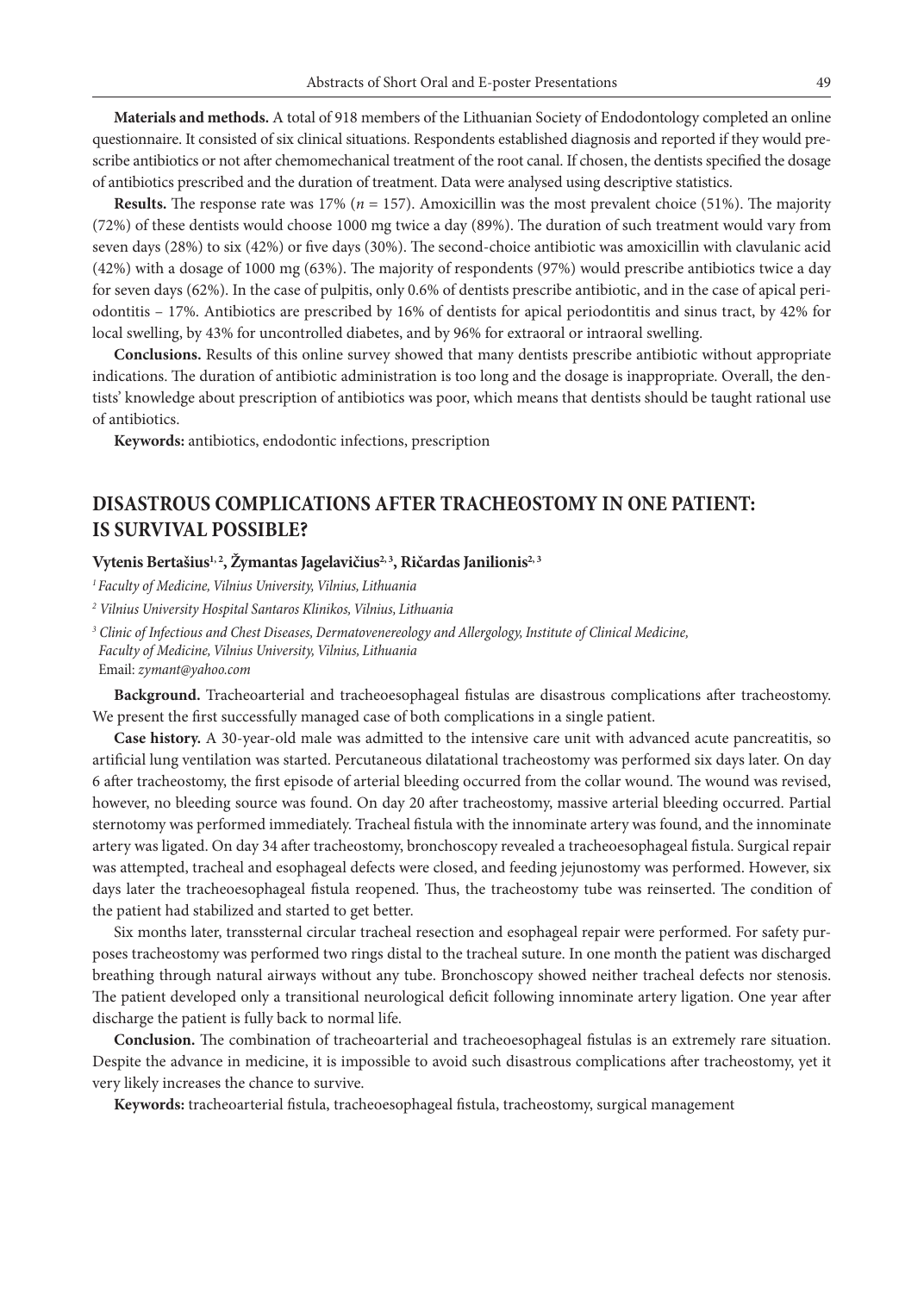**Materials and methods.** A total of 918 members of the Lithuanian Society of Endodontology completed an online questionnaire. It consisted of six clinical situations. Respondents established diagnosis and reported if they would prescribe antibiotics or not after chemomechanical treatment of the root canal. If chosen, the dentists specified the dosage of antibiotics prescribed and the duration of treatment. Data were analysed using descriptive statistics.

**Results.** The response rate was 17% ( $n = 157$ ). Amoxicillin was the most prevalent choice (51%). The majority (72%) of these dentists would choose 1000 mg twice a day (89%). The duration of such treatment would vary from seven days (28%) to six (42%) or five days (30%). The second-choice antibiotic was amoxicillin with clavulanic acid (42%) with a dosage of 1000 mg (63%). The majority of respondents (97%) would prescribe antibiotics twice a day for seven days (62%). In the case of pulpitis, only 0.6% of dentists prescribe antibiotic, and in the case of apical periodontitis – 17%. Antibiotics are prescribed by 16% of dentists for apical periodontitis and sinus tract, by 42% for local swelling, by 43% for uncontrolled diabetes, and by 96% for extraoral or intraoral swelling.

**Conclusions.** Results of this online survey showed that many dentists prescribe antibiotic without appropriate indications. The duration of antibiotic administration is too long and the dosage is inappropriate. Overall, the dentists' knowledge about prescription of antibiotics was poor, which means that dentists should be taught rational use of antibiotics.

**Keywords:** antibiotics, endodontic infections, prescription

### **DISASTROUS COMPLICATIONS AFTER TRACHEOSTOMY IN ONE PATIENT: IS SURVIVAL POSSIBLE?**

#### Vytenis Bertašius<sup>1, 2</sup>, Žymantas Jagelavičius<sup>2, 3</sup>, Ričardas Janilionis<sup>2, 3</sup>

*1 Faculty of Medicine, Vilnius University, Vilnius, Lithuania*

*3 Clinic of Infectious and Chest Diseases, Dermatovenereology and Allergology, Institute of Clinical Medicine, Faculty of Medicine, Vilnius University, Vilnius, Lithuania*

Email: *zymant@yahoo.com*

**Background.** Tracheoarterial and tracheoesophageal fistulas are disastrous complications after tracheostomy. We present the first successfully managed case of both complications in a single patient.

**Case history.** A 30-year-old male was admitted to the intensive care unit with advanced acute pancreatitis, so artificial lung ventilation was started. Percutaneous dilatational tracheostomy was performed six days later. On day 6 after tracheostomy, the first episode of arterial bleeding occurred from the collar wound. The wound was revised, however, no bleeding source was found. On day 20 after tracheostomy, massive arterial bleeding occurred. Partial sternotomy was performed immediately. Tracheal fistula with the innominate artery was found, and the innominate artery was ligated. On day 34 after tracheostomy, bronchoscopy revealed a tracheoesophageal fistula. Surgical repair was attempted, tracheal and esophageal defects were closed, and feeding jejunostomy was performed. However, six days later the tracheoesophageal fistula reopened. Thus, the tracheostomy tube was reinserted. The condition of the patient had stabilized and started to get better.

Six months later, transsternal circular tracheal resection and esophageal repair were performed. For safety purposes tracheostomy was performed two rings distal to the tracheal suture. In one month the patient was discharged breathing through natural airways without any tube. Bronchoscopy showed neither tracheal defects nor stenosis. The patient developed only a transitional neurological deficit following innominate artery ligation. One year after discharge the patient is fully back to normal life.

**Conclusion.** The combination of tracheoarterial and tracheoesophageal fistulas is an extremely rare situation. Despite the advance in medicine, it is impossible to avoid such disastrous complications after tracheostomy, yet it very likely increases the chance to survive.

**Keywords:** tracheoarterial fistula, tracheoesophageal fistula, tracheostomy, surgical management

*<sup>2</sup> Vilnius University Hospital Santaros Klinikos, Vilnius, Lithuania*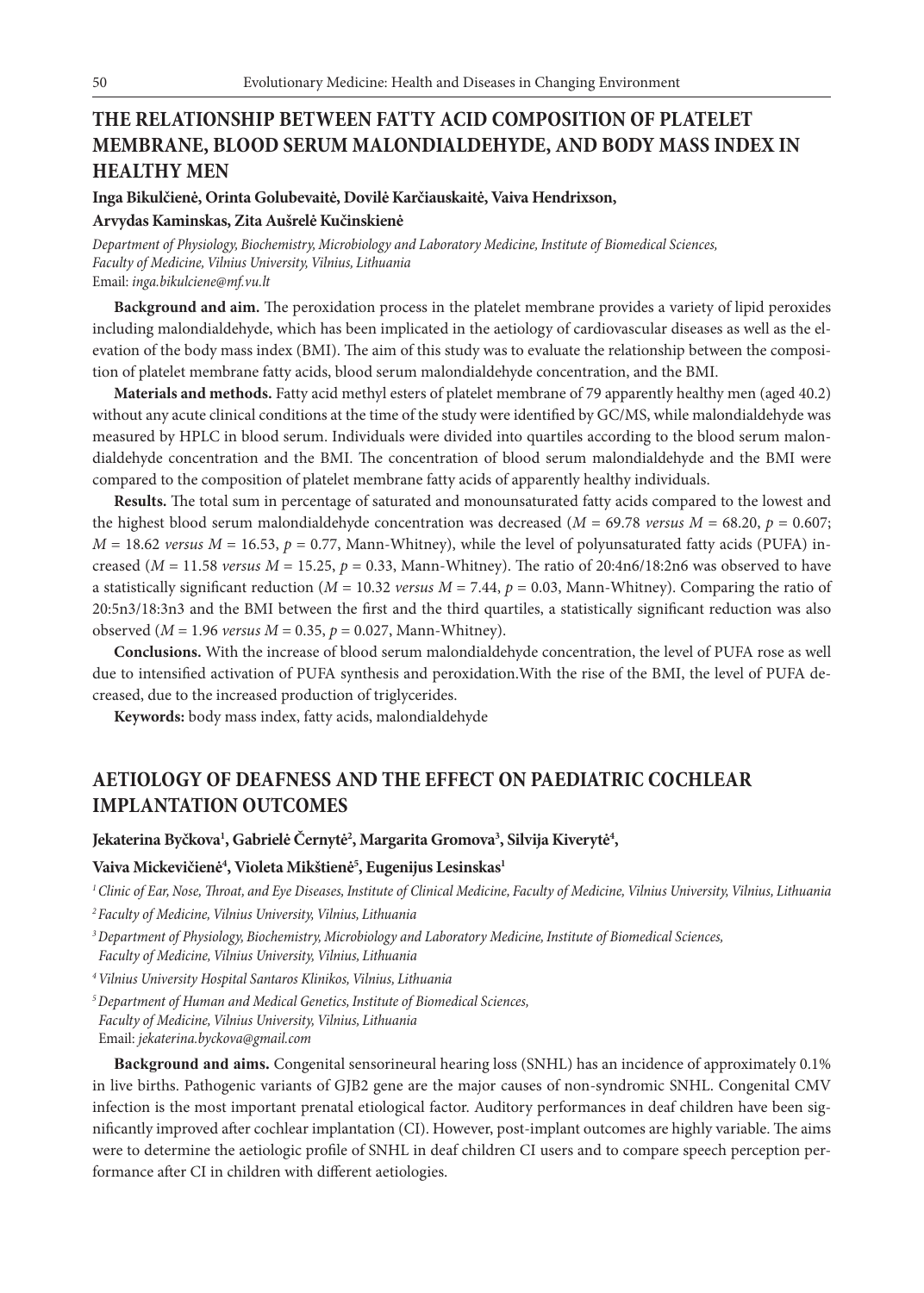# **THE RELATIONSHIP BETWEEN FATTY ACID COMPOSITION OF PLATELET MEMBRANE, BLOOD SERUM MALONDIALDEHYDE, AND BODY MASS INDEX IN HEALTHY MEN**

**Inga Bikulčienė, Orinta Golubevaitė, Dovilė Karčiauskaitė, Vaiva Hendrixson, Arvydas Kaminskas, Zita Aušrelė Kučinskienė**

*Department of Physiology, Biochemistry, Microbiology and Laboratory Medicine, Institute of Biomedical Sciences, Faculty of Medicine, Vilnius University, Vilnius, Lithuania* Email: *inga.bikulciene@mf.vu.lt*

**Background and aim.** The peroxidation process in the platelet membrane provides a variety of lipid peroxides including malondialdehyde, which has been implicated in the aetiology of cardiovascular diseases as well as the elevation of the body mass index (BMI). The aim of this study was to evaluate the relationship between the composition of platelet membrane fatty acids, blood serum malondialdehyde concentration, and the BMI.

**Materials and methods.** Fatty acid methyl esters of platelet membrane of 79 apparently healthy men (aged 40.2) without any acute clinical conditions at the time of the study were identified by GC/MS, while malondialdehyde was measured by HPLC in blood serum. Individuals were divided into quartiles according to the blood serum malondialdehyde concentration and the BMI. The concentration of blood serum malondialdehyde and the BMI were compared to the composition of platelet membrane fatty acids of apparently healthy individuals.

**Results.** The total sum in percentage of saturated and monounsaturated fatty acids compared to the lowest and the highest blood serum malondialdehyde concentration was decreased ( $M = 69.78$  *versus*  $M = 68.20$ ,  $p = 0.607$ ;  $M = 18.62$  *versus*  $M = 16.53$ ,  $p = 0.77$ , Mann-Whitney), while the level of polyunsaturated fatty acids (PUFA) increased ( $M = 11.58$  *versus*  $M = 15.25$ ,  $p = 0.33$ , Mann-Whitney). The ratio of 20:4n6/18:2n6 was observed to have a statistically significant reduction (*M* = 10.32 *versus M* = 7.44, *p* = 0.03, Mann-Whitney). Comparing the ratio of 20:5n3/18:3n3 and the BMI between the first and the third quartiles, a statistically significant reduction was also observed (*M* = 1.96 *versus M* = 0.35, *p* = 0.027, Mann-Whitney).

**Conclusions.** With the increase of blood serum malondialdehyde concentration, the level of PUFA rose as well due to intensified activation of PUFA synthesis and peroxidation.With the rise of the BMI, the level of PUFA decreased, due to the increased production of triglycerides.

**Keywords:** body mass index, fatty acids, malondialdehyde

### **AETIOLOGY OF DEAFNESS AND THE EFFECT ON PAEDIATRIC COCHLEAR IMPLANTATION OUTCOMES**

### Jekaterina Byčkova<sup>1</sup>, Gabrielė Černytė<sup>2</sup>, Margarita Gromova<sup>3</sup>, Silvija Kiverytė<sup>4</sup>,

### **Vaiva Mickevičienė4 , Violeta Mikštienė5 , Eugenijus Lesinskas1**

*1 Clinic of Ear, Nose, Throat, and Eye Diseases, Institute of Clinical Medicine, Faculty of Medicine, Vilnius University, Vilnius, Lithuania*

*2 Faculty of Medicine, Vilnius University, Vilnius, Lithuania*

*4 Vilnius University Hospital Santaros Klinikos, Vilnius, Lithuania*

*5 Department of Human and Medical Genetics, Institute of Biomedical Sciences, Faculty of Medicine, Vilnius University, Vilnius, Lithuania* Email: *jekaterina.byckova@gmail.com*

**Background and aims.** Congenital sensorineural hearing loss (SNHL) has an incidence of approximately 0.1% in live births. Pathogenic variants of GJB2 gene are the major causes of non-syndromic SNHL. Congenital CMV infection is the most important prenatal etiological factor. Auditory performances in deaf children have been significantly improved after cochlear implantation (CI). However, post-implant outcomes are highly variable. The aims were to determine the aetiologic profile of SNHL in deaf children CI users and to compare speech perception performance after CI in children with different aetiologies.

*<sup>3</sup> Department of Physiology, Biochemistry, Microbiology and Laboratory Medicine, Institute of Biomedical Sciences, Faculty of Medicine, Vilnius University, Vilnius, Lithuania*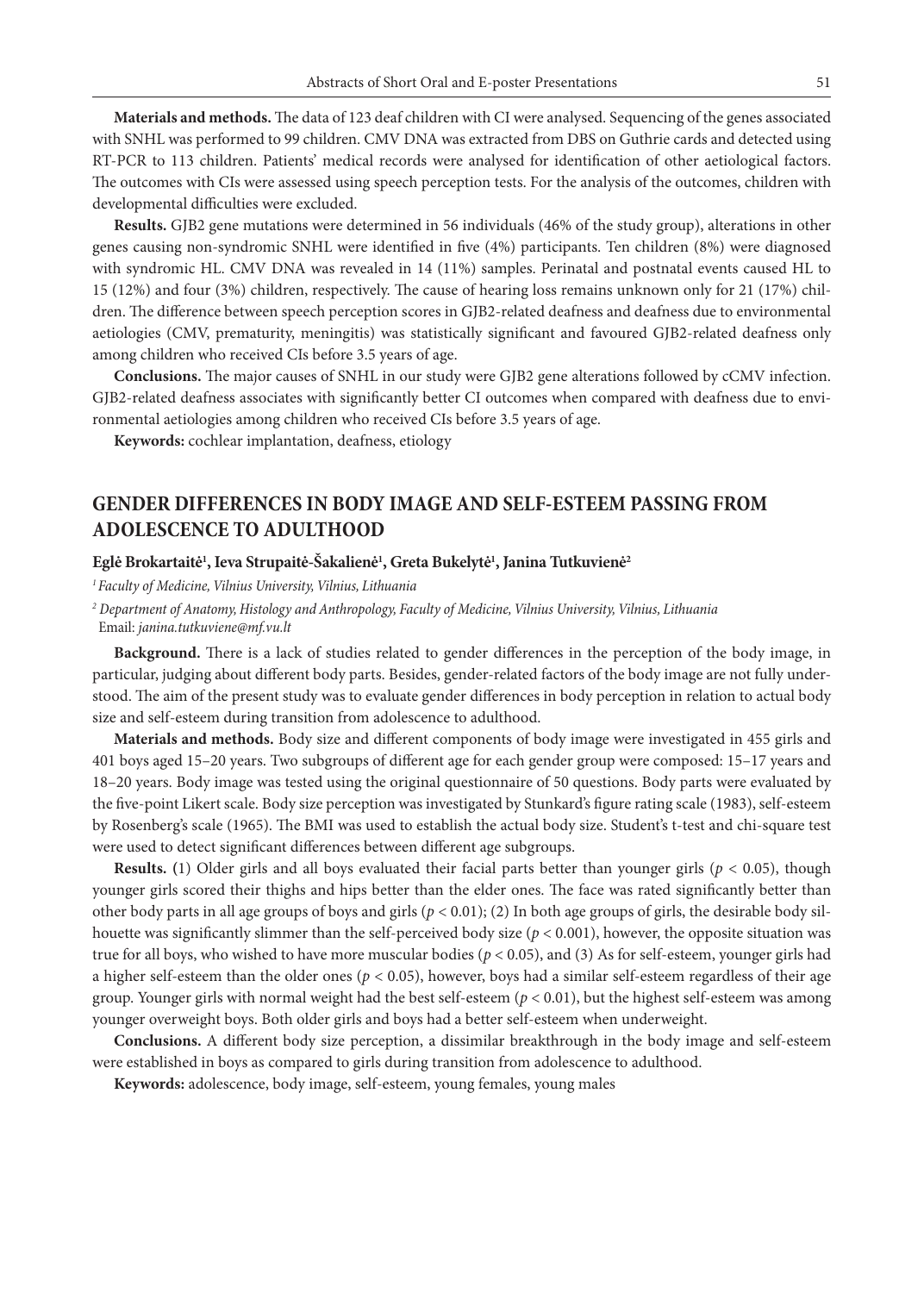**Materials and methods.** The data of 123 deaf children with CI were analysed. Sequencing of the genes associated with SNHL was performed to 99 children. CMV DNA was extracted from DBS on Guthrie cards and detected using RT-PCR to 113 children. Patients' medical records were analysed for identification of other aetiological factors. The outcomes with CIs were assessed using speech perception tests. For the analysis of the outcomes, children with developmental difficulties were excluded.

**Results.** GJB2 gene mutations were determined in 56 individuals (46% of the study group), alterations in other genes causing non-syndromic SNHL were identified in five (4%) participants. Ten children (8%) were diagnosed with syndromic HL. CMV DNA was revealed in 14 (11%) samples. Perinatal and postnatal events caused HL to 15 (12%) and four (3%) children, respectively. The cause of hearing loss remains unknown only for 21 (17%) children. The difference between speech perception scores in GJB2-related deafness and deafness due to environmental aetiologies (CMV, prematurity, meningitis) was statistically significant and favoured GJB2-related deafness only among children who received CIs before 3.5 years of age.

**Conclusions.** The major causes of SNHL in our study were GJB2 gene alterations followed by cCMV infection. GJB2-related deafness associates with significantly better CI outcomes when compared with deafness due to environmental aetiologies among children who received CIs before 3.5 years of age.

**Keywords:** cochlear implantation, deafness, etiology

## **GENDER DIFFERENCES IN BODY IMAGE AND SELF-ESTEEM PASSING FROM ADOLESCENCE TO ADULTHOOD**

### Eglė Brokartaitė<sup>1</sup>, Ieva Strupaitė-Šakalienė<sup>1</sup>, Greta Bukelytė<sup>1</sup>, Janina Tutkuvienė<sup>2</sup>

*1 Faculty of Medicine, Vilnius University, Vilnius, Lithuania*

*2 Department of Anatomy, Histology and Anthropology, Faculty of Medicine, Vilnius University, Vilnius, Lithuania* Email: *janina.tutkuviene@mf.vu.lt*

**Background.** There is a lack of studies related to gender differences in the perception of the body image, in particular, judging about different body parts. Besides, gender-related factors of the body image are not fully understood. The aim of the present study was to evaluate gender differences in body perception in relation to actual body size and self-esteem during transition from adolescence to adulthood.

**Materials and methods.** Body size and different components of body image were investigated in 455 girls and 401 boys aged 15–20 years. Two subgroups of different age for each gender group were composed: 15–17 years and 18–20 years. Body image was tested using the original questionnaire of 50 questions. Body parts were evaluated by the five-point Likert scale. Body size perception was investigated by Stunkard's figure rating scale (1983), self-esteem by Rosenberg's scale (1965). The BMI was used to establish the actual body size. Student's t-test and chi-square test were used to detect significant differences between different age subgroups.

**Results. (**1) Older girls and all boys evaluated their facial parts better than younger girls (*p* < 0.05), though younger girls scored their thighs and hips better than the elder ones. The face was rated significantly better than other body parts in all age groups of boys and girls  $(p < 0.01)$ ; (2) In both age groups of girls, the desirable body silhouette was significantly slimmer than the self-perceived body size  $(p < 0.001)$ , however, the opposite situation was true for all boys, who wished to have more muscular bodies (*p* < 0.05), and (3) As for self-esteem, younger girls had a higher self-esteem than the older ones ( $p < 0.05$ ), however, boys had a similar self-esteem regardless of their age group. Younger girls with normal weight had the best self-esteem (*p* < 0.01), but the highest self-esteem was among younger overweight boys. Both older girls and boys had a better self-esteem when underweight.

**Conclusions.** A different body size perception, a dissimilar breakthrough in the body image and self-esteem were established in boys as compared to girls during transition from adolescence to adulthood.

**Keywords:** adolescence, body image, self-esteem, young females, young males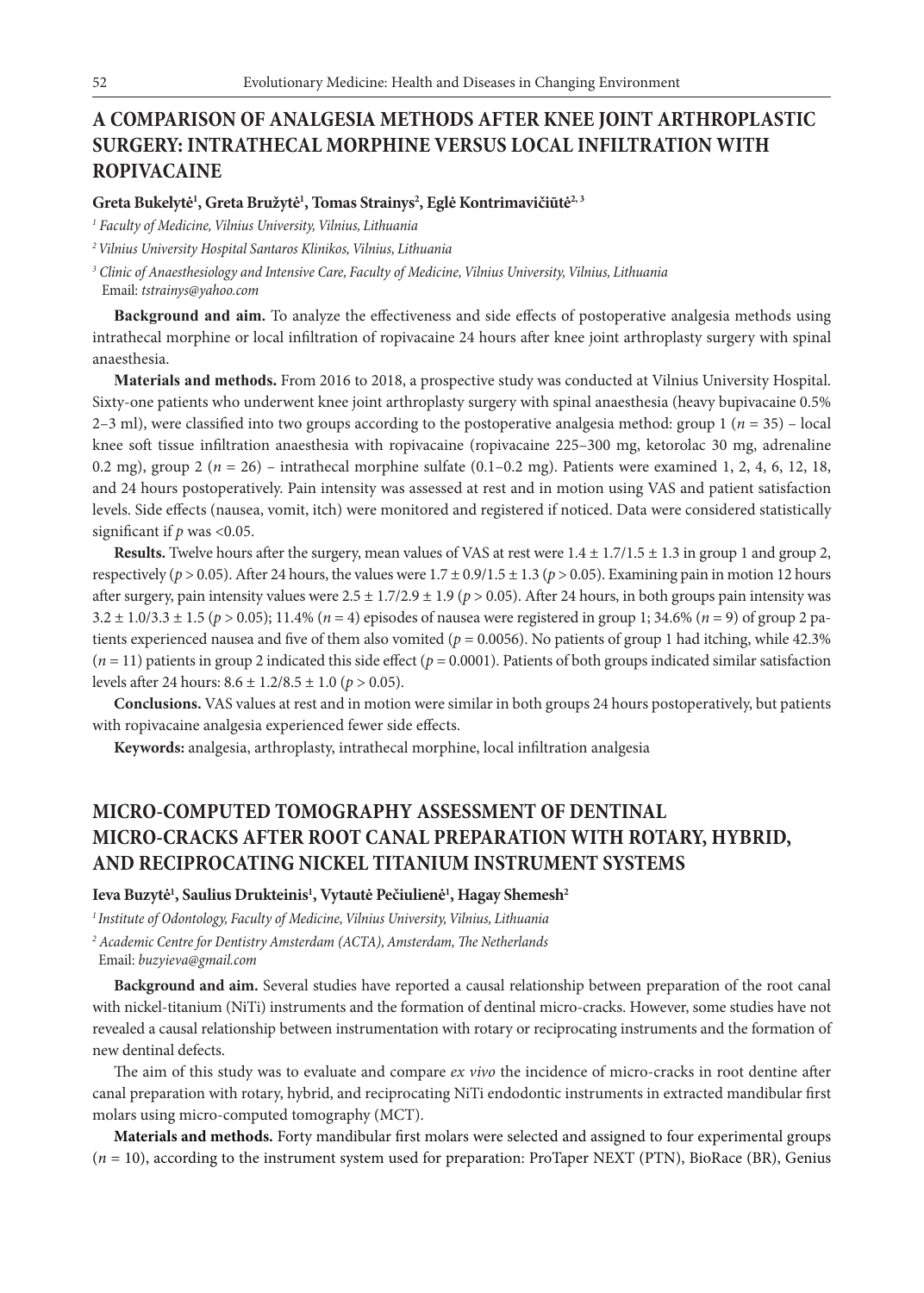# **A COMPARISON OF ANALGESIA METHODS AFTER KNEE JOINT ARTHROPLASTIC SURGERY: INTRATHECAL MORPHINE VERSUS LOCAL INFILTRATION WITH ROPIVACAINE**

### $\mathbf{G}$ reta Bukelytė<sup>1</sup>, Greta Bružytė<sup>1</sup>, Tomas Strainys<sup>2</sup>, Eglė Kontrimavičiūtė<sup>2, 3</sup>

*1 Faculty of Medicine, Vilnius University, Vilnius, Lithuania*

*2 Vilnius University Hospital Santaros Klinikos, Vilnius, Lithuania*

*3 Clinic of Anaesthesiology and Intensive Care, Faculty of Medicine, Vilnius University, Vilnius, Lithuania* Email: *tstrainys@yahoo.com*

**Background and aim.** To analyze the effectiveness and side effects of postoperative analgesia methods using intrathecal morphine or local infiltration of ropivacaine 24 hours after knee joint arthroplasty surgery with spinal anaesthesia.

**Materials and methods.** From 2016 to 2018, a prospective study was conducted at Vilnius University Hospital. Sixty-one patients who underwent knee joint arthroplasty surgery with spinal anaesthesia (heavy bupivacaine 0.5% 2–3 ml), were classified into two groups according to the postoperative analgesia method: group  $1 (n = 35)$  – local knee soft tissue infiltration anaesthesia with ropivacaine (ropivacaine 225–300 mg, ketorolac 30 mg, adrenaline 0.2 mg), group 2 (*n* = 26) – intrathecal morphine sulfate (0.1–0.2 mg). Patients were examined 1, 2, 4, 6, 12, 18, and 24 hours postoperatively. Pain intensity was assessed at rest and in motion using VAS and patient satisfaction levels. Side effects (nausea, vomit, itch) were monitored and registered if noticed. Data were considered statistically significant if *p* was <0.05.

**Results.** Twelve hours after the surgery, mean values of VAS at rest were 1.4 ± 1.7/1.5 ± 1.3 in group 1 and group 2, respectively ( $p > 0.05$ ). After 24 hours, the values were  $1.7 \pm 0.9/1.5 \pm 1.3$  ( $p > 0.05$ ). Examining pain in motion 12 hours after surgery, pain intensity values were  $2.5 \pm 1.7/2.9 \pm 1.9$  ( $p > 0.05$ ). After 24 hours, in both groups pain intensity was 3.2 ± 1.0/3.3 ± 1.5 (*p* > 0.05); 11.4% (*n* = 4) episodes of nausea were registered in group 1; 34.6% (*n* = 9) of group 2 patients experienced nausea and five of them also vomited ( $p = 0.0056$ ). No patients of group 1 had itching, while 42.3%  $(n = 11)$  patients in group 2 indicated this side effect  $(p = 0.0001)$ . Patients of both groups indicated similar satisfaction levels after 24 hours: 8.6 ± 1.2/8.5 ± 1.0 (*p* > 0.05).

**Conclusions.** VAS values at rest and in motion were similar in both groups 24 hours postoperatively, but patients with ropivacaine analgesia experienced fewer side effects.

**Keywords:** analgesia, arthroplasty, intrathecal morphine, local infiltration analgesia

# **MICRO-COMPUTED TOMOGRAPHY ASSESSMENT OF DENTINAL MICRO-CRACKS AFTER ROOT CANAL PREPARATION WITH ROTARY, HYBRID, AND RECIPROCATING NICKEL TITANIUM INSTRUMENT SYSTEMS**

### ${\bf P}$ Ieva Buzytė<sup>1</sup>, Saulius Drukteinis<sup>1</sup>, Vytautė Pečiulienė<sup>1</sup>, Hagay Shemesh<sup>2</sup>

*1 Institute of Odontology, Faculty of Medicine, Vilnius University, Vilnius, Lithuania 2 Academic Centre for Dentistry Amsterdam (ACTA), Amsterdam, The Netherlands* Email: *buzyieva@gmail.com* 

**Background and aim.** Several studies have reported a causal relationship between preparation of the root canal with nickel-titanium (NiTi) instruments and the formation of dentinal micro-cracks. However, some studies have not revealed a causal relationship between instrumentation with rotary or reciprocating instruments and the formation of new dentinal defects.

The aim of this study was to evaluate and compare *ex vivo* the incidence of micro-cracks in root dentine after canal preparation with rotary, hybrid, and reciprocating NiTi endodontic instruments in extracted mandibular first molars using micro-computed tomography (MCT).

**Materials and methods.** Forty mandibular first molars were selected and assigned to four experimental groups (*n* = 10), according to the instrument system used for preparation: ProTaper NEXT (PTN), BioRace (BR), Genius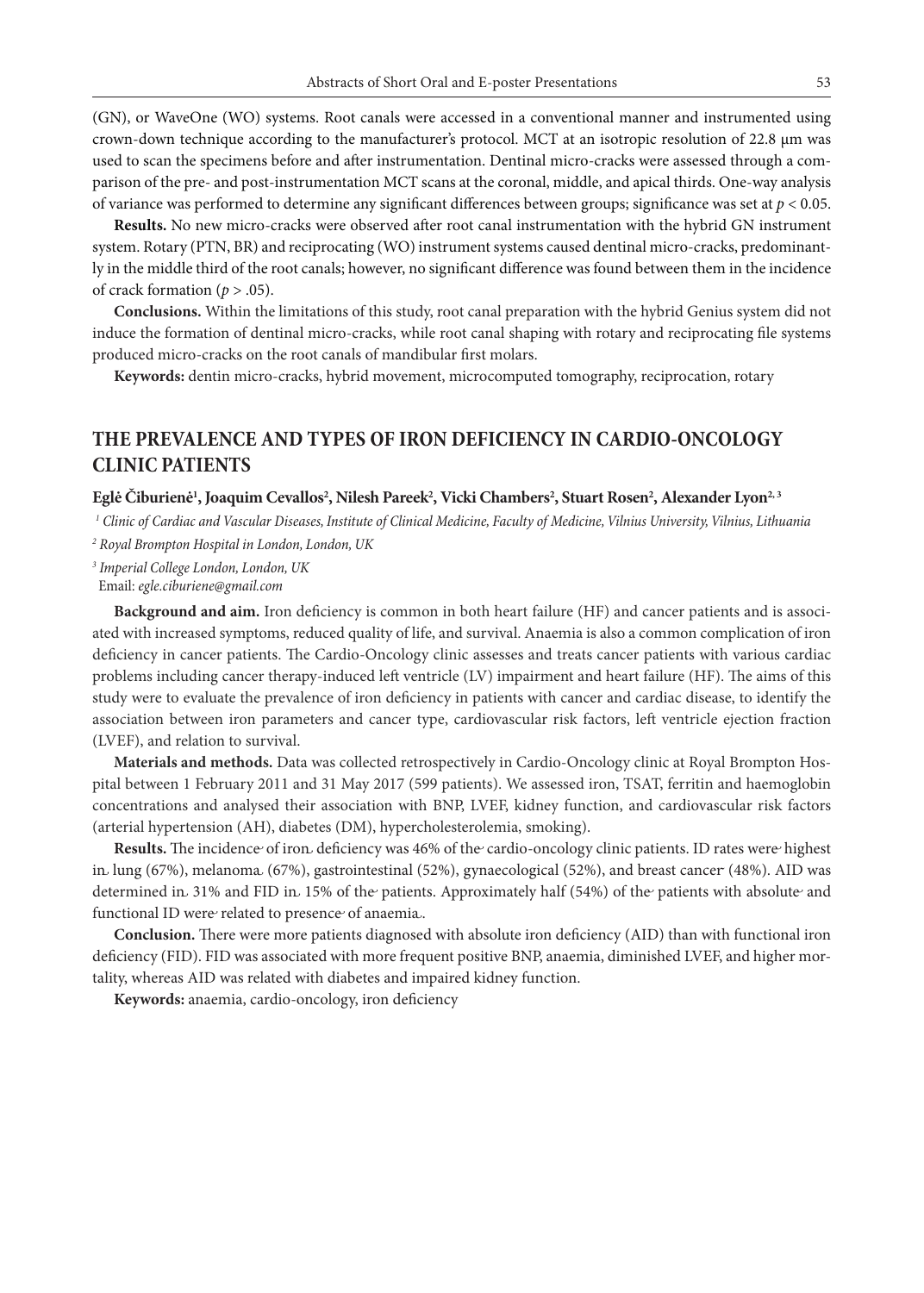(GN), or WaveOne (WO) systems. Root canals were accessed in a conventional manner and instrumented using crown-down technique according to the manufacturer's protocol. MCT at an isotropic resolution of 22.8 µm was used to scan the specimens before and after instrumentation. Dentinal micro-cracks were assessed through a comparison of the pre- and post-instrumentation MCT scans at the coronal, middle, and apical thirds. One-way analysis of variance was performed to determine any significant differences between groups; significance was set at *p* < 0.05.

**Results.** No new micro-cracks were observed after root canal instrumentation with the hybrid GN instrument system. Rotary (PTN, BR) and reciprocating (WO) instrument systems caused dentinal micro-cracks, predominantly in the middle third of the root canals; however, no significant difference was found between them in the incidence of crack formation  $(p > .05)$ .

**Conclusions.** Within the limitations of this study, root canal preparation with the hybrid Genius system did not induce the formation of dentinal micro-cracks, while root canal shaping with rotary and reciprocating file systems produced micro-cracks on the root canals of mandibular first molars.

**Keywords:** dentin micro-cracks, hybrid movement, microcomputed tomography, reciprocation, rotary

## **THE PREVALENCE AND TYPES OF IRON DEFICIENCY IN CARDIO-ONCOLOGY CLINIC PATIENTS**

### $\mathbf{E}$ glė Čiburienė<sup>1</sup>, Joaquim Cevallos<sup>2</sup>, Nilesh Pareek<sup>2</sup>, Vicki Chambers<sup>2</sup>, Stuart Rosen<sup>2</sup>, Alexander Lyon<sup>2, 3</sup>

*1 Clinic of Cardiac and Vascular Diseases, Institute of Clinical Medicine, Faculty of Medicine, Vilnius University, Vilnius, Lithuania*

*2 Royal Brompton Hospital in London, London, UK*

*3 Imperial College London, London, UK*

Email: *egle.ciburiene@gmail.com*

**Background and aim.** Iron deficiency is common in both heart failure (HF) and cancer patients and is associated with increased symptoms, reduced quality of life, and survival. Anaemia is also a common complication of iron deficiency in cancer patients. The Cardio-Oncology clinic assesses and treats cancer patients with various cardiac problems including cancer therapy-induced left ventricle (LV) impairment and heart failure (HF). The aims of this study were to evaluate the prevalence of iron deficiency in patients with cancer and cardiac disease, to identify the association between iron parameters and cancer type, cardiovascular risk factors, left ventricle ejection fraction (LVEF), and relation to survival.

**Materials and methods.** Data was collected retrospectively in Cardio-Oncology clinic at Royal Brompton Hospital between 1 February 2011 and 31 May 2017 (599 patients). We assessed iron, TSAT, ferritin and haemoglobin concentrations and analysed their association with BNP, LVEF, kidney function, and cardiovascular risk factors (arterial hypertension (AH), diabetes (DM), hypercholesterolemia, smoking).

**Results.** The incidence of iron deficiency was 46% of the cardio-oncology clinic patients. ID rates were highest in lung (67%), melanoma (67%), gastrointestinal (52%), gynaecological (52%), and breast cancer (48%). AID was determined in 31% and FID in 15% of the patients. Approximately half (54%) of the patients with absolute and functional ID were related to presence of anaemia.

**Conclusion.** There were more patients diagnosed with absolute iron deficiency (AID) than with functional iron deficiency (FID). FID was associated with more frequent positive BNP, anaemia, diminished LVEF, and higher mortality, whereas AID was related with diabetes and impaired kidney function.

**Keywords:** anaemia, cardio-oncology, iron deficiency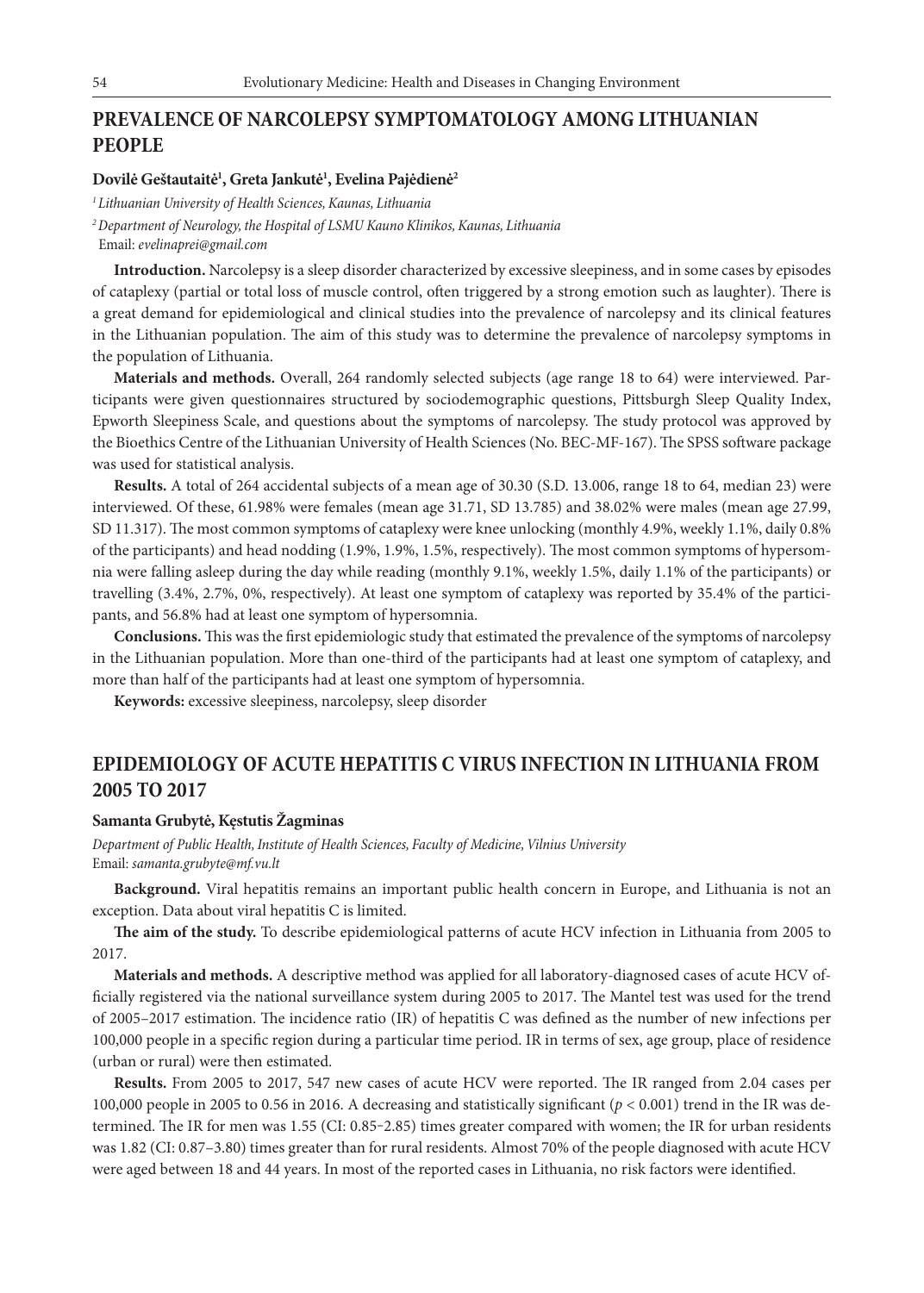## **PREVALENCE OF NARCOLEPSY SYMPTOMATOLOGY AMONG LITHUANIAN PEOPLE**

### **Dovilė Geštautaitė1 , Greta Jankutė1 , Evelina Pajėdienė2**

*1 Lithuanian University of Health Sciences, Kaunas, Lithuania*

*2 Department of Neurology, the Hospital of LSMU Kauno Klinikos, Kaunas, Lithuania*

Email: *evelinaprei@gmail.com*

**Introduction.** Narcolepsy is a sleep disorder characterized by excessive sleepiness, and in some cases by episodes of cataplexy (partial or total loss of muscle control, often triggered by a strong emotion such as laughter). There is a great demand for epidemiological and clinical studies into the prevalence of narcolepsy and its clinical features in the Lithuanian population. The aim of this study was to determine the prevalence of narcolepsy symptoms in the population of Lithuania.

**Materials and methods.** Overall, 264 randomly selected subjects (age range 18 to 64) were interviewed. Participants were given questionnaires structured by sociodemographic questions, Pittsburgh Sleep Quality Index, Epworth Sleepiness Scale, and questions about the symptoms of narcolepsy. The study protocol was approved by the Bioethics Centre of the Lithuanian University of Health Sciences (No. BEC-MF-167). The SPSS software package was used for statistical analysis.

**Results.** A total of 264 accidental subjects of a mean age of 30.30 (S.D. 13.006, range 18 to 64, median 23) were interviewed. Of these, 61.98% were females (mean age 31.71, SD 13.785) and 38.02% were males (mean age 27.99, SD 11.317). The most common symptoms of cataplexy were knee unlocking (monthly 4.9%, weekly 1.1%, daily 0.8% of the participants) and head nodding (1.9%, 1.9%, 1.5%, respectively). The most common symptoms of hypersomnia were falling asleep during the day while reading (monthly 9.1%, weekly 1.5%, daily 1.1% of the participants) or travelling (3.4%, 2.7%, 0%, respectively). At least one symptom of cataplexy was reported by 35.4% of the participants, and 56.8% had at least one symptom of hypersomnia.

**Conclusions.** This was the first epidemiologic study that estimated the prevalence of the symptoms of narcolepsy in the Lithuanian population. More than one-third of the participants had at least one symptom of cataplexy, and more than half of the participants had at least one symptom of hypersomnia.

**Keywords:** excessive sleepiness, narcolepsy, sleep disorder

## **EPIDEMIOLOGY OF ACUTE HEPATITIS C VIRUS INFECTION IN LITHUANIA FROM 2005 TO 2017**

### **Samanta Grubytė, Kęstutis Žagminas**

*Department of Public Health, Institute of Health Sciences, Faculty of Medicine, Vilnius University* Email: *samanta.grubyte@mf.vu.lt*

**Background.** Viral hepatitis remains an important public health concern in Europe, and Lithuania is not an exception. Data about viral hepatitis C is limited.

**The aim of the study.** To describe epidemiological patterns of acute HCV infection in Lithuania from 2005 to 2017.

**Materials and methods.** A descriptive method was applied for all laboratory-diagnosed cases of acute HCV officially registered via the national surveillance system during 2005 to 2017. The Mantel test was used for the trend of 2005–2017 estimation. The incidence ratio (IR) of hepatitis C was defined as the number of new infections per 100,000 people in a specific region during a particular time period. IR in terms of sex, age group, place of residence (urban or rural) were then estimated.

**Results.** From 2005 to 2017, 547 new cases of acute HCV were reported. The IR ranged from 2.04 cases per 100,000 people in 2005 to 0.56 in 2016. A decreasing and statistically significant (*p* < 0.001) trend in the IR was determined. The IR for men was 1.55 (CI: 0.85-2.85) times greater compared with women; the IR for urban residents was 1.82 (CI: 0.87-3.80) times greater than for rural residents. Almost 70% of the people diagnosed with acute HCV were aged between 18 and 44 years. In most of the reported cases in Lithuania, no risk factors were identified.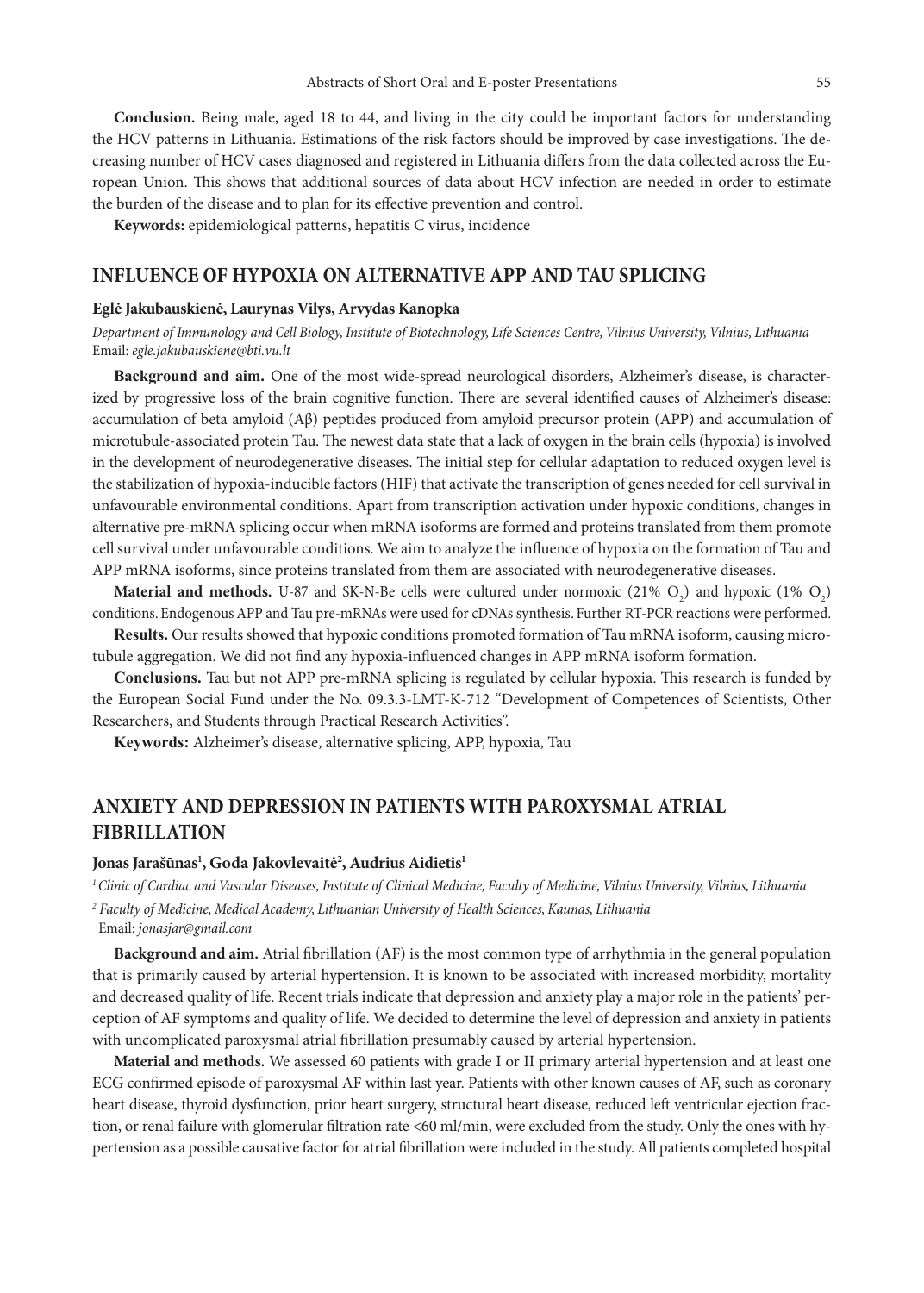**Conclusion.** Being male, aged 18 to 44, and living in the city could be important factors for understanding the HCV patterns in Lithuania. Estimations of the risk factors should be improved by case investigations. The decreasing number of HCV cases diagnosed and registered in Lithuania differs from the data collected across the European Union. This shows that additional sources of data about HCV infection are needed in order to estimate the burden of the disease and to plan for its effective prevention and control.

**Keywords:** epidemiological patterns, hepatitis C virus, incidence

### **INFLUENCE OF HYPOXIA ON ALTERNATIVE APP AND TAU SPLICING**

#### **Eglė Jakubauskienė, Laurynas Vilys, Arvydas Kanopka**

*Department of Immunology and Cell Biology, Institute of Biotechnology, Life Sciences Centre, Vilnius University, Vilnius, Lithuania* Email: *egle.jakubauskiene@bti.vu.lt*

**Background and aim.** One of the most wide-spread neurological disorders, Alzheimer's disease, is characterized by progressive loss of the brain cognitive function. There are several identified causes of Alzheimer's disease: accumulation of beta amyloid (Aβ) peptides produced from amyloid precursor protein (APP) and accumulation of microtubule-associated protein Tau. The newest data state that a lack of oxygen in the brain cells (hypoxia) is involved in the development of neurodegenerative diseases. The initial step for cellular adaptation to reduced oxygen level is the stabilization of hypoxia-inducible factors (HIF) that activate the transcription of genes needed for cell survival in unfavourable environmental conditions. Apart from transcription activation under hypoxic conditions, changes in alternative pre-mRNA splicing occur when mRNA isoforms are formed and proteins translated from them promote cell survival under unfavourable conditions. We aim to analyze the influence of hypoxia on the formation of Tau and APP mRNA isoforms, since proteins translated from them are associated with neurodegenerative diseases.

**Material and methods.** U-87 and SK-N-Be cells were cultured under normoxic (21%  $O_2$ ) and hypoxic (1%  $O_2$ ) conditions. Endogenous APP and Tau pre-mRNAs were used for cDNAs synthesis. Further RT-PCR reactions were performed.

**Results.** Our results showed that hypoxic conditions promoted formation of Tau mRNA isoform, causing microtubule aggregation. We did not find any hypoxia-influenced changes in APP mRNA isoform formation.

**Conclusions.** Tau but not APP pre-mRNA splicing is regulated by cellular hypoxia. This research is funded by the European Social Fund under the No. 09.3.3-LMT-K-712 "Development of Competences of Scientists, Other Researchers, and Students through Practical Research Activities".

**Keywords:** Alzheimer's disease, alternative splicing, APP, hypoxia, Tau

## **ANXIETY AND DEPRESSION IN PATIENTS WITH PAROXYSMAL ATRIAL FIBRILLATION**

### Jonas Jarašūnas<sup>1</sup>, Goda Jakovlevaitė<sup>2</sup>, Audrius Aidietis<sup>1</sup>

*1 Clinic of Cardiac and Vascular Diseases, Institute of Clinical Medicine, Faculty of Medicine, Vilnius University, Vilnius, Lithuania*

*2 Faculty of Medicine, Medical Academy, Lithuanian University of Health Sciences, Kaunas, Lithuania* Email: *jonasjar@gmail.com* 

**Background and aim.** Atrial fibrillation (AF) is the most common type of arrhythmia in the general population that is primarily caused by arterial hypertension. It is known to be associated with increased morbidity, mortality and decreased quality of life. Recent trials indicate that depression and anxiety play a major role in the patients' perception of AF symptoms and quality of life. We decided to determine the level of depression and anxiety in patients with uncomplicated paroxysmal atrial fibrillation presumably caused by arterial hypertension.

**Material and methods.** We assessed 60 patients with grade I or II primary arterial hypertension and at least one ECG confirmed episode of paroxysmal AF within last year. Patients with other known causes of AF, such as coronary heart disease, thyroid dysfunction, prior heart surgery, structural heart disease, reduced left ventricular ejection fraction, or renal failure with glomerular filtration rate <60 ml/min, were excluded from the study. Only the ones with hypertension as a possible causative factor for atrial fibrillation were included in the study. All patients completed hospital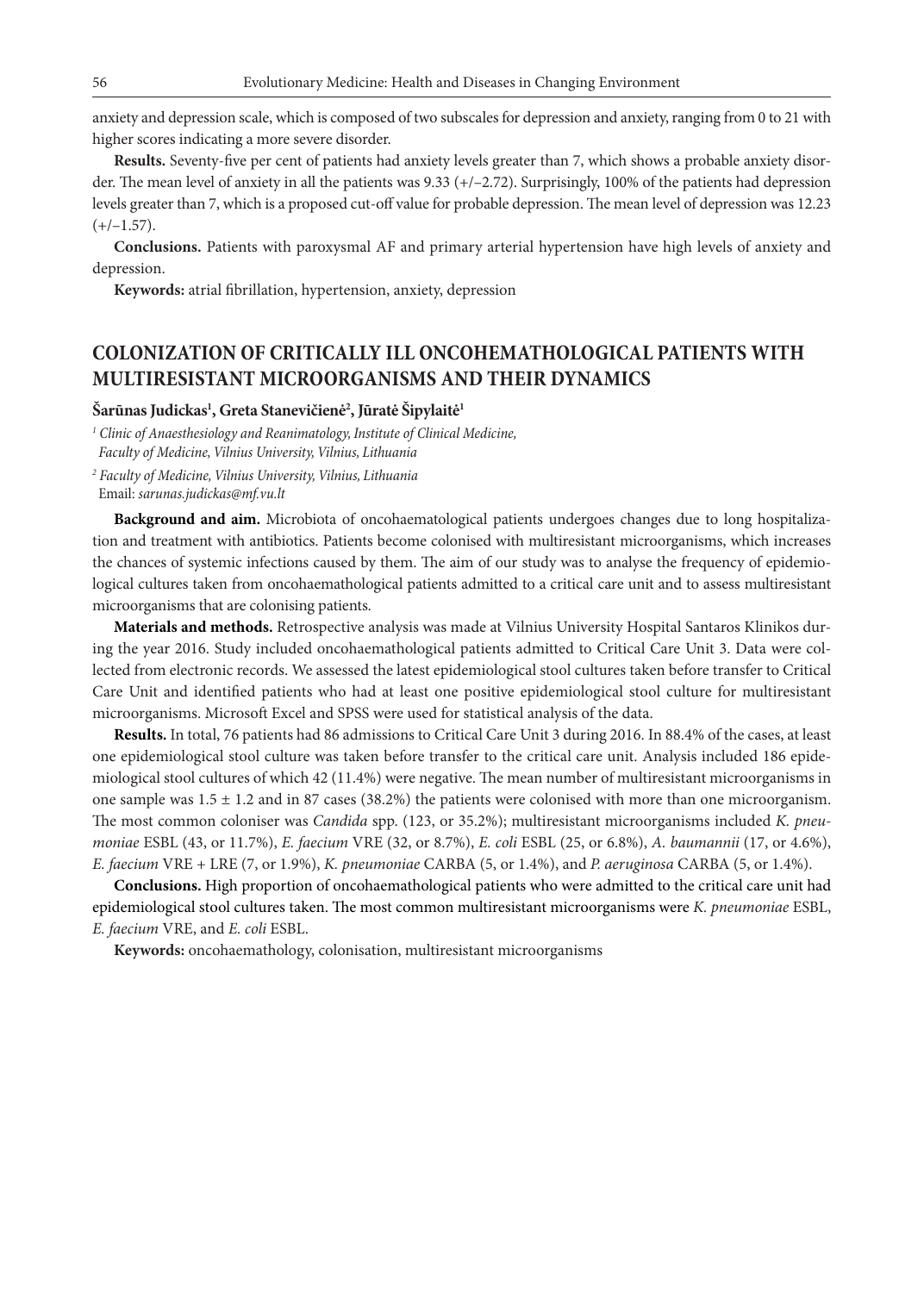anxiety and depression scale, which is composed of two subscales for depression and anxiety, ranging from 0 to 21 with higher scores indicating a more severe disorder.

**Results.** Seventy-five per cent of patients had anxiety levels greater than 7, which shows a probable anxiety disorder. The mean level of anxiety in all the patients was 9.33 (+/-2.72). Surprisingly, 100% of the patients had depression levels greater than 7, which is a proposed cut-off value for probable depression. The mean level of depression was 12.23  $(+/-1.57)$ .

**Conclusions.** Patients with paroxysmal AF and primary arterial hypertension have high levels of anxiety and depression.

**Keywords:** atrial fibrillation, hypertension, anxiety, depression

### **COLONIZATION OF CRITICALLY ILL ONCOHEMATHOLOGICAL PATIENTS WITH MULTIRESISTANT MICROORGANISMS AND THEIR DYNAMICS**

### $\check{\text{S}}$ arūnas Judickas<sup>1</sup>, Greta Stanevičienė<sup>2</sup>, Jūratė Šipylaitė<sup>1</sup>

*<sup>1</sup> Clinic of Anaesthesiology and Reanimatology, Institute of Clinical Medicine, Faculty of Medicine, Vilnius University, Vilnius, Lithuania*

*2 Faculty of Medicine, Vilnius University, Vilnius, Lithuania*

Email: *sarunas.judickas@mf.vu.lt*

**Background and aim.** Microbiota of oncohaematological patients undergoes changes due to long hospitalization and treatment with antibiotics. Patients become colonised with multiresistant microorganisms, which increases the chances of systemic infections caused by them. The aim of our study was to analyse the frequency of epidemiological cultures taken from oncohaemathological patients admitted to a critical care unit and to assess multiresistant microorganisms that are colonising patients.

**Materials and methods.** Retrospective analysis was made at Vilnius University Hospital Santaros Klinikos during the year 2016. Study included oncohaemathological patients admitted to Critical Care Unit 3. Data were collected from electronic records. We assessed the latest epidemiological stool cultures taken before transfer to Critical Care Unit and identified patients who had at least one positive epidemiological stool culture for multiresistant microorganisms. Microsoft Excel and SPSS were used for statistical analysis of the data.

**Results.** In total, 76 patients had 86 admissions to Critical Care Unit 3 during 2016. In 88.4% of the cases, at least one epidemiological stool culture was taken before transfer to the critical care unit. Analysis included 186 epidemiological stool cultures of which 42 (11.4%) were negative. The mean number of multiresistant microorganisms in one sample was  $1.5 \pm 1.2$  and in 87 cases (38.2%) the patients were colonised with more than one microorganism. The most common coloniser was *Candida* spp. (123, or 35.2%); multiresistant microorganisms included *K. pneumoniae* ESBL (43, or 11.7%), *E. faecium* VRE (32, or 8.7%), *E. coli* ESBL (25, or 6.8%), *A. baumannii* (17, or 4.6%), *E. faecium* VRE + LRE (7, or 1.9%), *K. pneumoniae* CARBA (5, or 1.4%), and *P. aeruginosa* CARBA (5, or 1.4%).

**Conclusions.** High proportion of oncohaemathological patients who were admitted to the critical care unit had epidemiological stool cultures taken. The most common multiresistant microorganisms were *K. pneumoniae* ESBL, *E. faecium* VRE, and *E. coli* ESBL.

**Keywords:** oncohaemathology, colonisation, multiresistant microorganisms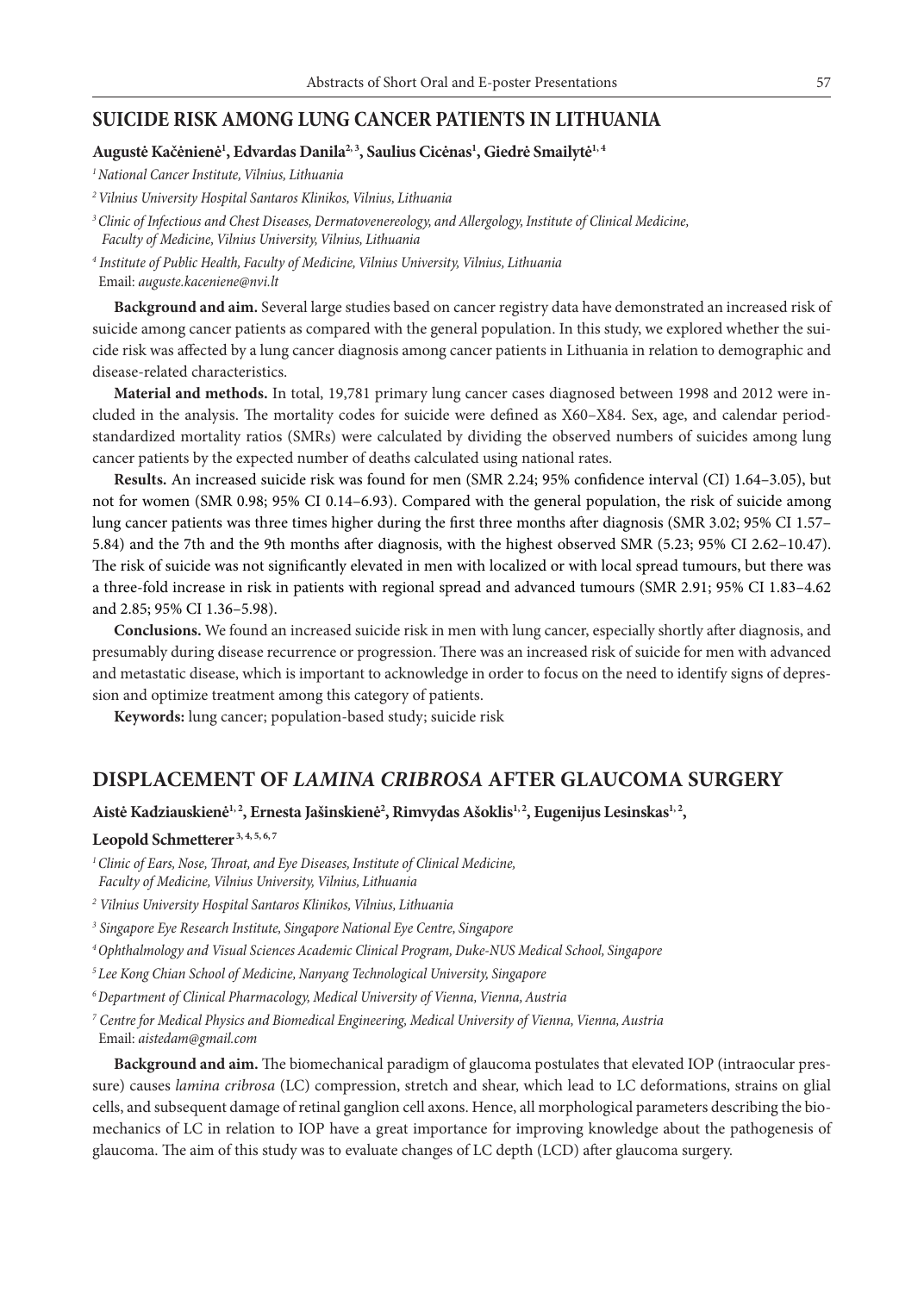### **SUICIDE RISK AMONG LUNG CANCER PATIENTS IN LITHUANIA**

### **Augustė Kačėnienė1 , Edvardas Danila2, <sup>3</sup> , Saulius Cicėnas1 , Giedrė Smailytė1, <sup>4</sup>**

*1National Cancer Institute, Vilnius, Lithuania*

*2Vilnius University Hospital Santaros Klinikos, Vilnius, Lithuania*

*3Clinic of Infectious and Chest Diseases, Dermatovenereology, and Allergology, Institute of Clinical Medicine, Faculty of Medicine, Vilnius University, Vilnius, Lithuania*

*4 Institute of Public Health, Faculty of Medicine, Vilnius University, Vilnius, Lithuania* Email: *auguste.kaceniene@nvi.lt*

**Background and aim.** Several large studies based on cancer registry data have demonstrated an increased risk of suicide among cancer patients as compared with the general population. In this study, we explored whether the suicide risk was affected by a lung cancer diagnosis among cancer patients in Lithuania in relation to demographic and disease-related characteristics.

**Material and methods.** In total, 19,781 primary lung cancer cases diagnosed between 1998 and 2012 were included in the analysis. The mortality codes for suicide were defined as X60–X84. Sex, age, and calendar periodstandardized mortality ratios (SMRs) were calculated by dividing the observed numbers of suicides among lung cancer patients by the expected number of deaths calculated using national rates.

**Results.** An increased suicide risk was found for men (SMR 2.24; 95% confidence interval (CI) 1.64–3.05), but not for women (SMR 0.98; 95% CI 0.14–6.93). Compared with the general population, the risk of suicide among lung cancer patients was three times higher during the first three months after diagnosis (SMR 3.02; 95% CI 1.57– 5.84) and the 7th and the 9th months after diagnosis, with the highest observed SMR (5.23; 95% CI 2.62–10.47). The risk of suicide was not significantly elevated in men with localized or with local spread tumours, but there was a three-fold increase in risk in patients with regional spread and advanced tumours (SMR 2.91; 95% CI 1.83–4.62 and 2.85; 95% CI 1.36–5.98).

**Conclusions.** We found an increased suicide risk in men with lung cancer, especially shortly after diagnosis, and presumably during disease recurrence or progression. There was an increased risk of suicide for men with advanced and metastatic disease, which is important to acknowledge in order to focus on the need to identify signs of depression and optimize treatment among this category of patients.

**Keywords:** lung cancer; population-based study; suicide risk

### **DISPLACEMENT OF** *LAMINA CRIBROSA* **AFTER GLAUCOMA SURGERY**

**Aistė Kadziauskienė1, 2, Ernesta Jašinskienė2 , Rimvydas Ašoklis1, 2, Eugenijus Lesinskas1, 2,**

#### **Leopold Schmetterer 3, 4, 5, 6, 7**

- *1Clinic of Ears, Nose, Throat, and Eye Diseases, Institute of Clinical Medicine, Faculty of Medicine, Vilnius University, Vilnius, Lithuania*
- *<sup>2</sup> Vilnius University Hospital Santaros Klinikos, Vilnius, Lithuania*
- *<sup>3</sup> Singapore Eye Research Institute, Singapore National Eye Centre, Singapore*

*4Ophthalmology and Visual Sciences Academic Clinical Program, Duke-NUS Medical School, Singapore*

- *5Lee Kong Chian School of Medicine, Nanyang Technological University, Singapore*
- *6Department of Clinical Pharmacology, Medical University of Vienna, Vienna, Austria*

*7 Centre for Medical Physics and Biomedical Engineering, Medical University of Vienna, Vienna, Austria* Email: *aistedam@gmail.com*

**Background and aim.** The biomechanical paradigm of glaucoma postulates that elevated IOP (intraocular pressure) causes *lamina cribrosa* (LC) compression, stretch and shear, which lead to LC deformations, strains on glial cells, and subsequent damage of retinal ganglion cell axons. Hence, all morphological parameters describing the biomechanics of LC in relation to IOP have a great importance for improving knowledge about the pathogenesis of glaucoma. The aim of this study was to evaluate changes of LC depth (LCD) after glaucoma surgery.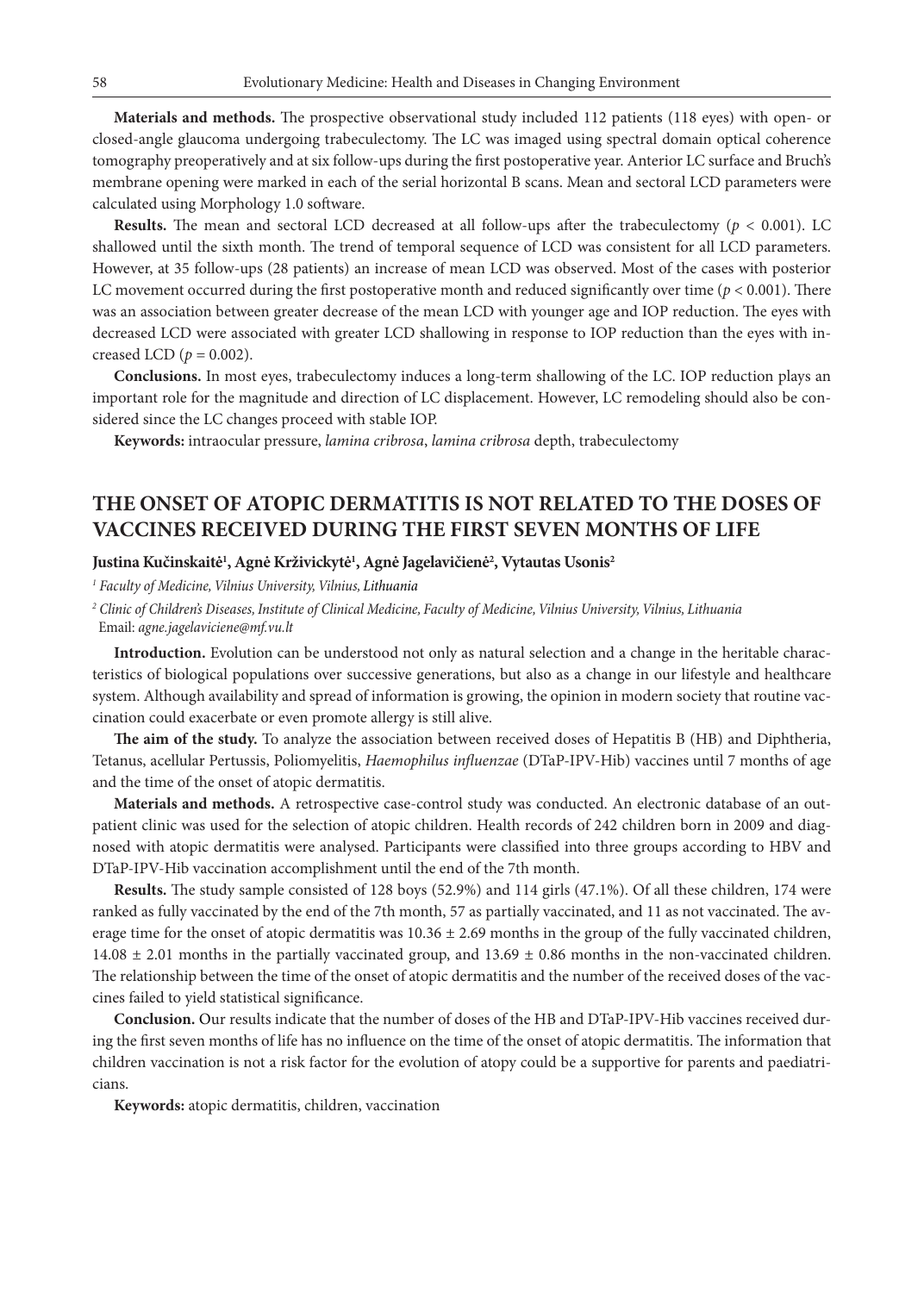**Materials and methods.** The prospective observational study included 112 patients (118 eyes) with open- or closed-angle glaucoma undergoing trabeculectomy. The LC was imaged using spectral domain optical coherence tomography preoperatively and at six follow-ups during the first postoperative year. Anterior LC surface and Bruch's membrane opening were marked in each of the serial horizontal B scans. Mean and sectoral LCD parameters were calculated using Morphology 1.0 software.

**Results.** The mean and sectoral LCD decreased at all follow-ups after the trabeculectomy  $(p < 0.001)$ . LC shallowed until the sixth month. The trend of temporal sequence of LCD was consistent for all LCD parameters. However, at 35 follow-ups (28 patients) an increase of mean LCD was observed. Most of the cases with posterior LC movement occurred during the first postoperative month and reduced significantly over time ( $p < 0.001$ ). There was an association between greater decrease of the mean LCD with younger age and IOP reduction. The eyes with decreased LCD were associated with greater LCD shallowing in response to IOP reduction than the eyes with increased LCD ( $p = 0.002$ ).

**Conclusions.** In most eyes, trabeculectomy induces a long-term shallowing of the LC. IOP reduction plays an important role for the magnitude and direction of LC displacement. However, LC remodeling should also be considered since the LC changes proceed with stable IOP.

**Keywords:** intraocular pressure, *lamina cribrosa*, *lamina cribrosa* depth, trabeculectomy

# **THE ONSET OF ATOPIC DERMATITIS IS NOT RELATED TO THE DOSES OF VACCINES RECEIVED DURING THE FIRST SEVEN MONTHS OF LIFE**

### **Justina Kučinskaitė1 , Agnė Krživickytė1 , Agnė Jagelavičienė2 , Vytautas Usonis2**

*<sup>1</sup> Faculty of Medicine, Vilnius University, Vilnius, Lithuania*

*2 Clinic of Children's Diseases, Institute of Clinical Medicine, Faculty of Medicine, Vilnius University, Vilnius, Lithuania* Email: *agne.jagelaviciene@mf.vu.lt*

**Introduction.** Evolution can be understood not only as natural selection and a change in the heritable characteristics of biological populations over successive generations, but also as a change in our lifestyle and healthcare system. Although availability and spread of information is growing, the opinion in modern society that routine vaccination could exacerbate or even promote allergy is still alive.

**The aim of the study.** To analyze the association between received doses of Hepatitis B (HB) and Diphtheria, Tetanus, acellular Pertussis, Poliomyelitis, *Haemophilus influenzae* (DTaP-IPV-Hib) vaccines until 7 months of age and the time of the onset of atopic dermatitis.

**Materials and methods.** A retrospective case-control study was conducted. An electronic database of an outpatient clinic was used for the selection of atopic children. Health records of 242 children born in 2009 and diagnosed with atopic dermatitis were analysed. Participants were classified into three groups according to HBV and DTaP-IPV-Hib vaccination accomplishment until the end of the 7th month.

**Results.** The study sample consisted of 128 boys (52.9%) and 114 girls (47.1%). Of all these children, 174 were ranked as fully vaccinated by the end of the 7th month, 57 as partially vaccinated, and 11 as not vaccinated. The average time for the onset of atopic dermatitis was  $10.36 \pm 2.69$  months in the group of the fully vaccinated children,  $14.08 \pm 2.01$  months in the partially vaccinated group, and  $13.69 \pm 0.86$  months in the non-vaccinated children. The relationship between the time of the onset of atopic dermatitis and the number of the received doses of the vaccines failed to yield statistical significance.

**Conclusion.** Our results indicate that the number of doses of the HB and DTaP-IPV-Hib vaccines received during the first seven months of life has no influence on the time of the onset of atopic dermatitis. The information that children vaccination is not a risk factor for the evolution of atopy could be a supportive for parents and paediatricians.

**Keywords:** atopic dermatitis, children, vaccination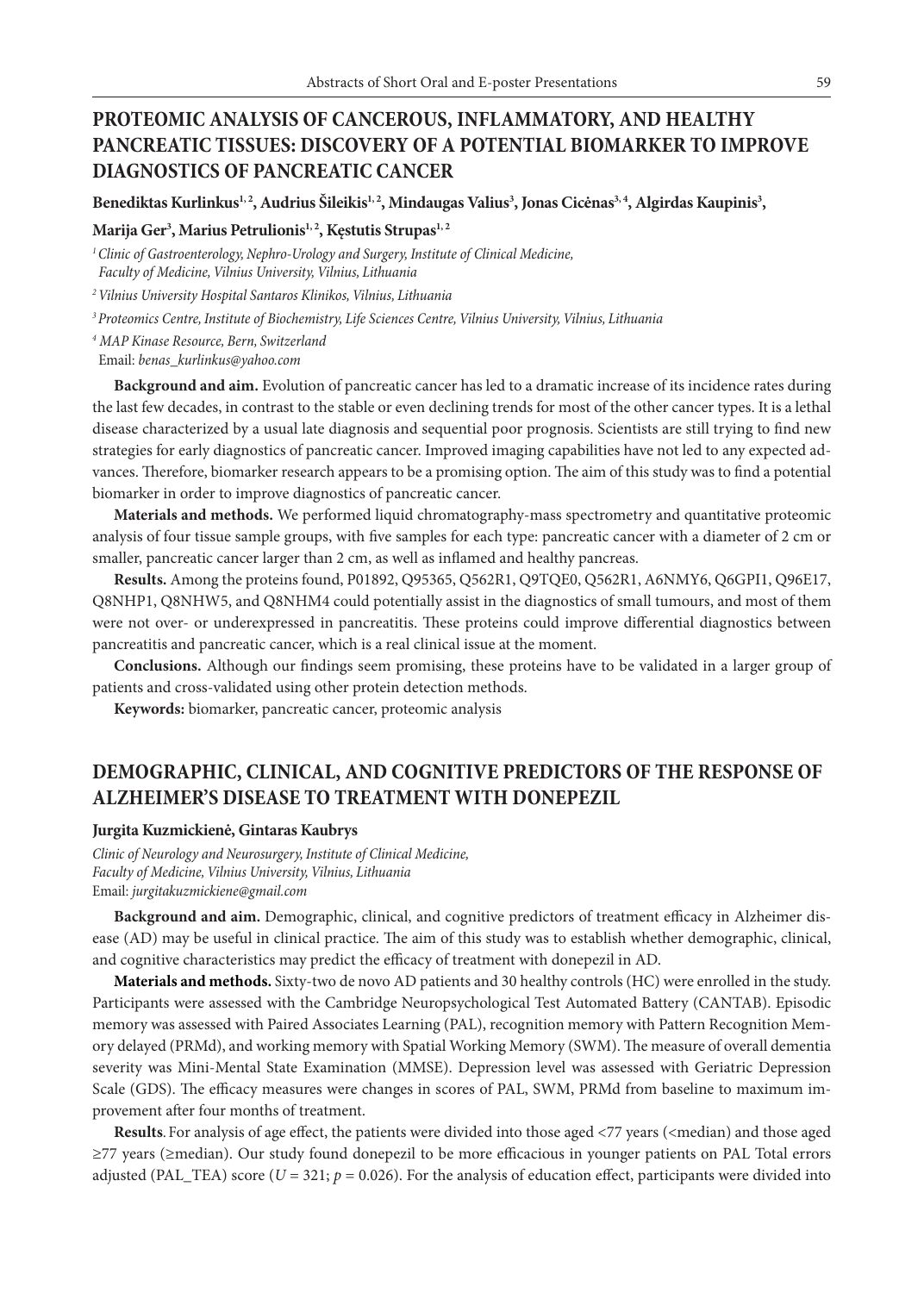# **PROTEOMIC ANALYSIS OF CANCEROUS, INFLAMMATORY, AND HEALTHY PANCREATIC TISSUES: DISCOVERY OF A POTENTIAL BIOMARKER TO IMPROVE DIAGNOSTICS OF PANCREATIC CANCER**

**Benediktas Kurlinkus1, 2, Audrius Šileikis1, 2, Mindaugas Valius3 , Jonas Cicėnas3, 4, Algirdas Kaupinis3 ,** 

### **Marija Ger3 , Marius Petrulionis1, 2, Kęstutis Strupas1, 2**

*1 Clinic of Gastroenterology, Nephro-Urology and Surgery, Institute of Clinical Medicine,*

 *Faculty of Medicine, Vilnius University, Vilnius, Lithuania*

*2Vilnius University Hospital Santaros Klinikos, Vilnius, Lithuania*

*3Proteomics Centre, Institute of Biochemistry, Life Sciences Centre, Vilnius University, Vilnius, Lithuania*

*4 MAP Kinase Resource, Bern, Switzerland*

Email: *benas\_kurlinkus@yahoo.com*

**Background and aim.** Evolution of pancreatic cancer has led to a dramatic increase of its incidence rates during the last few decades, in contrast to the stable or even declining trends for most of the other cancer types. It is a lethal disease characterized by a usual late diagnosis and sequential poor prognosis. Scientists are still trying to find new strategies for early diagnostics of pancreatic cancer. Improved imaging capabilities have not led to any expected advances. Therefore, biomarker research appears to be a promising option. The aim of this study was to find a potential biomarker in order to improve diagnostics of pancreatic cancer.

**Materials and methods.** We performed liquid chromatography-mass spectrometry and quantitative proteomic analysis of four tissue sample groups, with five samples for each type: pancreatic cancer with a diameter of 2 cm or smaller, pancreatic cancer larger than 2 cm, as well as inflamed and healthy pancreas.

**Results.** Among the proteins found, P01892, Q95365, Q562R1, Q9TQE0, Q562R1, A6NMY6, Q6GPI1, Q96E17, Q8NHP1, Q8NHW5, and Q8NHM4 could potentially assist in the diagnostics of small tumours, and most of them were not over- or underexpressed in pancreatitis. These proteins could improve differential diagnostics between pancreatitis and pancreatic cancer, which is a real clinical issue at the moment.

**Conclusions.** Although our findings seem promising, these proteins have to be validated in a larger group of patients and cross-validated using other protein detection methods.

**Keywords:** biomarker, pancreatic cancer, proteomic analysis

# **DEMOGRAPHIC, CLINICAL, AND COGNITIVE PREDICTORS OF THE RESPONSE OF ALZHEIMER'S DISEASE TO TREATMENT WITH DONEPEZIL**

#### **Jurgita Kuzmickienė, Gintaras Kaubrys**

*Clinic of Neurology and Neurosurgery, Institute of Clinical Medicine, Faculty of Medicine, Vilnius University, Vilnius, Lithuania* Email: *jurgitakuzmickiene@gmail.com*

**Background and aim.** Demographic, clinical, and cognitive predictors of treatment efficacy in Alzheimer disease (AD) may be useful in clinical practice. The aim of this study was to establish whether demographic, clinical, and cognitive characteristics may predict the efficacy of treatment with donepezil in AD.

**Materials and methods.** Sixty-two de novo AD patients and 30 healthy controls (HC) were enrolled in the study. Participants were assessed with the Cambridge Neuropsychological Test Automated Battery (CANTAB). Episodic memory was assessed with Paired Associates Learning (PAL), recognition memory with Pattern Recognition Memory delayed (PRMd), and working memory with Spatial Working Memory (SWM). The measure of overall dementia severity was Mini-Mental State Examination (MMSE). Depression level was assessed with Geriatric Depression Scale (GDS). The efficacy measures were changes in scores of PAL, SWM, PRMd from baseline to maximum improvement after four months of treatment.

**Results**. For analysis of age effect, the patients were divided into those aged <77 years (<median) and those aged ≥77 years (≥median). Our study found donepezil to be more efficacious in younger patients on PAL Total errors adjusted (PAL\_TEA) score ( $U = 321$ ;  $p = 0.026$ ). For the analysis of education effect, participants were divided into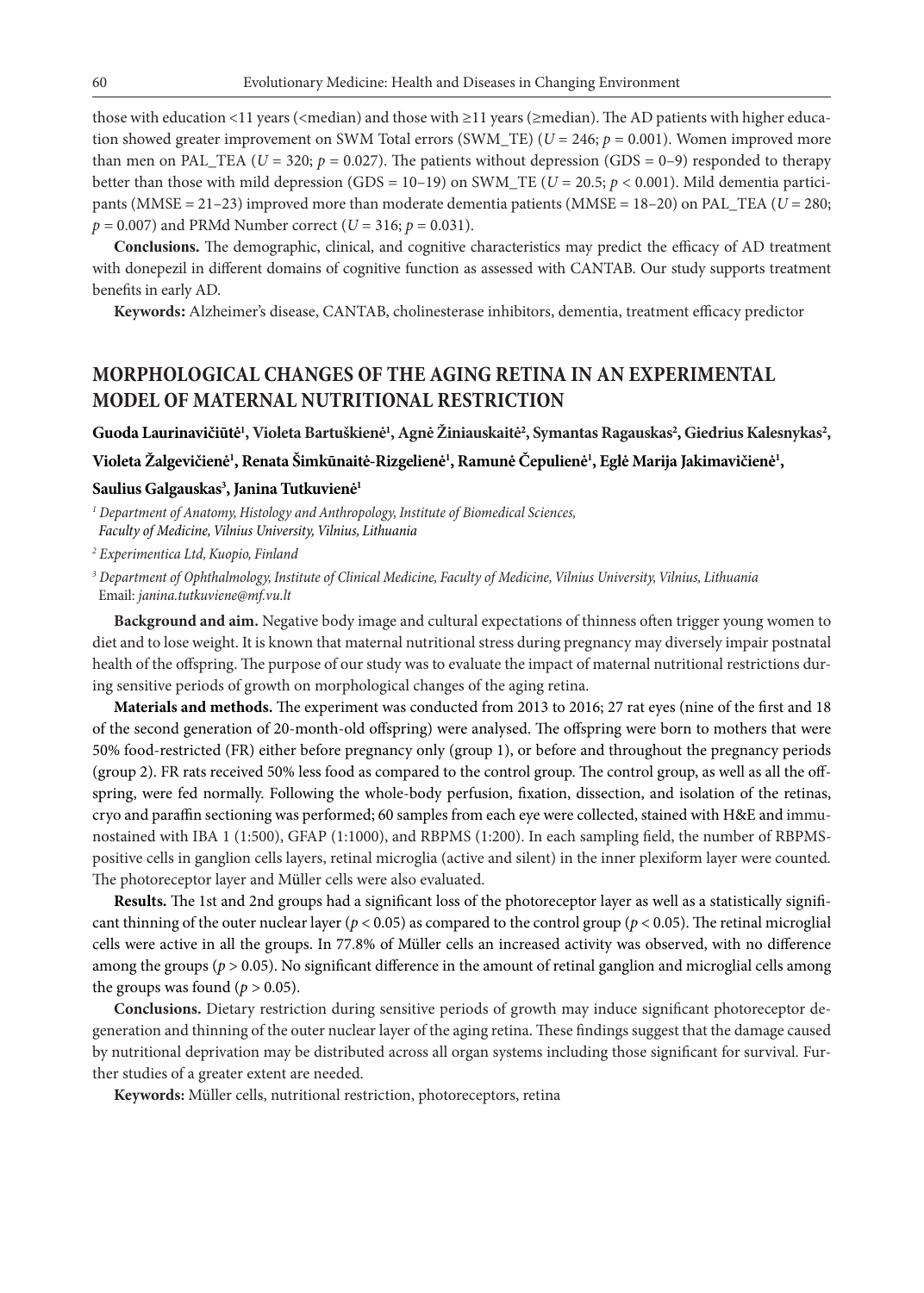those with education <11 years (<median) and those with ≥11 years (≥median). The AD patients with higher education showed greater improvement on SWM Total errors (SWM\_TE) (*U* = 246; *p* = 0.001). Women improved more than men on PAL\_TEA ( $U = 320$ ;  $p = 0.027$ ). The patients without depression (GDS = 0–9) responded to therapy better than those with mild depression (GDS =  $10-19$ ) on SWM\_TE ( $U = 20.5$ ;  $p < 0.001$ ). Mild dementia participants (MMSE = 21–23) improved more than moderate dementia patients (MMSE = 18–20) on PAL\_TEA (*U* = 280;  $p = 0.007$ ) and PRMd Number correct (*U* = 316;  $p = 0.031$ ).

**Conclusions.** The demographic, clinical, and cognitive characteristics may predict the efficacy of AD treatment with donepezil in different domains of cognitive function as assessed with CANTAB. Our study supports treatment benefits in early AD.

**Keywords:** Alzheimer's disease, CANTAB, cholinesterase inhibitors, dementia, treatment efficacy predictor

### **MORPHOLOGICAL CHANGES OF THE AGING RETINA IN AN EXPERIMENTAL MODEL OF MATERNAL NUTRITIONAL RESTRICTION**

 $\bf{Guoda}$  Laurinavičiūtė<sup>1</sup>, Violeta Bartuškienė<sup>1</sup>, Agnė Žiniauskaitė<sup>2</sup>, Symantas Ragauskas<sup>2</sup>, Giedrius Kalesnykas<sup>2</sup>,

 $V$ ioleta Žalgevičienė<sup>1</sup>, Renata Šimkūnaitė-Rizgelienė<sup>1</sup>, Ramunė Čepulienė<sup>1</sup>, Eglė Marija Jakimavičienė<sup>1</sup>,

### **Saulius Galgauskas3 , Janina Tutkuvienė1**

*<sup>1</sup> Department of Anatomy, Histology and Anthropology, Institute of Biomedical Sciences, Faculty of Medicine, Vilnius University, Vilnius, Lithuania*

*2 Experimentica Ltd, Kuopio, Finland*

*3 Department of Ophthalmology, Institute of Clinical Medicine, Faculty of Medicine, Vilnius University, Vilnius, Lithuania* Email: *janina.tutkuviene@mf.vu.lt*

**Background and aim.** Negative body image and cultural expectations of thinness often trigger young women to diet and to lose weight. It is known that maternal nutritional stress during pregnancy may diversely impair postnatal health of the offspring. The purpose of our study was to evaluate the impact of maternal nutritional restrictions during sensitive periods of growth on morphological changes of the aging retina.

**Materials and methods.** The experiment was conducted from 2013 to 2016; 27 rat eyes (nine of the first and 18 of the second generation of 20-month-old offspring) were analysed. The offspring were born to mothers that were 50% food-restricted (FR) either before pregnancy only (group 1), or before and throughout the pregnancy periods (group 2). FR rats received 50% less food as compared to the control group. The control group, as well as all the offspring, were fed normally. Following the whole-body perfusion, fixation, dissection, and isolation of the retinas, cryo and paraffin sectioning was performed; 60 samples from each eye were collected, stained with H&E and immunostained with IBA 1 (1:500), GFAP (1:1000), and RBPMS (1:200). In each sampling field, the number of RBPMSpositive cells in ganglion cells layers, retinal microglia (active and silent) in the inner plexiform layer were counted*.* The photoreceptor layer and Müller cells were also evaluated.

**Results.** The 1st and 2nd groups had a significant loss of the photoreceptor layer as well as a statistically significant thinning of the outer nuclear layer ( $p < 0.05$ ) as compared to the control group ( $p < 0.05$ ). The retinal microglial cells were active in all the groups. In 77.8% of Müller cells an increased activity was observed, with no difference among the groups ( $p > 0.05$ ). No significant difference in the amount of retinal ganglion and microglial cells among the groups was found ( $p > 0.05$ ).

**Conclusions.** Dietary restriction during sensitive periods of growth may induce significant photoreceptor degeneration and thinning of the outer nuclear layer of the aging retina. These findings suggest that the damage caused by nutritional deprivation may be distributed across all organ systems including those significant for survival. Further studies of a greater extent are needed.

**Keywords:** Müller cells, nutritional restriction, photoreceptors, retina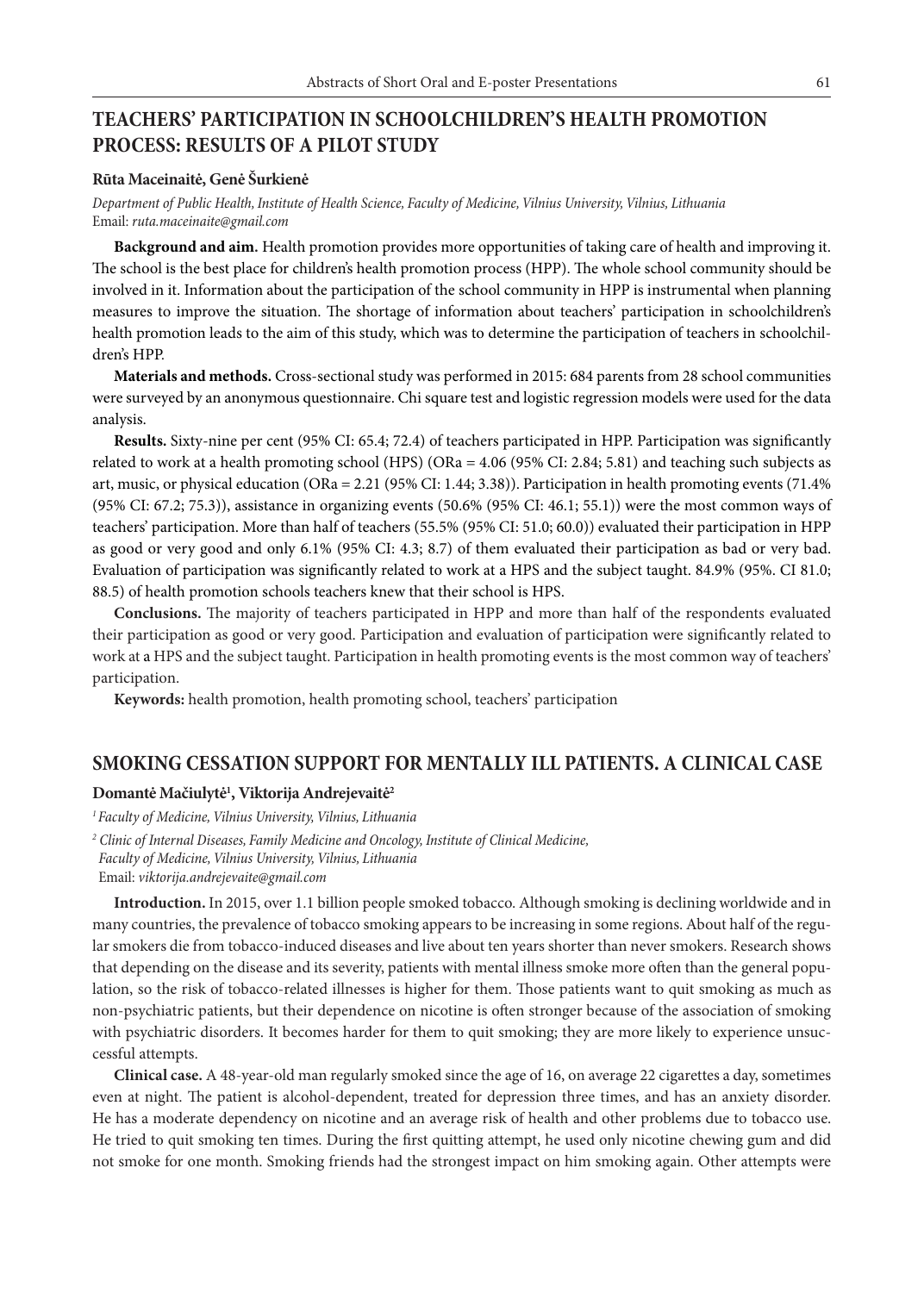## **TEACHERS' PARTICIPATION IN SCHOOLCHILDREN'S HEALTH PROMOTION PROCESS: RESULTS OF A PILOT STUDY**

#### **Rūta Maceinaitė, Genė Šurkienė**

*Department of Public Health, Institute of Health Science, Faculty of Medicine, Vilnius University, Vilnius, Lithuania* Email: *ruta.maceinaite@gmail.com*

**Background and aim.** Health promotion provides more opportunities of taking care of health and improving it. The school is the best place for children's health promotion process (HPP). The whole school community should be involved in it. Information about the participation of the school community in HPP is instrumental when planning measures to improve the situation. The shortage of information about teachers' participation in schoolchildren's health promotion leads to the aim of this study, which was to determine the participation of teachers in schoolchildren's HPP.

**Materials and methods.** Cross-sectional study was performed in 2015: 684 parents from 28 school communities were surveyed by an anonymous questionnaire. Chi square test and logistic regression models were used for the data analysis.

**Results.** Sixty-nine per cent (95% CI: 65.4; 72.4) of teachers participated in HPP. Participation was significantly related to work at a health promoting school (HPS) (ORa = 4.06 (95% CI: 2.84; 5.81) and teaching such subjects as art, music, or physical education (ORa = 2.21 (95% CI: 1.44; 3.38)). Participation in health promoting events (71.4% (95% CI: 67.2; 75.3)), assistance in organizing events (50.6% (95% CI: 46.1; 55.1)) were the most common ways of teachers' participation. More than half of teachers (55.5% (95% CI: 51.0; 60.0)) evaluated their participation in HPP as good or very good and only 6.1% (95% CI: 4.3; 8.7) of them evaluated their participation as bad or very bad. Evaluation of participation was significantly related to work at a HPS and the subject taught. 84.9% (95%. CI 81.0; 88.5) of health promotion schools teachers knew that their school is HPS.

**Conclusions.** The majority of teachers participated in HPP and more than half of the respondents evaluated their participation as good or very good. Participation and evaluation of participation were significantly related to work at a HPS and the subject taught. Participation in health promoting events is the most common way of teachers' participation.

**Keywords:** health promotion, health promoting school, teachers' participation

### **SMOKING CESSATION SUPPORT FOR MENTALLY ILL PATIENTS. A CLINICAL CASE**

### **Domantė Mačiulytė1 , Viktorija Andrejevaitė2**

*1 Faculty of Medicine, Vilnius University, Vilnius, Lithuania*

**Introduction.** In 2015, over 1.1 billion people smoked tobacco. Although smoking is declining worldwide and in many countries, the prevalence of tobacco smoking appears to be increasing in some regions. About half of the regular smokers die from tobacco-induced diseases and live about ten years shorter than never smokers. Research shows that depending on the disease and its severity, patients with mental illness smoke more often than the general population, so the risk of tobacco-related illnesses is higher for them. Those patients want to quit smoking as much as non-psychiatric patients, but their dependence on nicotine is often stronger because of the association of smoking with psychiatric disorders. It becomes harder for them to quit smoking; they are more likely to experience unsuccessful attempts.

**Clinical case.** A 48-year-old man regularly smoked since the age of 16, on average 22 cigarettes a day, sometimes even at night. The patient is alcohol-dependent, treated for depression three times, and has an anxiety disorder. He has a moderate dependency on nicotine and an average risk of health and other problems due to tobacco use. He tried to quit smoking ten times. During the first quitting attempt, he used only nicotine chewing gum and did not smoke for one month. Smoking friends had the strongest impact on him smoking again. Other attempts were

*<sup>2</sup> Clinic of Internal Diseases, Family Medicine and Oncology, Institute of Clinical Medicine, Faculty of Medicine, Vilnius University, Vilnius, Lithuania* Email: *viktorija.andrejevaite@gmail.com*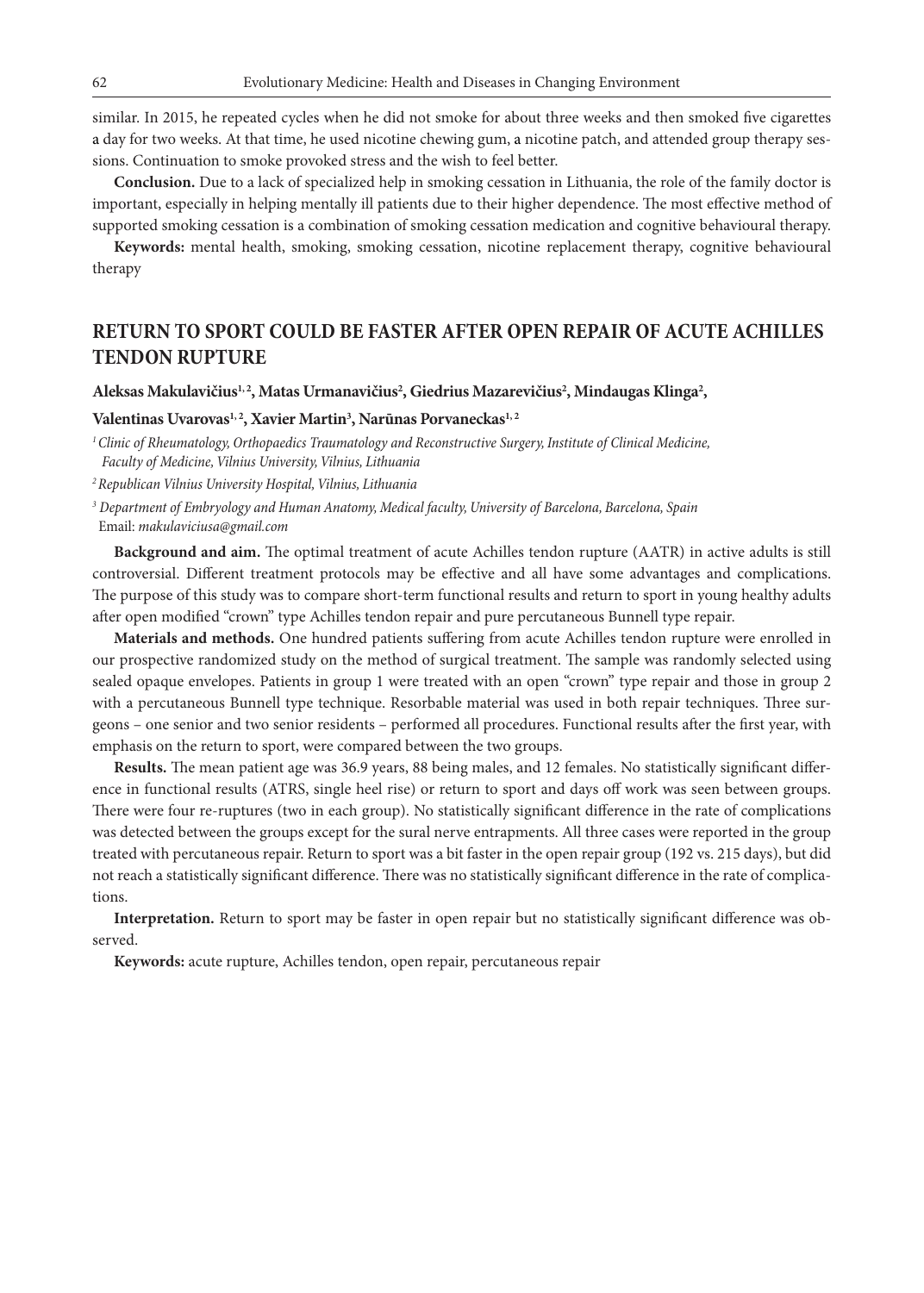62 Evolutionary Medicine: Health and Diseases in Changing Environment

similar. In 2015, he repeated cycles when he did not smoke for about three weeks and then smoked five cigarettes a day for two weeks. At that time, he used nicotine chewing gum, a nicotine patch, and attended group therapy sessions. Continuation to smoke provoked stress and the wish to feel better.

**Conclusion.** Due to a lack of specialized help in smoking cessation in Lithuania, the role of the family doctor is important, especially in helping mentally ill patients due to their higher dependence. The most effective method of supported smoking cessation is a combination of smoking cessation medication and cognitive behavioural therapy.

**Keywords:** mental health, smoking, smoking cessation, nicotine replacement therapy, cognitive behavioural therapy

## **RETURN TO SPORT COULD BE FASTER AFTER OPEN REPAIR OF ACUTE ACHILLES TENDON RUPTURE**

### Aleksas Makulavičius<sup>1, 2</sup>, Matas Urmanavičius<sup>2</sup>, Giedrius Mazarevičius<sup>2</sup>, Mindaugas Klinga<sup>2</sup>,

### Valentinas Uvarovas<sup>1, 2</sup>, Xavier Martin<sup>3</sup>, Narūnas Porvaneckas<sup>1, 2</sup>

*1 Clinic of Rheumatology, Orthopaedics Traumatology and Reconstructive Surgery, Institute of Clinical Medicine, Faculty of Medicine, Vilnius University, Vilnius, Lithuania*

*2Republican Vilnius University Hospital, Vilnius, Lithuania*

*3 Department of Embryology and Human Anatomy, Medical faculty, University of Barcelona, Barcelona, Spain* Email: *makulaviciusa@gmail.com*

**Background and aim.** The optimal treatment of acute Achilles tendon rupture (AATR) in active adults is still controversial. Different treatment protocols may be effective and all have some advantages and complications. The purpose of this study was to compare short-term functional results and return to sport in young healthy adults after open modified "crown" type Achilles tendon repair and pure percutaneous Bunnell type repair.

**Materials and methods.** One hundred patients suffering from acute Achilles tendon rupture were enrolled in our prospective randomized study on the method of surgical treatment. The sample was randomly selected using sealed opaque envelopes. Patients in group 1 were treated with an open "crown" type repair and those in group 2 with a percutaneous Bunnell type technique. Resorbable material was used in both repair techniques. Three surgeons – one senior and two senior residents – performed all procedures. Functional results after the first year, with emphasis on the return to sport, were compared between the two groups.

**Results.** The mean patient age was 36.9 years, 88 being males, and 12 females. No statistically significant difference in functional results (ATRS, single heel rise) or return to sport and days off work was seen between groups. There were four re-ruptures (two in each group). No statistically significant difference in the rate of complications was detected between the groups except for the sural nerve entrapments. All three cases were reported in the group treated with percutaneous repair. Return to sport was a bit faster in the open repair group (192 vs. 215 days), but did not reach a statistically significant difference. There was no statistically significant difference in the rate of complications.

**Interpretation.** Return to sport may be faster in open repair but no statistically significant difference was observed.

**Keywords:** acute rupture, Achilles tendon, open repair, percutaneous repair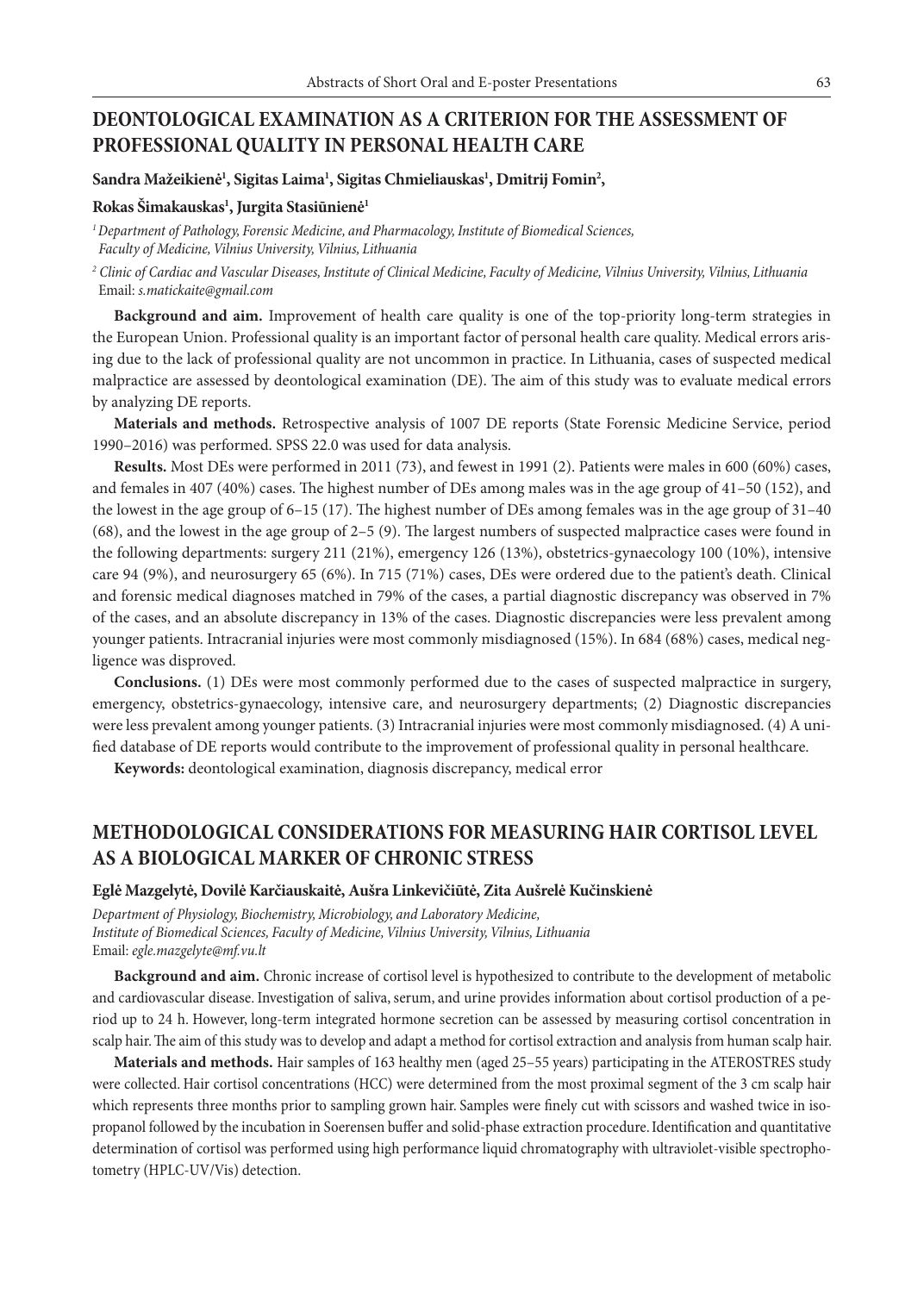### **DEONTOLOGICAL EXAMINATION AS A CRITERION FOR THE ASSESSMENT OF PROFESSIONAL QUALITY IN PERSONAL HEALTH CARE**

### $\delta$ andra Mažeikienė<sup>1</sup>, Sigitas Laima<sup>1</sup>, Sigitas Chmieliauskas<sup>1</sup>, Dmitrij Fomin<sup>2</sup>,

### **Rokas Šimakauskas1 , Jurgita Stasiūnienė1**

*1 Department of Pathology, Forensic Medicine, and Pharmacology, Institute of Biomedical Sciences, Faculty of Medicine, Vilnius University, Vilnius, Lithuania*

*2 Clinic of Cardiac and Vascular Diseases, Institute of Clinical Medicine, Faculty of Medicine, Vilnius University, Vilnius, Lithuania* Email: *s.matickaite@gmail.com* 

**Background and aim.** Improvement of health care quality is one of the top-priority long-term strategies in the European Union. Professional quality is an important factor of personal health care quality. Medical errors arising due to the lack of professional quality are not uncommon in practice. In Lithuania, cases of suspected medical malpractice are assessed by deontological examination (DE). The aim of this study was to evaluate medical errors by analyzing DE reports.

**Materials and methods.** Retrospective analysis of 1007 DE reports (State Forensic Medicine Service, period 1990–2016) was performed. SPSS 22.0 was used for data analysis.

**Results.** Most DEs were performed in 2011 (73), and fewest in 1991 (2). Patients were males in 600 (60%) cases, and females in 407 (40%) cases. The highest number of DEs among males was in the age group of 41–50 (152), and the lowest in the age group of 6–15 (17). The highest number of DEs among females was in the age group of 31–40 (68), and the lowest in the age group of 2–5 (9). The largest numbers of suspected malpractice cases were found in the following departments: surgery 211 (21%), emergency 126 (13%), obstetrics-gynaecology 100 (10%), intensive care 94 (9%), and neurosurgery 65 (6%). In 715 (71%) cases, DEs were ordered due to the patient's death. Clinical and forensic medical diagnoses matched in 79% of the cases, a partial diagnostic discrepancy was observed in 7% of the cases, and an absolute discrepancy in 13% of the cases. Diagnostic discrepancies were less prevalent among younger patients. Intracranial injuries were most commonly misdiagnosed (15%). In 684 (68%) cases, medical negligence was disproved.

**Conclusions.** (1) DEs were most commonly performed due to the cases of suspected malpractice in surgery, emergency, obstetrics-gynaecology, intensive care, and neurosurgery departments; (2) Diagnostic discrepancies were less prevalent among younger patients. (3) Intracranial injuries were most commonly misdiagnosed. (4) A unified database of DE reports would contribute to the improvement of professional quality in personal healthcare.

**Keywords:** deontological examination, diagnosis discrepancy, medical error

# **METHODOLOGICAL CONSIDERATIONS FOR MEASURING HAIR CORTISOL LEVEL AS A BIOLOGICAL MARKER OF CHRONIC STRESS**

#### **Eglė Mazgelytė, Dovilė Karčiauskaitė, Aušra Linkevičiūtė, Zita Aušrelė Kučinskienė**

*Department of Physiology, Biochemistry, Microbiology, and Laboratory Medicine, Institute of Biomedical Sciences, Faculty of Medicine, Vilnius University, Vilnius, Lithuania* Email: *egle.mazgelyte@mf.vu.lt*

**Background and aim.** Chronic increase of cortisol level is hypothesized to contribute to the development of metabolic and cardiovascular disease. Investigation of saliva, serum, and urine provides information about cortisol production of a period up to 24 h. However, long-term integrated hormone secretion can be assessed by measuring cortisol concentration in scalp hair. The aim of this study was to develop and adapt a method for cortisol extraction and analysis from human scalp hair.

**Materials and methods.** Hair samples of 163 healthy men (aged 25–55 years) participating in the ATEROSTRES study were collected. Hair cortisol concentrations (HCC) were determined from the most proximal segment of the 3 cm scalp hair which represents three months prior to sampling grown hair. Samples were finely cut with scissors and washed twice in isopropanol followed by the incubation in Soerensen buffer and solid-phase extraction procedure. Identification and quantitative determination of cortisol was performed using high performance liquid chromatography with ultraviolet-visible spectrophotometry (HPLC-UV/Vis) detection.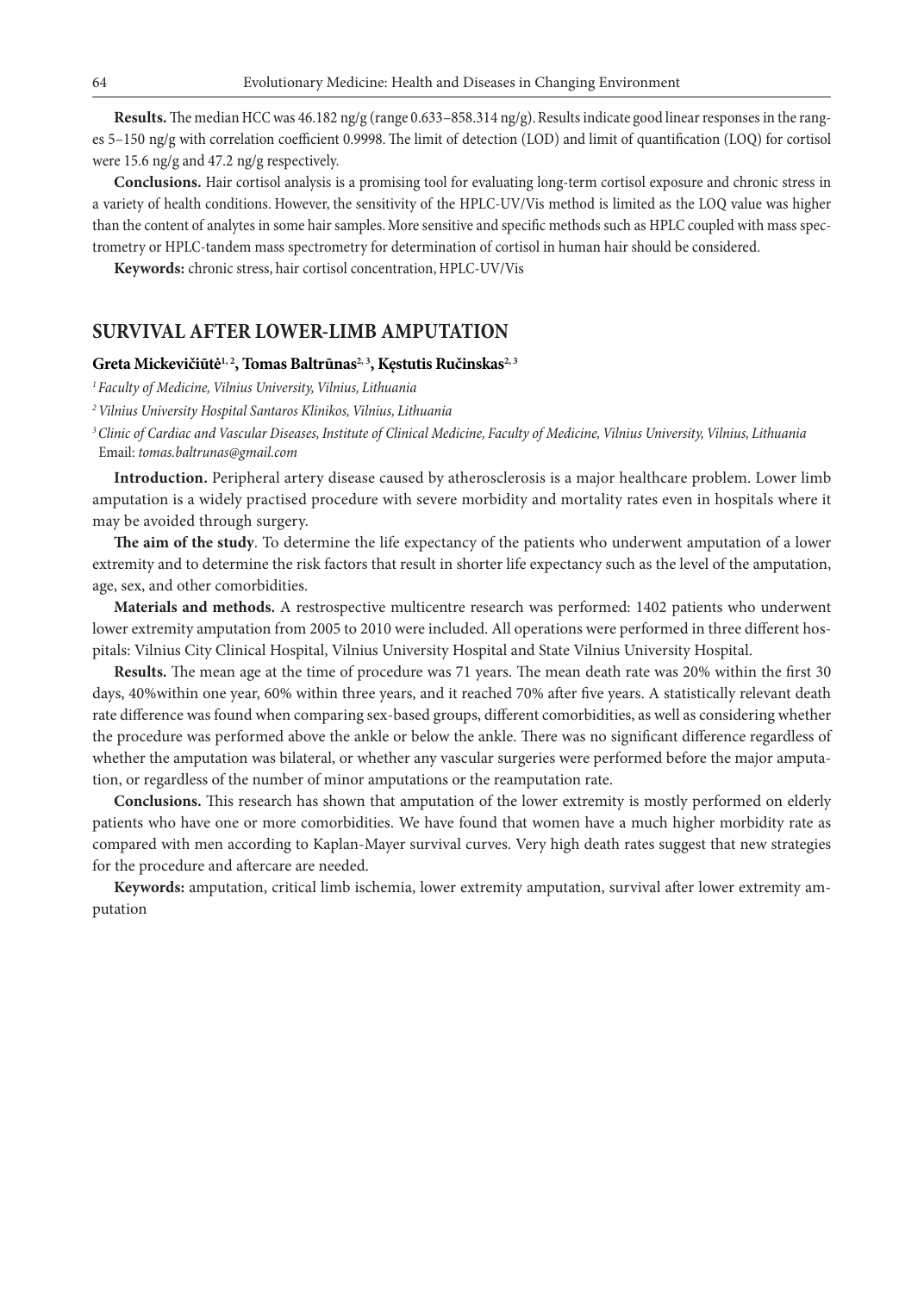**Results.** The median HCC was 46.182 ng/g (range 0.633–858.314 ng/g). Results indicate good linear responses in the ranges 5–150 ng/g with correlation coefficient 0.9998. The limit of detection (LOD) and limit of quantification (LOQ) for cortisol were 15.6 ng/g and 47.2 ng/g respectively.

**Conclusions.** Hair cortisol analysis is a promising tool for evaluating long-term cortisol exposure and chronic stress in a variety of health conditions. However, the sensitivity of the HPLC-UV/Vis method is limited as the LOQ value was higher than the content of analytes in some hair samples. More sensitive and specific methods such as HPLC coupled with mass spectrometry or HPLC-tandem mass spectrometry for determination of cortisol in human hair should be considered.

**Keywords:** chronic stress, hair cortisol concentration, HPLC-UV/Vis

### **SURVIVAL AFTER LOWER-LIMB AMPUTATION**

#### Greta Mickevičiūtė<sup>1, 2</sup>, Tomas Baltrūnas<sup>2, 3</sup>, Kęstutis Ručinskas<sup>2, 3</sup>

*1Faculty of Medicine, Vilnius University, Vilnius, Lithuania*

*2 Vilnius University Hospital Santaros Klinikos, Vilnius, Lithuania*

*3Clinic of Cardiac and Vascular Diseases, Institute of Clinical Medicine, Faculty of Medicine, Vilnius University, Vilnius, Lithuania* Email: *tomas.baltrunas@gmail.com*

**Introduction.** Peripheral artery disease caused by atherosclerosis is a major healthcare problem. Lower limb amputation is a widely practised procedure with severe morbidity and mortality rates even in hospitals where it may be avoided through surgery.

**The aim of the study**. To determine the life expectancy of the patients who underwent amputation of a lower extremity and to determine the risk factors that result in shorter life expectancy such as the level of the amputation, age, sex, and other comorbidities.

**Materials and methods.** A restrospective multicentre research was performed: 1402 patients who underwent lower extremity amputation from 2005 to 2010 were included. All operations were performed in three different hospitals: Vilnius City Clinical Hospital, Vilnius University Hospital and State Vilnius University Hospital.

**Results.** The mean age at the time of procedure was 71 years. The mean death rate was 20% within the first 30 days, 40%within one year, 60% within three years, and it reached 70% after five years. A statistically relevant death rate difference was found when comparing sex-based groups, different comorbidities, as well as considering whether the procedure was performed above the ankle or below the ankle. There was no significant difference regardless of whether the amputation was bilateral, or whether any vascular surgeries were performed before the major amputation, or regardless of the number of minor amputations or the reamputation rate.

**Conclusions.** This research has shown that amputation of the lower extremity is mostly performed on elderly patients who have one or more comorbidities. We have found that women have a much higher morbidity rate as compared with men according to Kaplan-Mayer survival curves. Very high death rates suggest that new strategies for the procedure and aftercare are needed.

**Keywords:** amputation, critical limb ischemia, lower extremity amputation, survival after lower extremity amputation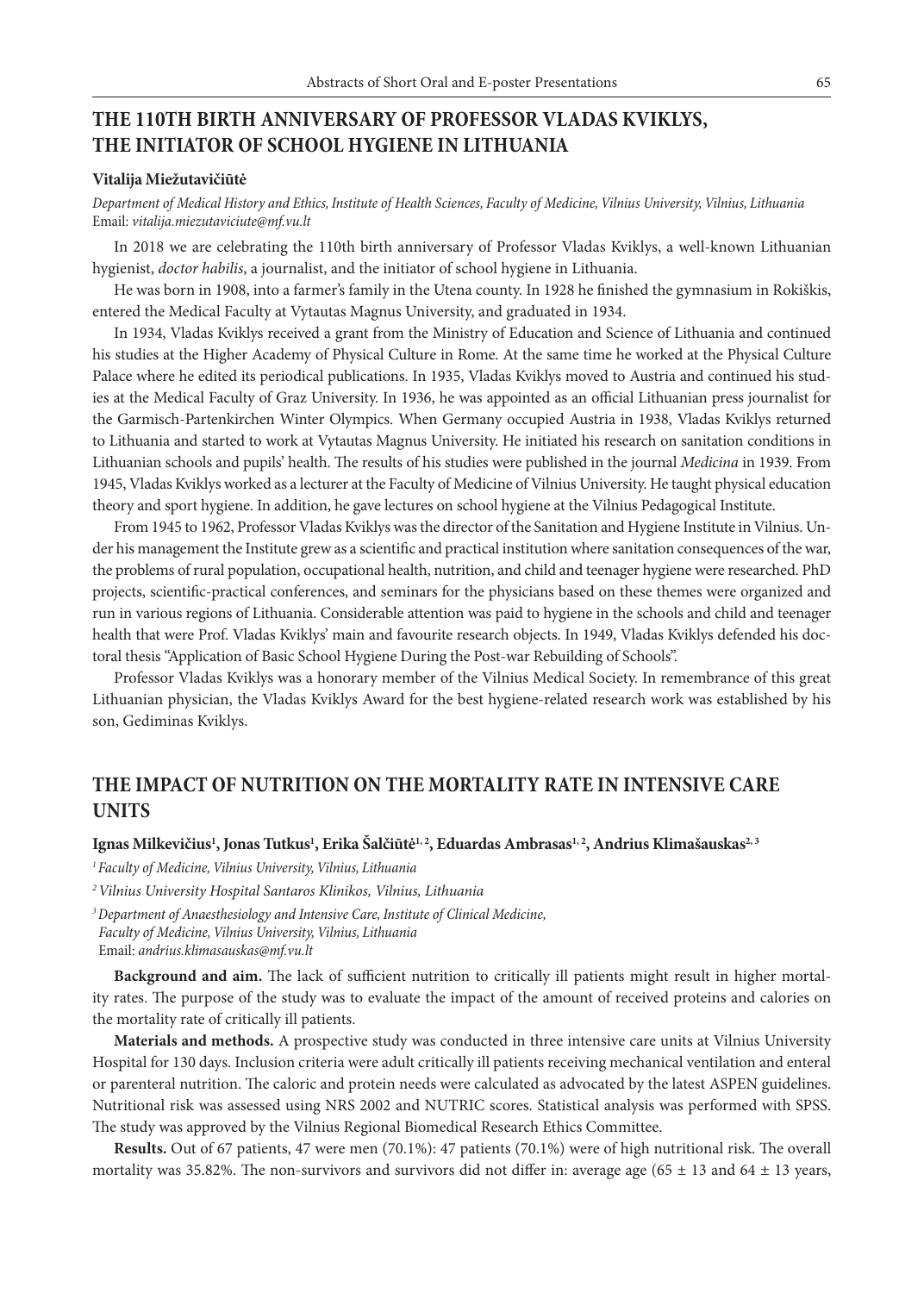# **THE 110TH BIRTH ANNIVERSARY OF PROFESSOR VLADAS KVIKLYS, THE INITIATOR OF SCHOOL HYGIENE IN LITHUANIA**

#### **Vitalija Miežutavičiūtė**

*Department of Medical History and Ethics, Institute of Health Sciences, Faculty of Medicine, Vilnius University, Vilnius, Lithuania* Email: *vitalija.miezutaviciute@mf.vu.lt*

In 2018 we are celebrating the 110th birth anniversary of Professor Vladas Kviklys, a well-known Lithuanian hygienist, *doctor habilis*, a journalist, and the initiator of school hygiene in Lithuania.

He was born in 1908, into a farmer's family in the Utena county. In 1928 he finished the gymnasium in Rokiškis, entered the Medical Faculty at Vytautas Magnus University, and graduated in 1934.

In 1934, Vladas Kviklys received a grant from the Ministry of Education and Science of Lithuania and continued his studies at the Higher Academy of Physical Culture in Rome. At the same time he worked at the Physical Culture Palace where he edited its periodical publications. In 1935, Vladas Kviklys moved to Austria and continued his studies at the Medical Faculty of Graz University. In 1936, he was appointed as an official Lithuanian press journalist for the Garmisch-Partenkirchen Winter Olympics. When Germany occupied Austria in 1938, Vladas Kviklys returned to Lithuania and started to work at Vytautas Magnus University. He initiated his research on sanitation conditions in Lithuanian schools and pupils' health. The results of his studies were published in the journal *Medicina* in 1939. From 1945, Vladas Kviklys worked as a lecturer at the Faculty of Medicine of Vilnius University. He taught physical education theory and sport hygiene. In addition, he gave lectures on school hygiene at the Vilnius Pedagogical Institute.

From 1945 to 1962, Professor Vladas Kviklys was the director of the Sanitation and Hygiene Institute in Vilnius. Under his management the Institute grew as a scientific and practical institution where sanitation consequences of the war, the problems of rural population, occupational health, nutrition, and child and teenager hygiene were researched. PhD projects, scientific-practical conferences, and seminars for the physicians based on these themes were organized and run in various regions of Lithuania. Considerable attention was paid to hygiene in the schools and child and teenager health that were Prof. Vladas Kviklys' main and favourite research objects. In 1949, Vladas Kviklys defended his doctoral thesis "Application of Basic School Hygiene During the Post-war Rebuilding of Schools".

Professor Vladas Kviklys was a honorary member of the Vilnius Medical Society. In remembrance of this great Lithuanian physician, the Vladas Kviklys Award for the best hygiene-related research work was established by his son, Gediminas Kviklys.

## **THE IMPACT OF NUTRITION ON THE MORTALITY RATE IN INTENSIVE CARE UNITS**

### **Ignas Milkevičius1 , Jonas Tutkus1 , Erika Šalčiūtė1, 2, Eduardas Ambrasas1, 2, Andrius Klimašauskas2, 3**

*1 Faculty of Medicine, Vilnius University, Vilnius, Lithuania*

*2Vilnius University Hospital Santaros Klinikos, Vilnius, Lithuania*

*3Department of Anaesthesiology and Intensive Care, Institute of Clinical Medicine, Faculty of Medicine, Vilnius University, Vilnius, Lithuania* Email: *andrius.klimasauskas@mf.vu.lt*

**Background and aim.** The lack of sufficient nutrition to critically ill patients might result in higher mortality rates. The purpose of the study was to evaluate the impact of the amount of received proteins and calories on the mortality rate of critically ill patients.

**Materials and methods.** A prospective study was conducted in three intensive care units at Vilnius University Hospital for 130 days. Inclusion criteria were adult critically ill patients receiving mechanical ventilation and enteral or parenteral nutrition. The caloric and protein needs were calculated as advocated by the latest ASPEN guidelines. Nutritional risk was assessed using NRS 2002 and NUTRIC scores. Statistical analysis was performed with SPSS. The study was approved by the Vilnius Regional Biomedical Research Ethics Committee.

**Results.** Out of 67 patients, 47 were men (70.1%): 47 patients (70.1%) were of high nutritional risk. The overall mortality was 35.82%. The non-survivors and survivors did not differ in: average age  $(65 \pm 13 \text{ and } 64 \pm 13 \text{ years},$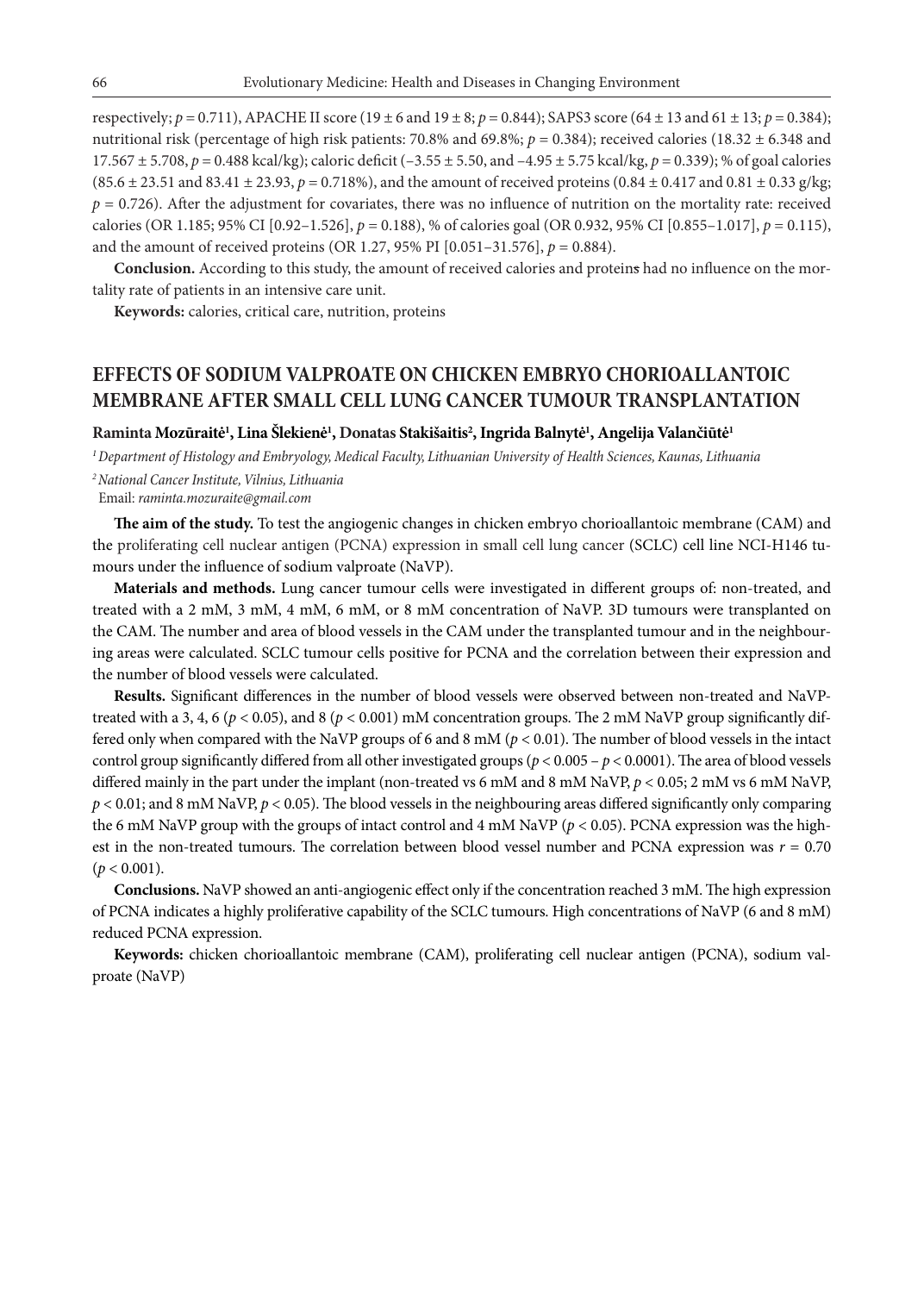respectively; *p* = 0.711), APACHE II score (19 ± 6 and 19 ± 8; *p* = 0.844); SAPS3 score (64 ± 13 and 61 ± 13; *p* = 0.384); nutritional risk (percentage of high risk patients: 70.8% and 69.8%;  $p = 0.384$ ); received calories (18.32  $\pm$  6.348 and 17.567 ± 5.708, *p* = 0.488 kcal/kg); caloric deficit (–3.55 ± 5.50, and –4.95 ± 5.75 kcal/kg, *p* = 0.339); % of goal calories (85.6 ± 23.51 and 83.41 ± 23.93, *p* = 0.718%), and the amount of received proteins (0.84 ± 0.417 and 0.81 ± 0.33 g/kg;  $p = 0.726$ ). After the adjustment for covariates, there was no influence of nutrition on the mortality rate: received calories (OR 1.185; 95% CI [0.92–1.526], *p* = 0.188), % of calories goal (OR 0.932, 95% CI [0.855–1.017], *p* = 0.115), and the amount of received proteins (OR 1.27, 95% PI [0.051–31.576], *p* = 0.884).

**Conclusion.** According to this study, the amount of received calories and proteins had no influence on the mortality rate of patients in an intensive care unit.

**Keywords:** calories, critical care, nutrition, proteins

## **EFFECTS OF SODIUM VALPROATE ON CHICKEN EMBRYO CHORIOALLANTOIC MEMBRANE AFTER SMALL CELL LUNG CANCER TUMOUR TRANSPLANTATION**

### **Raminta Mozūraitė1 , Lina Šlekienė1 , Donatas Stakišaitis2 , Ingrida Balnytė1 , Angelija Valančiūtė1**

*<sup>1</sup>Department of Histology and Embryology, Medical Faculty, Lithuanian University of Health Sciences, Kaunas, Lithuania*

*2National Cancer Institute, Vilnius, Lithuania*

Email: *raminta.mozuraite@gmail.com* 

**The aim of the study.** To test the angiogenic changes in chicken embryo chorioallantoic membrane (CAM) and the proliferating cell nuclear antigen (PCNA) expression in small cell lung cancer (SCLC) cell line NCI-H146 tumours under the influence of sodium valproate (NaVP).

**Materials and methods.** Lung cancer tumour cells were investigated in different groups of: non-treated, and treated with a 2 mM, 3 mM, 4 mM, 6 mM, or 8 mM concentration of NaVP. 3D tumours were transplanted on the CAM. The number and area of blood vessels in the CAM under the transplanted tumour and in the neighbouring areas were calculated. SCLC tumour cells positive for PCNA and the correlation between their expression and the number of blood vessels were calculated.

**Results.** Significant differences in the number of blood vessels were observed between non-treated and NaVPtreated with a 3, 4, 6 ( $p < 0.05$ ), and 8 ( $p < 0.001$ ) mM concentration groups. The 2 mM NaVP group significantly differed only when compared with the NaVP groups of 6 and 8 mM ( $p < 0.01$ ). The number of blood vessels in the intact control group significantly differed from all other investigated groups ( $p < 0.005 - p < 0.0001$ ). The area of blood vessels differed mainly in the part under the implant (non-treated vs 6 mM and 8 mM NaVP, *p* < 0.05; 2 mM vs 6 mM NaVP, *p* < 0.01; and 8 mM NaVP, *p* < 0.05). The blood vessels in the neighbouring areas differed significantly only comparing the 6 mM NaVP group with the groups of intact control and 4 mM NaVP (*p* < 0.05). PCNA expression was the highest in the non-treated tumours. The correlation between blood vessel number and PCNA expression was *r* = 0.70  $(p < 0.001)$ .

**Conclusions.** NaVP showed an anti-angiogenic effect only if the concentration reached 3 mM. The high expression of PCNA indicates a highly proliferative capability of the SCLC tumours. High concentrations of NaVP (6 and 8 mM) reduced PCNA expression.

**Keywords:** chicken chorioallantoic membrane (CAM), proliferating cell nuclear antigen (PCNA), sodium valproate (NaVP)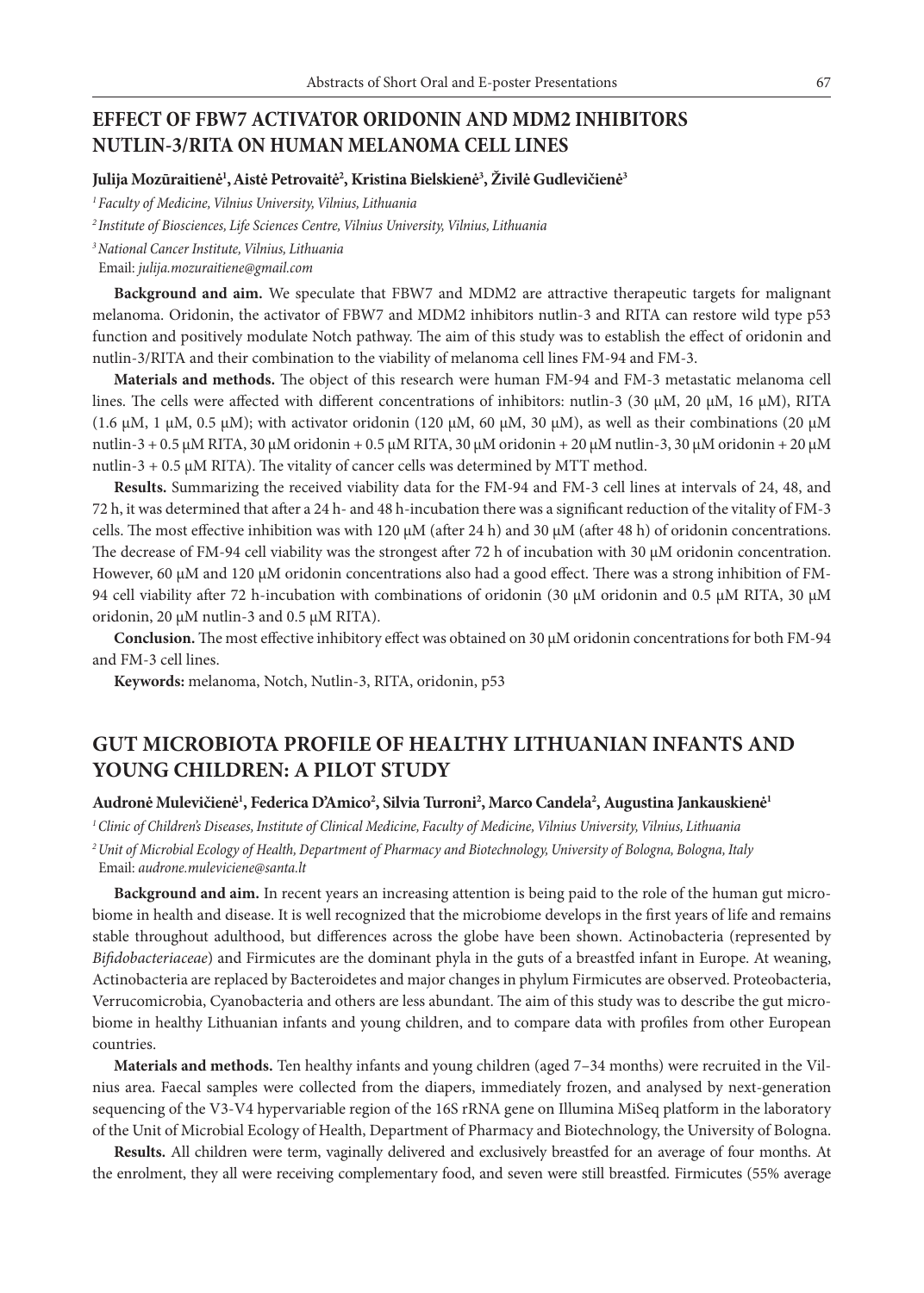## **EFFECT OF FBW7 ACTIVATOR ORIDONIN AND MDM2 INHIBITORS NUTLIN-3/RITA ON HUMAN MELANOMA CELL LINES**

### **Julija Mozūraitienė1 ,Aistė Petrovaitė2 , Kristina Bielskienė3 , Živilė Gudlevičienė3**

*<sup>1</sup>Faculty of Medicine, Vilnius University, Vilnius, Lithuania*

*<sup>2</sup> Institute of Biosciences, Life Sciences Centre, Vilnius University, Vilnius, Lithuania*

*3National Cancer Institute, Vilnius, Lithuania*

Email: *julija.mozuraitiene@gmail.com*

**Background and aim.** We speculate that FBW7 and MDM2 are attractive therapeutic targets for malignant melanoma. Oridonin, the activator of FBW7 and MDM2 inhibitors nutlin-3 and RITA can restore wild type p53 function and positively modulate Notch pathway. The aim of this study was to establish the effect of oridonin and nutlin-3/RITA and their combination to the viability of melanoma cell lines FM-94 and FM-3.

**Materials and methods.** The object of this research were human FM-94 and FM-3 metastatic melanoma cell lines. The cells were affected with different concentrations of inhibitors: nutlin-3 (30 μM, 20 μM, 16 μM), RITA (1.6 μM, 1 μM, 0.5 μM); with activator oridonin (120 μM, 60 μM, 30 μM), as well as their combinations (20 μM nutlin-3 + 0.5 μM RITA, 30 μM oridonin + 0.5 μM RITA, 30 μM oridonin + 20 μM nutlin-3, 30 μM oridonin + 20 μM nutlin-3 + 0.5  $\mu$ M RITA). The vitality of cancer cells was determined by MTT method.

**Results.** Summarizing the received viability data for the FM-94 and FM-3 cell lines at intervals of 24, 48, and 72 h, it was determined that after a 24 h- and 48 h-incubation there was a significant reduction of the vitality of FM-3 cells. The most effective inhibition was with 120 μM (after 24 h) and 30 μM (after 48 h) of oridonin concentrations. The decrease of FM-94 cell viability was the strongest after 72 h of incubation with 30 μM oridonin concentration. However, 60 μM and 120 μM oridonin concentrations also had a good effect. There was a strong inhibition of FM-94 cell viability after 72 h-incubation with combinations of oridonin (30 μM oridonin and 0.5 μM RITA, 30 μM oridonin, 20 μM nutlin-3 and 0.5 μM RITA).

**Conclusion.** The most effective inhibitory effect was obtained on 30 μM oridonin concentrations for both FM-94 and FM-3 cell lines.

**Keywords:** melanoma, Notch, Nutlin-3, RITA, oridonin, p53

# **GUT MICROBIOTA PROFILE OF HEALTHY LITHUANIAN INFANTS AND YOUNG CHILDREN: A PILOT STUDY**

### **Audronė Mulevičienė1 , Federica D'Amico2 , Silvia Turroni2 , Marco Candela2 , Augustina Jankauskienė1**

*1 Clinic of Children's Diseases, Institute of Clinical Medicine, Faculty of Medicine, Vilnius University, Vilnius, Lithuania 2Unit of Microbial Ecology of Health, Department of Pharmacy and Biotechnology, University of Bologna, Bologna, Italy* Email: *audrone.muleviciene@santa.lt*

**Background and aim.** In recent years an increasing attention is being paid to the role of the human gut microbiome in health and disease. It is well recognized that the microbiome develops in the first years of life and remains stable throughout adulthood, but differences across the globe have been shown. Actinobacteria (represented by *Bifidobacteriaceae*) and Firmicutes are the dominant phyla in the guts of a breastfed infant in Europe. At weaning, Actinobacteria are replaced by Bacteroidetes and major changes in phylum Firmicutes are observed. Proteobacteria, Verrucomicrobia, Cyanobacteria and others are less abundant. The aim of this study was to describe the gut microbiome in healthy Lithuanian infants and young children, and to compare data with profiles from other European countries.

**Materials and methods.** Ten healthy infants and young children (aged 7–34 months) were recruited in the Vilnius area. Faecal samples were collected from the diapers, immediately frozen, and analysed by next-generation sequencing of the V3-V4 hypervariable region of the 16S rRNA gene on Illumina MiSeq platform in the laboratory of the Unit of Microbial Ecology of Health, Department of Pharmacy and Biotechnology, the University of Bologna.

**Results.** All children were term, vaginally delivered and exclusively breastfed for an average of four months. At the enrolment, they all were receiving complementary food, and seven were still breastfed. Firmicutes (55% average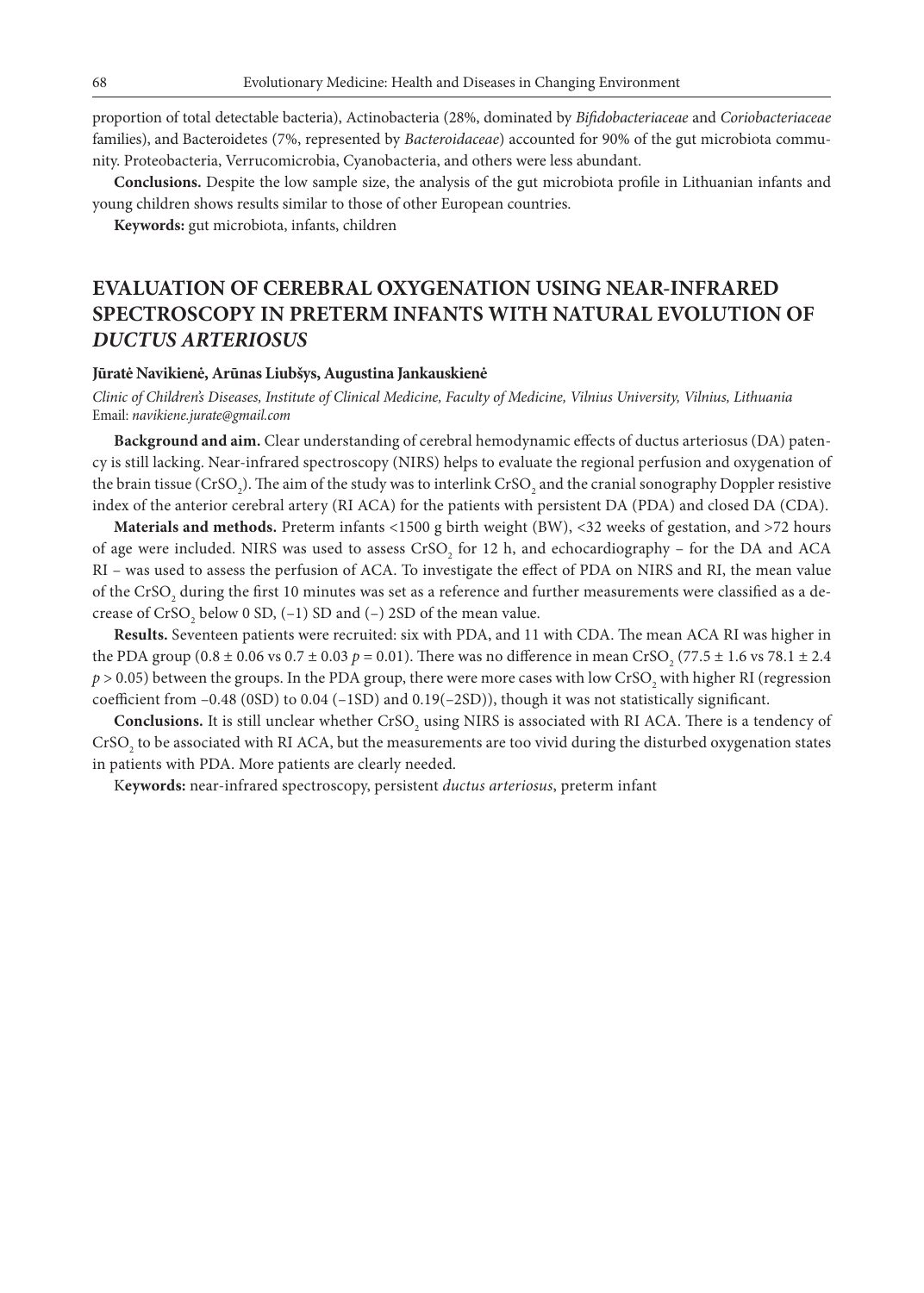proportion of total detectable bacteria), Actinobacteria (28%, dominated by *Bifidobacteriaceae* and *Coriobacteriaceae* families), and Bacteroidetes (7%, represented by *Bacteroidaceae*) accounted for 90% of the gut microbiota community. Proteobacteria, Verrucomicrobia, Cyanobacteria, and others were less abundant.

**Conclusions.** Despite the low sample size, the analysis of the gut microbiota profile in Lithuanian infants and young children shows results similar to those of other European countries.

**Keywords:** gut microbiota, infants, children

# **EVALUATION OF CEREBRAL OXYGENATION USING NEAR-INFRARED SPECTROSCOPY IN PRETERM INFANTS WITH NATURAL EVOLUTION OF**  *DUCTUS ARTERIOSUS*

#### **Jūratė Navikienė, Arūnas Liubšys, Augustina Jankauskienė**

*Clinic of Children's Diseases, Institute of Clinical Medicine, Faculty of Medicine, Vilnius University, Vilnius, Lithuania* Email: *navikiene.jurate@gmail.com*

**Background and aim.** Clear understanding of cerebral hemodynamic effects of ductus arteriosus (DA) patency is still lacking. Near-infrared spectroscopy (NIRS) helps to evaluate the regional perfusion and oxygenation of the brain tissue (CrSO<sub>2</sub>). The aim of the study was to interlink CrSO<sub>2</sub> and the cranial sonography Doppler resistive index of the anterior cerebral artery (RI ACA) for the patients with persistent DA (PDA) and closed DA (CDA).

**Materials and methods.** Preterm infants <1500 g birth weight (BW), <32 weeks of gestation, and >72 hours of age were included. NIRS was used to assess  $\rm CrSO_{2}$  for 12 h, and echocardiography – for the DA and ACA RI – was used to assess the perfusion of ACA. To investigate the effect of PDA on NIRS and RI, the mean value of the CrSO<sub>2</sub> during the first 10 minutes was set as a reference and further measurements were classified as a decrease of  $\mathrm{CrSO}_2$  below 0 SD, (–1) SD and (–) 2SD of the mean value.

**Results.** Seventeen patients were recruited: six with PDA, and 11 with CDA. The mean ACA RI was higher in the PDA group (0.8  $\pm$  0.06 vs 0.7  $\pm$  0.03  $p$  = 0.01). There was no difference in mean CrSO<sub>2</sub> (77.5  $\pm$  1.6 vs 78.1  $\pm$  2.4  $p$  > 0.05) between the groups. In the PDA group, there were more cases with low CrSO<sub>2</sub> with higher RI (regression coefficient from –0.48 (0SD) to 0.04 (–1SD) and 0.19(–2SD)), though it was not statistically significant.

**Conclusions.** It is still unclear whether  $\text{CrSO}_2$  using NIRS is associated with RI ACA. There is a tendency of CrSO<sub>2</sub> to be associated with RI ACA, but the measurements are too vivid during the disturbed oxygenation states in patients with PDA. More patients are clearly needed.

K**eywords:** near-infrared spectroscopy, persistent *ductus arteriosus*, preterm infant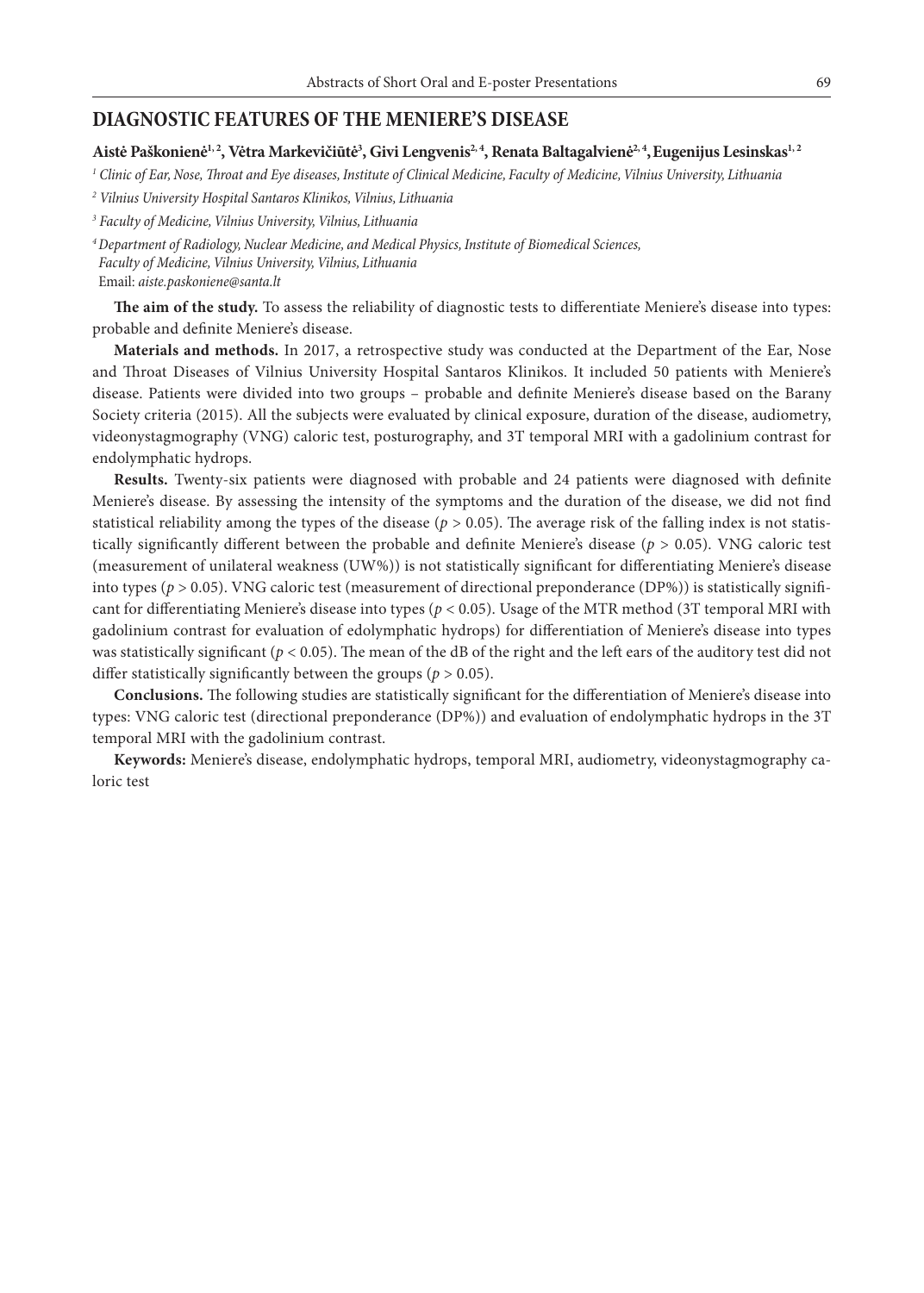#### **DIAGNOSTIC FEATURES OF THE MENIERE'S DISEASE**

#### Aistė Paškonienė<sup>1, 2</sup>, Vėtra Markevičiūtė<sup>3</sup>, Givi Lengvenis<sup>2, 4</sup>, Renata Baltagalvienė<sup>2, 4</sup>, Eugenijus Lesinskas<sup>1, 2</sup>

*1 Clinic of Ear, Nose, Throat and Eye diseases, Institute of Clinical Medicine, Faculty of Medicine, Vilnius University, Lithuania*

*2 Vilnius University Hospital Santaros Klinikos, Vilnius, Lithuania*

*3 Faculty of Medicine, Vilnius University, Vilnius, Lithuania*

*<sup>4</sup>Department of Radiology, Nuclear Medicine, and Medical Physics, Institute of Biomedical Sciences, Faculty of Medicine, Vilnius University, Vilnius, Lithuania* Email: *aiste.paskoniene@santa.lt*

**The aim of the study.** To assess the reliability of diagnostic tests to differentiate Meniere's disease into types: probable and definite Meniere's disease.

**Materials and methods.** In 2017, a retrospective study was conducted at the Department of the Ear, Nose and Throat Diseases of Vilnius University Hospital Santaros Klinikos. It included 50 patients with Meniere's disease. Patients were divided into two groups – probable and definite Meniere's disease based on the Barany Society criteria (2015). All the subjects were evaluated by clinical exposure, duration of the disease, audiometry, videonystagmography (VNG) caloric test, posturography, and 3T temporal MRI with a gadolinium contrast for endolymphatic hydrops.

**Results.** Twenty-six patients were diagnosed with probable and 24 patients were diagnosed with definite Meniere's disease. By assessing the intensity of the symptoms and the duration of the disease, we did not find statistical reliability among the types of the disease (*p* > 0.05). The average risk of the falling index is not statistically significantly different between the probable and definite Meniere's disease (*p* > 0.05). VNG caloric test (measurement of unilateral weakness (UW%)) is not statistically significant for differentiating Meniere's disease into types (*p* > 0.05). VNG caloric test (measurement of directional preponderance (DP%)) is statistically significant for differentiating Meniere's disease into types (*p* < 0.05). Usage of the MTR method (3T temporal MRI with gadolinium contrast for evaluation of edolymphatic hydrops) for differentiation of Meniere's disease into types was statistically significant ( $p < 0.05$ ). The mean of the dB of the right and the left ears of the auditory test did not differ statistically significantly between the groups ( $p > 0.05$ ).

**Conclusions.** The following studies are statistically significant for the differentiation of Meniere's disease into types: VNG caloric test (directional preponderance (DP%)) and evaluation of endolymphatic hydrops in the 3T temporal MRI with the gadolinium contrast.

**Keywords:** Meniere's disease, endolymphatic hydrops, temporal MRI, audiometry, videonystagmography caloric test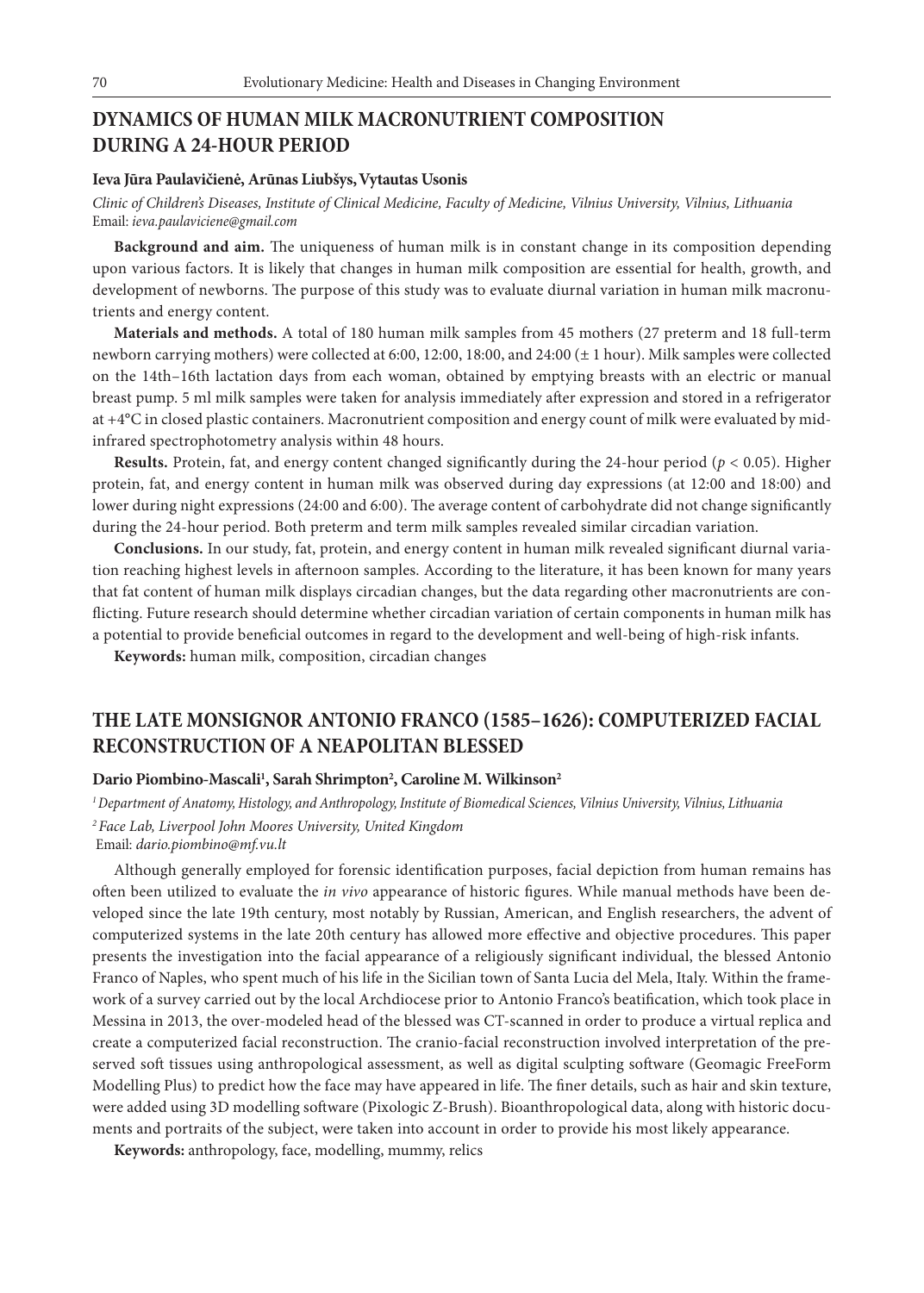## **DYNAMICS OF HUMAN MILK MACRONUTRIENT COMPOSITION DURING A 24-HOUR PERIOD**

#### **Ieva Jūra Paulavičienė, Arūnas Liubšys,Vytautas Usonis**

*Clinic of Children's Diseases, Institute of Clinical Medicine, Faculty of Medicine, Vilnius University, Vilnius, Lithuania* Email: *ieva.paulaviciene@gmail.com*

**Background and aim.** The uniqueness of human milk is in constant change in its composition depending upon various factors. It is likely that changes in human milk composition are essential for health, growth, and development of newborns. The purpose of this study was to evaluate diurnal variation in human milk macronutrients and energy content.

**Materials and methods.** A total of 180 human milk samples from 45 mothers (27 preterm and 18 full-term newborn carrying mothers) were collected at 6:00, 12:00, 18:00, and 24:00 (± 1 hour). Milk samples were collected on the 14th–16th lactation days from each woman, obtained by emptying breasts with an electric or manual breast pump. 5 ml milk samples were taken for analysis immediately after expression and stored in a refrigerator at +4°C in closed plastic containers. Macronutrient composition and energy count of milk were evaluated by midinfrared spectrophotometry analysis within 48 hours.

**Results.** Protein, fat, and energy content changed significantly during the 24-hour period (*p* < 0.05). Higher protein, fat, and energy content in human milk was observed during day expressions (at 12:00 and 18:00) and lower during night expressions (24:00 and 6:00). The average content of carbohydrate did not change significantly during the 24-hour period. Both preterm and term milk samples revealed similar circadian variation.

**Conclusions.** In our study, fat, protein, and energy content in human milk revealed significant diurnal variation reaching highest levels in afternoon samples. According to the literature, it has been known for many years that fat content of human milk displays circadian changes, but the data regarding other macronutrients are conflicting. Future research should determine whether circadian variation of certain components in human milk has a potential to provide beneficial outcomes in regard to the development and well-being of high-risk infants.

**Keywords:** human milk, composition, circadian changes

## **THE LATE MONSIGNOR ANTONIO FRANCO (1585–1626): COMPUTERIZED FACIAL RECONSTRUCTION OF A NEAPOLITAN BLESSED**

#### Dario Piombino-Mascali<sup>1</sup>, Sarah Shrimpton<sup>2</sup>, Caroline M. Wilkinson<sup>2</sup>

*1 Department of Anatomy, Histology, and Anthropology, Institute of Biomedical Sciences, Vilnius University, Vilnius, Lithuania 2 Face Lab, Liverpool John Moores University, United Kingdom*

Email: *dario.piombino@mf.vu.lt*

Although generally employed for forensic identification purposes, facial depiction from human remains has often been utilized to evaluate the *in vivo* appearance of historic figures. While manual methods have been developed since the late 19th century, most notably by Russian, American, and English researchers, the advent of computerized systems in the late 20th century has allowed more effective and objective procedures. This paper presents the investigation into the facial appearance of a religiously significant individual, the blessed Antonio Franco of Naples, who spent much of his life in the Sicilian town of Santa Lucia del Mela, Italy. Within the framework of a survey carried out by the local Archdiocese prior to Antonio Franco's beatification, which took place in Messina in 2013, the over-modeled head of the blessed was CT-scanned in order to produce a virtual replica and create a computerized facial reconstruction. The cranio-facial reconstruction involved interpretation of the preserved soft tissues using anthropological assessment, as well as digital sculpting software (Geomagic FreeForm Modelling Plus) to predict how the face may have appeared in life. The finer details, such as hair and skin texture, were added using 3D modelling software (Pixologic Z-Brush). Bioanthropological data, along with historic documents and portraits of the subject, were taken into account in order to provide his most likely appearance.

**Keywords:** anthropology, face, modelling, mummy, relics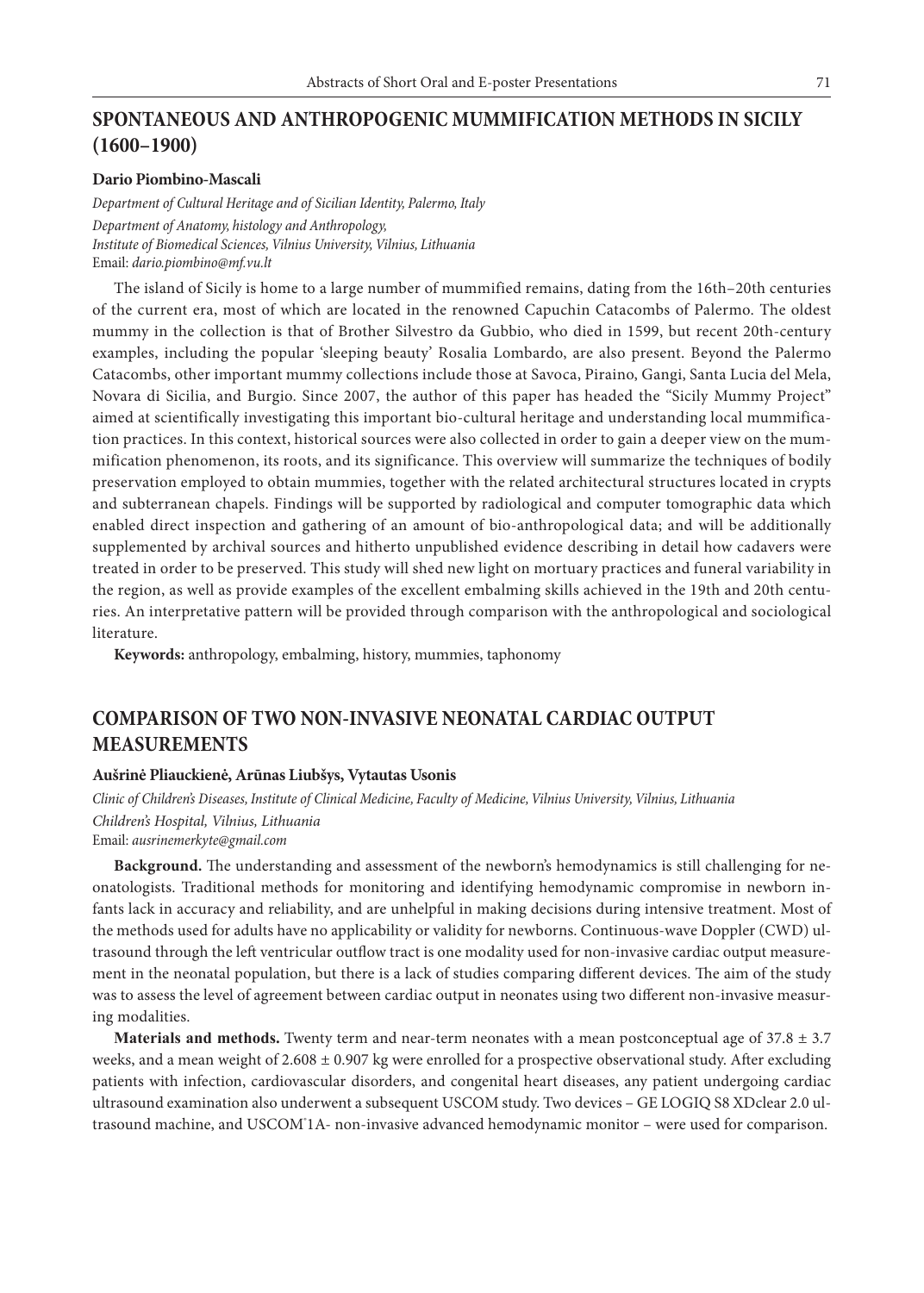### **SPONTANEOUS AND ANTHROPOGENIC MUMMIFICATION METHODS IN SICILY (1600–1900)**

#### **Dario Piombino-Mascali**

*Department of Cultural Heritage and of Sicilian Identity, Palermo, Italy Department of Anatomy, histology and Anthropology, Institute of Biomedical Sciences, Vilnius University, Vilnius, Lithuania* Email: *dario.piombino@mf.vu.lt*

The island of Sicily is home to a large number of mummified remains, dating from the 16th–20th centuries of the current era, most of which are located in the renowned Capuchin Catacombs of Palermo. The oldest mummy in the collection is that of Brother Silvestro da Gubbio, who died in 1599, but recent 20th-century examples, including the popular 'sleeping beauty' Rosalia Lombardo, are also present. Beyond the Palermo Catacombs, other important mummy collections include those at Savoca, Piraino, Gangi, Santa Lucia del Mela, Novara di Sicilia, and Burgio. Since 2007, the author of this paper has headed the "Sicily Mummy Project" aimed at scientifically investigating this important bio-cultural heritage and understanding local mummification practices. In this context, historical sources were also collected in order to gain a deeper view on the mummification phenomenon, its roots, and its significance. This overview will summarize the techniques of bodily preservation employed to obtain mummies, together with the related architectural structures located in crypts and subterranean chapels. Findings will be supported by radiological and computer tomographic data which enabled direct inspection and gathering of an amount of bio-anthropological data; and will be additionally supplemented by archival sources and hitherto unpublished evidence describing in detail how cadavers were treated in order to be preserved. This study will shed new light on mortuary practices and funeral variability in the region, as well as provide examples of the excellent embalming skills achieved in the 19th and 20th centuries. An interpretative pattern will be provided through comparison with the anthropological and sociological literature.

**Keywords:** anthropology, embalming, history, mummies, taphonomy

### **COMPARISON OF TWO NON-INVASIVE NEONATAL CARDIAC OUTPUT MEASUREMENTS**

#### **Aušrinė Pliauckienė, Arūnas Liubšys, Vytautas Usonis**

*Clinic of Children's Diseases, Institute of Clinical Medicine, Faculty of Medicine, Vilnius University, Vilnius, Lithuania Children's Hospital, Vilnius, Lithuania* Email: *ausrinemerkyte@gmail.com* 

**Background.** The understanding and assessment of the newborn's hemodynamics is still challenging for neonatologists. Traditional methods for monitoring and identifying hemodynamic compromise in newborn infants lack in accuracy and reliability, and are unhelpful in making decisions during intensive treatment. Most of the methods used for adults have no applicability or validity for newborns. Continuous-wave Doppler (CWD) ultrasound through the left ventricular outflow tract is one modality used for non-invasive cardiac output measurement in the neonatal population, but there is a lack of studies comparing different devices. The aim of the study was to assess the level of agreement between cardiac output in neonates using two different non-invasive measuring modalities.

**Materials and methods.** Twenty term and near-term neonates with a mean postconceptual age of 37.8 ± 3.7 weeks, and a mean weight of  $2.608 \pm 0.907$  kg were enrolled for a prospective observational study. After excluding patients with infection, cardiovascular disorders, and congenital heart diseases, any patient undergoing cardiac ultrasound examination also underwent a subsequent USCOM study. Two devices – GE LOGIQ S8 XDclear 2.0 ultrasound machine, and USCOM® 1A- non-invasive advanced hemodynamic monitor – were used for comparison.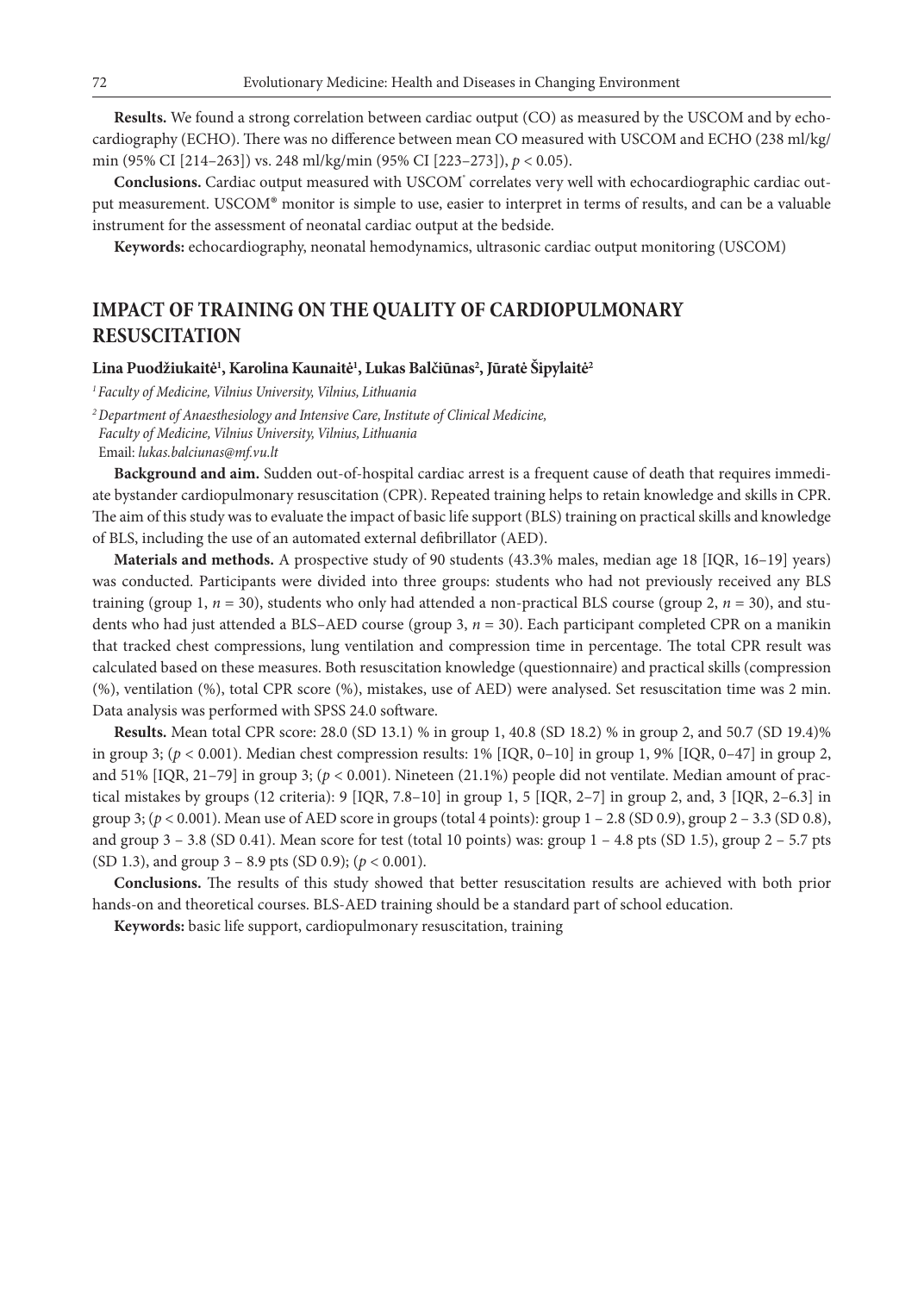**Results.** We found a strong correlation between cardiac output (CO) as measured by the USCOM and by echocardiography (ECHO). There was no difference between mean CO measured with USCOM and ECHO (238 ml/kg/ min (95% CI [214–263]) vs. 248 ml/kg/min (95% CI [223–273]), *p* < 0.05).

Conclusions. Cardiac output measured with USCOM<sup>®</sup> correlates very well with echocardiographic cardiac output measurement. USCOM® monitor is simple to use, easier to interpret in terms of results, and can be a valuable instrument for the assessment of neonatal cardiac output at the bedside.

**Keywords:** echocardiography, neonatal hemodynamics, ultrasonic cardiac output monitoring (USCOM)

## **IMPACT OF TRAINING ON THE QUALITY OF CARDIOPULMONARY RESUSCITATION**

#### **Lina Puodžiukaitė1 , Karolina Kaunaitė1 , Lukas Balčiūnas2 , Jūratė Šipylaitė2**

*1 Faculty of Medicine, Vilnius University, Vilnius, Lithuania*

*<sup>2</sup>Department of Anaesthesiology and Intensive Care, Institute of Clinical Medicine, Faculty of Medicine, Vilnius University, Vilnius, Lithuania* Email: *lukas.balciunas@mf.vu.lt*

**Background and aim.** Sudden out-of-hospital cardiac arrest is a frequent cause of death that requires immediate bystander cardiopulmonary resuscitation (CPR). Repeated training helps to retain knowledge and skills in CPR. The aim of this study was to evaluate the impact of basic life support (BLS) training on practical skills and knowledge of BLS, including the use of an automated external defibrillator (AED).

**Materials and methods.** A prospective study of 90 students (43.3% males, median age 18 [IQR, 16–19] years) was conducted. Participants were divided into three groups: students who had not previously received any BLS training (group 1, *n* = 30), students who only had attended a non-practical BLS course (group 2, *n* = 30), and students who had just attended a BLS–AED course (group 3, *n* = 30). Each participant completed CPR on a manikin that tracked chest compressions, lung ventilation and compression time in percentage. The total CPR result was calculated based on these measures. Both resuscitation knowledge (questionnaire) and practical skills (compression (%), ventilation (%), total CPR score (%), mistakes, use of AED) were analysed. Set resuscitation time was 2 min. Data analysis was performed with SPSS 24.0 software.

**Results.** Mean total CPR score: 28.0 (SD 13.1) % in group 1, 40.8 (SD 18.2) % in group 2, and 50.7 (SD 19.4)% in group 3;  $(p < 0.001)$ . Median chest compression results:  $1\%$  [IQR, 0-10] in group 1, 9% [IQR, 0-47] in group 2, and 51% [IQR, 21–79] in group 3; (*p* < 0.001). Nineteen (21.1%) people did not ventilate. Median amount of practical mistakes by groups (12 criteria): 9 [IQR, 7.8–10] in group 1, 5 [IQR, 2–7] in group 2, and, 3 [IQR, 2–6.3] in group 3;  $(p < 0.001)$ . Mean use of AED score in groups (total 4 points): group  $1 - 2.8$  (SD 0.9), group  $2 - 3.3$  (SD 0.8), and group  $3 - 3.8$  (SD 0.41). Mean score for test (total 10 points) was: group  $1 - 4.8$  pts (SD 1.5), group  $2 - 5.7$  pts (SD 1.3), and group 3 – 8.9 pts (SD 0.9); (*p* < 0.001).

**Conclusions.** The results of this study showed that better resuscitation results are achieved with both prior hands-on and theoretical courses. BLS-AED training should be a standard part of school education.

**Keywords:** basic life support, cardiopulmonary resuscitation, training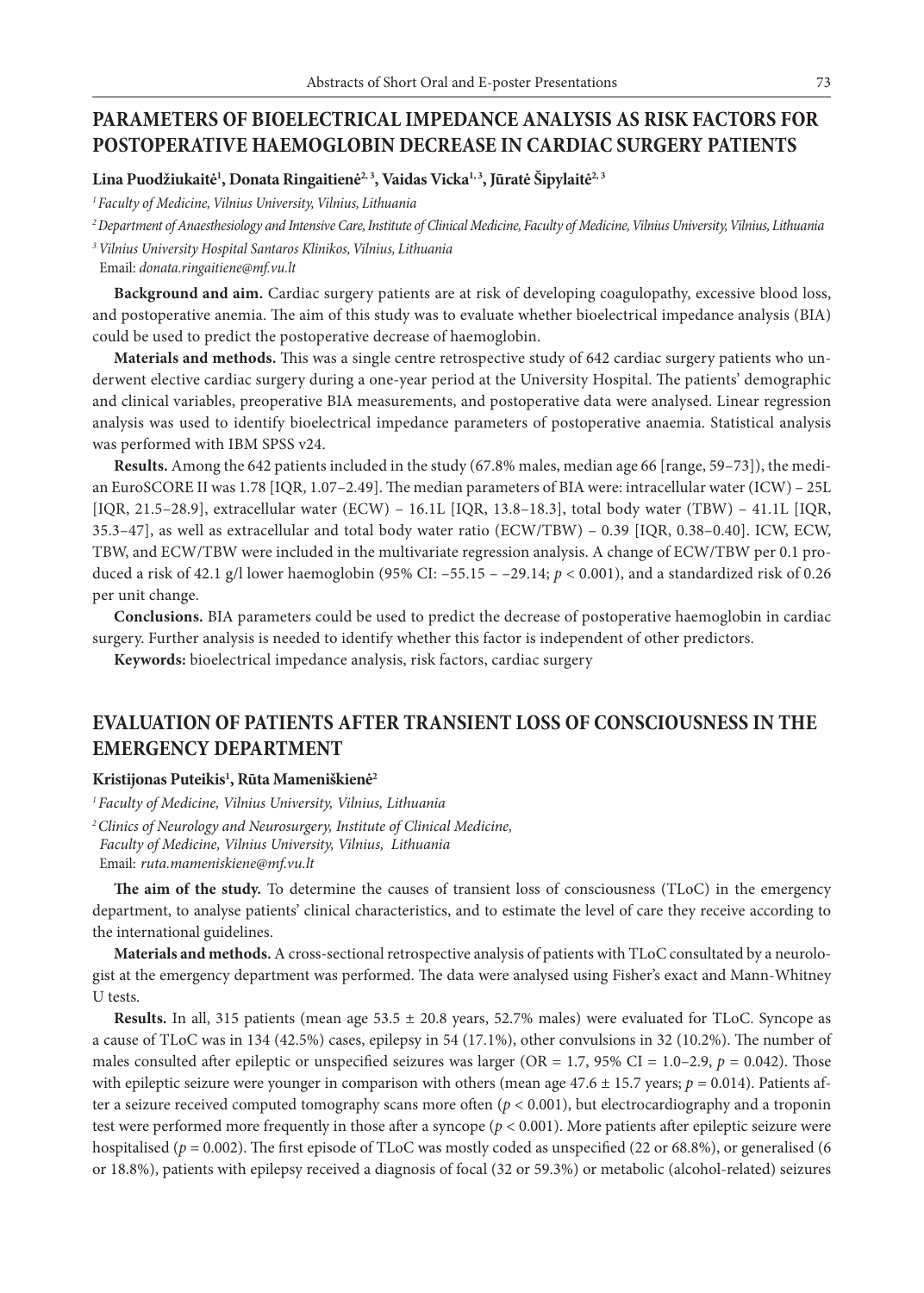## **PARAMETERS OF BIOELECTRICAL IMPEDANCE ANALYSIS AS RISK FACTORS FOR POSTOPERATIVE HAEMOGLOBIN DECREASE IN CARDIAC SURGERY PATIENTS**

Lina Puodžiukaitė<sup>1</sup>, Donata Ringaitienė<sup>2, 3</sup>, Vaidas Vicka<sup>1, 3</sup>, Jūratė Šipylaitė<sup>2, 3</sup>

*1 Faculty of Medicine, Vilnius University, Vilnius, Lithuania*

*2 Department of Anaesthesiology and Intensive Care, Institute of Clinical Medicine, Faculty of Medicine, Vilnius University, Vilnius, Lithuania*

*<sup>3</sup>Vilnius University Hospital Santaros Klinikos, Vilnius, Lithuania*

Email: *donata.ringaitiene@mf.vu.lt*

**Background and aim.** Cardiac surgery patients are at risk of developing coagulopathy, excessive blood loss, and postoperative anemia. The aim of this study was to evaluate whether bioelectrical impedance analysis (BIA) could be used to predict the postoperative decrease of haemoglobin.

**Materials and methods.** This was a single centre retrospective study of 642 cardiac surgery patients who underwent elective cardiac surgery during a one-year period at the University Hospital. The patients' demographic and clinical variables, preoperative BIA measurements, and postoperative data were analysed. Linear regression analysis was used to identify bioelectrical impedance parameters of postoperative anaemia. Statistical analysis was performed with IBM SPSS v24.

**Results.** Among the 642 patients included in the study (67.8% males, median age 66 [range, 59–73]), the median EuroSCORE II was 1.78 [IQR, 1.07–2.49]. The median parameters of BIA were: intracellular water (ICW) – 25L [IQR, 21.5–28.9], extracellular water (ECW) – 16.1L [IQR, 13.8–18.3], total body water (TBW) – 41.1L [IQR, 35.3–47], as well as extracellular and total body water ratio (ECW/TBW) – 0.39 [IQR, 0.38–0.40]. ICW, ECW, TBW, and ECW/TBW were included in the multivariate regression analysis. A change of ECW/TBW per 0.1 produced a risk of 42.1 g/l lower haemoglobin (95% CI: –55.15 – –29.14; *p* < 0.001), and a standardized risk of 0.26 per unit change.

**Conclusions.** BIA parameters could be used to predict the decrease of postoperative haemoglobin in cardiac surgery. Further analysis is needed to identify whether this factor is independent of other predictors.

**Keywords:** bioelectrical impedance analysis, risk factors, cardiac surgery

# **EVALUATION OF PATIENTS AFTER TRANSIENT LOSS OF CONSCIOUSNESS IN THE EMERGENCY DEPARTMENT**

#### **Kristijonas Puteikis1 , Rūta Mameniškienė2**

*<sup>1</sup> Faculty of Medicine, Vilnius University, Vilnius, Lithuania <sup>2</sup>Clinics of Neurology and Neurosurgery, Institute of Clinical Medicine, Faculty of Medicine, Vilnius University, Vilnius, Lithuania* Email: *ruta.mameniskiene@mf.vu.lt*

**The aim of the study.** To determine the causes of transient loss of consciousness (TLoC) in the emergency department, to analyse patients' clinical characteristics, and to estimate the level of care they receive according to the international guidelines.

**Materials and methods.** A cross-sectional retrospective analysis of patients with TLoC consultated by a neurologist at the emergency department was performed. The data were analysed using Fisher's exact and Mann-Whitney U tests.

**Results.** In all, 315 patients (mean age 53.5 ± 20.8 years, 52.7% males) were evaluated for TLoC. Syncope as a cause of TLoC was in 134 (42.5%) cases, epilepsy in 54 (17.1%), other convulsions in 32 (10.2%). The number of males consulted after epileptic or unspecified seizures was larger (OR = 1.7, 95% CI = 1.0–2.9,  $p = 0.042$ ). Those with epileptic seizure were younger in comparison with others (mean age  $47.6 \pm 15.7$  years;  $p = 0.014$ ). Patients after a seizure received computed tomography scans more often (*p* < 0.001), but electrocardiography and a troponin test were performed more frequently in those after a syncope (*p* < 0.001). More patients after epileptic seizure were hospitalised ( $p = 0.002$ ). The first episode of TLoC was mostly coded as unspecified (22 or 68.8%), or generalised (6 or 18.8%), patients with epilepsy received a diagnosis of focal (32 or 59.3%) or metabolic (alcohol-related) seizures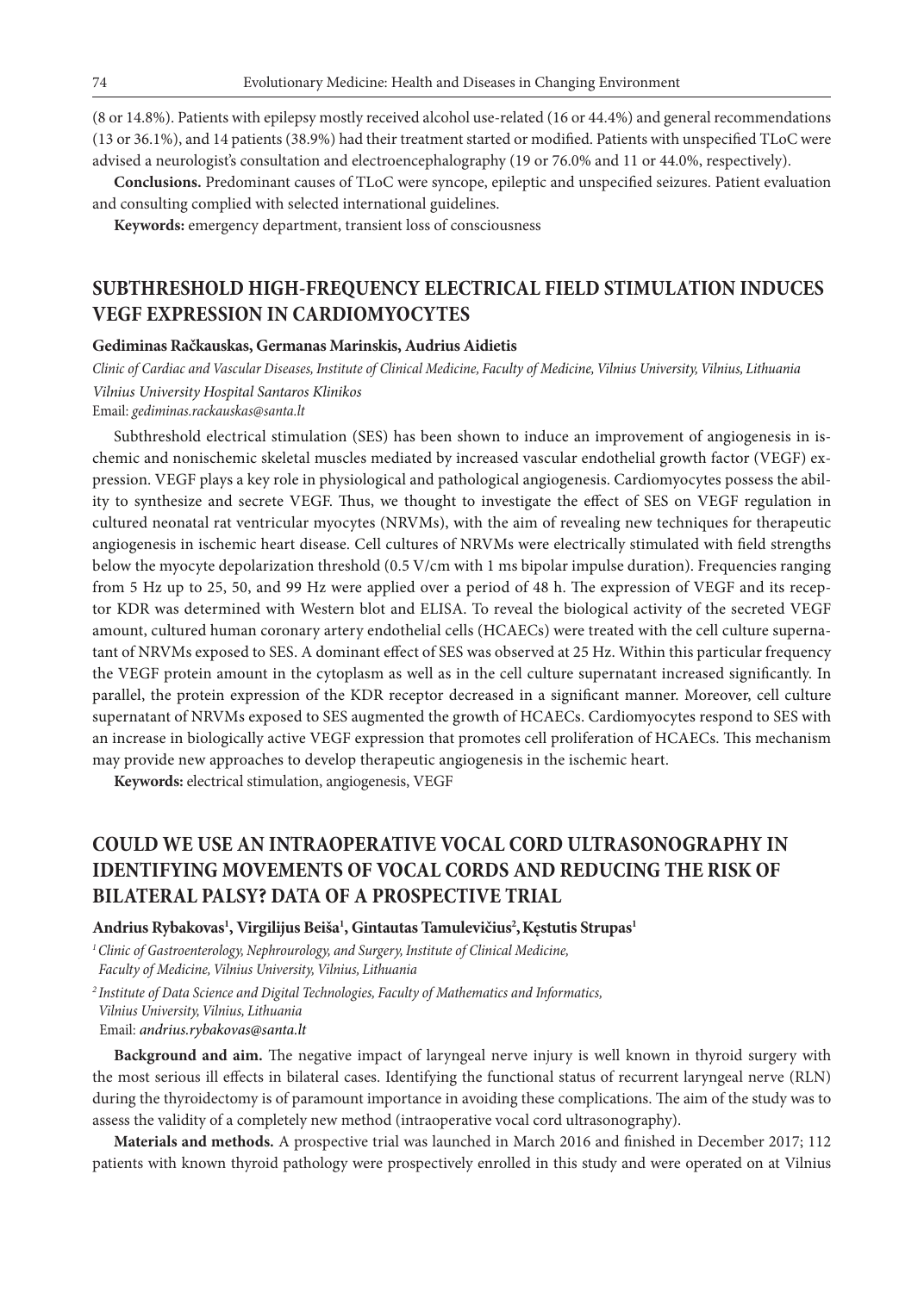(8 or 14.8%). Patients with epilepsy mostly received alcohol use-related (16 or 44.4%) and general recommendations (13 or 36.1%), and 14 patients (38.9%) had their treatment started or modified. Patients with unspecified TLoC were advised a neurologist's consultation and electroencephalography (19 or 76.0% and 11 or 44.0%, respectively).

**Conclusions.** Predominant causes of TLoC were syncope, epileptic and unspecified seizures. Patient evaluation and consulting complied with selected international guidelines.

**Keywords:** emergency department, transient loss of consciousness

# **SUBTHRESHOLD HIGH-FREQUENCY ELECTRICAL FIELD STIMULATION INDUCES VEGF EXPRESSION IN CARDIOMYOCYTES**

#### **Gediminas Račkauskas, Germanas Marinskis, Audrius Aidietis**

*Clinic of Cardiac and Vascular Diseases, Institute of Clinical Medicine, Faculty of Medicine, Vilnius University, Vilnius, Lithuania Vilnius University Hospital Santaros Klinikos*

Email: *gediminas.rackauskas@santa.lt*

Subthreshold electrical stimulation (SES) has been shown to induce an improvement of angiogenesis in ischemic and nonischemic skeletal muscles mediated by increased vascular endothelial growth factor (VEGF) expression. VEGF plays a key role in physiological and pathological angiogenesis. Cardiomyocytes possess the ability to synthesize and secrete VEGF. Thus, we thought to investigate the effect of SES on VEGF regulation in cultured neonatal rat ventricular myocytes (NRVMs), with the aim of revealing new techniques for therapeutic angiogenesis in ischemic heart disease. Cell cultures of NRVMs were electrically stimulated with field strengths below the myocyte depolarization threshold (0.5 V/cm with 1 ms bipolar impulse duration). Frequencies ranging from 5 Hz up to 25, 50, and 99 Hz were applied over a period of 48 h. The expression of VEGF and its receptor KDR was determined with Western blot and ELISA. To reveal the biological activity of the secreted VEGF amount, cultured human coronary artery endothelial cells (HCAECs) were treated with the cell culture supernatant of NRVMs exposed to SES. A dominant effect of SES was observed at 25 Hz. Within this particular frequency the VEGF protein amount in the cytoplasm as well as in the cell culture supernatant increased significantly. In parallel, the protein expression of the KDR receptor decreased in a significant manner. Moreover, cell culture supernatant of NRVMs exposed to SES augmented the growth of HCAECs. Cardiomyocytes respond to SES with an increase in biologically active VEGF expression that promotes cell proliferation of HCAECs. This mechanism may provide new approaches to develop therapeutic angiogenesis in the ischemic heart.

**Keywords:** electrical stimulation, angiogenesis, VEGF

## **COULD WE USE AN INTRAOPERATIVE VOCAL CORD ULTRASONOGRAPHY IN IDENTIFYING MOVEMENTS OF VOCAL CORDS AND REDUCING THE RISK OF BILATERAL PALSY? DATA OF A PROSPECTIVE TRIAL**

#### **Andrius Rybakovas1 , Virgilijus Beiša1 , Gintautas Tamulevičius2 ,Kęstutis Strupas1**

*1 Clinic of Gastroenterology, Nephrourology, and Surgery, Institute of Clinical Medicine, Faculty of Medicine, Vilnius University, Vilnius, Lithuania*

*<sup>2</sup>Institute of Data Science and Digital Technologies, Faculty of Mathematics and Informatics, Vilnius University, Vilnius, Lithuania* Email: *andrius.rybakovas@santa.lt*

**Background and aim.** The negative impact of laryngeal nerve injury is well known in thyroid surgery with the most serious ill effects in bilateral cases. Identifying the functional status of recurrent laryngeal nerve (RLN) during the thyroidectomy is of paramount importance in avoiding these complications. The aim of the study was to assess the validity of a completely new method (intraoperative vocal cord ultrasonography).

**Materials and methods.** A prospective trial was launched in March 2016 and finished in December 2017; 112 patients with known thyroid pathology were prospectively enrolled in this study and were operated on at Vilnius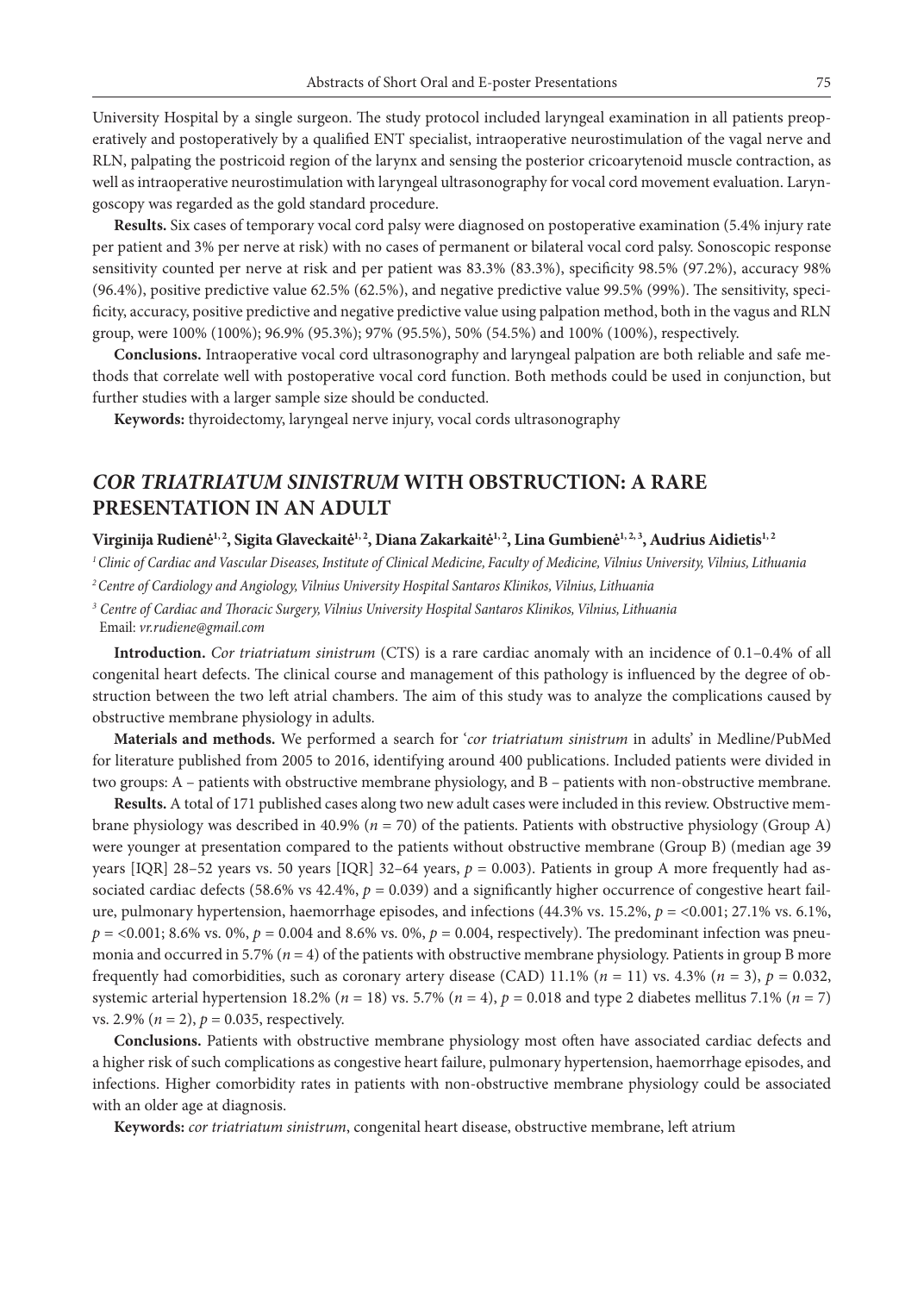University Hospital by a single surgeon. The study protocol included laryngeal examination in all patients preoperatively and postoperatively by a qualified ENT specialist, intraoperative neurostimulation of the vagal nerve and RLN, palpating the postricoid region of the larynx and sensing the posterior cricoarytenoid muscle contraction, as well as intraoperative neurostimulation with laryngeal ultrasonography for vocal cord movement evaluation. Laryngoscopy was regarded as the gold standard procedure.

**Results.** Six cases of temporary vocal cord palsy were diagnosed on postoperative examination (5.4% injury rate per patient and 3% per nerve at risk) with no cases of permanent or bilateral vocal cord palsy. Sonoscopic response sensitivity counted per nerve at risk and per patient was 83.3% (83.3%), specificity 98.5% (97.2%), accuracy 98% (96.4%), positive predictive value 62.5% (62.5%), and negative predictive value 99.5% (99%). The sensitivity, specificity, accuracy, positive predictive and negative predictive value using palpation method, both in the vagus and RLN group, were 100% (100%); 96.9% (95.3%); 97% (95.5%), 50% (54.5%) and 100% (100%), respectively.

**Conclusions.** Intraoperative vocal cord ultrasonography and laryngeal palpation are both reliable and safe methods that correlate well with postoperative vocal cord function. Both methods could be used in conjunction, but further studies with a larger sample size should be conducted.

**Keywords:** thyroidectomy, laryngeal nerve injury, vocal cords ultrasonography

# *COR TRIATRIATUM SINISTRUM* **WITH OBSTRUCTION: A RARE PRESENTATION IN AN ADULT**

### Virginija Rudienė<sup>1, 2</sup>, Sigita Glaveckaitė<sup>1, 2</sup>, Diana Zakarkaitė<sup>1, 2</sup>, Lina Gumbienė<sup>1, 2, 3</sup>, Audrius Aidietis<sup>1, 2</sup>

*1 Clinic of Cardiac and Vascular Diseases, Institute of Clinical Medicine, Faculty of Medicine, Vilnius University, Vilnius, Lithuania*

*2 Centre of Cardiology and Angiology, Vilnius University Hospital Santaros Klinikos, Vilnius, Lithuania*

*<sup>3</sup> Centre of Cardiac and Thoracic Surgery, Vilnius University Hospital Santaros Klinikos, Vilnius, Lithuania* Email: *vr.rudiene@gmail.com*

**Introduction.** *Cor triatriatum sinistrum* (CTS) is a rare cardiac anomaly with an incidence of 0.1–0.4% of all congenital heart defects. The clinical course and management of this pathology is influenced by the degree of obstruction between the two left atrial chambers. The aim of this study was to analyze the complications caused by obstructive membrane physiology in adults.

**Materials and methods.** We performed a search for '*cor triatriatum sinistrum* in adults' in Medline/PubMed for literature published from 2005 to 2016, identifying around 400 publications. Included patients were divided in two groups: A – patients with obstructive membrane physiology, and B – patients with non-obstructive membrane.

**Results.** A total of 171 published cases along two new adult cases were included in this review. Obstructive membrane physiology was described in 40.9% (*n* = 70) of the patients. Patients with obstructive physiology (Group A) were younger at presentation compared to the patients without obstructive membrane (Group B) (median age 39 years [IQR]  $28-52$  years vs. 50 years [IQR]  $32-64$  years,  $p = 0.003$ ). Patients in group A more frequently had associated cardiac defects (58.6% vs 42.4%,  $p = 0.039$ ) and a significantly higher occurrence of congestive heart failure, pulmonary hypertension, haemorrhage episodes, and infections (44.3% vs. 15.2%, *p* = <0.001; 27.1% vs. 6.1%,  $p = 0.001$ ; 8.6% vs. 0%,  $p = 0.004$  and 8.6% vs. 0%,  $p = 0.004$ , respectively). The predominant infection was pneumonia and occurred in 5.7% (*n* = 4) of the patients with obstructive membrane physiology. Patients in group B more frequently had comorbidities, such as coronary artery disease (CAD) 11.1% ( $n = 11$ ) vs. 4.3% ( $n = 3$ ),  $p = 0.032$ , systemic arterial hypertension 18.2% ( $n = 18$ ) vs. 5.7% ( $n = 4$ ),  $p = 0.018$  and type 2 diabetes mellitus 7.1% ( $n = 7$ ) vs. 2.9% ( $n = 2$ ),  $p = 0.035$ , respectively.

**Conclusions.** Patients with obstructive membrane physiology most often have associated cardiac defects and a higher risk of such complications as congestive heart failure, pulmonary hypertension, haemorrhage episodes, and infections. Higher comorbidity rates in patients with non-obstructive membrane physiology could be associated with an older age at diagnosis.

**Keywords:** *cor triatriatum sinistrum*, congenital heart disease, obstructive membrane, left atrium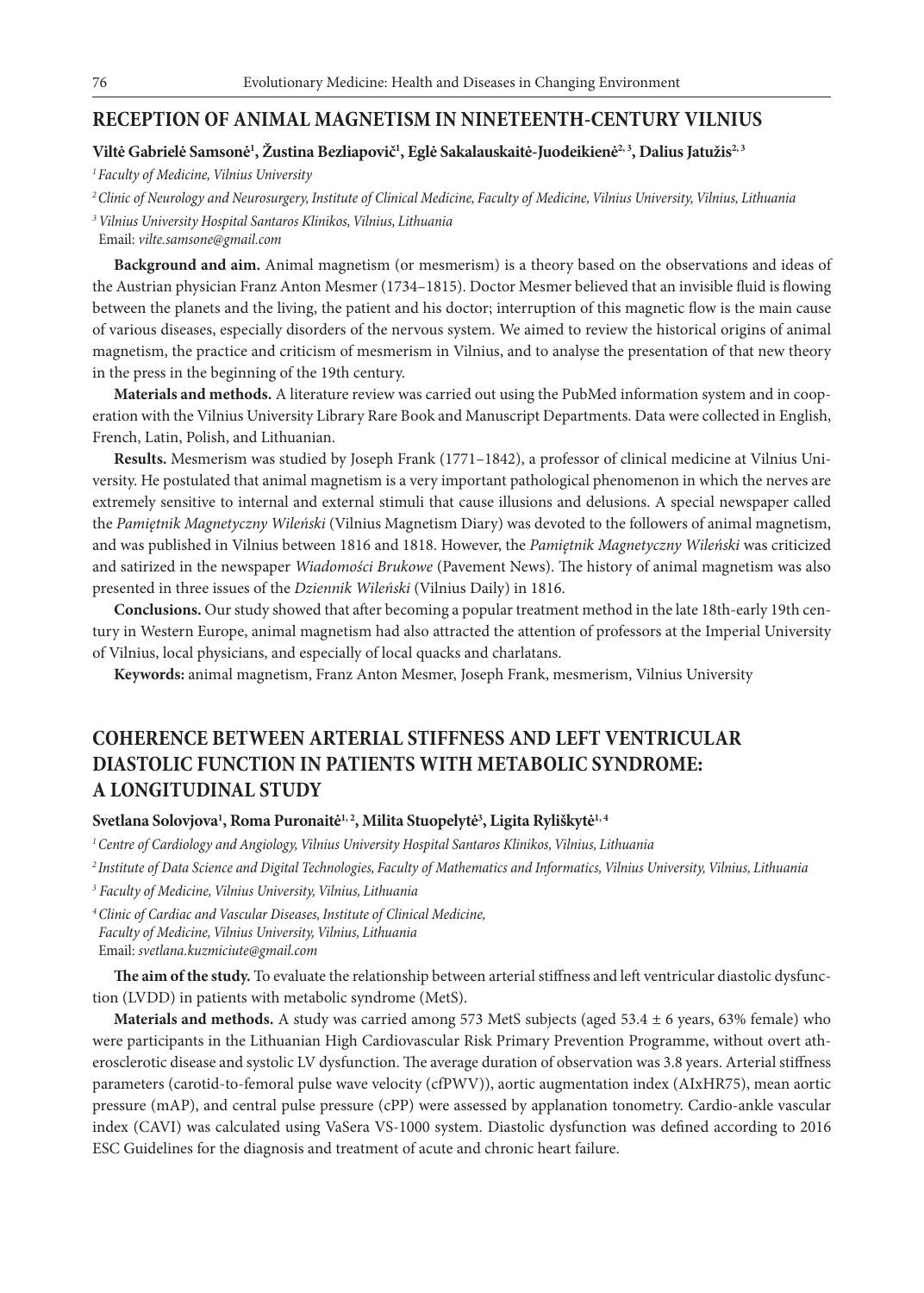### **RECEPTION OF ANIMAL MAGNETISM IN NINETEENTH-CENTURY VILNIUS**

#### Viltė Gabrielė Samsonė<sup>1</sup>, Žustina Bezliapovič<sup>1</sup>, Eglė Sakalauskaitė-Juodeikienė<sup>2, 3</sup>, Dalius Jatužis<sup>2, 3</sup>

*1 Faculty of Medicine, Vilnius University*

*2 Clinic of Neurology and Neurosurgery, Institute of Clinical Medicine, Faculty of Medicine, Vilnius University, Vilnius, Lithuania*

*<sup>3</sup>Vilnius University Hospital Santaros Klinikos, Vilnius, Lithuania*

Email: *vilte.samsone@gmail.com*

**Background and aim.** Animal magnetism (or mesmerism) is a theory based on the observations and ideas of the Austrian physician Franz Anton Mesmer (1734–1815). Doctor Mesmer believed that an invisible fluid is flowing between the planets and the living, the patient and his doctor; interruption of this magnetic flow is the main cause of various diseases, especially disorders of the nervous system. We aimed to review the historical origins of animal magnetism, the practice and criticism of mesmerism in Vilnius, and to analyse the presentation of that new theory in the press in the beginning of the 19th century.

**Materials and methods.** A literature review was carried out using the PubMed information system and in cooperation with the Vilnius University Library Rare Book and Manuscript Departments. Data were collected in English, French, Latin, Polish, and Lithuanian.

**Results.** Mesmerism was studied by Joseph Frank (1771–1842), a professor of clinical medicine at Vilnius University. He postulated that animal magnetism is a very important pathological phenomenon in which the nerves are extremely sensitive to internal and external stimuli that cause illusions and delusions. A special newspaper called the *Pamiętnik Magnetyczny Wileński* (Vilnius Magnetism Diary) was devoted to the followers of animal magnetism, and was published in Vilnius between 1816 and 1818. However, the *Pamiętnik Magnetyczny Wileński* was criticized and satirized in the newspaper *Wiadomości Brukowe* (Pavement News). The history of animal magnetism was also presented in three issues of the *Dziennik Wileński* (Vilnius Daily) in 1816.

**Conclusions.** Our study showed that after becoming a popular treatment method in the late 18th-early 19th century in Western Europe, animal magnetism had also attracted the attention of professors at the Imperial University of Vilnius, local physicians, and especially of local quacks and charlatans.

**Keywords:** animal magnetism, Franz Anton Mesmer, Joseph Frank, mesmerism, Vilnius University

## **COHERENCE BETWEEN ARTERIAL STIFFNESS AND LEFT VENTRICULAR DIASTOLIC FUNCTION IN PATIENTS WITH METABOLIC SYNDROME: A LONGITUDINAL STUDY**

#### $S$ vetlana Solovjova<sup>1</sup>, Roma Puronaitė<sup>1, 2</sup>, Milita Stuopelytė<sup>3</sup>, Ligita Ryliškytė<sup>1, 4</sup>

*1 Centre of Cardiology and Angiology, Vilnius University Hospital Santaros Klinikos, Vilnius, Lithuania*

*2 Institute of Data Science and Digital Technologies, Faculty of Mathematics and Informatics, Vilnius University, Vilnius, Lithuania*

*3 Faculty of Medicine, Vilnius University, Vilnius, Lithuania*

*<sup>4</sup>Clinic of Cardiac and Vascular Diseases, Institute of Clinical Medicine, Faculty of Medicine, Vilnius University, Vilnius, Lithuania* Email: *svetlana.kuzmiciute@gmail.com*

**The aim of the study.** To evaluate the relationship between arterial stiffness and left ventricular diastolic dysfunction (LVDD) in patients with metabolic syndrome (MetS).

**Materials and methods.** A study was carried among 573 MetS subjects (aged 53.4 ± 6 years, 63% female) who were participants in the Lithuanian High Cardiovascular Risk Primary Prevention Programme, without overt atherosclerotic disease and systolic LV dysfunction. The average duration of observation was 3.8 years. Arterial stiffness parameters (carotid-to-femoral pulse wave velocity (cfPWV)), aortic augmentation index (AIxHR75), mean aortic pressure (mAP), and central pulse pressure (cPP) were assessed by applanation tonometry. Cardio-ankle vascular index (CAVI) was calculated using VaSera VS-1000 system. Diastolic dysfunction was defined according to 2016 ESC Guidelines for the diagnosis and treatment of acute and chronic heart failure.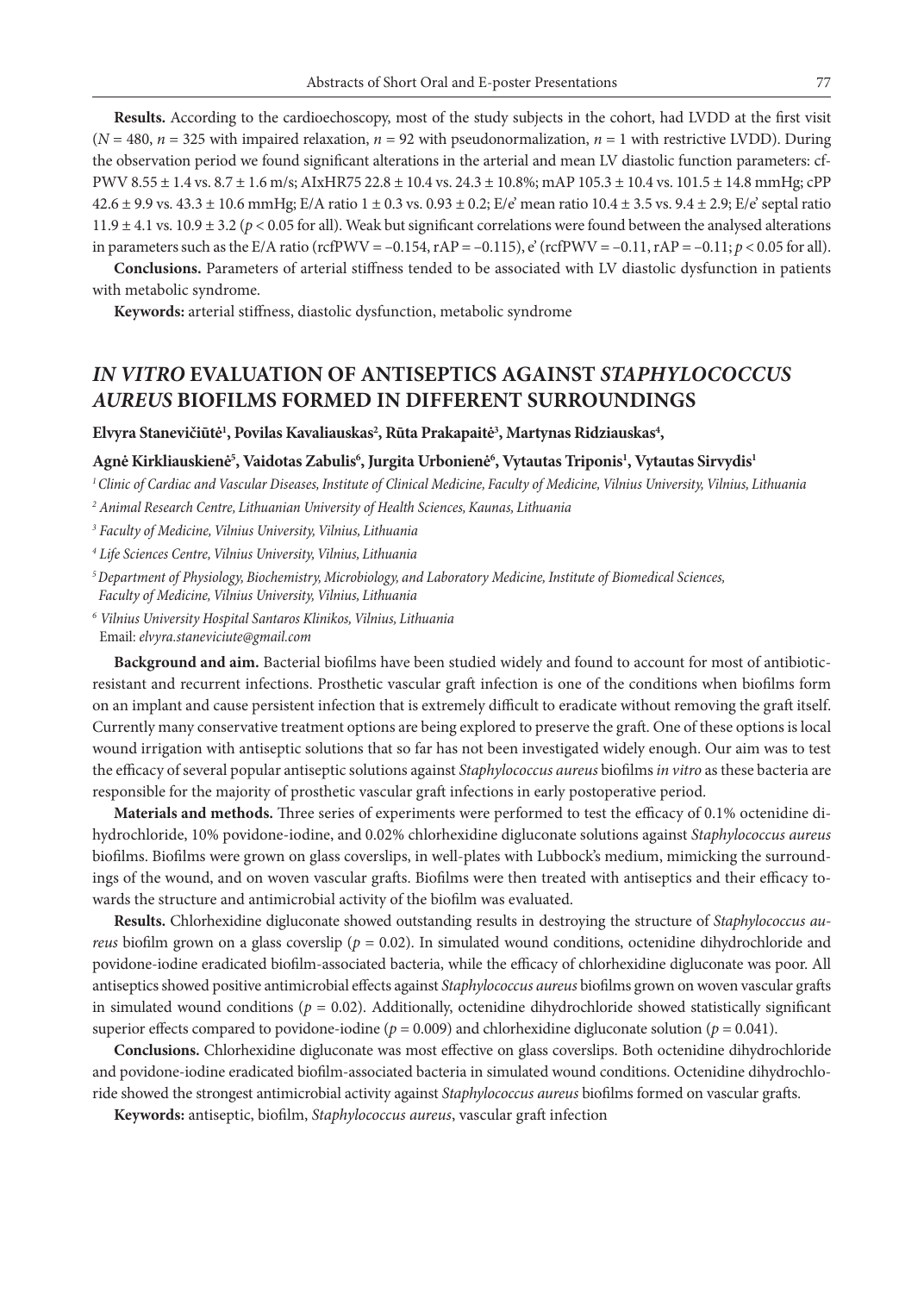**Results.** According to the cardioechoscopy, most of the study subjects in the cohort, had LVDD at the first visit  $(N = 480, n = 325$  with impaired relaxation,  $n = 92$  with pseudonormalization,  $n = 1$  with restrictive LVDD). During the observation period we found significant alterations in the arterial and mean LV diastolic function parameters: cf-PWV 8.55 ± 1.4 vs. 8.7 ± 1.6 m/s; AIxHR75 22.8 ± 10.4 vs. 24.3 ± 10.8%; mAP 105.3 ± 10.4 vs. 101.5 ± 14.8 mmHg; cPP  $42.6 \pm 9.9$  vs.  $43.3 \pm 10.6$  mmHg; E/A ratio  $1 \pm 0.3$  vs.  $0.93 \pm 0.2$ ; E/e' mean ratio  $10.4 \pm 3.5$  vs.  $9.4 \pm 2.9$ ; E/e' septal ratio 11.9  $\pm$  4.1 vs. 10.9  $\pm$  3.2 ( $p$  < 0.05 for all). Weak but significant correlations were found between the analysed alterations in parameters such as the E/A ratio (rcfPWV = -0.154, rAP = -0.115),  $e'$  (rcfPWV = -0.11, rAP = -0.11;  $p < 0.05$  for all).

**Conclusions.** Parameters of arterial stiffness tended to be associated with LV diastolic dysfunction in patients with metabolic syndrome.

**Keywords:** arterial stiffness, diastolic dysfunction, metabolic syndrome

## *IN VITRO* **EVALUATION OF ANTISEPTICS AGAINST** *STAPHYLOCOCCUS AUREUS* **BIOFILMS FORMED IN DIFFERENT SURROUNDINGS**

Elvyra Stanevičiūtė<sup>1</sup>, Povilas Kavaliauskas<sup>2</sup>, Rūta Prakapaitė<sup>3</sup>, Martynas Ridziauskas<sup>4</sup>,

#### **Agnė Kirkliauskienė5 , Vaidotas Zabulis6 , Jurgita Urbonienė6 , Vytautas Triponis1 , Vytautas Sirvydis1**

*1 Clinic of Cardiac and Vascular Diseases, Institute of Clinical Medicine, Faculty of Medicine, Vilnius University, Vilnius, Lithuania 2 Animal Research Centre, Lithuanian University of Health Sciences, Kaunas, Lithuania*

*3 Faculty of Medicine, Vilnius University, Vilnius, Lithuania*

*<sup>4</sup> Life Sciences Centre, Vilnius University, Vilnius, Lithuania*

*5 Department of Physiology, Biochemistry, Microbiology, and Laboratory Medicine, Institute of Biomedical Sciences, Faculty of Medicine, Vilnius University, Vilnius, Lithuania*

*<sup>6</sup> Vilnius University Hospital Santaros Klinikos, Vilnius, Lithuania* Email: *elvyra.staneviciute@gmail.com*

**Background and aim.** Bacterial biofilms have been studied widely and found to account for most of antibioticresistant and recurrent infections. Prosthetic vascular graft infection is one of the conditions when biofilms form on an implant and cause persistent infection that is extremely difficult to eradicate without removing the graft itself. Currently many conservative treatment options are being explored to preserve the graft. One of these options is local wound irrigation with antiseptic solutions that so far has not been investigated widely enough. Our aim was to test the efficacy of several popular antiseptic solutions against *Staphylococcus aureus* biofilms *in vitro* as these bacteria are responsible for the majority of prosthetic vascular graft infections in early postoperative period.

**Materials and methods.** Three series of experiments were performed to test the efficacy of 0.1% octenidine dihydrochloride, 10% povidone-iodine, and 0.02% chlorhexidine digluconate solutions against *Staphylococcus aureus*  biofilms. Biofilms were grown on glass coverslips, in well-plates with Lubbock's medium, mimicking the surroundings of the wound, and on woven vascular grafts. Biofilms were then treated with antiseptics and their efficacy towards the structure and antimicrobial activity of the biofilm was evaluated.

**Results.** Chlorhexidine digluconate showed outstanding results in destroying the structure of *Staphylococcus aureus* biofilm grown on a glass coverslip (*p* = 0.02). In simulated wound conditions, octenidine dihydrochloride and povidone-iodine eradicated biofilm-associated bacteria, while the efficacy of chlorhexidine digluconate was poor. All antiseptics showed positive antimicrobial effects against *Staphylococcus aureus* biofilms grown on woven vascular grafts in simulated wound conditions ( $p = 0.02$ ). Additionally, octenidine dihydrochloride showed statistically significant superior effects compared to povidone-iodine ( $p = 0.009$ ) and chlorhexidine digluconate solution ( $p = 0.041$ ).

**Conclusions.** Chlorhexidine digluconate was most effective on glass coverslips. Both octenidine dihydrochloride and povidone-iodine eradicated biofilm-associated bacteria in simulated wound conditions. Octenidine dihydrochloride showed the strongest antimicrobial activity against *Staphylococcus aureus* biofilms formed on vascular grafts.

**Keywords:** antiseptic, biofilm, *Staphylococcus aureus*, vascular graft infection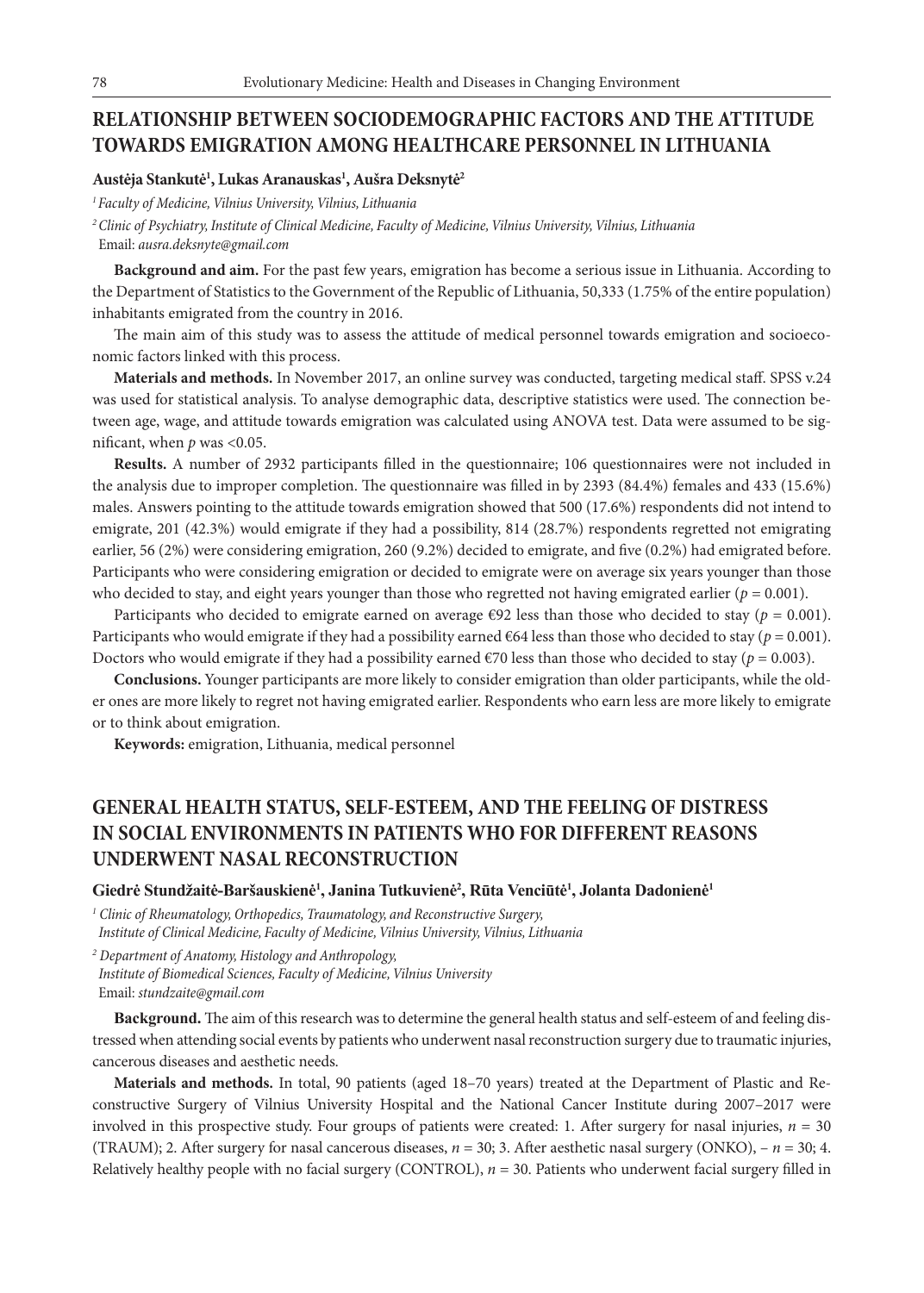### **RELATIONSHIP BETWEEN SOCIODEMOGRAPHIC FACTORS AND THE ATTITUDE TOWARDS EMIGRATION AMONG HEALTHCARE PERSONNEL IN LITHUANIA**

#### **Austėja Stankutė1 , Lukas Aranauskas1 , Aušra Deksnytė2**

*1 Faculty of Medicine, Vilnius University, Vilnius, Lithuania*

*<sup>2</sup>Clinic of Psychiatry, Institute of Clinical Medicine, Faculty of Medicine, Vilnius University, Vilnius, Lithuania* Email: *ausra.deksnyte@gmail.com*

**Background and aim.** For the past few years, emigration has become a serious issue in Lithuania. According to the Department of Statistics to the Government of the Republic of Lithuania, 50,333 (1.75% of the entire population) inhabitants emigrated from the country in 2016.

The main aim of this study was to assess the attitude of medical personnel towards emigration and socioeconomic factors linked with this process.

**Materials and methods.** In November 2017, an online survey was conducted, targeting medical staff. SPSS v.24 was used for statistical analysis. To analyse demographic data, descriptive statistics were used. The connection between age, wage, and attitude towards emigration was calculated using ANOVA test. Data were assumed to be significant, when  $p$  was <0.05.

**Results.** A number of 2932 participants filled in the questionnaire; 106 questionnaires were not included in the analysis due to improper completion. The questionnaire was filled in by 2393 (84.4%) females and 433 (15.6%) males. Answers pointing to the attitude towards emigration showed that 500 (17.6%) respondents did not intend to emigrate, 201 (42.3%) would emigrate if they had a possibility, 814 (28.7%) respondents regretted not emigrating earlier, 56 (2%) were considering emigration, 260 (9.2%) decided to emigrate, and five (0.2%) had emigrated before. Participants who were considering emigration or decided to emigrate were on average six years younger than those who decided to stay, and eight years younger than those who regretted not having emigrated earlier ( $p = 0.001$ ).

Participants who decided to emigrate earned on average  $\epsilon$ 92 less than those who decided to stay (*p* = 0.001). Participants who would emigrate if they had a possibility earned  $\epsilon$ 64 less than those who decided to stay ( $p = 0.001$ ). Doctors who would emigrate if they had a possibility earned  $\epsilon$ 70 less than those who decided to stay ( $p = 0.003$ ).

**Conclusions.** Younger participants are more likely to consider emigration than older participants, while the older ones are more likely to regret not having emigrated earlier. Respondents who earn less are more likely to emigrate or to think about emigration.

**Keywords:** emigration, Lithuania, medical personnel

# **GENERAL HEALTH STATUS, SELF-ESTEEM, AND THE FEELING OF DISTRESS IN SOCIAL ENVIRONMENTS IN PATIENTS WHO FOR DIFFERENT REASONS UNDERWENT NASAL RECONSTRUCTION**

#### **Giedrė Stundžaitė-Baršauskienė<sup>1</sup> , Janina Tutkuvienė<sup>2</sup> , Rūta Venciūtė<sup>1</sup> , Jolanta Dadonienė<sup>1</sup>**

*1 Clinic of Rheumatology, Orthopedics, Traumatology, and Reconstructive Surgery, Institute of Clinical Medicine, Faculty of Medicine, Vilnius University, Vilnius, Lithuania*

*2 Department of Anatomy, Histology and Anthropology, Institute of Biomedical Sciences, Faculty of Medicine, Vilnius University* Email: *stundzaite@gmail.com*

**Background.** The aim of this research was to determine the general health status and self-esteem of and feeling distressed when attending social events by patients who underwent nasal reconstruction surgery due to traumatic injuries, cancerous diseases and aesthetic needs.

**Materials and methods.** In total, 90 patients (aged 18–70 years) treated at the Department of Plastic and Reconstructive Surgery of Vilnius University Hospital and the National Cancer Institute during 2007–2017 were involved in this prospective study. Four groups of patients were created: 1. After surgery for nasal injuries,  $n = 30$ (TRAUM); 2. After surgery for nasal cancerous diseases, *n* = 30; 3. After aesthetic nasal surgery (ONKO), – *n* = 30; 4. Relatively healthy people with no facial surgery (CONTROL), *n* = 30. Patients who underwent facial surgery filled in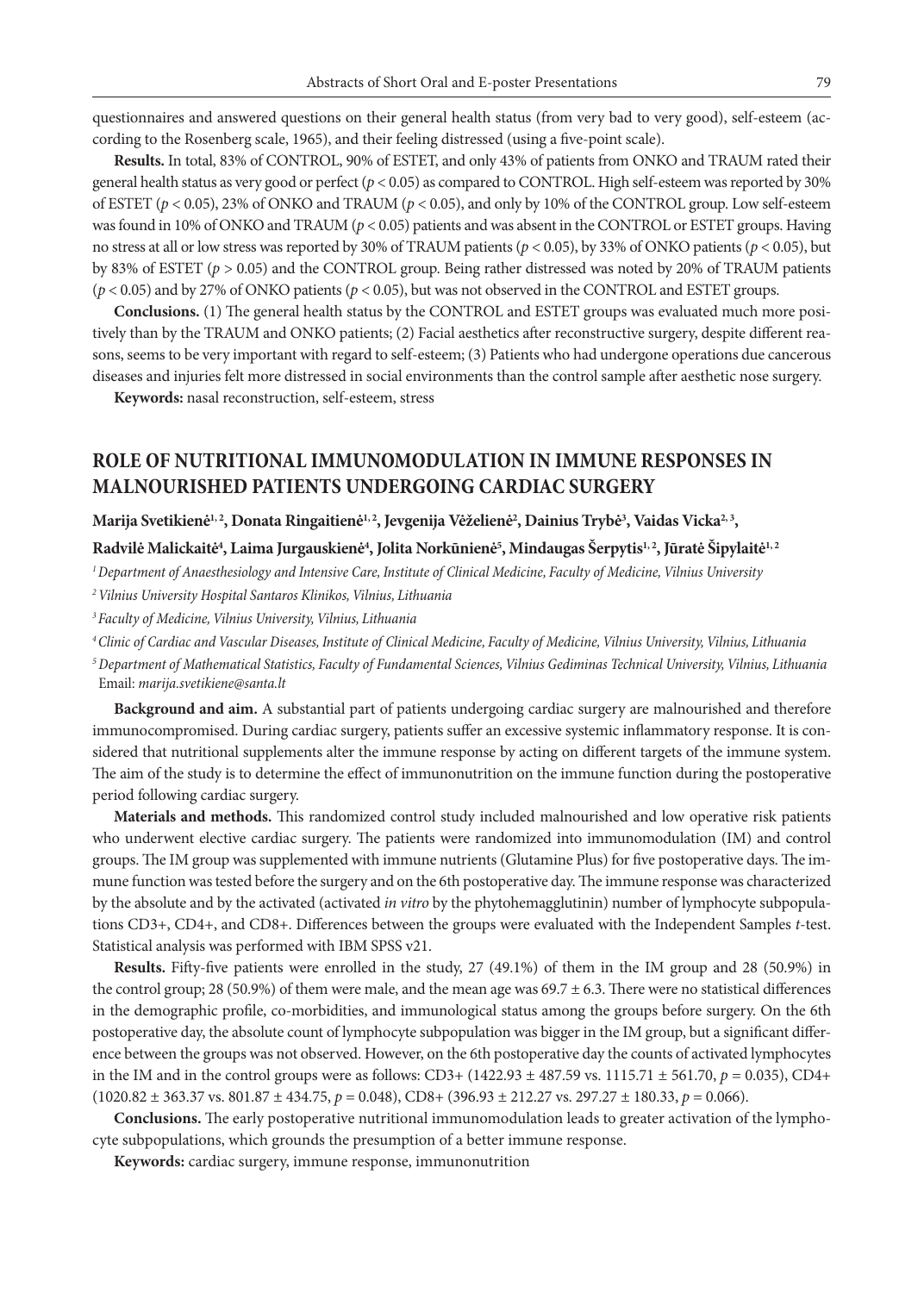questionnaires and answered questions on their general health status (from very bad to very good), self-esteem (according to the Rosenberg scale, 1965), and their feeling distressed (using a five-point scale).

**Results.** In total, 83% of CONTROL, 90% of ESTET, and only 43% of patients from ONKO and TRAUM rated their general health status as very good or perfect (*p* < 0.05) as compared to CONTROL. High self-esteem was reported by 30% of ESTET (*p* < 0.05), 23% of ONKO and TRAUM (*p* < 0.05), and only by 10% of the CONTROL group. Low self-esteem was found in 10% of ONKO and TRAUM (*p* < 0.05) patients and was absent in the CONTROL or ESTET groups. Having no stress at all or low stress was reported by 30% of TRAUM patients (*p* < 0.05), by 33% of ONKO patients (*p* < 0.05), but by 83% of ESTET (*p* > 0.05) and the CONTROL group. Being rather distressed was noted by 20% of TRAUM patients (*p* < 0.05) and by 27% of ONKO patients (*p* < 0.05), but was not observed in the CONTROL and ESTET groups.

**Conclusions.** (1) The general health status by the CONTROL and ESTET groups was evaluated much more positively than by the TRAUM and ONKO patients; (2) Facial aesthetics after reconstructive surgery, despite different reasons, seems to be very important with regard to self-esteem; (3) Patients who had undergone operations due cancerous diseases and injuries felt more distressed in social environments than the control sample after aesthetic nose surgery.

**Keywords:** nasal reconstruction, self-esteem, stress

## **ROLE OF NUTRITIONAL IMMUNOMODULATION IN IMMUNE RESPONSES IN MALNOURISHED PATIENTS UNDERGOING CARDIAC SURGERY**

Marija Svetikienė<sup>1, 2</sup>, Donata Ringaitienė<sup>1, 2</sup>, Jevgenija Vėželienė<sup>2</sup>, Dainius Trybė<sup>3</sup>, Vaidas Vicka<sup>2, 3</sup>,

#### Radvilė Malickaitė<sup>4</sup>, Laima Jurgauskienė<sup>4</sup>, Jolita Norkūnienė<sup>5</sup>, Mindaugas Šerpytis<sup>1, 2</sup>, Jūratė Šipylaitė<sup>1, 2</sup>

*1 Department of Anaesthesiology and Intensive Care, Institute of Clinical Medicine, Faculty of Medicine, Vilnius University*

*2 Vilnius University Hospital Santaros Klinikos, Vilnius, Lithuania*

*3 Faculty of Medicine, Vilnius University, Vilnius, Lithuania*

*4Clinic of Cardiac and Vascular Diseases, Institute of Clinical Medicine, Faculty of Medicine, Vilnius University, Vilnius, Lithuania*

*<sup>5</sup>Department of Mathematical Statistics, Faculty of Fundamental Sciences, Vilnius Gediminas Technical University, Vilnius, Lithuania* Email: *marija.svetikiene@santa.lt*

**Background and aim.** A substantial part of patients undergoing cardiac surgery are malnourished and therefore immunocompromised. During cardiac surgery, patients suffer an excessive systemic inflammatory response. It is considered that nutritional supplements alter the immune response by acting on different targets of the immune system. The aim of the study is to determine the effect of immunonutrition on the immune function during the postoperative period following cardiac surgery.

**Materials and methods.** This randomized control study included malnourished and low operative risk patients who underwent elective cardiac surgery. The patients were randomized into immunomodulation (IM) and control groups. The IM group was supplemented with immune nutrients (Glutamine Plus) for five postoperative days. The immune function was tested before the surgery and on the 6th postoperative day. The immune response was characterized by the absolute and by the activated (activated *in vitro* by the phytohemagglutinin) number of lymphocyte subpopulations CD3+, CD4+, and CD8+. Differences between the groups were evaluated with the Independent Samples *t*-test. Statistical analysis was performed with IBM SPSS v21.

**Results.** Fifty-five patients were enrolled in the study, 27 (49.1%) of them in the IM group and 28 (50.9%) in the control group; 28 (50.9%) of them were male, and the mean age was  $69.7 \pm 6.3$ . There were no statistical differences in the demographic profile, co-morbidities, and immunological status among the groups before surgery. On the 6th postoperative day, the absolute count of lymphocyte subpopulation was bigger in the IM group, but a significant difference between the groups was not observed. However, on the 6th postoperative day the counts of activated lymphocytes in the IM and in the control groups were as follows:  $CD3+ (1422.93 \pm 487.59 \text{ vs. } 1115.71 \pm 561.70, p = 0.035)$ ,  $CD4+$  $(1020.82 \pm 363.37 \text{ vs. } 801.87 \pm 434.75, p = 0.048), \text{CD8} + (396.93 \pm 212.27 \text{ vs. } 297.27 \pm 180.33, p = 0.066).$ 

**Conclusions.** The early postoperative nutritional immunomodulation leads to greater activation of the lymphocyte subpopulations, which grounds the presumption of a better immune response.

**Keywords:** cardiac surgery, immune response, immunonutrition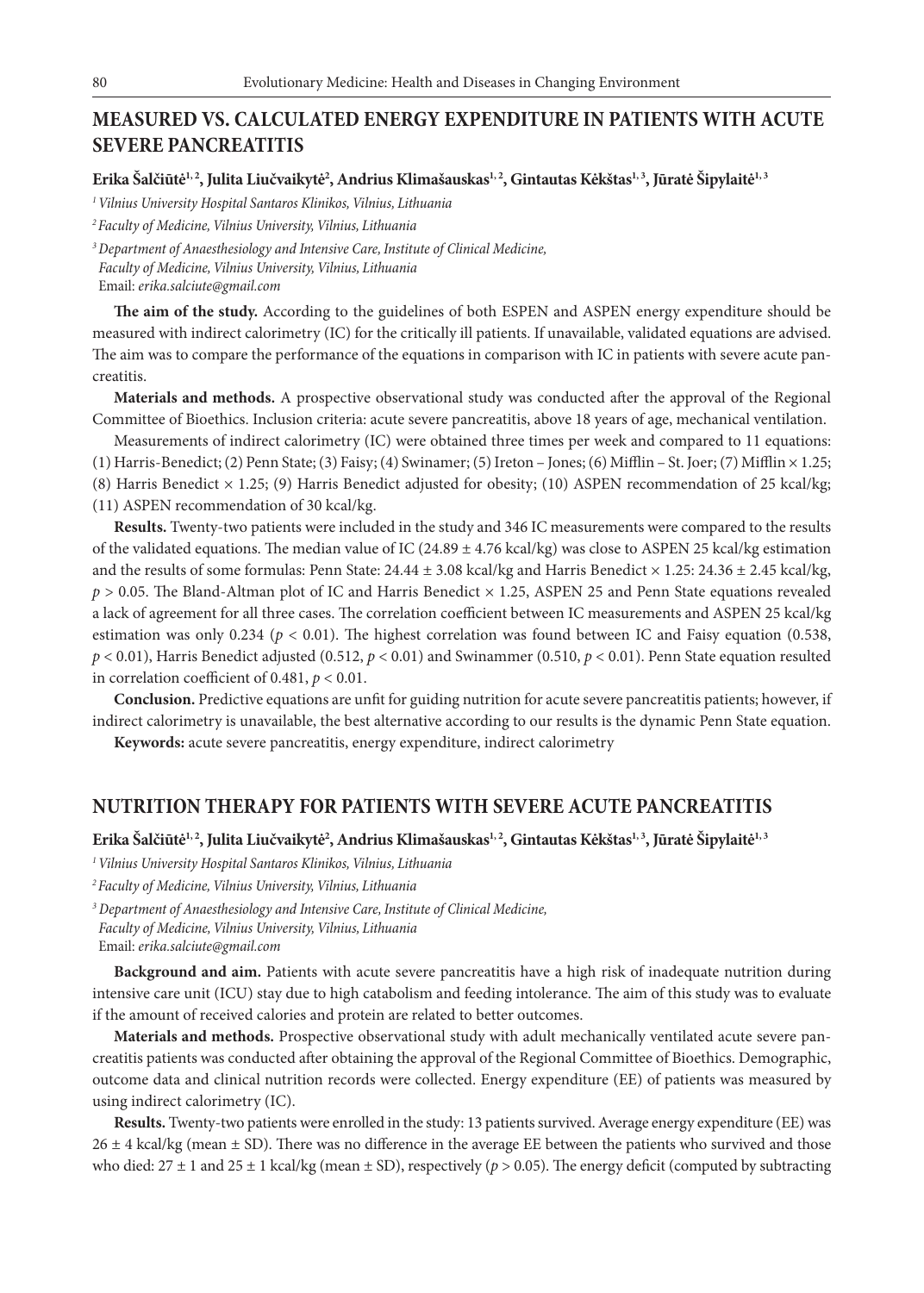## **MEASURED VS. CALCULATED ENERGY EXPENDITURE IN PATIENTS WITH ACUTE SEVERE PANCREATITIS**

Erika Šalčiūtė<sup>1, 2</sup>, Julita Liučvaikytė<sup>2</sup>, Andrius Klimašauskas<sup>1, 2</sup>, Gintautas Kėkštas<sup>1, 3</sup>, Jūratė Šipylaitė<sup>1, 3</sup>

*1 Vilnius University Hospital Santaros Klinikos, Vilnius, Lithuania*

*2 Faculty of Medicine, Vilnius University, Vilnius, Lithuania*

*<sup>3</sup>Department of Anaesthesiology and Intensive Care, Institute of Clinical Medicine, Faculty of Medicine, Vilnius University, Vilnius, Lithuania* Email: *erika.salciute@gmail.com*

**The aim of the study.** According to the guidelines of both ESPEN and ASPEN energy expenditure should be measured with indirect calorimetry (IC) for the critically ill patients. If unavailable, validated equations are advised. The aim was to compare the performance of the equations in comparison with IC in patients with severe acute pancreatitis.

**Materials and methods.** A prospective observational study was conducted after the approval of the Regional Committee of Bioethics. Inclusion criteria: acute severe pancreatitis, above 18 years of age, mechanical ventilation.

Measurements of indirect calorimetry (IC) were obtained three times per week and compared to 11 equations: (1) Harris-Benedict; (2) Penn State; (3) Faisy; (4) Swinamer; (5) Ireton – Jones; (6) Mifflin – St. Joer; (7) Mifflin × 1.25;

(8) Harris Benedict × 1.25; (9) Harris Benedict adjusted for obesity; (10) ASPEN recommendation of 25 kcal/kg;

(11) ASPEN recommendation of 30 kcal/kg.

**Results.** Twenty-two patients were included in the study and 346 IC measurements were compared to the results of the validated equations. The median value of IC (24.89  $\pm$  4.76 kcal/kg) was close to ASPEN 25 kcal/kg estimation and the results of some formulas: Penn State:  $24.44 \pm 3.08$  kcal/kg and Harris Benedict  $\times 1.25$ :  $24.36 \pm 2.45$  kcal/kg, *p* > 0.05. The Bland-Altman plot of IC and Harris Benedict × 1.25, ASPEN 25 and Penn State equations revealed a lack of agreement for all three cases. The correlation coefficient between IC measurements and ASPEN 25 kcal/kg estimation was only 0.234 (*p* < 0.01). The highest correlation was found between IC and Faisy equation (0.538, *p* < 0.01), Harris Benedict adjusted (0.512, *p* < 0.01) and Swinammer (0.510, *p* < 0.01). Penn State equation resulted in correlation coefficient of 0.481, *p* < 0.01.

**Conclusion.** Predictive equations are unfit for guiding nutrition for acute severe pancreatitis patients; however, if indirect calorimetry is unavailable, the best alternative according to our results is the dynamic Penn State equation.

**Keywords:** acute severe pancreatitis, energy expenditure, indirect calorimetry

### **NUTRITION THERAPY FOR PATIENTS WITH SEVERE ACUTE PANCREATITIS**

Erika Šalčiūtė<sup>1, 2</sup>, Julita Liučvaikytė<sup>2</sup>, Andrius Klimašauskas<sup>1, 2</sup>, Gintautas Kėkštas<sup>1, 3</sup>, Jūratė Šipylaitė<sup>1, 3</sup>

- *1 Vilnius University Hospital Santaros Klinikos, Vilnius, Lithuania*
- *2 Faculty of Medicine, Vilnius University, Vilnius, Lithuania*

*<sup>3</sup> Department of Anaesthesiology and Intensive Care, Institute of Clinical Medicine, Faculty of Medicine, Vilnius University, Vilnius, Lithuania* Email: *erika.salciute@gmail.com*

**Background and aim.** Patients with acute severe pancreatitis have a high risk of inadequate nutrition during intensive care unit (ICU) stay due to high catabolism and feeding intolerance. The aim of this study was to evaluate if the amount of received calories and protein are related to better outcomes.

**Materials and methods.** Prospective observational study with adult mechanically ventilated acute severe pancreatitis patients was conducted after obtaining the approval of the Regional Committee of Bioethics. Demographic, outcome data and clinical nutrition records were collected. Energy expenditure (EE) of patients was measured by using indirect calorimetry (IC).

**Results.** Twenty-two patients were enrolled in the study: 13 patients survived. Average energy expenditure (EE) was  $26 \pm 4$  kcal/kg (mean  $\pm$  SD). There was no difference in the average EE between the patients who survived and those who died:  $27 \pm 1$  and  $25 \pm 1$  kcal/kg (mean  $\pm$  SD), respectively ( $p > 0.05$ ). The energy deficit (computed by subtracting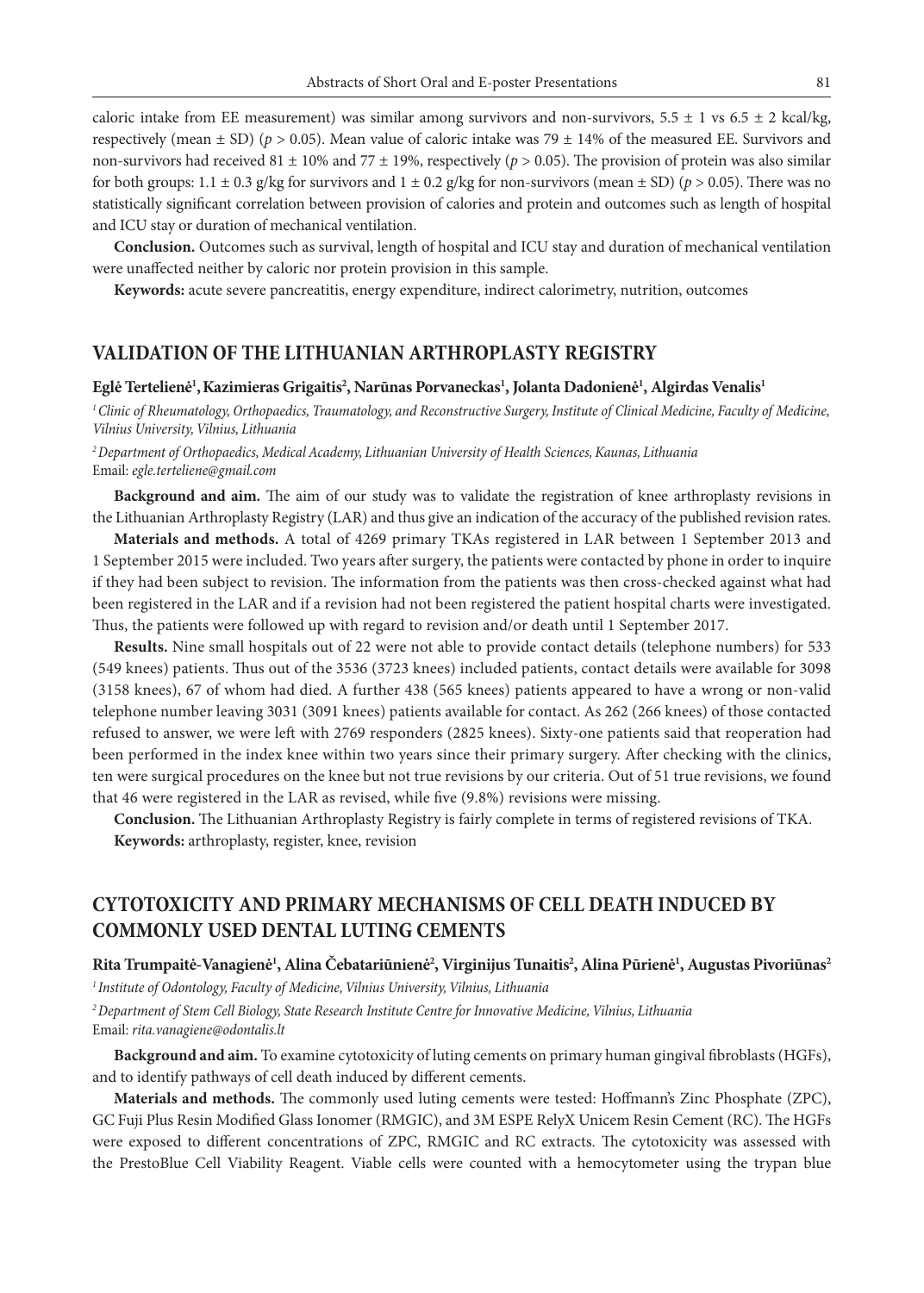caloric intake from EE measurement) was similar among survivors and non-survivors,  $5.5 \pm 1$  vs  $6.5 \pm 2$  kcal/kg, respectively (mean  $\pm$  SD) ( $p > 0.05$ ). Mean value of caloric intake was 79  $\pm$  14% of the measured EE. Survivors and non-survivors had received 81  $\pm$  10% and 77  $\pm$  19%, respectively ( $p > 0.05$ ). The provision of protein was also similar for both groups:  $1.1 \pm 0.3$  g/kg for survivors and  $1 \pm 0.2$  g/kg for non-survivors (mean  $\pm$  SD) ( $p > 0.05$ ). There was no statistically significant correlation between provision of calories and protein and outcomes such as length of hospital and ICU stay or duration of mechanical ventilation.

**Conclusion.** Outcomes such as survival, length of hospital and ICU stay and duration of mechanical ventilation were unaffected neither by caloric nor protein provision in this sample.

**Keywords:** acute severe pancreatitis, energy expenditure, indirect calorimetry, nutrition, outcomes

### **VALIDATION OF THE LITHUANIAN ARTHROPLASTY REGISTRY**

#### **Eglė Tertelienė1 ,Kazimieras Grigaitis2 , Narūnas Porvaneckas1 , Jolanta Dadonienė1 , Algirdas Venalis1**

*1 Clinic of Rheumatology, Orthopaedics, Traumatology, and Reconstructive Surgery, Institute of Clinical Medicine, Faculty of Medicine, Vilnius University, Vilnius, Lithuania*

*2 Department of Orthopaedics, Medical Academy, Lithuanian University of Health Sciences, Kaunas, Lithuania* Email: *egle.terteliene@gmail.com*

**Background and aim.** The aim of our study was to validate the registration of knee arthroplasty revisions in the Lithuanian Arthroplasty Registry (LAR) and thus give an indication of the accuracy of the published revision rates.

**Materials and methods.** A total of 4269 primary TKAs registered in LAR between 1 September 2013 and 1 September 2015 were included. Two years after surgery, the patients were contacted by phone in order to inquire if they had been subject to revision. The information from the patients was then cross-checked against what had been registered in the LAR and if a revision had not been registered the patient hospital charts were investigated. Thus, the patients were followed up with regard to revision and/or death until 1 September 2017.

**Results.** Nine small hospitals out of 22 were not able to provide contact details (telephone numbers) for 533 (549 knees) patients. Thus out of the 3536 (3723 knees) included patients, contact details were available for 3098 (3158 knees), 67 of whom had died. A further 438 (565 knees) patients appeared to have a wrong or non-valid telephone number leaving 3031 (3091 knees) patients available for contact. As 262 (266 knees) of those contacted refused to answer, we were left with 2769 responders (2825 knees). Sixty-one patients said that reoperation had been performed in the index knee within two years since their primary surgery. After checking with the clinics, ten were surgical procedures on the knee but not true revisions by our criteria. Out of 51 true revisions, we found that 46 were registered in the LAR as revised, while five (9.8%) revisions were missing.

**Conclusion.** The Lithuanian Arthroplasty Registry is fairly complete in terms of registered revisions of TKA. **Keywords:** arthroplasty, register, knee, revision

# **CYTOTOXICITY AND PRIMARY MECHANISMS OF CELL DEATH INDUCED BY COMMONLY USED DENTAL LUTING CEMENTS**

#### **Rita Trumpaitė-Vanagienė1 , Alina Čebatariūnienė2 , Virginijus Tunaitis2 , Alina Pūrienė1 , Augustas Pivoriūnas2**

*1 Institute of Odontology, Faculty of Medicine, Vilnius University, Vilnius, Lithuania*

*2 Department of Stem Cell Biology, State Research Institute Centre for Innovative Medicine, Vilnius, Lithuania* Email: *rita.vanagiene@odontalis.lt*

**Background and aim.** To examine cytotoxicity of luting cements on primary human gingival fibroblasts (HGFs), and to identify pathways of cell death induced by different cements.

**Materials and methods.** The commonly used luting cements were tested: Hoffmann's Zinc Phosphate (ZPC), GC Fuji Plus Resin Modified Glass Ionomer (RMGIC), and 3M ESPE RelyX Unicem Resin Cement (RC). The HGFs were exposed to different concentrations of ZPC, RMGIC and RC extracts. The cytotoxicity was assessed with the PrestoBlue Cell Viability Reagent. Viable cells were counted with a hemocytometer using the trypan blue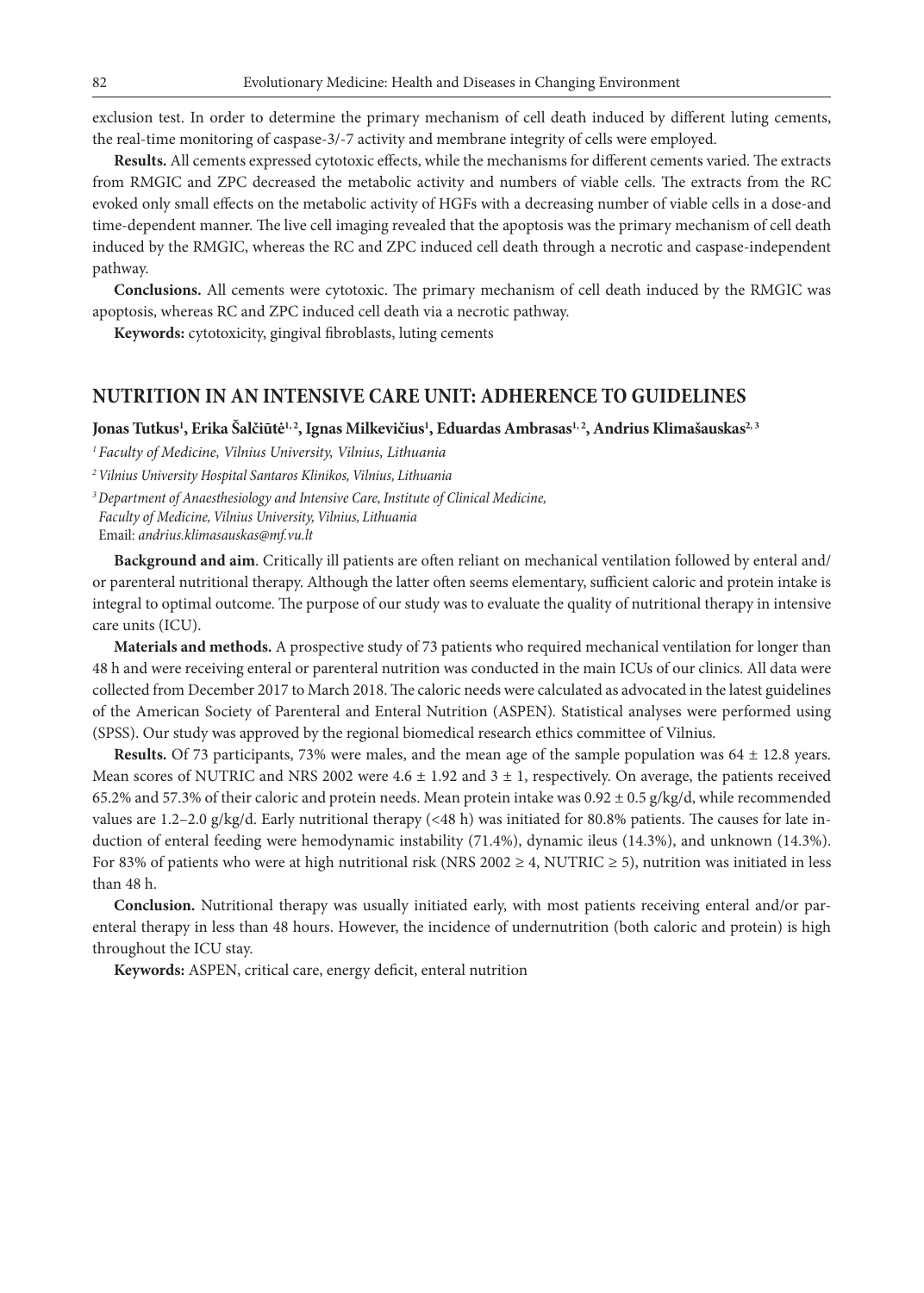exclusion test. In order to determine the primary mechanism of cell death induced by different luting cements, the real-time monitoring of caspase-3/-7 activity and membrane integrity of cells were employed.

**Results.** All cements expressed cytotoxic effects, while the mechanisms for different cements varied. The extracts from RMGIC and ZPC decreased the metabolic activity and numbers of viable cells. The extracts from the RC evoked only small effects on the metabolic activity of HGFs with a decreasing number of viable cells in a dose-and time-dependent manner. The live cell imaging revealed that the apoptosis was the primary mechanism of cell death induced by the RMGIC, whereas the RC and ZPC induced cell death through a necrotic and caspase-independent pathway.

**Conclusions.** All cements were cytotoxic. The primary mechanism of cell death induced by the RMGIC was apoptosis, whereas RC and ZPC induced cell death via a necrotic pathway.

**Keywords:** cytotoxicity, gingival fibroblasts, luting cements

### **NUTRITION IN AN INTENSIVE CARE UNIT: ADHERENCE TO GUIDELINES**

Jonas Tutkus<sup>ı</sup>, Erika Šalčiūtė<sup>1, 2</sup>, Ignas Milkevičius<sup>1</sup>, Eduardas Ambrasas<sup>1, 2</sup>, Andrius Klimašauskas<sup>2, 3</sup>

*1 Faculty of Medicine, Vilnius University, Vilnius, Lithuania*

*2 Vilnius University Hospital Santaros Klinikos, Vilnius, Lithuania*

*<sup>3</sup>Department of Anaesthesiology and Intensive Care, Institute of Clinical Medicine, Faculty of Medicine, Vilnius University, Vilnius, Lithuania* Email: *andrius.klimasauskas@mf.vu.lt*

**Background and aim**. Critically ill patients are often reliant on mechanical ventilation followed by enteral and/ or parenteral nutritional therapy. Although the latter often seems elementary, sufficient caloric and protein intake is integral to optimal outcome. The purpose of our study was to evaluate the quality of nutritional therapy in intensive care units (ICU).

**Materials and methods.** A prospective study of 73 patients who required mechanical ventilation for longer than 48 h and were receiving enteral or parenteral nutrition was conducted in the main ICUs of our clinics. All data were collected from December 2017 to March 2018. The caloric needs were calculated as advocated in the latest guidelines of the American Society of Parenteral and Enteral Nutrition (ASPEN)*.* Statistical analyses were performed using (SPSS). Our study was approved by the regional biomedical research ethics committee of Vilnius.

**Results.** Of 73 participants, 73% were males, and the mean age of the sample population was 64 ± 12.8 years. Mean scores of NUTRIC and NRS 2002 were  $4.6 \pm 1.92$  and  $3 \pm 1$ , respectively. On average, the patients received 65.2% and 57.3% of their caloric and protein needs. Mean protein intake was  $0.92 \pm 0.5$  g/kg/d, while recommended values are 1.2–2.0 g/kg/d. Early nutritional therapy  $(\leq 48 \text{ h})$  was initiated for 80.8% patients. The causes for late induction of enteral feeding were hemodynamic instability (71.4%), dynamic ileus (14.3%), and unknown (14.3%). For 83% of patients who were at high nutritional risk (NRS 2002  $\geq$  4, NUTRIC  $\geq$  5), nutrition was initiated in less than 48 h.

**Conclusion.** Nutritional therapy was usually initiated early, with most patients receiving enteral and/or parenteral therapy in less than 48 hours. However, the incidence of undernutrition (both caloric and protein) is high throughout the ICU stay.

**Keywords:** ASPEN, critical care, energy deficit, enteral nutrition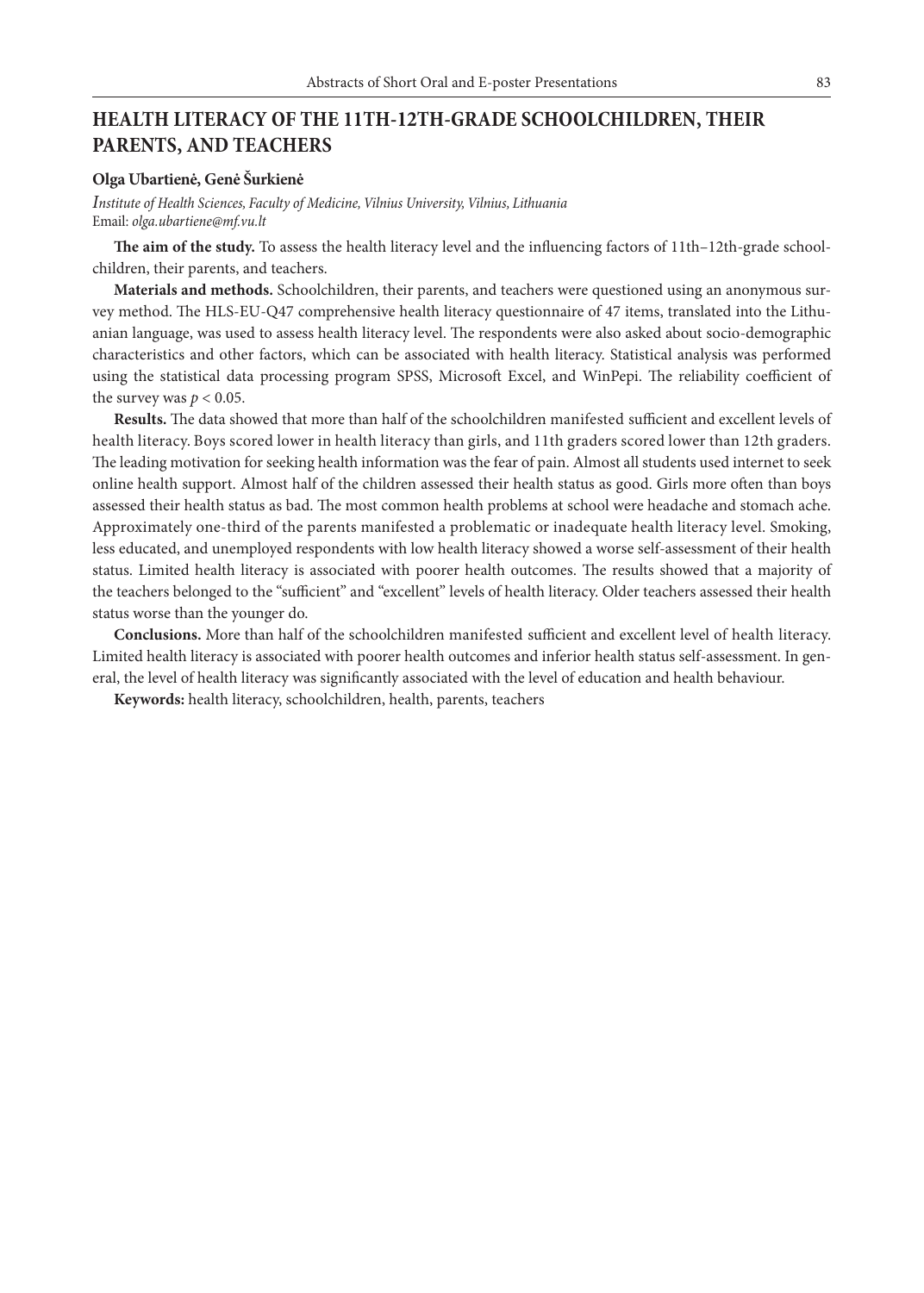# **HEALTH LITERACY OF THE 11TH-12TH-GRADE SCHOOLCHILDREN, THEIR PARENTS, AND TEACHERS**

#### **Olga Ubartienė, Genė Šurkienė**

*Institute of Health Sciences, Faculty of Medicine, Vilnius University, Vilnius, Lithuania* Email: *olga.ubartiene@mf.vu.lt*

**The aim of the study.** To assess the health literacy level and the influencing factors of 11th–12th-grade schoolchildren, their parents, and teachers.

**Materials and methods.** Schoolchildren, their parents, and teachers were questioned using an anonymous survey method. The HLS-EU-Q47 comprehensive health literacy questionnaire of 47 items, translated into the Lithuanian language, was used to assess health literacy level. The respondents were also asked about socio-demographic characteristics and other factors, which can be associated with health literacy. Statistical analysis was performed using the statistical data processing program SPSS, Microsoft Excel, and WinPepi. The reliability coefficient of the survey was  $p < 0.05$ .

**Results.** The data showed that more than half of the schoolchildren manifested sufficient and excellent levels of health literacy. Boys scored lower in health literacy than girls, and 11th graders scored lower than 12th graders. The leading motivation for seeking health information was the fear of pain. Almost all students used internet to seek online health support. Almost half of the children assessed their health status as good. Girls more often than boys assessed their health status as bad. The most common health problems at school were headache and stomach ache. Approximately one-third of the parents manifested a problematic or inadequate health literacy level. Smoking, less educated, and unemployed respondents with low health literacy showed a worse self-assessment of their health status. Limited health literacy is associated with poorer health outcomes. The results showed that a majority of the teachers belonged to the "sufficient" and "excellent" levels of health literacy. Older teachers assessed their health status worse than the younger do.

**Conclusions.** More than half of the schoolchildren manifested sufficient and excellent level of health literacy. Limited health literacy is associated with poorer health outcomes and inferior health status self-assessment. In general, the level of health literacy was significantly associated with the level of education and health behaviour.

**Keywords:** health literacy, schoolchildren, health, parents, teachers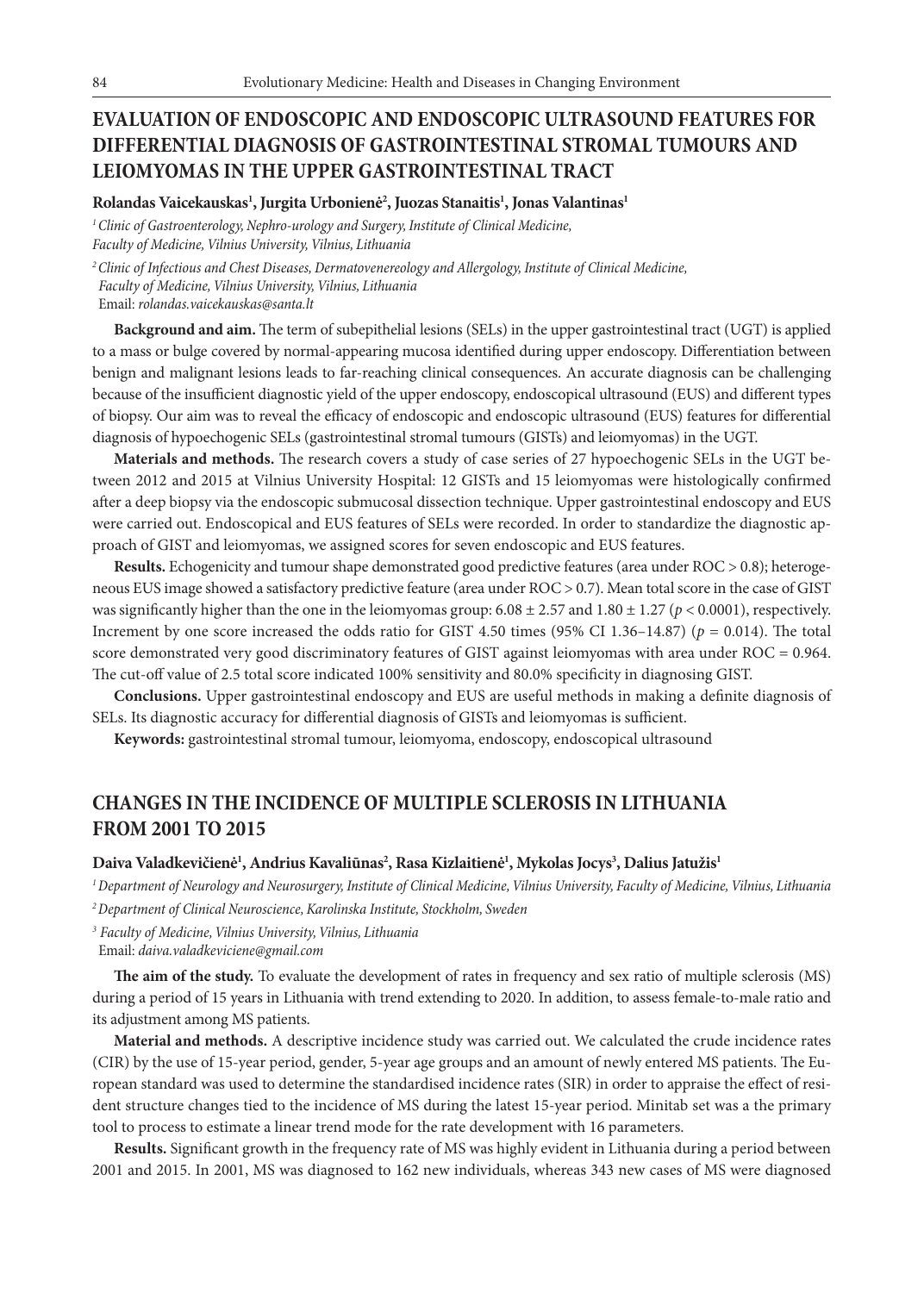# **EVALUATION OF ENDOSCOPIC AND ENDOSCOPIC ULTRASOUND FEATURES FOR DIFFERENTIAL DIAGNOSIS OF GASTROINTESTINAL STROMAL TUMOURS AND LEIOMYOMAS IN THE UPPER GASTROINTESTINAL TRACT**

**Rolandas Vaicekauskas1 , Jurgita Urbonienė2 , Juozas Stanaitis1 , Jonas Valantinas1**

*1 Clinic of Gastroenterology, Nephro-urology and Surgery, Institute of Clinical Medicine, Faculty of Medicine, Vilnius University, Vilnius, Lithuania*

*2 Clinic of Infectious and Chest Diseases, Dermatovenereology and Allergology, Institute of Clinical Medicine, Faculty of Medicine, Vilnius University, Vilnius, Lithuania* Email: *rolandas.vaicekauskas@santa.lt*

**Background and aim.** The term of subepithelial lesions (SELs) in the upper gastrointestinal tract (UGT) is applied to a mass or bulge covered by normal-appearing mucosa identified during upper endoscopy. Differentiation between benign and malignant lesions leads to far-reaching clinical consequences. An accurate diagnosis can be challenging because of the insufficient diagnostic yield of the upper endoscopy, endoscopical ultrasound (EUS) and different types of biopsy. Our aim was to reveal the efficacy of endoscopic and endoscopic ultrasound (EUS) features for differential diagnosis of hypoechogenic SELs (gastrointestinal stromal tumours (GISTs) and leiomyomas) in the UGT.

**Materials and methods.** The research covers a study of case series of 27 hypoechogenic SELs in the UGT between 2012 and 2015 at Vilnius University Hospital: 12 GISTs and 15 leiomyomas were histologically confirmed after a deep biopsy via the endoscopic submucosal dissection technique. Upper gastrointestinal endoscopy and EUS were carried out. Endoscopical and EUS features of SELs were recorded. In order to standardize the diagnostic approach of GIST and leiomyomas, we assigned scores for seven endoscopic and EUS features.

**Results.** Echogenicity and tumour shape demonstrated good predictive features (area under ROC > 0.8); heterogeneous EUS image showed a satisfactory predictive feature (area under ROC > 0.7). Mean total score in the case of GIST was significantly higher than the one in the leiomyomas group:  $6.08 \pm 2.57$  and  $1.80 \pm 1.27$  ( $p < 0.0001$ ), respectively. Increment by one score increased the odds ratio for GIST 4.50 times  $(95\%$  CI 1.36–14.87) ( $p = 0.014$ ). The total score demonstrated very good discriminatory features of GIST against leiomyomas with area under ROC = 0.964. The cut-off value of 2.5 total score indicated 100% sensitivity and 80.0% specificity in diagnosing GIST.

**Conclusions.** Upper gastrointestinal endoscopy and EUS are useful methods in making a definite diagnosis of SELs. Its diagnostic accuracy for differential diagnosis of GISTs and leiomyomas is sufficient.

**Keywords:** gastrointestinal stromal tumour, leiomyoma, endoscopy, endoscopical ultrasound

## **CHANGES IN THE INCIDENCE OF MULTIPLE SCLEROSIS IN LITHUANIA FROM 2001 TO 2015**

#### **Daiva Valadkevičienė1 , Andrius Kavaliūnas2 , Rasa Kizlaitienė1 , Mykolas Jocys3 , Dalius Jatužis1**

*1 Department of Neurology and Neurosurgery, Institute of Clinical Medicine, Vilnius University, Faculty of Medicine, Vilnius, Lithuania 2 Department of Clinical Neuroscience, Karolinska Institute, Stockholm, Sweden*

*<sup>3</sup> Faculty of Medicine, Vilnius University, Vilnius, Lithuania*

Email: *daiva.valadkeviciene@gmail.com*

**The aim of the study.** To evaluate the development of rates in frequency and sex ratio of multiple sclerosis (MS) during a period of 15 years in Lithuania with trend extending to 2020. In addition, to assess female-to-male ratio and its adjustment among MS patients.

**Material and methods.** A descriptive incidence study was carried out. We calculated the crude incidence rates (CIR) by the use of 15-year period, gender, 5-year age groups and an amount of newly entered MS patients. The European standard was used to determine the standardised incidence rates (SIR) in order to appraise the effect of resident structure changes tied to the incidence of MS during the latest 15-year period. Minitab set was a the primary tool to process to estimate a linear trend mode for the rate development with 16 parameters.

**Results.** Significant growth in the frequency rate of MS was highly evident in Lithuania during a period between 2001 and 2015. In 2001, MS was diagnosed to 162 new individuals, whereas 343 new cases of MS were diagnosed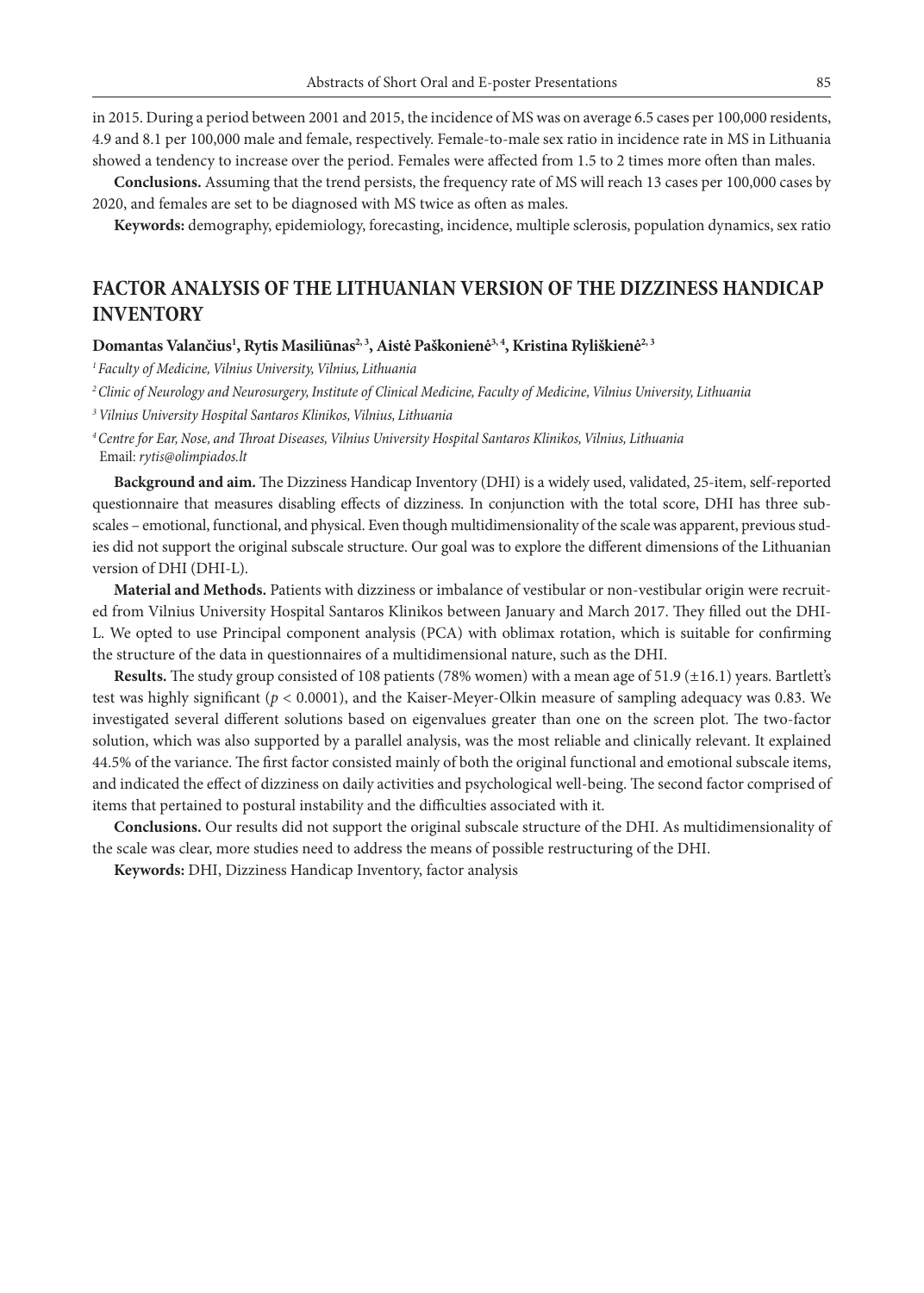in 2015. During a period between 2001 and 2015, the incidence of MS was on average 6.5 cases per 100,000 residents, 4.9 and 8.1 per 100,000 male and female, respectively. Female-to-male sex ratio in incidence rate in MS in Lithuania showed a tendency to increase over the period. Females were affected from 1.5 to 2 times more often than males.

**Conclusions.** Assuming that the trend persists, the frequency rate of MS will reach 13 cases per 100,000 cases by 2020, and females are set to be diagnosed with MS twice as often as males.

**Keywords:** demography, epidemiology, forecasting, incidence, multiple sclerosis, population dynamics, sex ratio

### **FACTOR ANALYSIS OF THE LITHUANIAN VERSION OF THE DIZZINESS HANDICAP INVENTORY**

#### Domantas Valančius<sup>1</sup>, Rytis Masiliūnas<sup>2, 3</sup>, Aistė Paškonienė<sup>3, 4</sup>, Kristina Ryliškienė<sup>2, 3</sup>

*1 Faculty of Medicine, Vilnius University, Vilnius, Lithuania*

*2 Clinic of Neurology and Neurosurgery, Institute of Clinical Medicine, Faculty of Medicine, Vilnius University, Lithuania*

*<sup>3</sup>Vilnius University Hospital Santaros Klinikos, Vilnius, Lithuania*

*4 Centre for Ear, Nose, and Throat Diseases, Vilnius University Hospital Santaros Klinikos, Vilnius, Lithuania* Email: *rytis@olimpiados.lt*

**Background and aim.** The Dizziness Handicap Inventory (DHI) is a widely used, validated, 25-item, self-reported questionnaire that measures disabling effects of dizziness. In conjunction with the total score, DHI has three subscales – emotional, functional, and physical. Even though multidimensionality of the scale was apparent, previous studies did not support the original subscale structure. Our goal was to explore the different dimensions of the Lithuanian version of DHI (DHI-L).

**Material and Methods.** Patients with dizziness or imbalance of vestibular or non-vestibular origin were recruited from Vilnius University Hospital Santaros Klinikos between January and March 2017. They filled out the DHI-L. We opted to use Principal component analysis (PCA) with oblimax rotation, which is suitable for confirming the structure of the data in questionnaires of a multidimensional nature, such as the DHI.

**Results.** The study group consisted of 108 patients (78% women) with a mean age of 51.9 (±16.1) years. Bartlett's test was highly significant (*p* < 0.0001), and the Kaiser-Meyer-Olkin measure of sampling adequacy was 0.83. We investigated several different solutions based on eigenvalues greater than one on the screen plot. The two-factor solution, which was also supported by a parallel analysis, was the most reliable and clinically relevant. It explained 44.5% of the variance. The first factor consisted mainly of both the original functional and emotional subscale items, and indicated the effect of dizziness on daily activities and psychological well-being. The second factor comprised of items that pertained to postural instability and the difficulties associated with it.

**Conclusions.** Our results did not support the original subscale structure of the DHI. As multidimensionality of the scale was clear, more studies need to address the means of possible restructuring of the DHI.

**Keywords:** DHI, Dizziness Handicap Inventory, factor analysis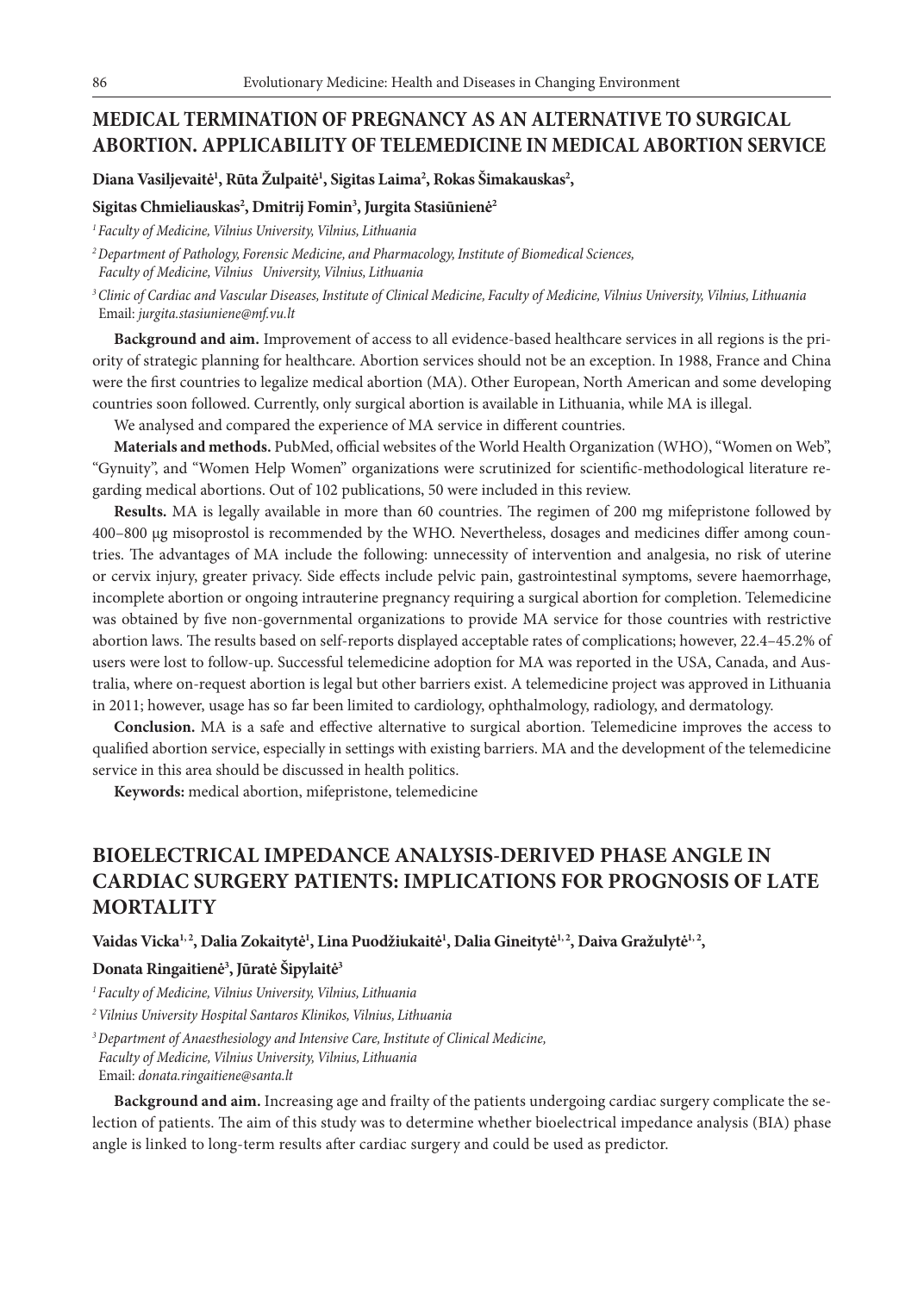### **MEDICAL TERMINATION OF PREGNANCY AS AN ALTERNATIVE TO SURGICAL ABORTION. APPLICABILITY OF TELEMEDICINE IN MEDICAL ABORTION SERVICE**

**Diana Vasiljevaitė1 , Rūta Žulpaitė1 , Sigitas Laima2 , Rokas Šimakauskas2 ,**

#### **Sigitas Chmieliauskas2 , Dmitrij Fomin3 , Jurgita Stasiūnienė2**

*1 Faculty of Medicine, Vilnius University, Vilnius, Lithuania*

*2 Department of Pathology, Forensic Medicine, and Pharmacology, Institute of Biomedical Sciences, Faculty of Medicine, Vilnius University, Vilnius, Lithuania*

*3 Clinic of Cardiac and Vascular Diseases, Institute of Clinical Medicine, Faculty of Medicine, Vilnius University, Vilnius, Lithuania* Email: *jurgita.stasiuniene@mf.vu.lt*

**Background and aim.** Improvement of access to all evidence-based healthcare services in all regions is the priority of strategic planning for healthcare. Abortion services should not be an exception. In 1988, France and China were the first countries to legalize medical abortion (MA). Other European, North American and some developing countries soon followed. Currently, only surgical abortion is available in Lithuania, while MA is illegal.

We analysed and compared the experience of MA service in different countries.

**Materials and methods.** PubMed, official websites of the World Health Organization (WHO), "Women on Web", "Gynuity", and "Women Help Women" organizations were scrutinized for scientific-methodological literature regarding medical abortions. Out of 102 publications, 50 were included in this review.

**Results.** MA is legally available in more than 60 countries. The regimen of 200 mg mifepristone followed by 400–800 µg misoprostol is recommended by the WHO. Nevertheless, dosages and medicines differ among countries. The advantages of MA include the following: unnecessity of intervention and analgesia, no risk of uterine or cervix injury, greater privacy. Side effects include pelvic pain, gastrointestinal symptoms, severe haemorrhage, incomplete abortion or ongoing intrauterine pregnancy requiring a surgical abortion for completion. Telemedicine was obtained by five non-governmental organizations to provide MA service for those countries with restrictive abortion laws. The results based on self-reports displayed acceptable rates of complications; however, 22.4–45.2% of users were lost to follow-up. Successful telemedicine adoption for MA was reported in the USA, Canada, and Australia, where on-request abortion is legal but other barriers exist. A telemedicine project was approved in Lithuania in 2011; however, usage has so far been limited to cardiology, ophthalmology, radiology, and dermatology.

**Conclusion.** MA is a safe and effective alternative to surgical abortion. Telemedicine improves the access to qualified abortion service, especially in settings with existing barriers. MA and the development of the telemedicine service in this area should be discussed in health politics.

**Keywords:** medical abortion, mifepristone, telemedicine

# **BIOELECTRICAL IMPEDANCE ANALYSIS-DERIVED PHASE ANGLE IN CARDIAC SURGERY PATIENTS: IMPLICATIONS FOR PROGNOSIS OF LATE MORTALITY**

Vaidas Vicka<sup>1,2</sup>, Dalia Zokaitytė<sup>1</sup>, Lina Puodžiukaitė<sup>1</sup>, Dalia Gineitytė<sup>1,2</sup>, Daiva Gražulytė<sup>1,2</sup>,

#### **Donata Ringaitienė3 , Jūratė Šipylaitė3**

*1 Faculty of Medicine, Vilnius University, Vilnius, Lithuania*

*2 Vilnius University Hospital Santaros Klinikos, Vilnius, Lithuania*

*3 Department of Anaesthesiology and Intensive Care, Institute of Clinical Medicine, Faculty of Medicine, Vilnius University, Vilnius, Lithuania* Email: *donata.ringaitiene@santa.lt*

**Background and aim.** Increasing age and frailty of the patients undergoing cardiac surgery complicate the selection of patients. The aim of this study was to determine whether bioelectrical impedance analysis (BIA) phase angle is linked to long-term results after cardiac surgery and could be used as predictor.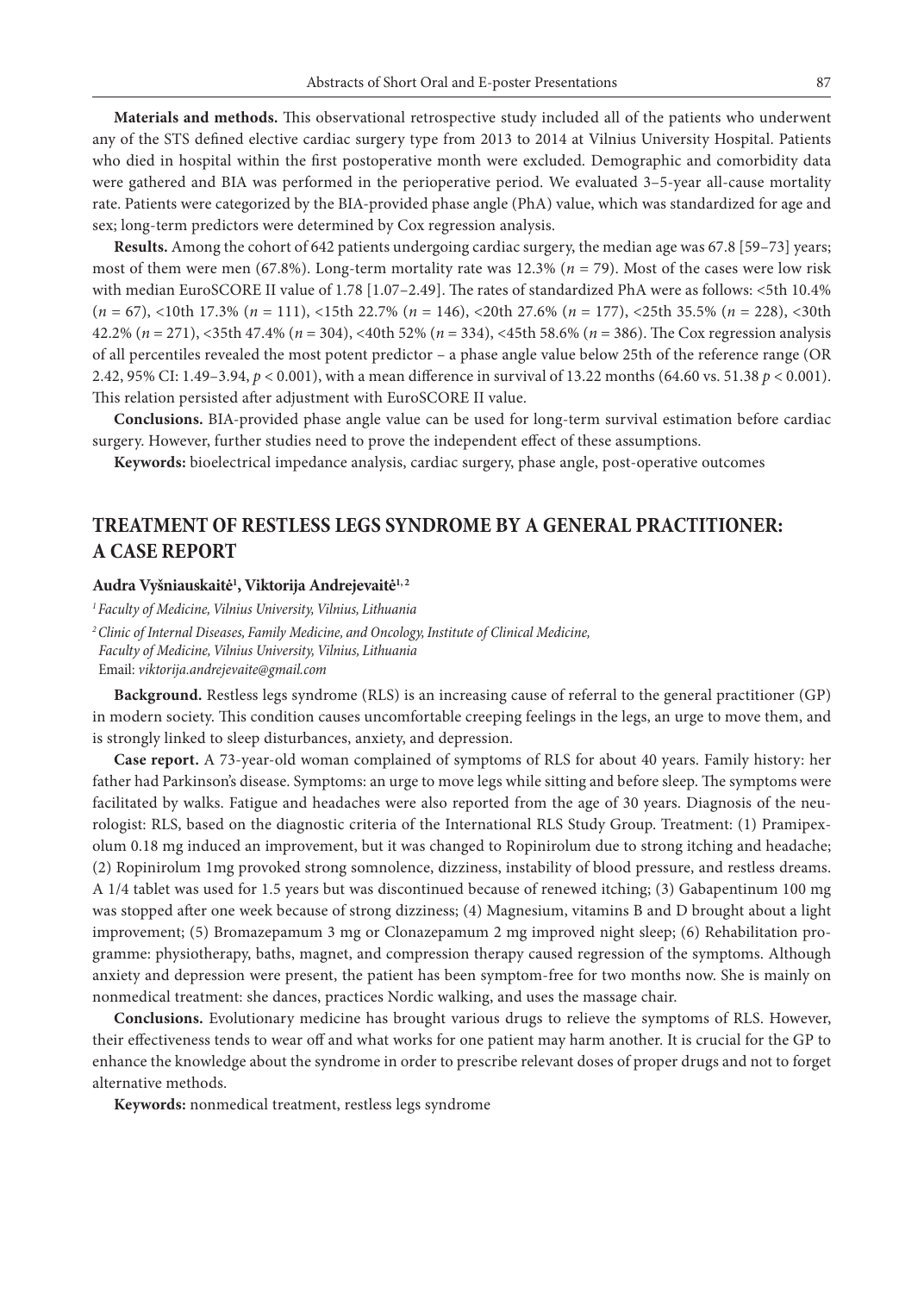**Materials and methods.** This observational retrospective study included all of the patients who underwent any of the STS defined elective cardiac surgery type from 2013 to 2014 at Vilnius University Hospital. Patients who died in hospital within the first postoperative month were excluded. Demographic and comorbidity data were gathered and BIA was performed in the perioperative period. We evaluated 3–5-year all-cause mortality rate. Patients were categorized by the BIA-provided phase angle (PhA) value, which was standardized for age and sex; long-term predictors were determined by Cox regression analysis.

**Results.** Among the cohort of 642 patients undergoing cardiac surgery, the median age was 67.8 [59–73] years; most of them were men (67.8%). Long-term mortality rate was 12.3% (*n* = 79). Most of the cases were low risk with median EuroSCORE II value of 1.78 [1.07–2.49]. The rates of standardized PhA were as follows: <5th 10.4% (*n* = 67), <10th 17.3% (*n* = 111), <15th 22.7% (*n* = 146), <20th 27.6% (*n* = 177), <25th 35.5% (*n* = 228), <30th 42.2% (*n* = 271), <35th 47.4% (*n* = 304), <40th 52% (*n* = 334), <45th 58.6% (*n* = 386). The Cox regression analysis of all percentiles revealed the most potent predictor – a phase angle value below 25th of the reference range (OR 2.42, 95% CI: 1.49–3.94, *p* < 0.001), with a mean difference in survival of 13.22 months (64.60 vs. 51.38 *p* < 0.001). This relation persisted after adjustment with EuroSCORE II value.

**Conclusions.** BIA-provided phase angle value can be used for long-term survival estimation before cardiac surgery. However, further studies need to prove the independent effect of these assumptions.

**Keywords:** bioelectrical impedance analysis, cardiac surgery, phase angle, post-operative outcomes

## **TREATMENT OF RESTLESS LEGS SYNDROME BY A GENERAL PRACTITIONER: A CASE REPORT**

#### **Audra Vyšniauskaitė1 , Viktorija Andrejevaitė1, 2**

*1 Faculty of Medicine, Vilnius University, Vilnius, Lithuania 2 Clinic of Internal Diseases, Family Medicine, and Oncology, Institute of Clinical Medicine, Faculty of Medicine, Vilnius University, Vilnius, Lithuania*

Email: *viktorija.andrejevaite@gmail.com*

**Background.** Restless legs syndrome (RLS) is an increasing cause of referral to the general practitioner (GP) in modern society. This condition causes uncomfortable creeping feelings in the legs, an urge to move them, and is strongly linked to sleep disturbances, anxiety, and depression.

**Case report.** A 73-year-old woman complained of symptoms of RLS for about 40 years. Family history: her father had Parkinson's disease. Symptoms: an urge to move legs while sitting and before sleep. The symptoms were facilitated by walks. Fatigue and headaches were also reported from the age of 30 years. Diagnosis of the neurologist: RLS, based on the diagnostic criteria of the International RLS Study Group. Treatment: (1) Pramipexolum 0.18 mg induced an improvement, but it was changed to Ropinirolum due to strong itching and headache; (2) Ropinirolum 1mg provoked strong somnolence, dizziness, instability of blood pressure, and restless dreams. A 1/4 tablet was used for 1.5 years but was discontinued because of renewed itching; (3) Gabapentinum 100 mg was stopped after one week because of strong dizziness; (4) Magnesium, vitamins B and D brought about a light improvement; (5) Bromazepamum 3 mg or Clonazepamum 2 mg improved night sleep; (6) Rehabilitation programme: physiotherapy, baths, magnet, and compression therapy caused regression of the symptoms. Although anxiety and depression were present, the patient has been symptom-free for two months now. She is mainly on nonmedical treatment: she dances, practices Nordic walking, and uses the massage chair.

**Conclusions.** Evolutionary medicine has brought various drugs to relieve the symptoms of RLS. However, their effectiveness tends to wear off and what works for one patient may harm another. It is crucial for the GP to enhance the knowledge about the syndrome in order to prescribe relevant doses of proper drugs and not to forget alternative methods.

**Keywords:** nonmedical treatment, restless legs syndrome